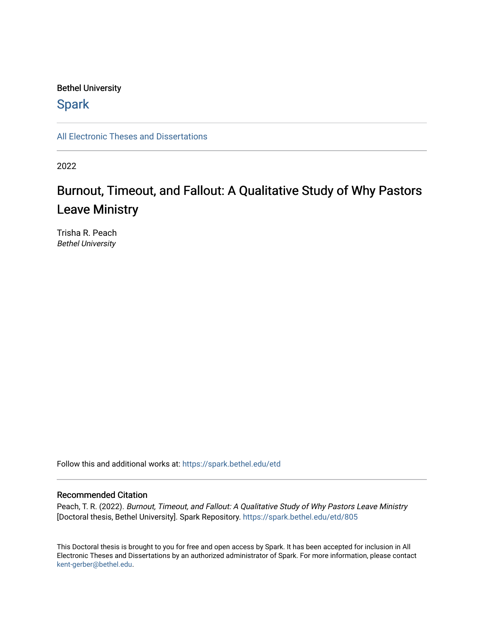## Bethel University

# **Spark**

[All Electronic Theses and Dissertations](https://spark.bethel.edu/etd) 

2022

# Burnout, Timeout, and Fallout: A Qualitative Study of Why Pastors Leave Ministry

Trisha R. Peach Bethel University

Follow this and additional works at: [https://spark.bethel.edu/etd](https://spark.bethel.edu/etd?utm_source=spark.bethel.edu%2Fetd%2F805&utm_medium=PDF&utm_campaign=PDFCoverPages)

#### Recommended Citation

Peach, T. R. (2022). Burnout, Timeout, and Fallout: A Qualitative Study of Why Pastors Leave Ministry [Doctoral thesis, Bethel University]. Spark Repository. [https://spark.bethel.edu/etd/805](https://spark.bethel.edu/etd/805?utm_source=spark.bethel.edu%2Fetd%2F805&utm_medium=PDF&utm_campaign=PDFCoverPages) 

This Doctoral thesis is brought to you for free and open access by Spark. It has been accepted for inclusion in All Electronic Theses and Dissertations by an authorized administrator of Spark. For more information, please contact [kent-gerber@bethel.edu](mailto:kent-gerber@bethel.edu).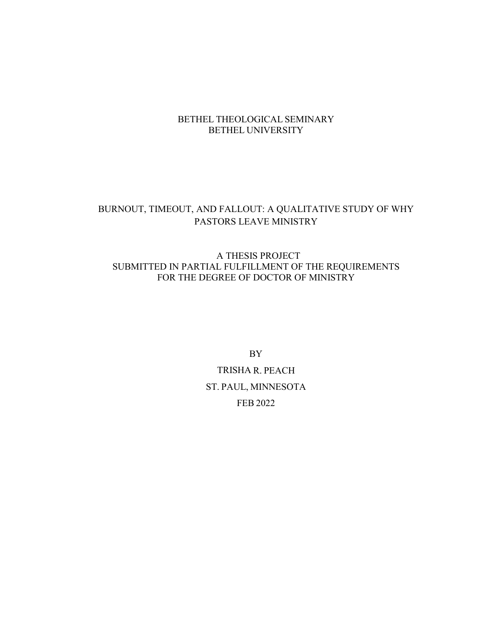## BETHEL THEOLOGICAL SEMINARY BETHEL UNIVERSITY

# BURNOUT, TIMEOUT, AND FALLOUT: A QUALITATIVE STUDY OF WHY PASTORS LEAVE MINISTRY

## A THESIS PROJECT SUBMITTED IN PARTIAL FULFILLMENT OF THE REQUIREMENTS FOR THE DEGREE OF DOCTOR OF MINISTRY

BY TRISHA R. PEACH ST. PAUL, MINNESOTA FEB 2022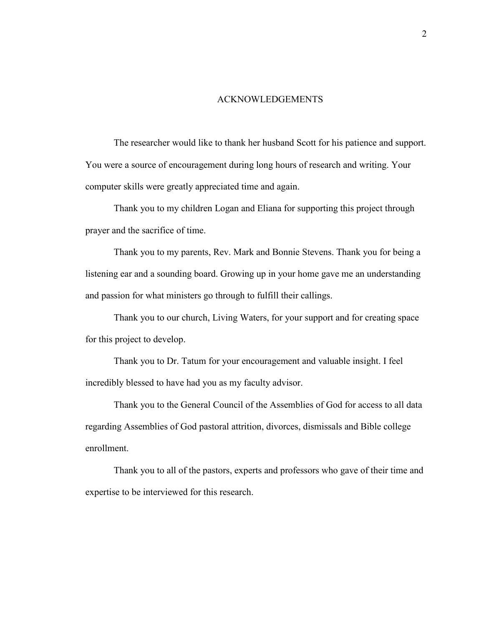#### ACKNOWLEDGEMENTS

The researcher would like to thank her husband Scott for his patience and support. You were a source of encouragement during long hours of research and writing. Your computer skills were greatly appreciated time and again.

Thank you to my children Logan and Eliana for supporting this project through prayer and the sacrifice of time.

Thank you to my parents, Rev. Mark and Bonnie Stevens. Thank you for being a listening ear and a sounding board. Growing up in your home gave me an understanding and passion for what ministers go through to fulfill their callings.

Thank you to our church, Living Waters, for your support and for creating space for this project to develop.

Thank you to Dr. Tatum for your encouragement and valuable insight. I feel incredibly blessed to have had you as my faculty advisor.

Thank you to the General Council of the Assemblies of God for access to all data regarding Assemblies of God pastoral attrition, divorces, dismissals and Bible college enrollment.

Thank you to all of the pastors, experts and professors who gave of their time and expertise to be interviewed for this research.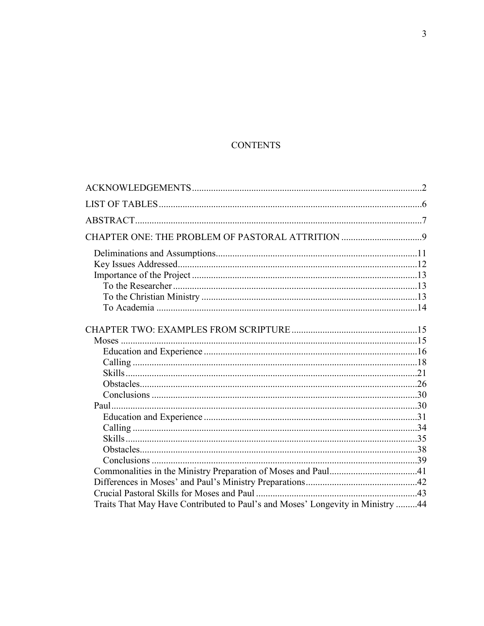# **CONTENTS**

| Traits That May Have Contributed to Paul's and Moses' Longevity in Ministry 44 |  |
|--------------------------------------------------------------------------------|--|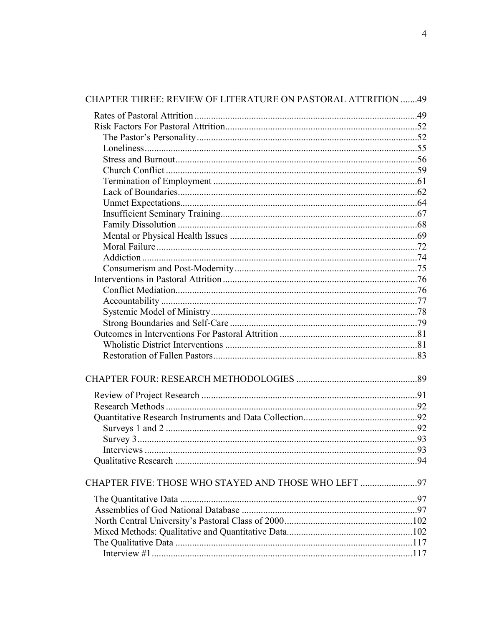| CHAPTER THREE: REVIEW OF LITERATURE ON PASTORAL ATTRITION  49 |  |
|---------------------------------------------------------------|--|
|                                                               |  |
|                                                               |  |
|                                                               |  |
|                                                               |  |
|                                                               |  |
|                                                               |  |
|                                                               |  |
|                                                               |  |
|                                                               |  |
|                                                               |  |
|                                                               |  |
|                                                               |  |
|                                                               |  |
|                                                               |  |
|                                                               |  |
|                                                               |  |
|                                                               |  |
|                                                               |  |
|                                                               |  |
|                                                               |  |
|                                                               |  |
|                                                               |  |
|                                                               |  |
|                                                               |  |
|                                                               |  |
|                                                               |  |
|                                                               |  |
|                                                               |  |
|                                                               |  |
|                                                               |  |
|                                                               |  |
|                                                               |  |
|                                                               |  |
|                                                               |  |
|                                                               |  |
|                                                               |  |
|                                                               |  |
|                                                               |  |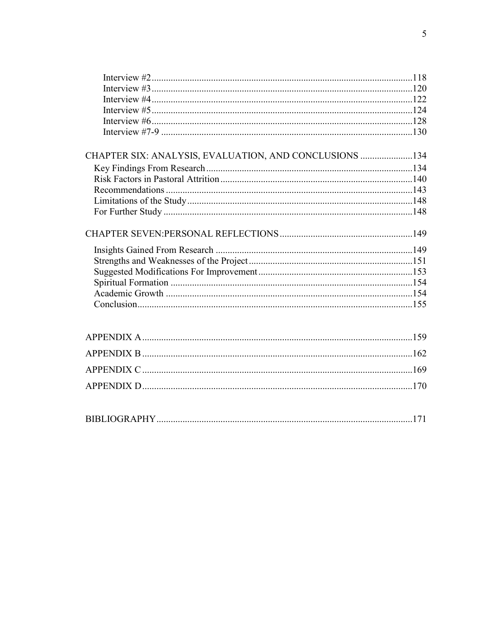| CHAPTER SIX: ANALYSIS, EVALUATION, AND CONCLUSIONS 134 |  |
|--------------------------------------------------------|--|
|                                                        |  |
|                                                        |  |
|                                                        |  |
|                                                        |  |
|                                                        |  |
|                                                        |  |
|                                                        |  |
|                                                        |  |
|                                                        |  |
|                                                        |  |
|                                                        |  |
|                                                        |  |
|                                                        |  |
|                                                        |  |
|                                                        |  |
|                                                        |  |
|                                                        |  |
|                                                        |  |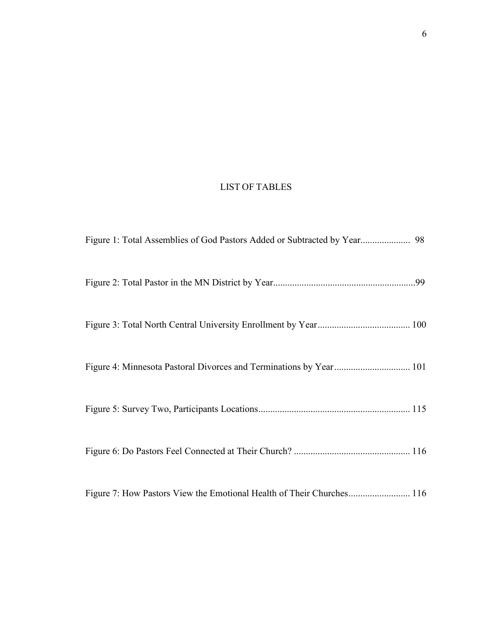# LIST OF TABLES

| Figure 7: How Pastors View the Emotional Health of Their Churches 116 |  |
|-----------------------------------------------------------------------|--|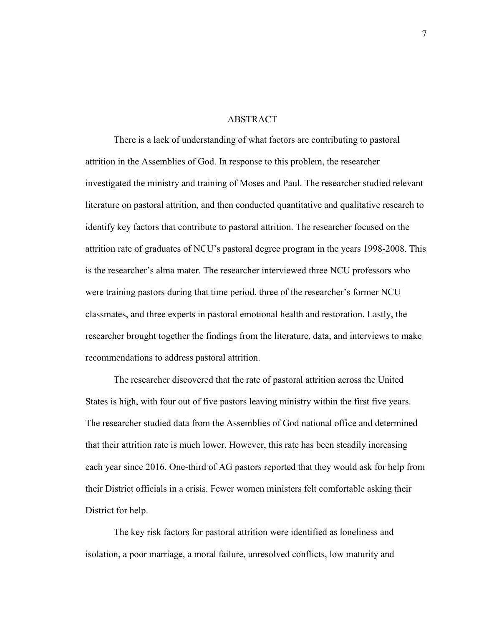## **ABSTRACT**

 There is a lack of understanding of what factors are contributing to pastoral attrition in the Assemblies of God. In response to this problem, the researcher investigated the ministry and training of Moses and Paul. The researcher studied relevant literature on pastoral attrition, and then conducted quantitative and qualitative research to identify key factors that contribute to pastoral attrition. The researcher focused on the attrition rate of graduates of NCU's pastoral degree program in the years 1998-2008. This is the researcher's alma mater. The researcher interviewed three NCU professors who were training pastors during that time period, three of the researcher's former NCU classmates, and three experts in pastoral emotional health and restoration. Lastly, the researcher brought together the findings from the literature, data, and interviews to make recommendations to address pastoral attrition.

The researcher discovered that the rate of pastoral attrition across the United States is high, with four out of five pastors leaving ministry within the first five years. The researcher studied data from the Assemblies of God national office and determined that their attrition rate is much lower. However, this rate has been steadily increasing each year since 2016. One-third of AG pastors reported that they would ask for help from their District officials in a crisis. Fewer women ministers felt comfortable asking their District for help.

The key risk factors for pastoral attrition were identified as loneliness and isolation, a poor marriage, a moral failure, unresolved conflicts, low maturity and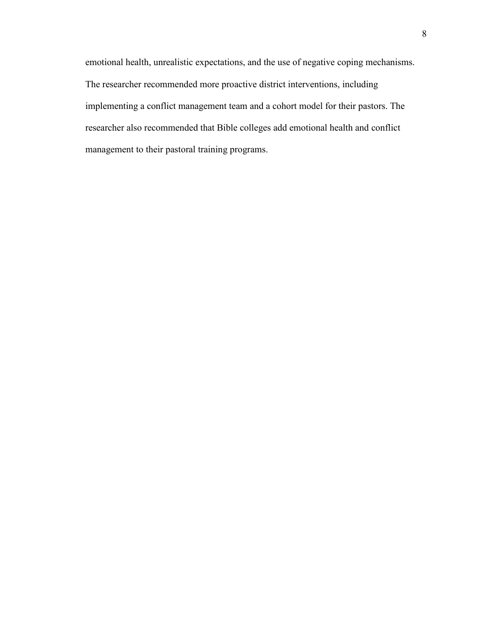emotional health, unrealistic expectations, and the use of negative coping mechanisms. The researcher recommended more proactive district interventions, including implementing a conflict management team and a cohort model for their pastors. The researcher also recommended that Bible colleges add emotional health and conflict management to their pastoral training programs.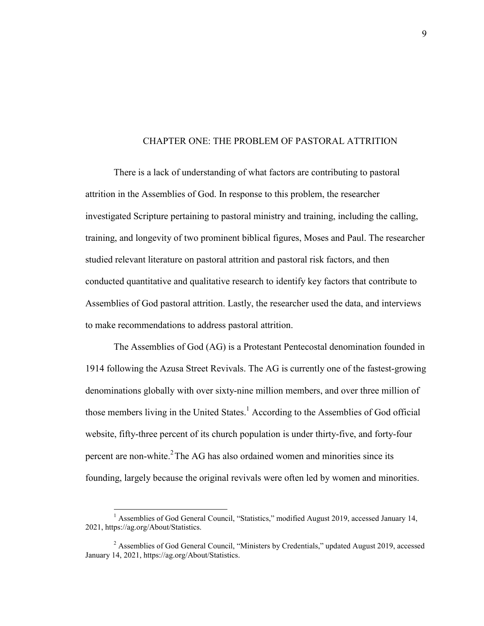## CHAPTER ONE: THE PROBLEM OF PASTORAL ATTRITION

There is a lack of understanding of what factors are contributing to pastoral attrition in the Assemblies of God. In response to this problem, the researcher investigated Scripture pertaining to pastoral ministry and training, including the calling, training, and longevity of two prominent biblical figures, Moses and Paul. The researcher studied relevant literature on pastoral attrition and pastoral risk factors, and then conducted quantitative and qualitative research to identify key factors that contribute to Assemblies of God pastoral attrition. Lastly, the researcher used the data, and interviews to make recommendations to address pastoral attrition.

 The Assemblies of God (AG) is a Protestant Pentecostal denomination founded in 1914 following the Azusa Street Revivals. The AG is currently one of the fastest-growing denominations globally with over sixty-nine million members, and over three million of those members living in the United States.<sup>1</sup> According to the Assemblies of God official website, fifty-three percent of its church population is under thirty-five, and forty-four percent are non-white.<sup>2</sup> The AG has also ordained women and minorities since its founding, largely because the original revivals were often led by women and minorities.

<sup>&</sup>lt;sup>1</sup> Assemblies of God General Council, "Statistics," modified August 2019, accessed January 14, 2021, https://ag.org/About/Statistics.

<sup>&</sup>lt;sup>2</sup> Assemblies of God General Council, "Ministers by Credentials," updated August 2019, accessed January 14, 2021, https://ag.org/About/Statistics.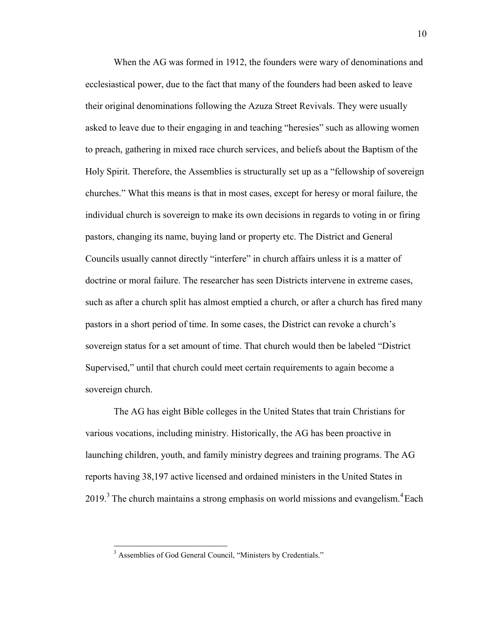When the AG was formed in 1912, the founders were wary of denominations and ecclesiastical power, due to the fact that many of the founders had been asked to leave their original denominations following the Azuza Street Revivals. They were usually asked to leave due to their engaging in and teaching "heresies" such as allowing women to preach, gathering in mixed race church services, and beliefs about the Baptism of the Holy Spirit. Therefore, the Assemblies is structurally set up as a "fellowship of sovereign churches." What this means is that in most cases, except for heresy or moral failure, the individual church is sovereign to make its own decisions in regards to voting in or firing pastors, changing its name, buying land or property etc. The District and General Councils usually cannot directly "interfere" in church affairs unless it is a matter of doctrine or moral failure. The researcher has seen Districts intervene in extreme cases, such as after a church split has almost emptied a church, or after a church has fired many pastors in a short period of time. In some cases, the District can revoke a church's sovereign status for a set amount of time. That church would then be labeled "District Supervised," until that church could meet certain requirements to again become a sovereign church.

 The AG has eight Bible colleges in the United States that train Christians for various vocations, including ministry. Historically, the AG has been proactive in launching children, youth, and family ministry degrees and training programs. The AG reports having 38,197 active licensed and ordained ministers in the United States in  $2019.<sup>3</sup>$  The church maintains a strong emphasis on world missions and evangelism.  $4$  Each

<u>.</u>

<sup>&</sup>lt;sup>3</sup> Assemblies of God General Council, "Ministers by Credentials."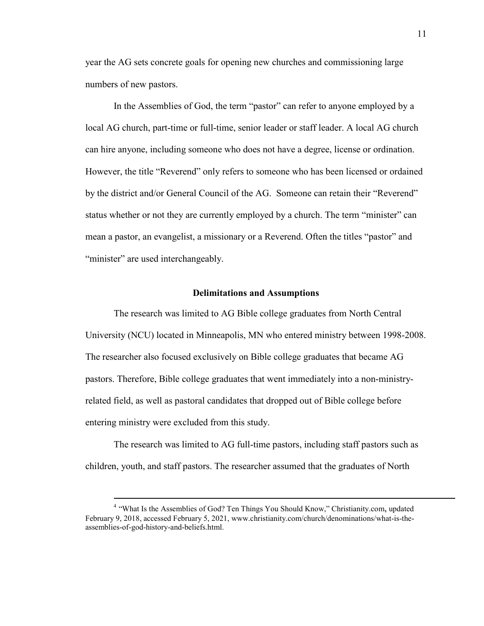year the AG sets concrete goals for opening new churches and commissioning large numbers of new pastors.

 In the Assemblies of God, the term "pastor" can refer to anyone employed by a local AG church, part-time or full-time, senior leader or staff leader. A local AG church can hire anyone, including someone who does not have a degree, license or ordination. However, the title "Reverend" only refers to someone who has been licensed or ordained by the district and/or General Council of the AG. Someone can retain their "Reverend" status whether or not they are currently employed by a church. The term "minister" can mean a pastor, an evangelist, a missionary or a Reverend. Often the titles "pastor" and "minister" are used interchangeably.

#### **Delimitations and Assumptions**

The research was limited to AG Bible college graduates from North Central University (NCU) located in Minneapolis, MN who entered ministry between 1998-2008. The researcher also focused exclusively on Bible college graduates that became AG pastors. Therefore, Bible college graduates that went immediately into a non-ministryrelated field, as well as pastoral candidates that dropped out of Bible college before entering ministry were excluded from this study.

The research was limited to AG full-time pastors, including staff pastors such as children, youth, and staff pastors. The researcher assumed that the graduates of North

<sup>4</sup> "What Is the Assemblies of God? Ten Things You Should Know," Christianity.com, updated February 9, 2018, accessed February 5, 2021, www.christianity.com/church/denominations/what-is-theassemblies-of-god-history-and-beliefs.html.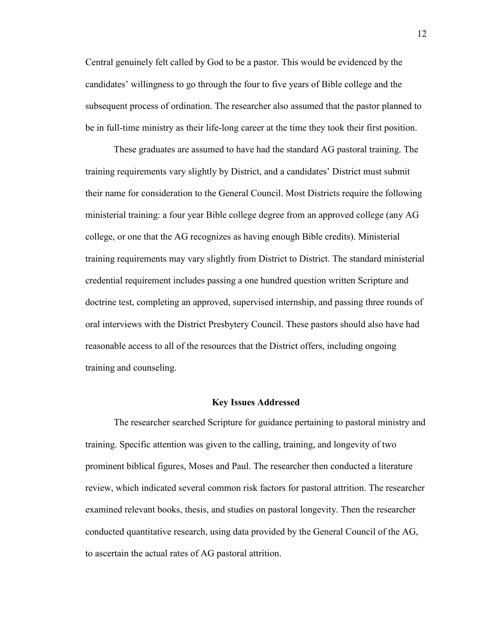Central genuinely felt called by God to be a pastor. This would be evidenced by the candidates' willingness to go through the four to five years of Bible college and the subsequent process of ordination. The researcher also assumed that the pastor planned to be in full-time ministry as their life-long career at the time they took their first position.

These graduates are assumed to have had the standard AG pastoral training. The training requirements vary slightly by District, and a candidates' District must submit their name for consideration to the General Council. Most Districts require the following ministerial training: a four year Bible college degree from an approved college (any AG college, or one that the AG recognizes as having enough Bible credits). Ministerial training requirements may vary slightly from District to District. The standard ministerial credential requirement includes passing a one hundred question written Scripture and doctrine test, completing an approved, supervised internship, and passing three rounds of oral interviews with the District Presbytery Council. These pastors should also have had reasonable access to all of the resources that the District offers, including ongoing training and counseling.

#### **Key Issues Addressed**

The researcher searched Scripture for guidance pertaining to pastoral ministry and training. Specific attention was given to the calling, training, and longevity of two prominent biblical figures, Moses and Paul. The researcher then conducted a literature review, which indicated several common risk factors for pastoral attrition. The researcher examined relevant books, thesis, and studies on pastoral longevity. Then the researcher conducted quantitative research, using data provided by the General Council of the AG, to ascertain the actual rates of AG pastoral attrition.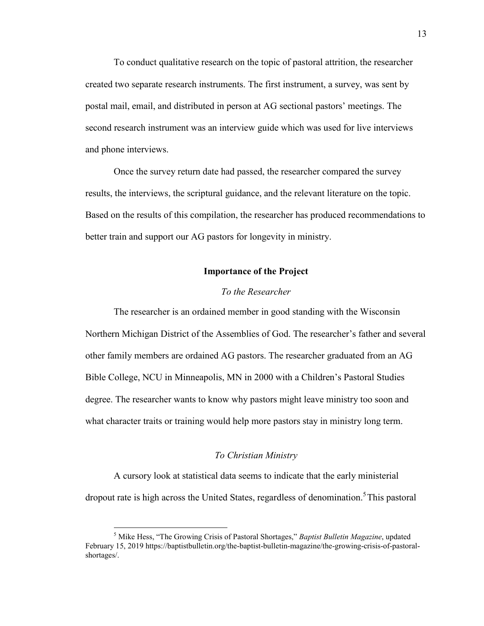To conduct qualitative research on the topic of pastoral attrition, the researcher created two separate research instruments. The first instrument, a survey, was sent by postal mail, email, and distributed in person at AG sectional pastors' meetings. The second research instrument was an interview guide which was used for live interviews and phone interviews.

Once the survey return date had passed, the researcher compared the survey results, the interviews, the scriptural guidance, and the relevant literature on the topic. Based on the results of this compilation, the researcher has produced recommendations to better train and support our AG pastors for longevity in ministry.

### **Importance of the Project**

## *To the Researcher*

 The researcher is an ordained member in good standing with the Wisconsin Northern Michigan District of the Assemblies of God. The researcher's father and several other family members are ordained AG pastors. The researcher graduated from an AG Bible College, NCU in Minneapolis, MN in 2000 with a Children's Pastoral Studies degree. The researcher wants to know why pastors might leave ministry too soon and what character traits or training would help more pastors stay in ministry long term.

#### *To Christian Ministry*

A cursory look at statistical data seems to indicate that the early ministerial dropout rate is high across the United States, regardless of denomination.<sup>5</sup> This pastoral

 5 Mike Hess, "The Growing Crisis of Pastoral Shortages," *Baptist Bulletin Magazine*, updated February 15, 2019 https://baptistbulletin.org/the-baptist-bulletin-magazine/the-growing-crisis-of-pastoralshortages/.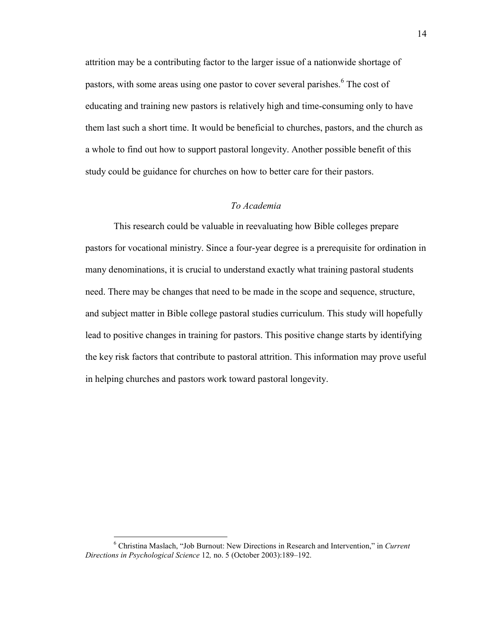attrition may be a contributing factor to the larger issue of a nationwide shortage of pastors, with some areas using one pastor to cover several parishes.<sup>6</sup> The cost of educating and training new pastors is relatively high and time-consuming only to have them last such a short time. It would be beneficial to churches, pastors, and the church as a whole to find out how to support pastoral longevity. Another possible benefit of this study could be guidance for churches on how to better care for their pastors.

## *To Academia*

 This research could be valuable in reevaluating how Bible colleges prepare pastors for vocational ministry. Since a four-year degree is a prerequisite for ordination in many denominations, it is crucial to understand exactly what training pastoral students need. There may be changes that need to be made in the scope and sequence, structure, and subject matter in Bible college pastoral studies curriculum. This study will hopefully lead to positive changes in training for pastors. This positive change starts by identifying the key risk factors that contribute to pastoral attrition. This information may prove useful in helping churches and pastors work toward pastoral longevity.

<sup>6</sup> Christina Maslach, "Job Burnout: New Directions in Research and Intervention," in *Current Directions in Psychological Science* 12*,* no. 5 (October 2003):189–192.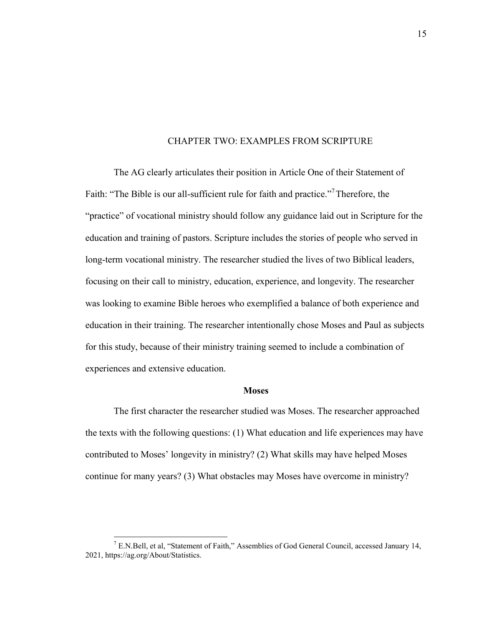## CHAPTER TWO: EXAMPLES FROM SCRIPTURE

The AG clearly articulates their position in Article One of their Statement of Faith: "The Bible is our all-sufficient rule for faith and practice."<sup>7</sup> Therefore, the "practice" of vocational ministry should follow any guidance laid out in Scripture for the education and training of pastors. Scripture includes the stories of people who served in long-term vocational ministry. The researcher studied the lives of two Biblical leaders, focusing on their call to ministry, education, experience, and longevity. The researcher was looking to examine Bible heroes who exemplified a balance of both experience and education in their training. The researcher intentionally chose Moses and Paul as subjects for this study, because of their ministry training seemed to include a combination of experiences and extensive education.

#### **Moses**

The first character the researcher studied was Moses. The researcher approached the texts with the following questions: (1) What education and life experiences may have contributed to Moses' longevity in ministry? (2) What skills may have helped Moses continue for many years? (3) What obstacles may Moses have overcome in ministry?

 $\frac{1}{7}$  $^7$  E.N.Bell, et al, "Statement of Faith," Assemblies of God General Council, accessed January 14, 2021, https://ag.org/About/Statistics.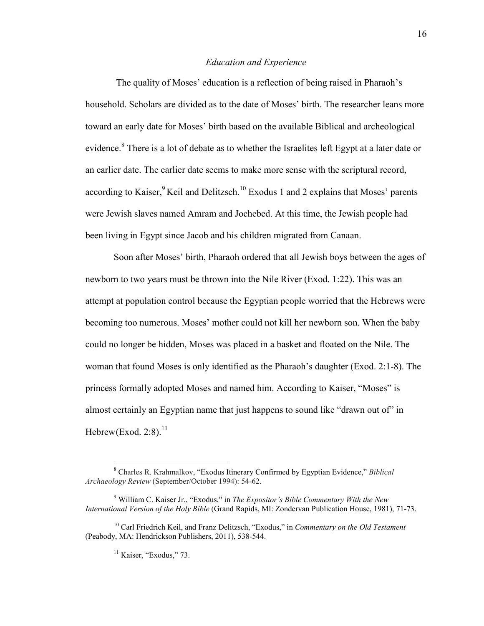### *Education and Experience*

 The quality of Moses' education is a reflection of being raised in Pharaoh's household. Scholars are divided as to the date of Moses' birth. The researcher leans more toward an early date for Moses' birth based on the available Biblical and archeological evidence.<sup>8</sup> There is a lot of debate as to whether the Israelites left Egypt at a later date or an earlier date. The earlier date seems to make more sense with the scriptural record, according to Kaiser,  $\frac{9}{10}$  Keil and Delitzsch.<sup>10</sup> Exodus 1 and 2 explains that Moses' parents were Jewish slaves named Amram and Jochebed. At this time, the Jewish people had been living in Egypt since Jacob and his children migrated from Canaan.

Soon after Moses' birth, Pharaoh ordered that all Jewish boys between the ages of newborn to two years must be thrown into the Nile River (Exod. 1:22). This was an attempt at population control because the Egyptian people worried that the Hebrews were becoming too numerous. Moses' mother could not kill her newborn son. When the baby could no longer be hidden, Moses was placed in a basket and floated on the Nile. The woman that found Moses is only identified as the Pharaoh's daughter (Exod. 2:1-8). The princess formally adopted Moses and named him. According to Kaiser, "Moses" is almost certainly an Egyptian name that just happens to sound like "drawn out of" in Hebrew(Exod. 2:8). $^{11}$ 

 $\frac{1}{8}$  Charles R. Krahmalkov, "Exodus Itinerary Confirmed by Egyptian Evidence," *Biblical Archaeology Review* (September/October 1994): 54-62.

<sup>9</sup> William C. Kaiser Jr., "Exodus," in *The Expositor's Bible Commentary With the New International Version of the Holy Bible* (Grand Rapids, MI: Zondervan Publication House, 1981), 71-73.

<sup>10</sup> Carl Friedrich Keil, and Franz Delitzsch, "Exodus," in *Commentary on the Old Testament* (Peabody, MA: Hendrickson Publishers, 2011), 538-544.

 $11$  Kaiser, "Exodus," 73.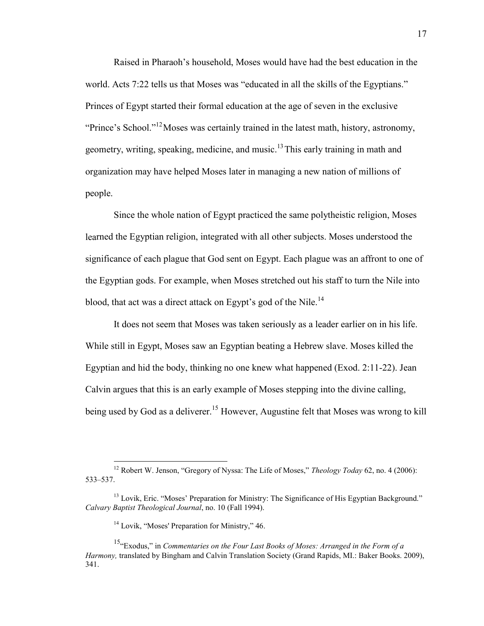Raised in Pharaoh's household, Moses would have had the best education in the world. Acts 7:22 tells us that Moses was "educated in all the skills of the Egyptians." Princes of Egypt started their formal education at the age of seven in the exclusive "Prince's School."<sup>12</sup> Moses was certainly trained in the latest math, history, astronomy, geometry, writing, speaking, medicine, and music.<sup>13</sup> This early training in math and organization may have helped Moses later in managing a new nation of millions of people.

Since the whole nation of Egypt practiced the same polytheistic religion, Moses learned the Egyptian religion, integrated with all other subjects. Moses understood the significance of each plague that God sent on Egypt. Each plague was an affront to one of the Egyptian gods. For example, when Moses stretched out his staff to turn the Nile into blood, that act was a direct attack on Egypt's god of the Nile.<sup>14</sup>

It does not seem that Moses was taken seriously as a leader earlier on in his life. While still in Egypt, Moses saw an Egyptian beating a Hebrew slave. Moses killed the Egyptian and hid the body, thinking no one knew what happened (Exod. 2:11-22). Jean Calvin argues that this is an early example of Moses stepping into the divine calling, being used by God as a deliverer.<sup>15</sup> However, Augustine felt that Moses was wrong to kill

<sup>12</sup> Robert W. Jenson, "Gregory of Nyssa: The Life of Moses," *Theology Today* 62, no. 4 (2006): 533–537.

<sup>&</sup>lt;sup>13</sup> Lovik, Eric. "Moses' Preparation for Ministry: The Significance of His Egyptian Background." *Calvary Baptist Theological Journal*, no. 10 (Fall 1994).

<sup>&</sup>lt;sup>14</sup> Lovik, "Moses' Preparation for Ministry," 46.

<sup>&</sup>lt;sup>15.</sup> Exodus," in *Commentaries on the Four Last Books of Moses: Arranged in the Form of a Harmony*, translated by Bingham and Calvin Translation Society (Grand Rapids, MI.: Baker Books. 2009), 341.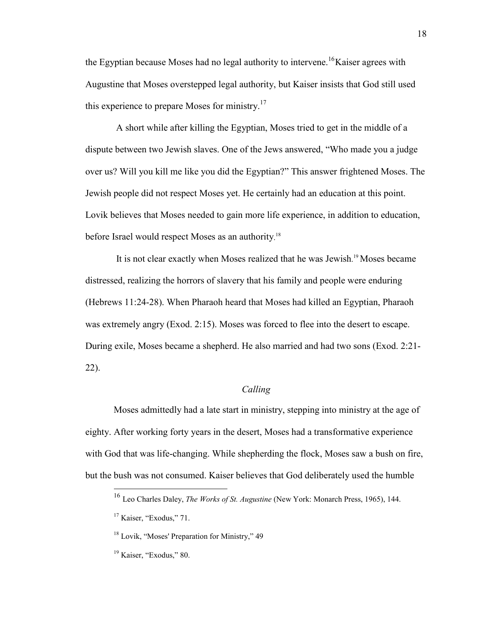the Egyptian because Moses had no legal authority to intervene.<sup>16</sup>Kaiser agrees with Augustine that Moses overstepped legal authority, but Kaiser insists that God still used this experience to prepare Moses for ministry.<sup>17</sup>

 A short while after killing the Egyptian, Moses tried to get in the middle of a dispute between two Jewish slaves. One of the Jews answered, "Who made you a judge over us? Will you kill me like you did the Egyptian?" This answer frightened Moses. The Jewish people did not respect Moses yet. He certainly had an education at this point. Lovik believes that Moses needed to gain more life experience, in addition to education, before Israel would respect Moses as an authority.<sup>18</sup>

 It is not clear exactly when Moses realized that he was Jewish. 19 Moses became distressed, realizing the horrors of slavery that his family and people were enduring (Hebrews 11:24-28). When Pharaoh heard that Moses had killed an Egyptian, Pharaoh was extremely angry (Exod. 2:15). Moses was forced to flee into the desert to escape. During exile, Moses became a shepherd. He also married and had two sons (Exod. 2:21- 22).

## *Calling*

Moses admittedly had a late start in ministry, stepping into ministry at the age of eighty. After working forty years in the desert, Moses had a transformative experience with God that was life-changing. While shepherding the flock, Moses saw a bush on fire, but the bush was not consumed. Kaiser believes that God deliberately used the humble

<sup>16</sup> Leo Charles Daley, *The Works of St. Augustine* (New York: Monarch Press, 1965), 144.

<sup>&</sup>lt;sup>17</sup> Kaiser, "Exodus," 71.

<sup>&</sup>lt;sup>18</sup> Lovik, "Moses' Preparation for Ministry," 49

<sup>&</sup>lt;sup>19</sup> Kaiser, "Exodus," 80.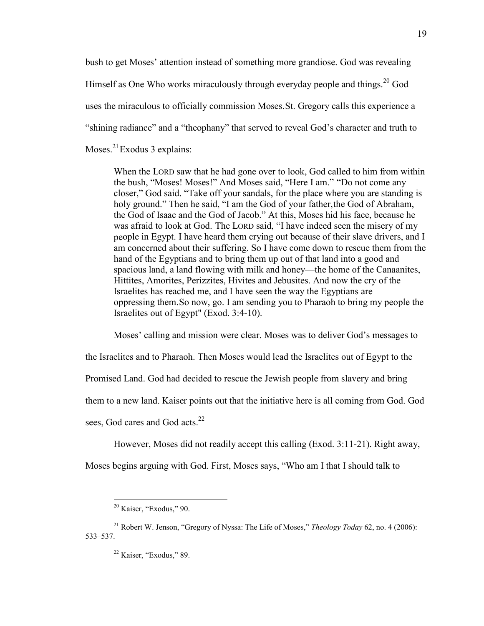bush to get Moses' attention instead of something more grandiose. God was revealing Himself as One Who works miraculously through everyday people and things.<sup>20</sup> God uses the miraculous to officially commission Moses.St. Gregory calls this experience a "shining radiance" and a "theophany" that served to reveal God's character and truth to Moses.<sup>21</sup>Exodus 3 explains:

When the LORD saw that he had gone over to look, God called to him from within the bush, "Moses! Moses!" And Moses said, "Here I am." "Do not come any closer," God said. "Take off your sandals, for the place where you are standing is holy ground." Then he said, "I am the God of your father, the God of Abraham, the God of Isaac and the God of Jacob." At this, Moses hid his face, because he was afraid to look at God. The LORD said, "I have indeed seen the misery of my people in Egypt. I have heard them crying out because of their slave drivers, and I am concerned about their suffering. So I have come down to rescue them from the hand of the Egyptians and to bring them up out of that land into a good and spacious land, a land flowing with milk and honey—the home of the Canaanites, Hittites, Amorites, Perizzites, Hivites and Jebusites. And now the cry of the Israelites has reached me, and I have seen the way the Egyptians are oppressing them.So now, go. I am sending you to Pharaoh to bring my people the Israelites out of Egypt" (Exod. 3:4-10).

Moses' calling and mission were clear. Moses was to deliver God's messages to

the Israelites and to Pharaoh. Then Moses would lead the Israelites out of Egypt to the

Promised Land. God had decided to rescue the Jewish people from slavery and bring

them to a new land. Kaiser points out that the initiative here is all coming from God. God

sees, God cares and God acts.<sup>22</sup>

However, Moses did not readily accept this calling (Exod. 3:11-21). Right away,

Moses begins arguing with God. First, Moses says, "Who am I that I should talk to

 $20$  Kaiser, "Exodus," 90.

<sup>21</sup> Robert W. Jenson, "Gregory of Nyssa: The Life of Moses," *Theology Today* 62, no. 4 (2006): 533–537.

 $22$  Kaiser, "Exodus," 89.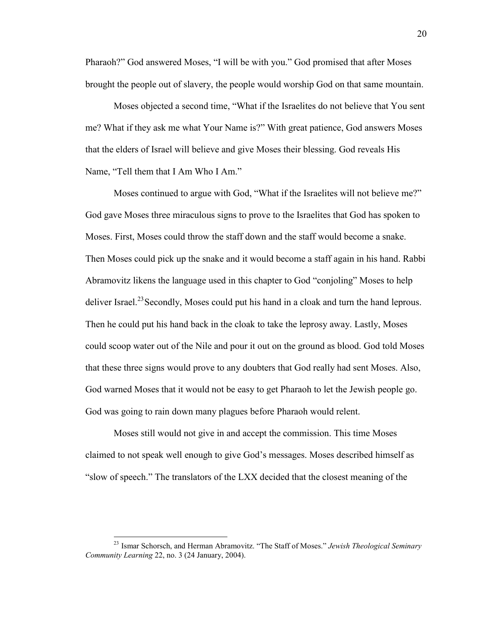Pharaoh?" God answered Moses, "I will be with you." God promised that after Moses brought the people out of slavery, the people would worship God on that same mountain.

Moses objected a second time, "What if the Israelites do not believe that You sent me? What if they ask me what Your Name is?" With great patience, God answers Moses that the elders of Israel will believe and give Moses their blessing. God reveals His Name, "Tell them that I Am Who I Am."

Moses continued to argue with God, "What if the Israelites will not believe me?" God gave Moses three miraculous signs to prove to the Israelites that God has spoken to Moses. First, Moses could throw the staff down and the staff would become a snake. Then Moses could pick up the snake and it would become a staff again in his hand. Rabbi Abramovitz likens the language used in this chapter to God "conjoling" Moses to help deliver Israel.<sup>23</sup> Secondly, Moses could put his hand in a cloak and turn the hand leprous. Then he could put his hand back in the cloak to take the leprosy away. Lastly, Moses could scoop water out of the Nile and pour it out on the ground as blood. God told Moses that these three signs would prove to any doubters that God really had sent Moses. Also, God warned Moses that it would not be easy to get Pharaoh to let the Jewish people go. God was going to rain down many plagues before Pharaoh would relent.

Moses still would not give in and accept the commission. This time Moses claimed to not speak well enough to give God's messages. Moses described himself as "slow of speech." The translators of the LXX decided that the closest meaning of the

<sup>23</sup> Ismar Schorsch, and Herman Abramovitz. "The Staff of Moses." *Jewish Theological Seminary Community Learning* 22, no. 3 (24 January, 2004).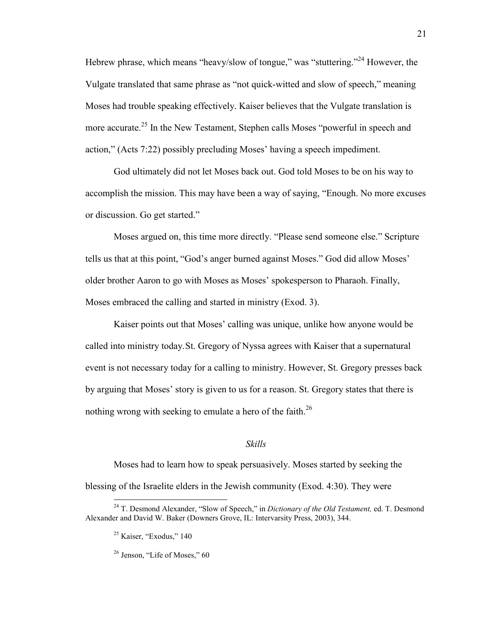Hebrew phrase, which means "heavy/slow of tongue," was "stuttering."24 However, the Vulgate translated that same phrase as "not quick-witted and slow of speech," meaning Moses had trouble speaking effectively. Kaiser believes that the Vulgate translation is more accurate.<sup>25</sup> In the New Testament, Stephen calls Moses "powerful in speech and action," (Acts 7:22) possibly precluding Moses' having a speech impediment.

God ultimately did not let Moses back out. God told Moses to be on his way to accomplish the mission. This may have been a way of saying, "Enough. No more excuses or discussion. Go get started."

Moses argued on, this time more directly. "Please send someone else." Scripture tells us that at this point, "God's anger burned against Moses." God did allow Moses' older brother Aaron to go with Moses as Moses' spokesperson to Pharaoh. Finally, Moses embraced the calling and started in ministry (Exod. 3).

Kaiser points out that Moses' calling was unique, unlike how anyone would be called into ministry today.St. Gregory of Nyssa agrees with Kaiser that a supernatural event is not necessary today for a calling to ministry. However, St. Gregory presses back by arguing that Moses' story is given to us for a reason. St. Gregory states that there is nothing wrong with seeking to emulate a hero of the faith.<sup>26</sup>

#### *Skills*

Moses had to learn how to speak persuasively. Moses started by seeking the blessing of the Israelite elders in the Jewish community (Exod. 4:30). They were

<sup>24</sup> T. Desmond Alexander, "Slow of Speech," in *Dictionary of the Old Testament,* ed. T. Desmond Alexander and David W. Baker (Downers Grove, IL: Intervarsity Press, 2003), 344.

 $25$  Kaiser, "Exodus," 140

 $26$  Jenson, "Life of Moses," 60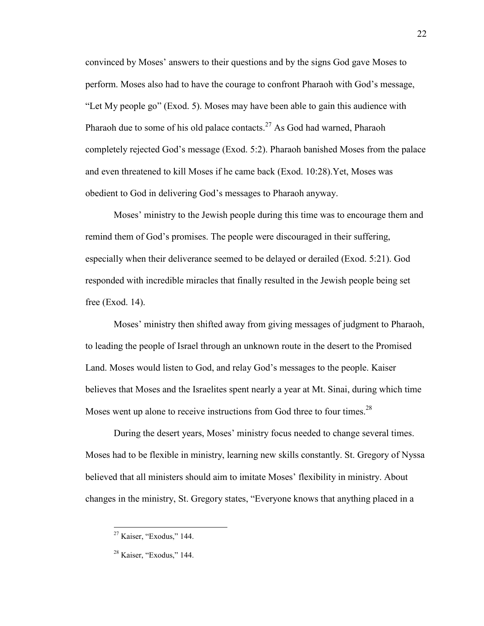convinced by Moses' answers to their questions and by the signs God gave Moses to perform. Moses also had to have the courage to confront Pharaoh with God's message, "Let My people go" (Exod. 5). Moses may have been able to gain this audience with Pharaoh due to some of his old palace contacts.<sup>27</sup> As God had warned, Pharaoh completely rejected God's message (Exod. 5:2). Pharaoh banished Moses from the palace and even threatened to kill Moses if he came back (Exod. 10:28).Yet, Moses was obedient to God in delivering God's messages to Pharaoh anyway.

Moses' ministry to the Jewish people during this time was to encourage them and remind them of God's promises. The people were discouraged in their suffering, especially when their deliverance seemed to be delayed or derailed (Exod. 5:21). God responded with incredible miracles that finally resulted in the Jewish people being set free (Exod. 14).

Moses' ministry then shifted away from giving messages of judgment to Pharaoh, to leading the people of Israel through an unknown route in the desert to the Promised Land. Moses would listen to God, and relay God's messages to the people. Kaiser believes that Moses and the Israelites spent nearly a year at Mt. Sinai, during which time Moses went up alone to receive instructions from God three to four times.<sup>28</sup>

During the desert years, Moses' ministry focus needed to change several times. Moses had to be flexible in ministry, learning new skills constantly. St. Gregory of Nyssa believed that all ministers should aim to imitate Moses' flexibility in ministry. About changes in the ministry, St. Gregory states, "Everyone knows that anything placed in a

<sup>-</sup> $27$  Kaiser, "Exodus," 144.

 $28$  Kaiser, "Exodus," 144.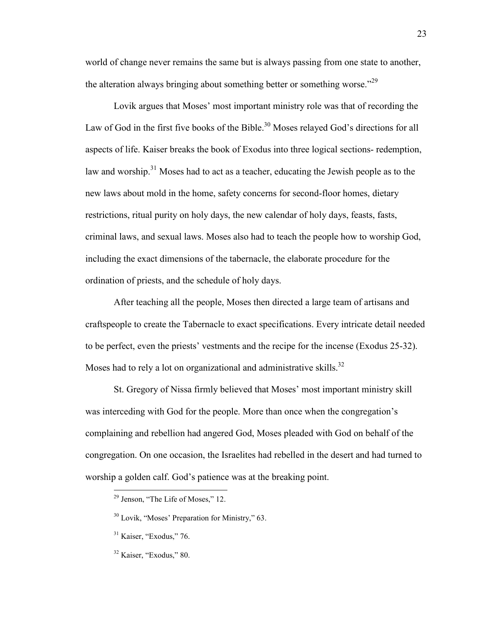world of change never remains the same but is always passing from one state to another, the alteration always bringing about something better or something worse."<sup>29</sup>

Lovik argues that Moses' most important ministry role was that of recording the Law of God in the first five books of the Bible.<sup>30</sup> Moses relayed God's directions for all aspects of life. Kaiser breaks the book of Exodus into three logical sections- redemption, law and worship.<sup>31</sup> Moses had to act as a teacher, educating the Jewish people as to the new laws about mold in the home, safety concerns for second-floor homes, dietary restrictions, ritual purity on holy days, the new calendar of holy days, feasts, fasts, criminal laws, and sexual laws. Moses also had to teach the people how to worship God, including the exact dimensions of the tabernacle, the elaborate procedure for the ordination of priests, and the schedule of holy days.

After teaching all the people, Moses then directed a large team of artisans and craftspeople to create the Tabernacle to exact specifications. Every intricate detail needed to be perfect, even the priests' vestments and the recipe for the incense (Exodus 25-32). Moses had to rely a lot on organizational and administrative skills.<sup>32</sup>

St. Gregory of Nissa firmly believed that Moses' most important ministry skill was interceding with God for the people. More than once when the congregation's complaining and rebellion had angered God, Moses pleaded with God on behalf of the congregation. On one occasion, the Israelites had rebelled in the desert and had turned to worship a golden calf. God's patience was at the breaking point.

<sup>&</sup>lt;sup>29</sup> Jenson, "The Life of Moses," 12.

<sup>&</sup>lt;sup>30</sup> Lovik, "Moses' Preparation for Ministry," 63.

 $31$  Kaiser, "Exodus," 76.

<sup>32</sup> Kaiser, "Exodus," 80.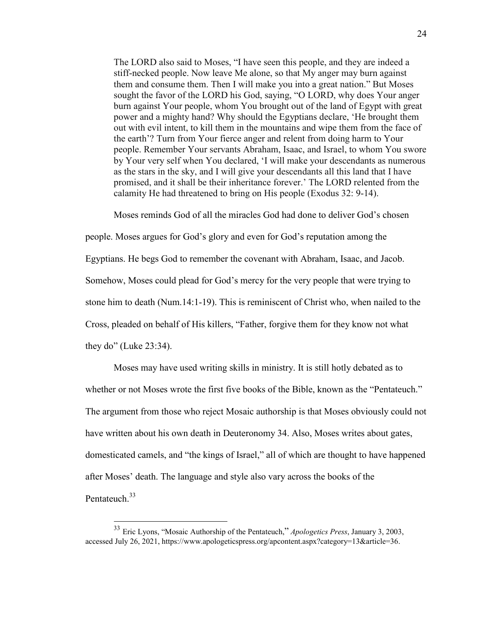The LORD also said to Moses, "I have seen this people, and they are indeed a stiff-necked people. Now leave Me alone, so that My anger may burn against them and consume them. Then I will make you into a great nation." But Moses sought the favor of the LORD his God, saying, "O LORD, why does Your anger burn against Your people, whom You brought out of the land of Egypt with great power and a mighty hand? Why should the Egyptians declare, 'He brought them out with evil intent, to kill them in the mountains and wipe them from the face of the earth'? Turn from Your fierce anger and relent from doing harm to Your people. Remember Your servants Abraham, Isaac, and Israel, to whom You swore by Your very self when You declared, 'I will make your descendants as numerous as the stars in the sky, and I will give your descendants all this land that I have promised, and it shall be their inheritance forever.' The LORD relented from the calamity He had threatened to bring on His people (Exodus 32: 9-14).

Moses reminds God of all the miracles God had done to deliver God's chosen

people. Moses argues for God's glory and even for God's reputation among the

Egyptians. He begs God to remember the covenant with Abraham, Isaac, and Jacob.

Somehow, Moses could plead for God's mercy for the very people that were trying to

stone him to death (Num.14:1-19). This is reminiscent of Christ who, when nailed to the

Cross, pleaded on behalf of His killers, "Father, forgive them for they know not what

they do" (Luke 23:34).

Moses may have used writing skills in ministry. It is still hotly debated as to whether or not Moses wrote the first five books of the Bible, known as the "Pentateuch." The argument from those who reject Mosaic authorship is that Moses obviously could not have written about his own death in Deuteronomy 34. Also, Moses writes about gates, domesticated camels, and "the kings of Israel," all of which are thought to have happened after Moses' death. The language and style also vary across the books of the Pentateuch.<sup>33</sup>

 <sup>33</sup> Eric Lyons, "Mosaic Authorship of the Pentateuch," *Apologetics Press*, January 3, 2003, accessed July 26, 2021, https://www.apologeticspress.org/apcontent.aspx?category=13&article=36.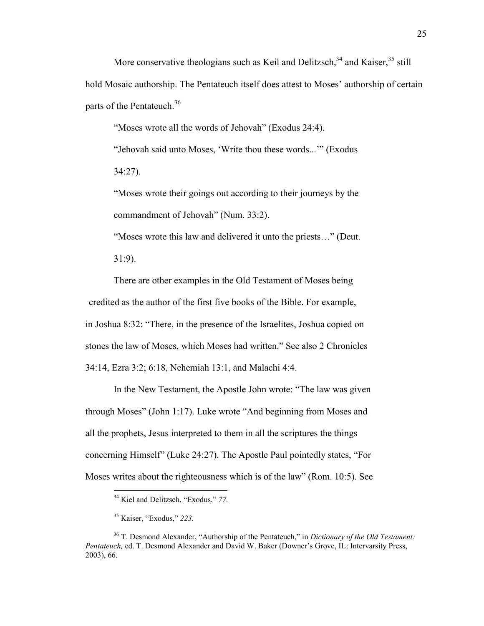More conservative theologians such as Keil and Delitzsch,  $34$  and Kaiser,  $35$  still hold Mosaic authorship. The Pentateuch itself does attest to Moses' authorship of certain parts of the Pentateuch.<sup>36</sup>

"Moses wrote all the words of Jehovah" (Exodus 24:4).

"Jehovah said unto Moses, 'Write thou these words...'" (Exodus 34:27).

"Moses wrote their goings out according to their journeys by the commandment of Jehovah" (Num. 33:2).

"Moses wrote this law and delivered it unto the priests…" (Deut. 31:9).

 There are other examples in the Old Testament of Moses being credited as the author of the first five books of the Bible. For example, in Joshua 8:32: "There, in the presence of the Israelites, Joshua copied on stones the law of Moses, which Moses had written." See also 2 Chronicles 34:14, Ezra 3:2; 6:18, Nehemiah 13:1, and Malachi 4:4.

In the New Testament, the Apostle John wrote: "The law was given through Moses" (John 1:17). Luke wrote "And beginning from Moses and all the prophets, Jesus interpreted to them in all the scriptures the things concerning Himself" (Luke 24:27). The Apostle Paul pointedly states, "For Moses writes about the righteousness which is of the law" (Rom. 10:5). See

<sup>34</sup> Kiel and Delitzsch, "Exodus," *77.* 

<sup>35</sup> Kaiser, "Exodus," *223.* 

<sup>36</sup> T. Desmond Alexander, "Authorship of the Pentateuch," in *Dictionary of the Old Testament: Pentateuch,* ed. T. Desmond Alexander and David W. Baker (Downer's Grove, IL: Intervarsity Press, 2003), 66.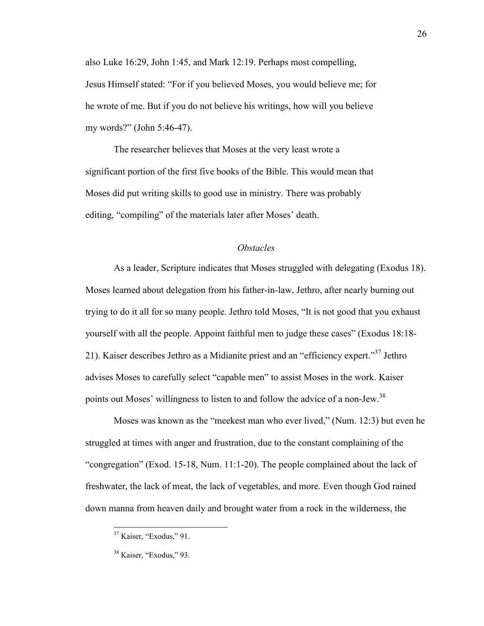also Luke 16:29, John 1:45, and Mark 12:19. Perhaps most compelling, Jesus Himself stated: "For if you believed Moses, you would believe me; for he wrote of me. But if you do not believe his writings, how will you believe my words?" (John 5:46-47).

The researcher believes that Moses at the very least wrote a significant portion of the first five books of the Bible. This would mean that Moses did put writing skills to good use in ministry. There was probably editing, "compiling" of the materials later after Moses' death.

## *Obstacles*

As a leader, Scripture indicates that Moses struggled with delegating (Exodus 18). Moses learned about delegation from his father-in-law, Jethro, after nearly burning out trying to do it all for so many people. Jethro told Moses, "It is not good that you exhaust yourself with all the people. Appoint faithful men to judge these cases" (Exodus 18:18- 21). Kaiser describes Jethro as a Midianite priest and an "efficiency expert."<sup>37</sup> Jethro advises Moses to carefully select "capable men" to assist Moses in the work. Kaiser points out Moses' willingness to listen to and follow the advice of a non-Jew.<sup>38</sup>

Moses was known as the "meekest man who ever lived," (Num. 12:3) but even he struggled at times with anger and frustration, due to the constant complaining of the "congregation" (Exod. 15-18, Num. 11:1-20). The people complained about the lack of freshwater, the lack of meat, the lack of vegetables, and more. Even though God rained down manna from heaven daily and brought water from a rock in the wilderness, the

 $37$  Kaiser, "Exodus," 91.

<sup>38</sup> Kaiser, "Exodus," 93.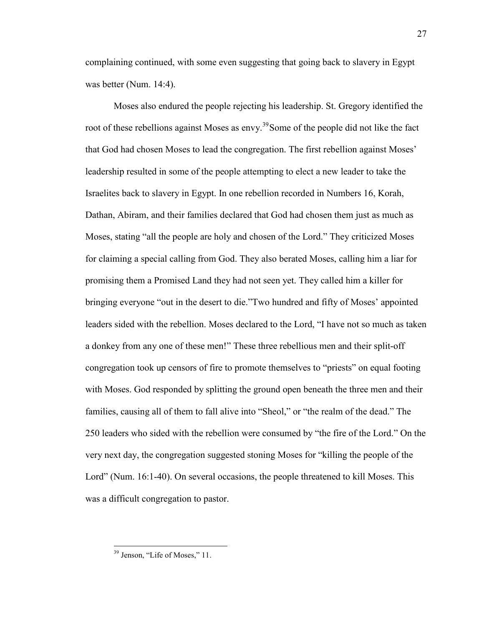complaining continued, with some even suggesting that going back to slavery in Egypt was better (Num. 14:4).

Moses also endured the people rejecting his leadership. St. Gregory identified the root of these rebellions against Moses as envy.<sup>39</sup>Some of the people did not like the fact that God had chosen Moses to lead the congregation. The first rebellion against Moses' leadership resulted in some of the people attempting to elect a new leader to take the Israelites back to slavery in Egypt. In one rebellion recorded in Numbers 16, Korah, Dathan, Abiram, and their families declared that God had chosen them just as much as Moses, stating "all the people are holy and chosen of the Lord." They criticized Moses for claiming a special calling from God. They also berated Moses, calling him a liar for promising them a Promised Land they had not seen yet. They called him a killer for bringing everyone "out in the desert to die."Two hundred and fifty of Moses' appointed leaders sided with the rebellion. Moses declared to the Lord, "I have not so much as taken a donkey from any one of these men!" These three rebellious men and their split-off congregation took up censors of fire to promote themselves to "priests" on equal footing with Moses. God responded by splitting the ground open beneath the three men and their families, causing all of them to fall alive into "Sheol," or "the realm of the dead." The 250 leaders who sided with the rebellion were consumed by "the fire of the Lord." On the very next day, the congregation suggested stoning Moses for "killing the people of the Lord" (Num. 16:1-40). On several occasions, the people threatened to kill Moses. This was a difficult congregation to pastor.

<u>.</u>

<sup>&</sup>lt;sup>39</sup> Jenson, "Life of Moses," 11.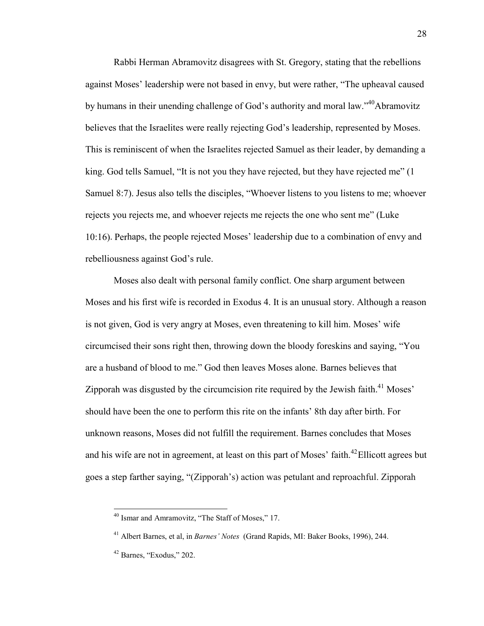Rabbi Herman Abramovitz disagrees with St. Gregory, stating that the rebellions against Moses' leadership were not based in envy, but were rather, "The upheaval caused by humans in their unending challenge of God's authority and moral law."<sup>40</sup>Abramovitz believes that the Israelites were really rejecting God's leadership, represented by Moses. This is reminiscent of when the Israelites rejected Samuel as their leader, by demanding a king. God tells Samuel, "It is not you they have rejected, but they have rejected me" (1 Samuel 8:7). Jesus also tells the disciples, "Whoever listens to you listens to me; whoever rejects you rejects me, and whoever rejects me rejects the one who sent me" (Luke 10:16). Perhaps, the people rejected Moses' leadership due to a combination of envy and rebelliousness against God's rule.

Moses also dealt with personal family conflict. One sharp argument between Moses and his first wife is recorded in Exodus 4. It is an unusual story. Although a reason is not given, God is very angry at Moses, even threatening to kill him. Moses' wife circumcised their sons right then, throwing down the bloody foreskins and saying, "You are a husband of blood to me." God then leaves Moses alone. Barnes believes that Zipporah was disgusted by the circumcision rite required by the Jewish faith.<sup>41</sup> Moses' should have been the one to perform this rite on the infants' 8th day after birth. For unknown reasons, Moses did not fulfill the requirement. Barnes concludes that Moses and his wife are not in agreement, at least on this part of Moses' faith.<sup>42</sup>Ellicott agrees but goes a step farther saying, "(Zipporah's) action was petulant and reproachful. Zipporah

<u>.</u>

<sup>&</sup>lt;sup>40</sup> Ismar and Amramovitz, "The Staff of Moses," 17.

<sup>41</sup> Albert Barnes, et al, in *Barnes' Notes* (Grand Rapids, MI: Baker Books, 1996), 244.

<sup>42</sup> Barnes, "Exodus," 202.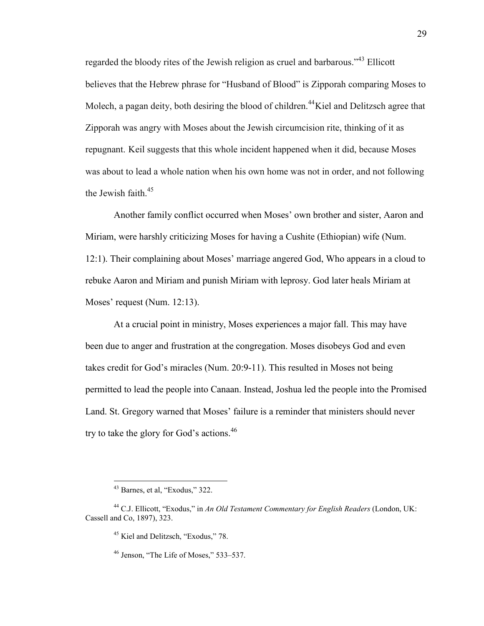regarded the bloody rites of the Jewish religion as cruel and barbarous."43 Ellicott believes that the Hebrew phrase for "Husband of Blood" is Zipporah comparing Moses to Molech, a pagan deity, both desiring the blood of children.<sup>44</sup>Kiel and Delitzsch agree that Zipporah was angry with Moses about the Jewish circumcision rite, thinking of it as repugnant. Keil suggests that this whole incident happened when it did, because Moses was about to lead a whole nation when his own home was not in order, and not following the Jewish faith.<sup>45</sup>

Another family conflict occurred when Moses' own brother and sister, Aaron and Miriam, were harshly criticizing Moses for having a Cushite (Ethiopian) wife (Num. 12:1). Their complaining about Moses' marriage angered God, Who appears in a cloud to rebuke Aaron and Miriam and punish Miriam with leprosy. God later heals Miriam at Moses' request (Num. 12:13).

At a crucial point in ministry, Moses experiences a major fall. This may have been due to anger and frustration at the congregation. Moses disobeys God and even takes credit for God's miracles (Num. 20:9-11). This resulted in Moses not being permitted to lead the people into Canaan. Instead, Joshua led the people into the Promised Land. St. Gregory warned that Moses' failure is a reminder that ministers should never try to take the glory for God's actions. $46$ 

 <sup>43</sup> Barnes, et al, "Exodus," 322.

<sup>44</sup> C.J. Ellicott, "Exodus," in *An Old Testament Commentary for English Readers* (London, UK: Cassell and Co, 1897), 323.

<sup>&</sup>lt;sup>45</sup> Kiel and Delitzsch, "Exodus," 78.

<sup>46</sup> Jenson, "The Life of Moses," 533–537.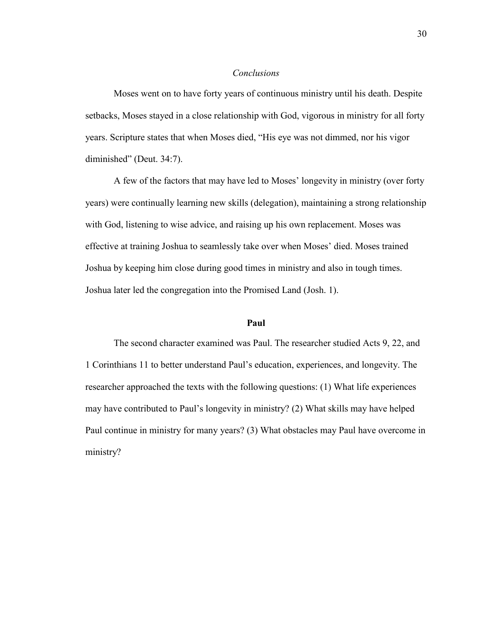#### *Conclusions*

Moses went on to have forty years of continuous ministry until his death. Despite setbacks, Moses stayed in a close relationship with God, vigorous in ministry for all forty years. Scripture states that when Moses died, "His eye was not dimmed, nor his vigor diminished" (Deut. 34:7).

A few of the factors that may have led to Moses' longevity in ministry (over forty years) were continually learning new skills (delegation), maintaining a strong relationship with God, listening to wise advice, and raising up his own replacement. Moses was effective at training Joshua to seamlessly take over when Moses' died. Moses trained Joshua by keeping him close during good times in ministry and also in tough times. Joshua later led the congregation into the Promised Land (Josh. 1).

#### **Paul**

The second character examined was Paul. The researcher studied Acts 9, 22, and 1 Corinthians 11 to better understand Paul's education, experiences, and longevity. The researcher approached the texts with the following questions: (1) What life experiences may have contributed to Paul's longevity in ministry? (2) What skills may have helped Paul continue in ministry for many years? (3) What obstacles may Paul have overcome in ministry?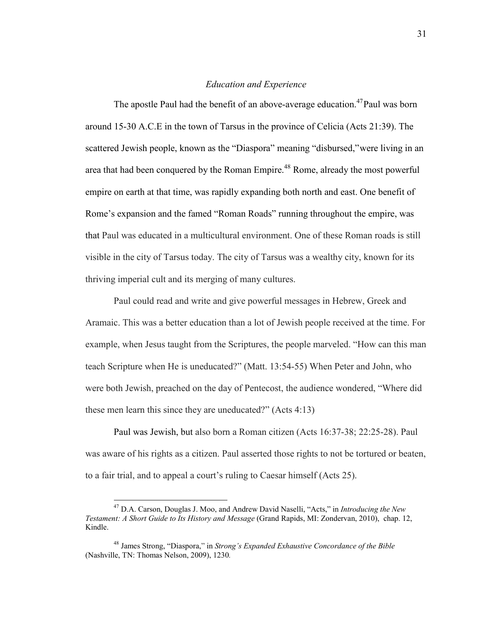### *Education and Experience*

The apostle Paul had the benefit of an above-average education.<sup>47</sup>Paul was born around 15-30 A.C.E in the town of Tarsus in the province of Celicia (Acts 21:39). The scattered Jewish people, known as the "Diaspora" meaning "disbursed,"were living in an area that had been conquered by the Roman Empire.<sup>48</sup> Rome, already the most powerful empire on earth at that time, was rapidly expanding both north and east. One benefit of Rome's expansion and the famed "Roman Roads" running throughout the empire, was that Paul was educated in a multicultural environment. One of these Roman roads is still visible in the city of Tarsus today. The city of Tarsus was a wealthy city, known for its thriving imperial cult and its merging of many cultures.

 Paul could read and write and give powerful messages in Hebrew, Greek and Aramaic. This was a better education than a lot of Jewish people received at the time. For example, when Jesus taught from the Scriptures, the people marveled. "How can this man teach Scripture when He is uneducated?" (Matt. 13:54-55) When Peter and John, who were both Jewish, preached on the day of Pentecost, the audience wondered, "Where did these men learn this since they are uneducated?" (Acts 4:13)

Paul was Jewish, but also born a Roman citizen (Acts 16:37-38; 22:25-28). Paul was aware of his rights as a citizen. Paul asserted those rights to not be tortured or beaten, to a fair trial, and to appeal a court's ruling to Caesar himself (Acts 25).

<sup>47</sup> D.A. Carson, Douglas J. Moo, and Andrew David Naselli, "Acts," in *Introducing the New Testament: A Short Guide to Its History and Message* (Grand Rapids, MI: Zondervan, 2010), chap. 12, Kindle.

<sup>48</sup> James Strong, "Diaspora," in *Strong's Expanded Exhaustive Concordance of the Bible* (Nashville, TN: Thomas Nelson, 2009), 1230*.*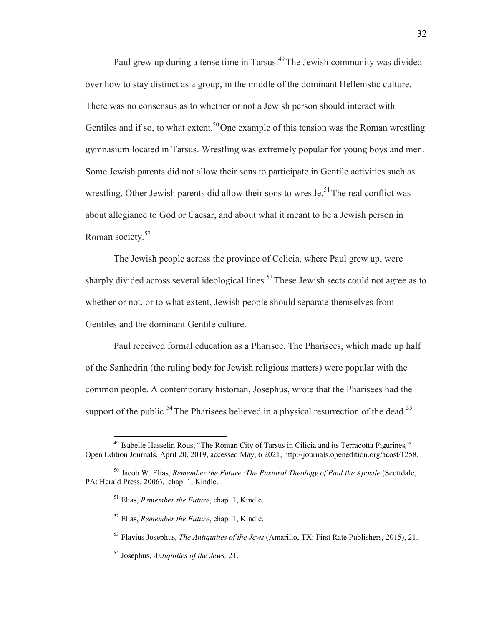Paul grew up during a tense time in Tarsus.<sup>49</sup>The Jewish community was divided over how to stay distinct as a group, in the middle of the dominant Hellenistic culture. There was no consensus as to whether or not a Jewish person should interact with Gentiles and if so, to what extent.<sup>50</sup>One example of this tension was the Roman wrestling gymnasium located in Tarsus. Wrestling was extremely popular for young boys and men. Some Jewish parents did not allow their sons to participate in Gentile activities such as wrestling. Other Jewish parents did allow their sons to wrestle.<sup>51</sup> The real conflict was about allegiance to God or Caesar, and about what it meant to be a Jewish person in Roman society.<sup>52</sup>

 The Jewish people across the province of Celicia, where Paul grew up, were sharply divided across several ideological lines.<sup>53</sup>These Jewish sects could not agree as to whether or not, or to what extent, Jewish people should separate themselves from Gentiles and the dominant Gentile culture.

Paul received formal education as a Pharisee. The Pharisees, which made up half of the Sanhedrin (the ruling body for Jewish religious matters) were popular with the common people. A contemporary historian, Josephus, wrote that the Pharisees had the support of the public.<sup>54</sup>The Pharisees believed in a physical resurrection of the dead.<sup>55</sup>

 <sup>49</sup> Isabelle Hasselin Rous, "The Roman City of Tarsus in Cilicia and its Terracotta Figurines*,*" Open Edition Journals, April 20, 2019, accessed May, 6 2021, http://journals.openedition.org/acost/1258.

<sup>50</sup> Jacob W. Elias, *Remember the Future :The Pastoral Theology of Paul the Apostle* (Scottdale, PA: Herald Press, 2006), chap. 1, Kindle.

<sup>51</sup> Elias, *Remember the Future*, chap. 1, Kindle.

<sup>52</sup> Elias, *Remember the Future*, chap. 1, Kindle.

<sup>53</sup> Flavius Josephus, *The Antiquities of the Jews* (Amarillo, TX: First Rate Publishers, 2015), 21.

<sup>54</sup> Josephus, *Antiquities of the Jews,* 21.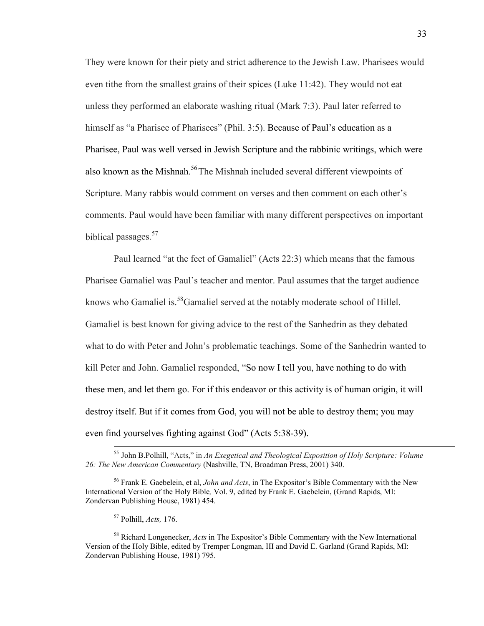They were known for their piety and strict adherence to the Jewish Law. Pharisees would even tithe from the smallest grains of their spices (Luke 11:42). They would not eat unless they performed an elaborate washing ritual (Mark 7:3). Paul later referred to himself as "a Pharisee of Pharisees" (Phil. 3:5). Because of Paul's education as a Pharisee, Paul was well versed in Jewish Scripture and the rabbinic writings, which were also known as the Mishnah.<sup>56</sup>The Mishnah included several different viewpoints of Scripture. Many rabbis would comment on verses and then comment on each other's comments. Paul would have been familiar with many different perspectives on important biblical passages.<sup>57</sup>

Paul learned "at the feet of Gamaliel" (Acts 22:3) which means that the famous Pharisee Gamaliel was Paul's teacher and mentor. Paul assumes that the target audience knows who Gamaliel is.<sup>58</sup>Gamaliel served at the notably moderate school of Hillel. Gamaliel is best known for giving advice to the rest of the Sanhedrin as they debated what to do with Peter and John's problematic teachings. Some of the Sanhedrin wanted to kill Peter and John. Gamaliel responded, "So now I tell you, have nothing to do with these men, and let them go. For if this endeavor or this activity is of human origin, it will destroy itself.But if it comes from God, you will not be able to destroy them; you may even find yourselves fighting against God" (Acts 5:38-39).

<u>.</u>

<sup>55</sup> John B.Polhill, "Acts," in *An Exegetical and Theological Exposition of Holy Scripture: Volume 26: The New American Commentary* (Nashville, TN, Broadman Press, 2001) 340.

<sup>56</sup> Frank E. Gaebelein, et al, *John and Acts*, in The Expositor's Bible Commentary with the New International Version of the Holy Bible*,* Vol. 9, edited by Frank E. Gaebelein, (Grand Rapids, MI: Zondervan Publishing House, 1981) 454.

<sup>57</sup> Polhill, *Acts,* 176.

<sup>58</sup> Richard Longenecker, *Acts* in The Expositor's Bible Commentary with the New International Version of the Holy Bible, edited by Tremper Longman, III and David E. Garland (Grand Rapids, MI: Zondervan Publishing House, 1981) 795.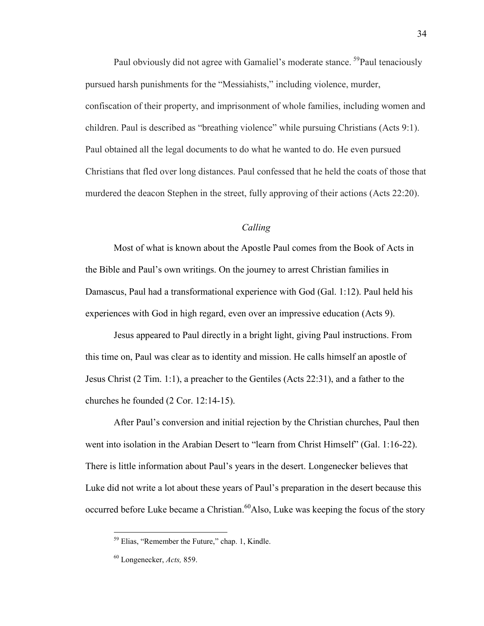Paul obviously did not agree with Gamaliel's moderate stance. <sup>59</sup>Paul tenaciously pursued harsh punishments for the "Messiahists," including violence, murder, confiscation of their property, and imprisonment of whole families, including women and children. Paul is described as "breathing violence" while pursuing Christians (Acts 9:1). Paul obtained all the legal documents to do what he wanted to do. He even pursued Christians that fled over long distances. Paul confessed that he held the coats of those that murdered the deacon Stephen in the street, fully approving of their actions (Acts 22:20).

## *Calling*

 Most of what is known about the Apostle Paul comes from the Book of Acts in the Bible and Paul's own writings. On the journey to arrest Christian families in Damascus, Paul had a transformational experience with God (Gal. 1:12). Paul held his experiences with God in high regard, even over an impressive education (Acts 9).

 Jesus appeared to Paul directly in a bright light, giving Paul instructions. From this time on, Paul was clear as to identity and mission. He calls himself an apostle of Jesus Christ (2 Tim. 1:1), a preacher to the Gentiles (Acts 22:31), and a father to the churches he founded (2 Cor. 12:14-15).

After Paul's conversion and initial rejection by the Christian churches, Paul then went into isolation in the Arabian Desert to "learn from Christ Himself" (Gal. 1:16-22). There is little information about Paul's years in the desert. Longenecker believes that Luke did not write a lot about these years of Paul's preparation in the desert because this occurred before Luke became a Christian.<sup>60</sup>Also, Luke was keeping the focus of the story

<sup>&</sup>lt;sup>59</sup> Elias, "Remember the Future," chap. 1, Kindle.

<sup>60</sup> Longenecker, *Acts,* 859.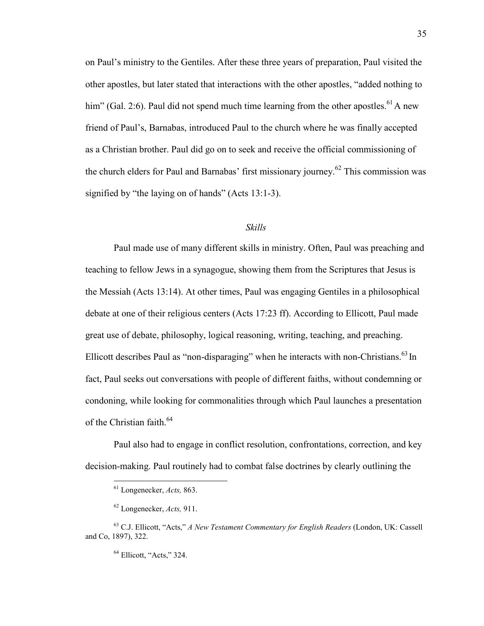on Paul's ministry to the Gentiles. After these three years of preparation, Paul visited the other apostles, but later stated that interactions with the other apostles, "added nothing to him" (Gal. 2:6). Paul did not spend much time learning from the other apostles.<sup>61</sup> A new friend of Paul's, Barnabas, introduced Paul to the church where he was finally accepted as a Christian brother. Paul did go on to seek and receive the official commissioning of the church elders for Paul and Barnabas' first missionary journey.<sup>62</sup> This commission was signified by "the laying on of hands" (Acts 13:1-3).

#### *Skills*

Paul made use of many different skills in ministry. Often, Paul was preaching and teaching to fellow Jews in a synagogue, showing them from the Scriptures that Jesus is the Messiah (Acts 13:14). At other times, Paul was engaging Gentiles in a philosophical debate at one of their religious centers (Acts 17:23 ff). According to Ellicott, Paul made great use of debate, philosophy, logical reasoning, writing, teaching, and preaching. Ellicott describes Paul as "non-disparaging" when he interacts with non-Christians.  $^{63}$  In fact, Paul seeks out conversations with people of different faiths, without condemning or condoning, while looking for commonalities through which Paul launches a presentation of the Christian faith.<sup>64</sup>

Paul also had to engage in conflict resolution, confrontations, correction, and key decision-making. Paul routinely had to combat false doctrines by clearly outlining the

-

64 Ellicott, "Acts," 324.

<sup>61</sup> Longenecker, *Acts,* 863.

<sup>62</sup> Longenecker, *Acts,* 911.

<sup>63</sup> C.J. Ellicott, "Acts," *A New Testament Commentary for English Readers* (London, UK: Cassell and Co, 1897), 322.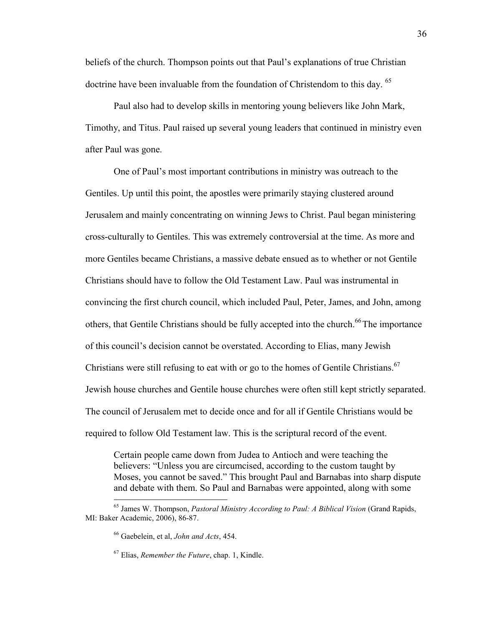beliefs of the church. Thompson points out that Paul's explanations of true Christian doctrine have been invaluable from the foundation of Christendom to this day. <sup>65</sup>

Paul also had to develop skills in mentoring young believers like John Mark, Timothy, and Titus. Paul raised up several young leaders that continued in ministry even after Paul was gone.

 One of Paul's most important contributions in ministry was outreach to the Gentiles. Up until this point, the apostles were primarily staying clustered around Jerusalem and mainly concentrating on winning Jews to Christ. Paul began ministering cross-culturally to Gentiles. This was extremely controversial at the time. As more and more Gentiles became Christians, a massive debate ensued as to whether or not Gentile Christians should have to follow the Old Testament Law. Paul was instrumental in convincing the first church council, which included Paul, Peter, James, and John, among others, that Gentile Christians should be fully accepted into the church.<sup>66</sup>The importance of this council's decision cannot be overstated. According to Elias, many Jewish Christians were still refusing to eat with or go to the homes of Gentile Christians.<sup>67</sup> Jewish house churches and Gentile house churches were often still kept strictly separated. The council of Jerusalem met to decide once and for all if Gentile Christians would be required to follow Old Testament law. This is the scriptural record of the event.

 Certain people came down from Judea to Antioch and were teaching the believers: "Unless you are circumcised, according to the custom taught by Moses, you cannot be saved." This brought Paul and Barnabas into sharp dispute and debate with them. So Paul and Barnabas were appointed, along with some

<sup>65</sup> James W. Thompson, *Pastoral Ministry According to Paul: A Biblical Vision* (Grand Rapids, MI: Baker Academic, 2006), 86-87.

<sup>66</sup> Gaebelein, et al, *John and Acts*, 454.

<sup>67</sup> Elias, *Remember the Future*, chap. 1, Kindle.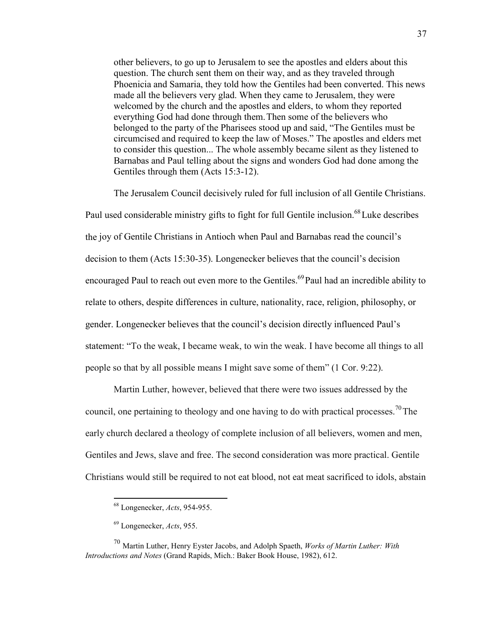other believers, to go up to Jerusalem to see the apostles and elders about this question. The church sent them on their way, and as they traveled through Phoenicia and Samaria, they told how the Gentiles had been converted. This news made all the believers very glad. When they came to Jerusalem, they were welcomed by the church and the apostles and elders, to whom they reported everything God had done through them.Then some of the believers who belonged to the party of the Pharisees stood up and said, "The Gentiles must be circumcised and required to keep the law of Moses." The apostles and elders met to consider this question... The whole assembly became silent as they listened to Barnabas and Paul telling about the signs and wonders God had done among the Gentiles through them (Acts 15:3-12).

The Jerusalem Council decisively ruled for full inclusion of all Gentile Christians. Paul used considerable ministry gifts to fight for full Gentile inclusion.<sup>68</sup>Luke describes the joy of Gentile Christians in Antioch when Paul and Barnabas read the council's decision to them (Acts 15:30-35). Longenecker believes that the council's decision encouraged Paul to reach out even more to the Gentiles.<sup>69</sup> Paul had an incredible ability to relate to others, despite differences in culture, nationality, race, religion, philosophy, or gender. Longenecker believes that the council's decision directly influenced Paul's statement: "To the weak, I became weak, to win the weak. I have become all things to all people so that by all possible means I might save some of them" (1 Cor. 9:22).

Martin Luther, however, believed that there were two issues addressed by the council, one pertaining to theology and one having to do with practical processes.<sup>70</sup>The early church declared a theology of complete inclusion of all believers, women and men, Gentiles and Jews, slave and free. The second consideration was more practical. Gentile Christians would still be required to not eat blood, not eat meat sacrificed to idols, abstain

<sup>68</sup> Longenecker, *Acts*, 954-955.

<sup>69</sup> Longenecker, *Acts*, 955.

<sup>70</sup> Martin Luther, Henry Eyster Jacobs, and Adolph Spaeth, *Works of Martin Luther: With Introductions and Notes* (Grand Rapids, Mich.: Baker Book House, 1982), 612.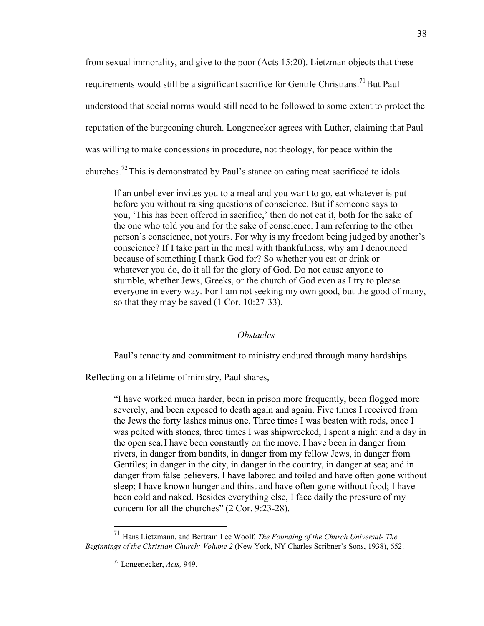from sexual immorality, and give to the poor (Acts 15:20). Lietzman objects that these requirements would still be a significant sacrifice for Gentile Christians.<sup>71</sup>But Paul understood that social norms would still need to be followed to some extent to protect the reputation of the burgeoning church. Longenecker agrees with Luther, claiming that Paul was willing to make concessions in procedure, not theology, for peace within the churches.<sup>72</sup>This is demonstrated by Paul's stance on eating meat sacrificed to idols.

If an unbeliever invites you to a meal and you want to go, eat whatever is put before you without raising questions of conscience. But if someone says to you, 'This has been offered in sacrifice,' then do not eat it, both for the sake of the one who told you and for the sake of conscience. I am referring to the other person's conscience, not yours. For why is my freedom being judged by another's conscience? If I take part in the meal with thankfulness, why am I denounced because of something I thank God for? So whether you eat or drink or whatever you do, do it all for the glory of God. Do not cause anyone to stumble, whether Jews, Greeks, or the church of God even as I try to please everyone in every way. For I am not seeking my own good, but the good of many, so that they may be saved (1 Cor. 10:27-33).

## *Obstacles*

Paul's tenacity and commitment to ministry endured through many hardships.

Reflecting on a lifetime of ministry, Paul shares,

"I have worked much harder, been in prison more frequently, been flogged more severely, and been exposed to death again and again. Five times I received from the Jews the forty lashes minus one. Three times I was beaten with rods, once I was pelted with stones, three times I was shipwrecked, I spent a night and a day in the open sea,I have been constantly on the move. I have been in danger from rivers, in danger from bandits, in danger from my fellow Jews, in danger from Gentiles; in danger in the city, in danger in the country, in danger at sea; and in danger from false believers. I have labored and toiled and have often gone without sleep; I have known hunger and thirst and have often gone without food; I have been cold and naked. Besides everything else, I face daily the pressure of my concern for all the churches" (2 Cor. 9:23-28).

<u>.</u>

<sup>71</sup> Hans Lietzmann, and Bertram Lee Woolf, *The Founding of the Church Universal- The Beginnings of the Christian Church: Volume 2* (New York, NY Charles Scribner's Sons, 1938), 652.

<sup>72</sup> Longenecker, *Acts,* 949.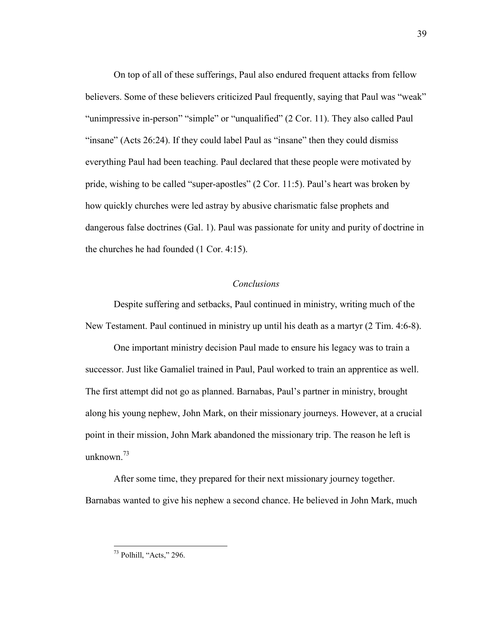On top of all of these sufferings, Paul also endured frequent attacks from fellow believers. Some of these believers criticized Paul frequently, saying that Paul was "weak" "unimpressive in-person" "simple" or "unqualified" (2 Cor. 11). They also called Paul "insane" (Acts 26:24). If they could label Paul as "insane" then they could dismiss everything Paul had been teaching. Paul declared that these people were motivated by pride, wishing to be called "super-apostles" (2 Cor. 11:5). Paul's heart was broken by how quickly churches were led astray by abusive charismatic false prophets and dangerous false doctrines (Gal. 1). Paul was passionate for unity and purity of doctrine in the churches he had founded (1 Cor. 4:15).

## *Conclusions*

Despite suffering and setbacks, Paul continued in ministry, writing much of the New Testament. Paul continued in ministry up until his death as a martyr (2 Tim. 4:6-8).

One important ministry decision Paul made to ensure his legacy was to train a successor. Just like Gamaliel trained in Paul, Paul worked to train an apprentice as well. The first attempt did not go as planned. Barnabas, Paul's partner in ministry, brought along his young nephew, John Mark, on their missionary journeys. However, at a crucial point in their mission, John Mark abandoned the missionary trip. The reason he left is unknown.73

After some time, they prepared for their next missionary journey together. Barnabas wanted to give his nephew a second chance. He believed in John Mark, much

<u>.</u>

<sup>39</sup> 

 $73$  Polhill, "Acts," 296.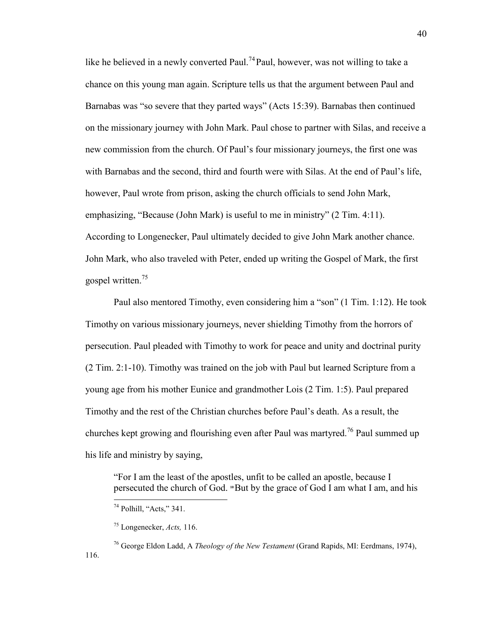like he believed in a newly converted Paul.<sup>74</sup> Paul, however, was not willing to take a chance on this young man again. Scripture tells us that the argument between Paul and Barnabas was "so severe that they parted ways" (Acts 15:39). Barnabas then continued on the missionary journey with John Mark. Paul chose to partner with Silas, and receive a new commission from the church. Of Paul's four missionary journeys, the first one was with Barnabas and the second, third and fourth were with Silas. At the end of Paul's life, however, Paul wrote from prison, asking the church officials to send John Mark, emphasizing, "Because (John Mark) is useful to me in ministry" (2 Tim. 4:11). According to Longenecker, Paul ultimately decided to give John Mark another chance. John Mark, who also traveled with Peter, ended up writing the Gospel of Mark, the first gospel written.75

Paul also mentored Timothy, even considering him a "son" (1 Tim. 1:12). He took Timothy on various missionary journeys, never shielding Timothy from the horrors of persecution. Paul pleaded with Timothy to work for peace and unity and doctrinal purity (2 Tim. 2:1-10). Timothy was trained on the job with Paul but learned Scripture from a young age from his mother Eunice and grandmother Lois (2 Tim. 1:5). Paul prepared Timothy and the rest of the Christian churches before Paul's death. As a result, the churches kept growing and flourishing even after Paul was martyred.<sup>76</sup> Paul summed up his life and ministry by saying,

"For I am the least of the apostles, unfit to be called an apostle, because I persecuted the church of God. **10** But by the grace of God I am what I am, and his

-

76 George Eldon Ladd, A *Theology of the New Testament* (Grand Rapids, MI: Eerdmans, 1974), 116.

 $74$  Polhill, "Acts," 341.

<sup>75</sup> Longenecker, *Acts,* 116.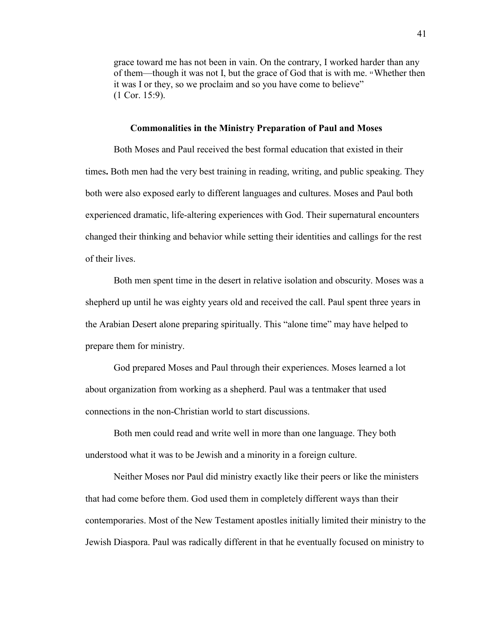grace toward me has not been in vain. On the contrary, I worked harder than any of them—though it was not I, but the grace of God that is with me. **11** Whether then it was I or they, so we proclaim and so you have come to believe" (1 Cor. 15:9).

#### **Commonalities in the Ministry Preparation of Paul and Moses**

Both Moses and Paul received the best formal education that existed in their times**.** Both men had the very best training in reading, writing, and public speaking. They both were also exposed early to different languages and cultures. Moses and Paul both experienced dramatic, life-altering experiences with God. Their supernatural encounters changed their thinking and behavior while setting their identities and callings for the rest of their lives.

Both men spent time in the desert in relative isolation and obscurity. Moses was a shepherd up until he was eighty years old and received the call. Paul spent three years in the Arabian Desert alone preparing spiritually. This "alone time" may have helped to prepare them for ministry.

God prepared Moses and Paul through their experiences. Moses learned a lot about organization from working as a shepherd. Paul was a tentmaker that used connections in the non-Christian world to start discussions.

Both men could read and write well in more than one language. They both understood what it was to be Jewish and a minority in a foreign culture.

Neither Moses nor Paul did ministry exactly like their peers or like the ministers that had come before them. God used them in completely different ways than their contemporaries. Most of the New Testament apostles initially limited their ministry to the Jewish Diaspora. Paul was radically different in that he eventually focused on ministry to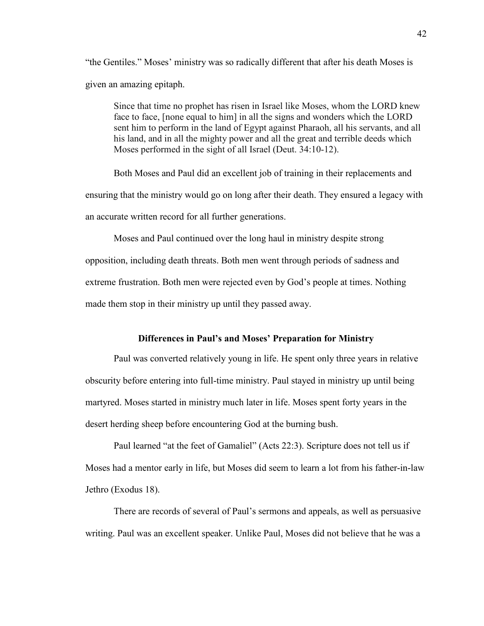"the Gentiles." Moses' ministry was so radically different that after his death Moses is given an amazing epitaph.

Since that time no prophet has risen in Israel like Moses, whom the LORD knew face to face, [none equal to him] in all the signs and wonders which the LORD sent him to perform in the land of Egypt against Pharaoh, all his servants, and all his land, and in all the mighty power and all the great and terrible deeds which Moses performed in the sight of all Israel (Deut. 34:10-12).

Both Moses and Paul did an excellent job of training in their replacements and ensuring that the ministry would go on long after their death. They ensured a legacy with an accurate written record for all further generations.

Moses and Paul continued over the long haul in ministry despite strong opposition, including death threats. Both men went through periods of sadness and extreme frustration. Both men were rejected even by God's people at times. Nothing made them stop in their ministry up until they passed away.

#### **Differences in Paul's and Moses' Preparation for Ministry**

Paul was converted relatively young in life. He spent only three years in relative obscurity before entering into full-time ministry. Paul stayed in ministry up until being martyred. Moses started in ministry much later in life. Moses spent forty years in the desert herding sheep before encountering God at the burning bush.

Paul learned "at the feet of Gamaliel" (Acts 22:3). Scripture does not tell us if Moses had a mentor early in life, but Moses did seem to learn a lot from his father-in-law Jethro (Exodus 18).

There are records of several of Paul's sermons and appeals, as well as persuasive writing. Paul was an excellent speaker. Unlike Paul, Moses did not believe that he was a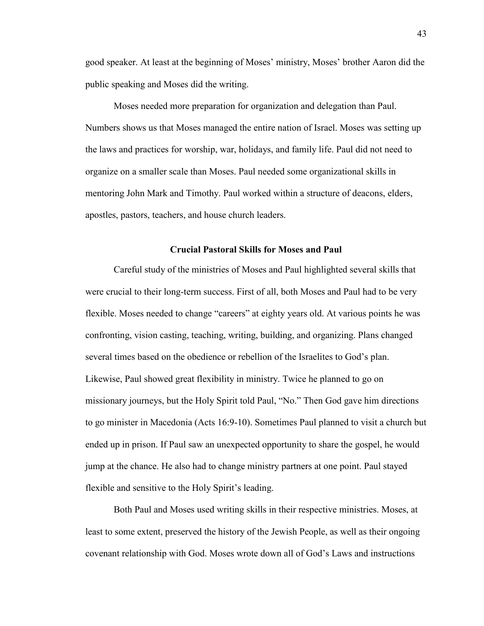good speaker. At least at the beginning of Moses' ministry, Moses' brother Aaron did the public speaking and Moses did the writing.

Moses needed more preparation for organization and delegation than Paul. Numbers shows us that Moses managed the entire nation of Israel. Moses was setting up the laws and practices for worship, war, holidays, and family life. Paul did not need to organize on a smaller scale than Moses. Paul needed some organizational skills in mentoring John Mark and Timothy. Paul worked within a structure of deacons, elders, apostles, pastors, teachers, and house church leaders.

## **Crucial Pastoral Skills for Moses and Paul**

Careful study of the ministries of Moses and Paul highlighted several skills that were crucial to their long-term success. First of all, both Moses and Paul had to be very flexible. Moses needed to change "careers" at eighty years old. At various points he was confronting, vision casting, teaching, writing, building, and organizing. Plans changed several times based on the obedience or rebellion of the Israelites to God's plan. Likewise, Paul showed great flexibility in ministry. Twice he planned to go on missionary journeys, but the Holy Spirit told Paul, "No." Then God gave him directions to go minister in Macedonia (Acts 16:9-10). Sometimes Paul planned to visit a church but ended up in prison. If Paul saw an unexpected opportunity to share the gospel, he would jump at the chance. He also had to change ministry partners at one point. Paul stayed flexible and sensitive to the Holy Spirit's leading.

Both Paul and Moses used writing skills in their respective ministries. Moses, at least to some extent, preserved the history of the Jewish People, as well as their ongoing covenant relationship with God. Moses wrote down all of God's Laws and instructions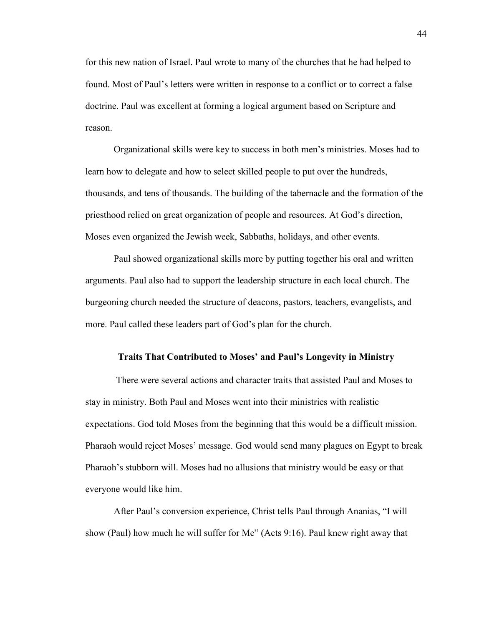for this new nation of Israel. Paul wrote to many of the churches that he had helped to found. Most of Paul's letters were written in response to a conflict or to correct a false doctrine. Paul was excellent at forming a logical argument based on Scripture and reason.

Organizational skills were key to success in both men's ministries. Moses had to learn how to delegate and how to select skilled people to put over the hundreds, thousands, and tens of thousands. The building of the tabernacle and the formation of the priesthood relied on great organization of people and resources. At God's direction, Moses even organized the Jewish week, Sabbaths, holidays, and other events.

Paul showed organizational skills more by putting together his oral and written arguments. Paul also had to support the leadership structure in each local church. The burgeoning church needed the structure of deacons, pastors, teachers, evangelists, and more. Paul called these leaders part of God's plan for the church.

#### **Traits That Contributed to Moses' and Paul's Longevity in Ministry**

 There were several actions and character traits that assisted Paul and Moses to stay in ministry. Both Paul and Moses went into their ministries with realistic expectations. God told Moses from the beginning that this would be a difficult mission. Pharaoh would reject Moses' message. God would send many plagues on Egypt to break Pharaoh's stubborn will. Moses had no allusions that ministry would be easy or that everyone would like him.

After Paul's conversion experience, Christ tells Paul through Ananias, "I will show (Paul) how much he will suffer for Me" (Acts 9:16). Paul knew right away that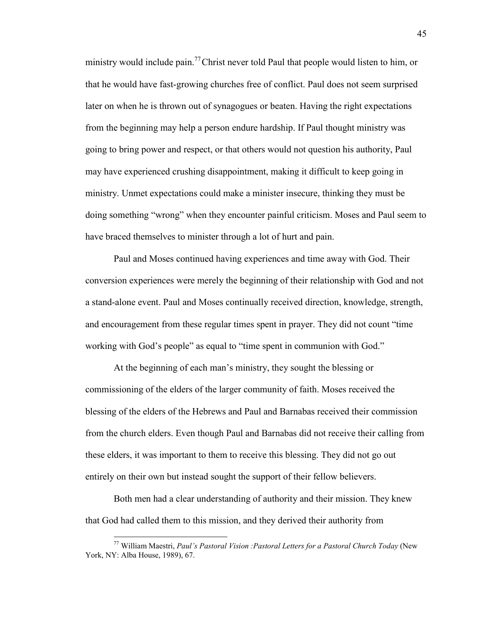ministry would include pain.<sup>77</sup> Christ never told Paul that people would listen to him, or that he would have fast-growing churches free of conflict. Paul does not seem surprised later on when he is thrown out of synagogues or beaten. Having the right expectations from the beginning may help a person endure hardship. If Paul thought ministry was going to bring power and respect, or that others would not question his authority, Paul may have experienced crushing disappointment, making it difficult to keep going in ministry. Unmet expectations could make a minister insecure, thinking they must be doing something "wrong" when they encounter painful criticism. Moses and Paul seem to have braced themselves to minister through a lot of hurt and pain.

Paul and Moses continued having experiences and time away with God. Their conversion experiences were merely the beginning of their relationship with God and not a stand-alone event. Paul and Moses continually received direction, knowledge, strength, and encouragement from these regular times spent in prayer. They did not count "time working with God's people" as equal to "time spent in communion with God."

At the beginning of each man's ministry, they sought the blessing or commissioning of the elders of the larger community of faith. Moses received the blessing of the elders of the Hebrews and Paul and Barnabas received their commission from the church elders. Even though Paul and Barnabas did not receive their calling from these elders, it was important to them to receive this blessing. They did not go out entirely on their own but instead sought the support of their fellow believers.

Both men had a clear understanding of authority and their mission. They knew that God had called them to this mission, and they derived their authority from

<sup>77</sup> William Maestri, *Paul's Pastoral Vision :Pastoral Letters for a Pastoral Church Today* (New York, NY: Alba House, 1989), 67.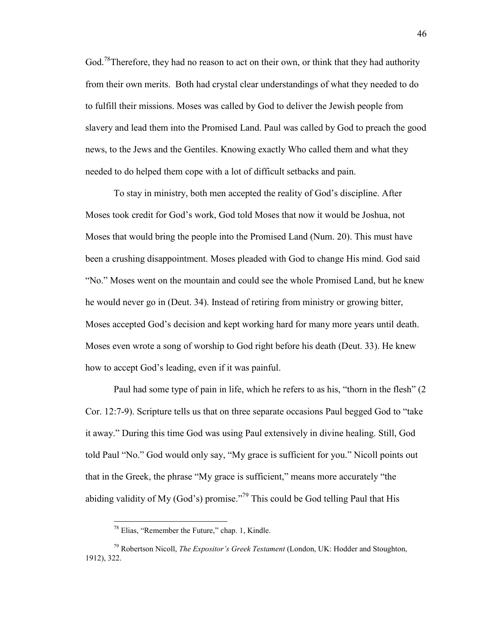God.<sup>78</sup>Therefore, they had no reason to act on their own, or think that they had authority from their own merits. Both had crystal clear understandings of what they needed to do to fulfill their missions. Moses was called by God to deliver the Jewish people from slavery and lead them into the Promised Land. Paul was called by God to preach the good news, to the Jews and the Gentiles. Knowing exactly Who called them and what they needed to do helped them cope with a lot of difficult setbacks and pain.

To stay in ministry, both men accepted the reality of God's discipline. After Moses took credit for God's work, God told Moses that now it would be Joshua, not Moses that would bring the people into the Promised Land (Num. 20). This must have been a crushing disappointment. Moses pleaded with God to change His mind. God said "No." Moses went on the mountain and could see the whole Promised Land, but he knew he would never go in (Deut. 34). Instead of retiring from ministry or growing bitter, Moses accepted God's decision and kept working hard for many more years until death. Moses even wrote a song of worship to God right before his death (Deut. 33). He knew how to accept God's leading, even if it was painful.

Paul had some type of pain in life, which he refers to as his, "thorn in the flesh" (2 Cor. 12:7-9). Scripture tells us that on three separate occasions Paul begged God to "take it away." During this time God was using Paul extensively in divine healing. Still, God told Paul "No." God would only say, "My grace is sufficient for you." Nicoll points out that in the Greek, the phrase "My grace is sufficient," means more accurately "the abiding validity of My (God's) promise."<sup>79</sup> This could be God telling Paul that His

<sup>&</sup>lt;u>.</u>  $78$  Elias, "Remember the Future," chap. 1, Kindle.

<sup>79</sup> Robertson Nicoll, *The Expositor's Greek Testament* (London, UK: Hodder and Stoughton, 1912), 322.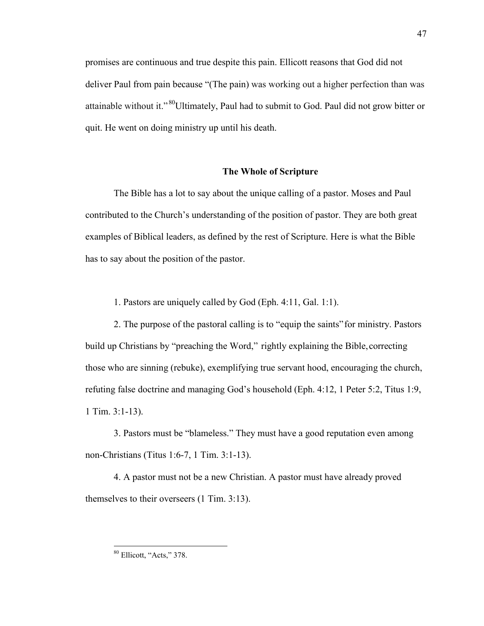promises are continuous and true despite this pain. Ellicott reasons that God did not deliver Paul from pain because "(The pain) was working out a higher perfection than was attainable without it." 80Ultimately, Paul had to submit to God. Paul did not grow bitter or quit. He went on doing ministry up until his death.

#### **The Whole of Scripture**

The Bible has a lot to say about the unique calling of a pastor. Moses and Paul contributed to the Church's understanding of the position of pastor. They are both great examples of Biblical leaders, as defined by the rest of Scripture. Here is what the Bible has to say about the position of the pastor.

1. Pastors are uniquely called by God (Eph. 4:11, Gal. 1:1).

2. The purpose of the pastoral calling is to "equip the saints"for ministry. Pastors build up Christians by "preaching the Word," rightly explaining the Bible,correcting those who are sinning (rebuke), exemplifying true servant hood, encouraging the church, refuting false doctrine and managing God's household (Eph. 4:12, 1 Peter 5:2, Titus 1:9, 1 Tim. 3:1-13).

3. Pastors must be "blameless." They must have a good reputation even among non-Christians (Titus 1:6-7, 1 Tim. 3:1-13).

4. A pastor must not be a new Christian. A pastor must have already proved themselves to their overseers (1 Tim. 3:13).

<u>.</u>

<sup>80</sup> Ellicott, "Acts," 378.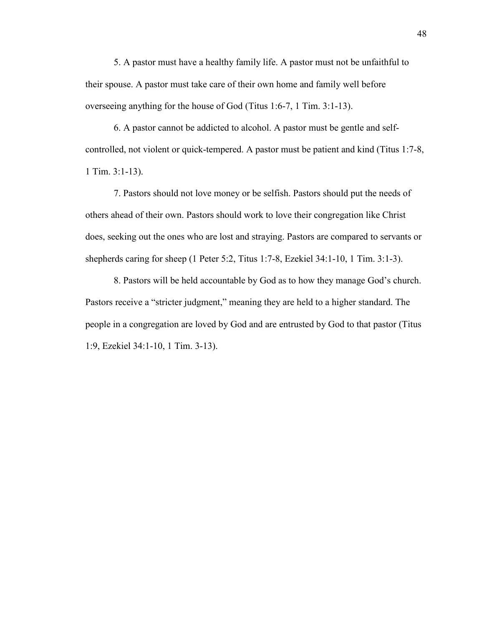5. A pastor must have a healthy family life. A pastor must not be unfaithful to their spouse. A pastor must take care of their own home and family well before overseeing anything for the house of God (Titus 1:6-7, 1 Tim. 3:1-13).

6. A pastor cannot be addicted to alcohol. A pastor must be gentle and selfcontrolled, not violent or quick-tempered. A pastor must be patient and kind (Titus 1:7-8, 1 Tim. 3:1-13).

7. Pastors should not love money or be selfish. Pastors should put the needs of others ahead of their own. Pastors should work to love their congregation like Christ does, seeking out the ones who are lost and straying. Pastors are compared to servants or shepherds caring for sheep (1 Peter 5:2, Titus 1:7-8, Ezekiel 34:1-10, 1 Tim. 3:1-3).

8. Pastors will be held accountable by God as to how they manage God's church. Pastors receive a "stricter judgment," meaning they are held to a higher standard. The people in a congregation are loved by God and are entrusted by God to that pastor (Titus 1:9, Ezekiel 34:1-10, 1 Tim. 3-13).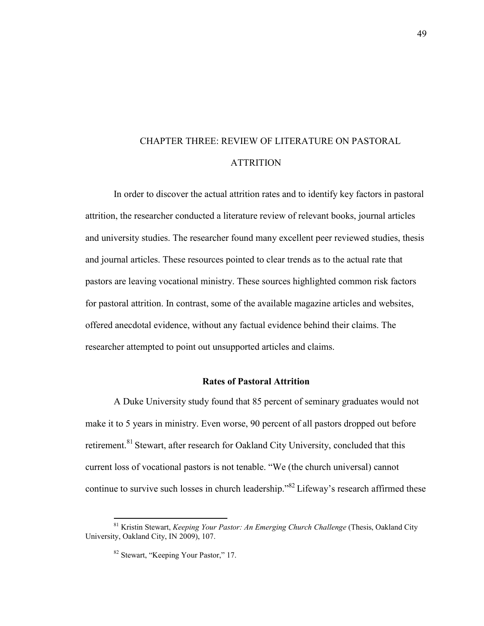# CHAPTER THREE: REVIEW OF LITERATURE ON PASTORAL ATTRITION

In order to discover the actual attrition rates and to identify key factors in pastoral attrition, the researcher conducted a literature review of relevant books, journal articles and university studies. The researcher found many excellent peer reviewed studies, thesis and journal articles. These resources pointed to clear trends as to the actual rate that pastors are leaving vocational ministry. These sources highlighted common risk factors for pastoral attrition. In contrast, some of the available magazine articles and websites, offered anecdotal evidence, without any factual evidence behind their claims. The researcher attempted to point out unsupported articles and claims.

#### **Rates of Pastoral Attrition**

A Duke University study found that 85 percent of seminary graduates would not make it to 5 years in ministry. Even worse, 90 percent of all pastors dropped out before retirement.<sup>81</sup> Stewart, after research for Oakland City University, concluded that this current loss of vocational pastors is not tenable. "We (the church universal) cannot continue to survive such losses in church leadership."82 Lifeway's research affirmed these

<u>.</u>

<sup>81</sup> Kristin Stewart, *Keeping Your Pastor: An Emerging Church Challenge* (Thesis, Oakland City University, Oakland City, IN 2009), 107.

<sup>82</sup> Stewart, "Keeping Your Pastor," 17.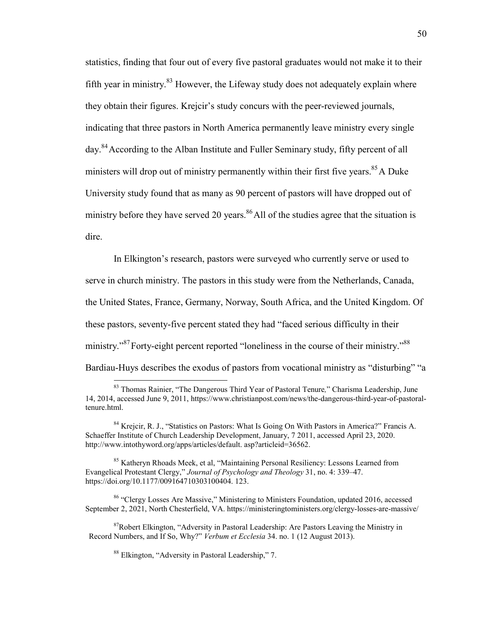statistics, finding that four out of every five pastoral graduates would not make it to their fifth year in ministry. $83$  However, the Lifeway study does not adequately explain where they obtain their figures. Krejcir's study concurs with the peer-reviewed journals, indicating that three pastors in North America permanently leave ministry every single day.<sup>84</sup> According to the Alban Institute and Fuller Seminary study, fifty percent of all ministers will drop out of ministry permanently within their first five years.<sup>85</sup> A Duke University study found that as many as 90 percent of pastors will have dropped out of ministry before they have served 20 years.  $86$  All of the studies agree that the situation is dire.

In Elkington's research, pastors were surveyed who currently serve or used to serve in church ministry. The pastors in this study were from the Netherlands, Canada, the United States, France, Germany, Norway, South Africa, and the United Kingdom. Of these pastors, seventy-five percent stated they had "faced serious difficulty in their ministry."<sup>87</sup>Forty-eight percent reported "loneliness in the course of their ministry."<sup>88</sup> Bardiau-Huys describes the exodus of pastors from vocational ministry as "disturbing" "a

<sup>83</sup> Thomas Rainier, "The Dangerous Third Year of Pastoral Tenure*,*" Charisma Leadership, June 14, 2014, accessed June 9, 2011, https://www.christianpost.com/news/the-dangerous-third-year-of-pastoraltenure.html.

<sup>&</sup>lt;sup>84</sup> Krejcir, R. J., "Statistics on Pastors: What Is Going On With Pastors in America?" Francis A. Schaeffer Institute of Church Leadership Development, January, 7 2011, accessed April 23, 2020. http://www.intothyword.org/apps/articles/default. asp?articleid=36562.

<sup>85</sup> Katheryn Rhoads Meek, et al, "Maintaining Personal Resiliency: Lessons Learned from Evangelical Protestant Clergy," *Journal of Psychology and Theology* 31, no. 4: 339–47. https://doi.org/10.1177/009164710303100404. 123.

<sup>86 &</sup>quot;Clergy Losses Are Massive," Ministering to Ministers Foundation, updated 2016, accessed September 2, 2021, North Chesterfield, VA. https://ministeringtoministers.org/clergy-losses-are-massive/

<sup>&</sup>lt;sup>87</sup>Robert Elkington, "Adversity in Pastoral Leadership: Are Pastors Leaving the Ministry in Record Numbers, and If So, Why?" *Verbum et Ecclesia* 34. no. 1 (12 August 2013).

<sup>88</sup> Elkington, "Adversity in Pastoral Leadership," 7.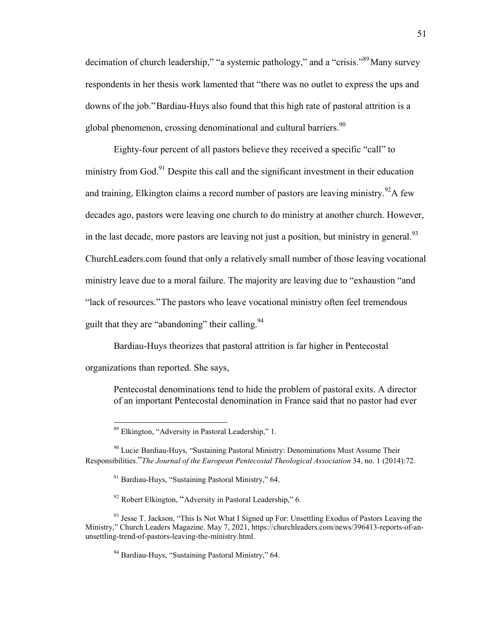decimation of church leadership," "a systemic pathology," and a "crisis."<sup>89</sup>Many survey respondents in her thesis work lamented that "there was no outlet to express the ups and downs of the job."Bardiau-Huys also found that this high rate of pastoral attrition is a global phenomenon, crossing denominational and cultural barriers.<sup>90</sup>

 Eighty-four percent of all pastors believe they received a specific "call" to ministry from God.<sup>91</sup> Despite this call and the significant investment in their education and training, Elkington claims a record number of pastors are leaving ministry.<sup>92</sup>A few decades ago, pastors were leaving one church to do ministry at another church. However, in the last decade, more pastors are leaving not just a position, but ministry in general.<sup>93</sup> ChurchLeaders.com found that only a relatively small number of those leaving vocational ministry leave due to a moral failure. The majority are leaving due to "exhaustion "and "lack of resources."The pastors who leave vocational ministry often feel tremendous guilt that they are "abandoning" their calling.<sup>94</sup>

 Bardiau-Huys theorizes that pastoral attrition is far higher in Pentecostal organizations than reported. She says,

Pentecostal denominations tend to hide the problem of pastoral exits. A director of an important Pentecostal denomination in France said that no pastor had ever

-

<sup>90</sup> Lucie Bardiau-Huys, "Sustaining Pastoral Ministry: Denominations Must Assume Their Responsibilities."*The Journal of the European Pentecostal Theological Association* 34, no. 1 (2014):72.

- 91 Bardiau-Huys, "Sustaining Pastoral Ministry," 64.
- <sup>92</sup> Robert Elkington, "Adversity in Pastoral Leadership," 6.

<sup>&</sup>lt;sup>89</sup> Elkington, "Adversity in Pastoral Leadership," 1.

<sup>&</sup>lt;sup>93</sup> Jesse T. Jackson, "This Is Not What I Signed up For: Unsettling Exodus of Pastors Leaving the Ministry," Church Leaders Magazine. May 7, 2021, https://churchleaders.com/news/396413-reports-of-anunsettling-trend-of-pastors-leaving-the-ministry.html.

<sup>94</sup> Bardiau-Huys, "Sustaining Pastoral Ministry," 64.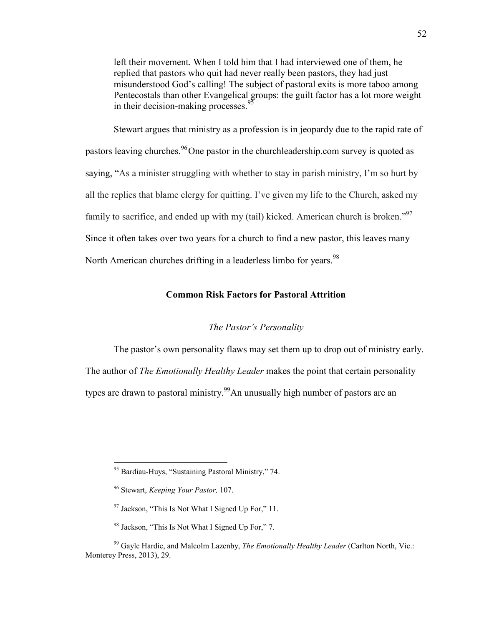left their movement. When I told him that I had interviewed one of them, he replied that pastors who quit had never really been pastors, they had just misunderstood God's calling! The subject of pastoral exits is more taboo among Pentecostals than other Evangelical groups: the guilt factor has a lot more weight in their decision-making processes. $95$ 

Stewart argues that ministry as a profession is in jeopardy due to the rapid rate of pastors leaving churches.<sup>96</sup>One pastor in the churchleadership.com survey is quoted as saying, "As a minister struggling with whether to stay in parish ministry, I'm so hurt by all the replies that blame clergy for quitting. I've given my life to the Church, asked my family to sacrifice, and ended up with my (tail) kicked. American church is broken."<sup>97</sup> Since it often takes over two years for a church to find a new pastor, this leaves many North American churches drifting in a leaderless limbo for years.<sup>98</sup>

#### **Common Risk Factors for Pastoral Attrition**

#### *The Pastor's Personality*

The pastor's own personality flaws may set them up to drop out of ministry early. The author of *The Emotionally Healthy Leader* makes the point that certain personality types are drawn to pastoral ministry.<sup>99</sup>An unusually high number of pastors are an

<sup>&</sup>lt;sup>95</sup> Bardiau-Huys, "Sustaining Pastoral Ministry," 74.

<sup>96</sup> Stewart, *Keeping Your Pastor,* 107.

 $97$  Jackson, "This Is Not What I Signed Up For," 11.

<sup>98</sup> Jackson, "This Is Not What I Signed Up For," 7.

<sup>99</sup> Gayle Hardie, and Malcolm Lazenby, *The Emotionally Healthy Leader* (Carlton North, Vic.: Monterey Press, 2013), 29.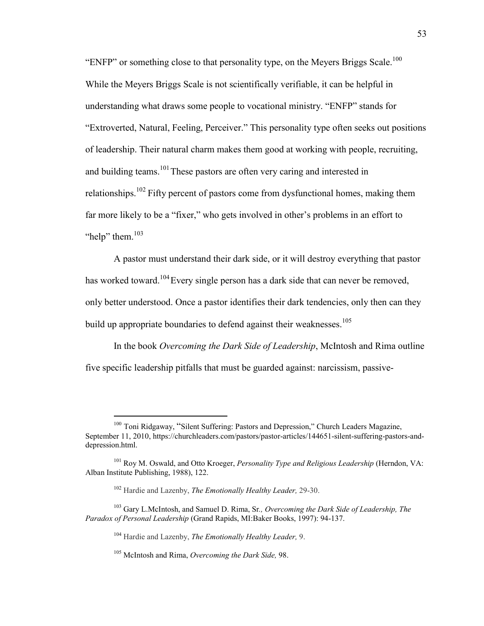"ENFP" or something close to that personality type, on the Meyers Briggs Scale.<sup>100</sup> While the Meyers Briggs Scale is not scientifically verifiable, it can be helpful in understanding what draws some people to vocational ministry. "ENFP" stands for "Extroverted, Natural, Feeling, Perceiver." This personality type often seeks out positions of leadership. Their natural charm makes them good at working with people, recruiting, and building teams.<sup>101</sup> These pastors are often very caring and interested in relationships.<sup>102</sup> Fifty percent of pastors come from dysfunctional homes, making them far more likely to be a "fixer," who gets involved in other's problems in an effort to "help" them. $103$ 

A pastor must understand their dark side, or it will destroy everything that pastor has worked toward.<sup>104</sup> Every single person has a dark side that can never be removed, only better understood. Once a pastor identifies their dark tendencies, only then can they build up appropriate boundaries to defend against their weaknesses.<sup>105</sup>

In the book *Overcoming the Dark Side of Leadership*, McIntosh and Rima outline five specific leadership pitfalls that must be guarded against: narcissism, passive-

<u>.</u>

<sup>&</sup>lt;sup>100</sup> Toni Ridgaway, "Silent Suffering: Pastors and Depression," Church Leaders Magazine, September 11, 2010, https://churchleaders.com/pastors/pastor-articles/144651-silent-suffering-pastors-anddepression.html.

<sup>101</sup> Roy M. Oswald, and Otto Kroeger, *Personality Type and Religious Leadership* (Herndon, VA: Alban Institute Publishing, 1988), 122.

<sup>102</sup> Hardie and Lazenby, *The Emotionally Healthy Leader,* 29-30.

<sup>103</sup> Gary L.McIntosh, and Samuel D. Rima, Sr*., Overcoming the Dark Side of Leadership, The Paradox of Personal Leadership* (Grand Rapids, MI:Baker Books, 1997): 94-137.

<sup>104</sup> Hardie and Lazenby, *The Emotionally Healthy Leader,* 9.

<sup>105</sup> McIntosh and Rima, *Overcoming the Dark Side,* 98.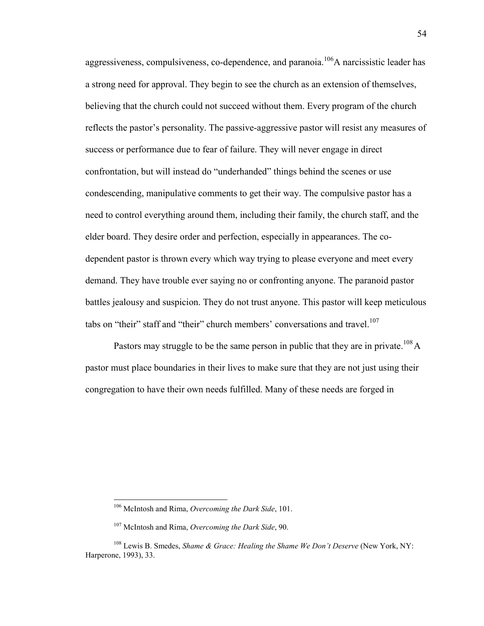aggressiveness, compulsiveness, co-dependence, and paranoia.<sup>106</sup>A narcissistic leader has a strong need for approval. They begin to see the church as an extension of themselves, believing that the church could not succeed without them. Every program of the church reflects the pastor's personality. The passive-aggressive pastor will resist any measures of success or performance due to fear of failure. They will never engage in direct confrontation, but will instead do "underhanded" things behind the scenes or use condescending, manipulative comments to get their way. The compulsive pastor has a need to control everything around them, including their family, the church staff, and the elder board. They desire order and perfection, especially in appearances. The codependent pastor is thrown every which way trying to please everyone and meet every demand. They have trouble ever saying no or confronting anyone. The paranoid pastor battles jealousy and suspicion. They do not trust anyone. This pastor will keep meticulous tabs on "their" staff and "their" church members' conversations and travel.<sup>107</sup>

Pastors may struggle to be the same person in public that they are in private.<sup>108</sup> A pastor must place boundaries in their lives to make sure that they are not just using their congregation to have their own needs fulfilled. Many of these needs are forged in

<sup>106</sup> McIntosh and Rima, *Overcoming the Dark Side*, 101.

<sup>107</sup> McIntosh and Rima, *Overcoming the Dark Side*, 90.

<sup>108</sup> Lewis B. Smedes, *Shame & Grace: Healing the Shame We Don't Deserve* (New York, NY: Harperone, 1993), 33.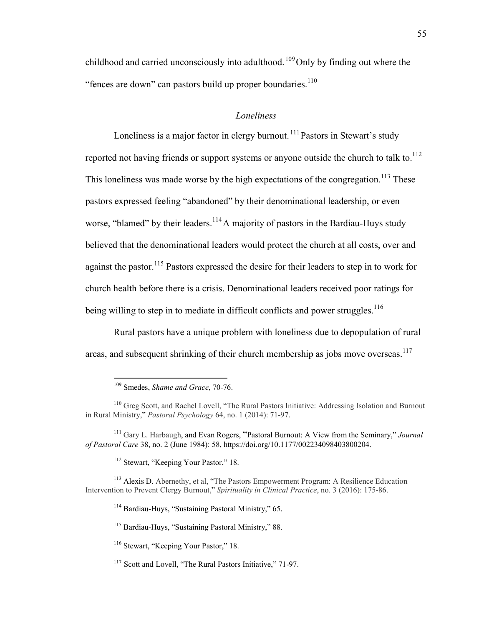childhood and carried unconsciously into adulthood.<sup>109</sup> Only by finding out where the "fences are down" can pastors build up proper boundaries. $110$ 

#### *Loneliness*

Loneliness is a major factor in clergy burnout.<sup>111</sup> Pastors in Stewart's study reported not having friends or support systems or anyone outside the church to talk to.<sup>112</sup> This loneliness was made worse by the high expectations of the congregation.<sup>113</sup> These pastors expressed feeling "abandoned" by their denominational leadership, or even worse, "blamed" by their leaders.<sup>114</sup> A majority of pastors in the Bardiau-Huys study believed that the denominational leaders would protect the church at all costs, over and against the pastor.<sup>115</sup> Pastors expressed the desire for their leaders to step in to work for church health before there is a crisis. Denominational leaders received poor ratings for being willing to step in to mediate in difficult conflicts and power struggles.<sup>116</sup>

Rural pastors have a unique problem with loneliness due to depopulation of rural areas, and subsequent shrinking of their church membership as jobs move overseas.<sup>117</sup>

<sup>112</sup> Stewart, "Keeping Your Pastor," 18.

<sup>113</sup> Alexis D. Abernethy, et al, "The Pastors Empowerment Program: A Resilience Education Intervention to Prevent Clergy Burnout," *Spirituality in Clinical Practice*, no. 3 (2016): 175-86.

<sup>114</sup> Bardiau-Huys, "Sustaining Pastoral Ministry," 65.

115 Bardiau-Huys, "Sustaining Pastoral Ministry," 88.

116 Stewart, "Keeping Your Pastor," 18.

 <sup>109</sup> Smedes, *Shame and Grace*, 70-76.

<sup>110</sup> Greg Scott, and Rachel Lovell, "The Rural Pastors Initiative: Addressing Isolation and Burnout in Rural Ministry," *Pastoral Psychology* 64, no. 1 (2014): 71-97.

<sup>111</sup> Gary L. Harbaugh, and Evan Rogers, "Pastoral Burnout: A View from the Seminary," *Journal of Pastoral Care* 38, no. 2 (June 1984): 58, https://doi.org/10.1177/002234098403800204.

<sup>&</sup>lt;sup>117</sup> Scott and Lovell, "The Rural Pastors Initiative," 71-97.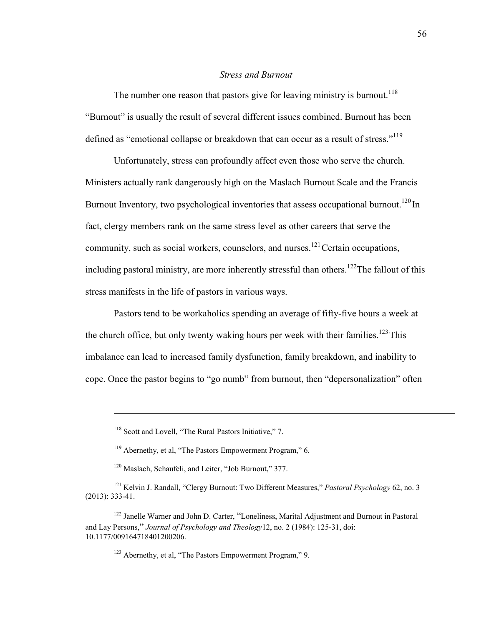#### *Stress and Burnout*

The number one reason that pastors give for leaving ministry is burnout.<sup>118</sup> "Burnout" is usually the result of several different issues combined. Burnout has been defined as "emotional collapse or breakdown that can occur as a result of stress."<sup>119</sup>

 Unfortunately, stress can profoundly affect even those who serve the church. Ministers actually rank dangerously high on the Maslach Burnout Scale and the Francis Burnout Inventory, two psychological inventories that assess occupational burnout.<sup>120</sup> In fact, clergy members rank on the same stress level as other careers that serve the community, such as social workers, counselors, and nurses.<sup>121</sup> Certain occupations, including pastoral ministry, are more inherently stressful than others.<sup>122</sup>The fallout of this stress manifests in the life of pastors in various ways.

 Pastors tend to be workaholics spending an average of fifty-five hours a week at the church office, but only twenty waking hours per week with their families.<sup>123</sup> This imbalance can lead to increased family dysfunction, family breakdown, and inability to cope. Once the pastor begins to "go numb" from burnout, then "depersonalization" often

<sup>118</sup> Scott and Lovell, "The Rural Pastors Initiative," 7.

<sup>&</sup>lt;sup>119</sup> Abernethy, et al, "The Pastors Empowerment Program," 6.

<sup>120</sup> Maslach, Schaufeli, and Leiter, "Job Burnout," 377.

<sup>121</sup> Kelvin J. Randall, "Clergy Burnout: Two Different Measures," *Pastoral Psychology* 62, no. 3 (2013): 333-41.

<sup>&</sup>lt;sup>122</sup> Janelle Warner and John D. Carter, "Loneliness, Marital Adjustment and Burnout in Pastoral and Lay Persons," *Journal of Psychology and Theology*12, no. 2 (1984): 125-31, doi: 10.1177/009164718401200206.

<sup>123</sup> Abernethy, et al, "The Pastors Empowerment Program," 9.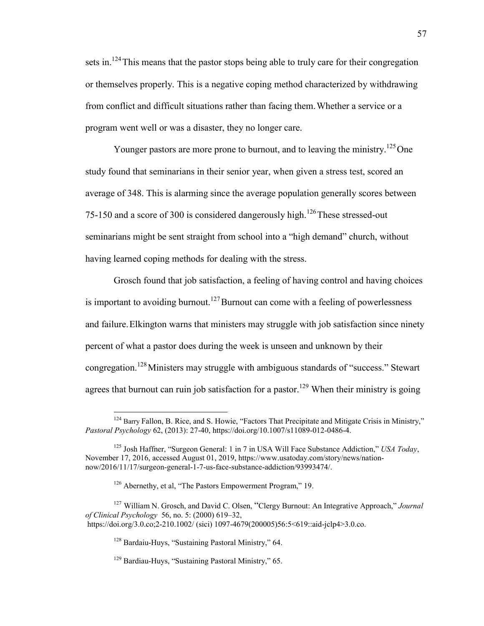sets in.<sup>124</sup> This means that the pastor stops being able to truly care for their congregation or themselves properly. This is a negative coping method characterized by withdrawing from conflict and difficult situations rather than facing them.Whether a service or a program went well or was a disaster, they no longer care.

Younger pastors are more prone to burnout, and to leaving the ministry.<sup>125</sup> One study found that seminarians in their senior year, when given a stress test, scored an average of 348. This is alarming since the average population generally scores between 75-150 and a score of 300 is considered dangerously high.<sup>126</sup> These stressed-out seminarians might be sent straight from school into a "high demand" church, without having learned coping methods for dealing with the stress.

 Grosch found that job satisfaction, a feeling of having control and having choices is important to avoiding burnout.<sup>127</sup> Burnout can come with a feeling of powerlessness and failure.Elkington warns that ministers may struggle with job satisfaction since ninety percent of what a pastor does during the week is unseen and unknown by their congregation.<sup>128</sup> Ministers may struggle with ambiguous standards of "success." Stewart agrees that burnout can ruin job satisfaction for a pastor.<sup>129</sup> When their ministry is going

<u>.</u>

<sup>&</sup>lt;sup>124</sup> Barry Fallon, B. Rice, and S. Howie, "Factors That Precipitate and Mitigate Crisis in Ministry," *Pastoral Psychology* 62, (2013): 27-40, https://doi.org/10.1007/s11089-012-0486-4.

<sup>125</sup> Josh Haffner, "Surgeon General: 1 in 7 in USA Will Face Substance Addiction," *USA Today*, November 17, 2016, accessed August 01, 2019, https://www.usatoday.com/story/news/nationnow/2016/11/17/surgeon-general-1-7-us-face-substance-addiction/93993474/.

<sup>&</sup>lt;sup>126</sup> Abernethy, et al, "The Pastors Empowerment Program," 19.

<sup>127</sup> William N. Grosch, and David C. Olsen, "Clergy Burnout: An Integrative Approach," *Journal of Clinical Psychology* 56, no. 5: (2000) 619–32, https://doi.org/3.0.co;2-210.1002/ (sici) 1097-4679(200005)56:5<619::aid-jclp4>3.0.co.

<sup>128</sup> Bardaiu-Huys, "Sustaining Pastoral Ministry," 64.

<sup>129</sup> Bardiau-Huys, "Sustaining Pastoral Ministry," 65.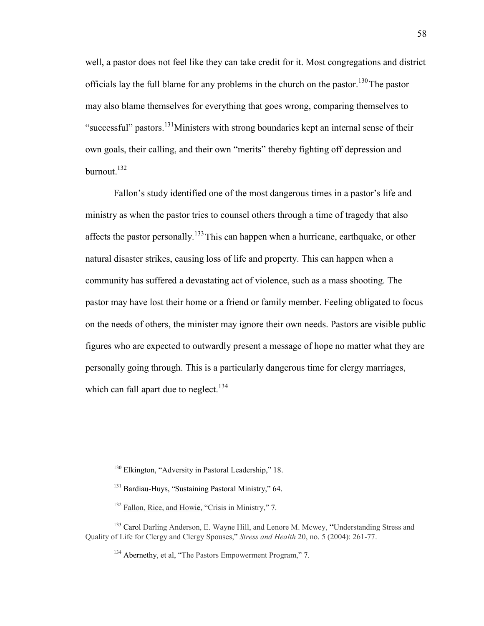well, a pastor does not feel like they can take credit for it. Most congregations and district officials lay the full blame for any problems in the church on the pastor.<sup>130</sup>The pastor may also blame themselves for everything that goes wrong, comparing themselves to "successful" pastors.<sup>131</sup>Ministers with strong boundaries kept an internal sense of their own goals, their calling, and their own "merits" thereby fighting off depression and burnout.<sup>132</sup>

 Fallon's study identified one of the most dangerous times in a pastor's life and ministry as when the pastor tries to counsel others through a time of tragedy that also affects the pastor personally.<sup>133</sup> This can happen when a hurricane, earthquake, or other natural disaster strikes, causing loss of life and property. This can happen when a community has suffered a devastating act of violence, such as a mass shooting. The pastor may have lost their home or a friend or family member. Feeling obligated to focus on the needs of others, the minister may ignore their own needs. Pastors are visible public figures who are expected to outwardly present a message of hope no matter what they are personally going through. This is a particularly dangerous time for clergy marriages, which can fall apart due to neglect.<sup>134</sup>

<sup>&</sup>lt;sup>130</sup> Elkington, "Adversity in Pastoral Leadership," 18.

<sup>&</sup>lt;sup>131</sup> Bardiau-Huys, "Sustaining Pastoral Ministry," 64.

<sup>&</sup>lt;sup>132</sup> Fallon, Rice, and Howie, "Crisis in Ministry," 7.

<sup>&</sup>lt;sup>133</sup> Carol Darling Anderson, E. Wayne Hill, and Lenore M. Mcwey, "Understanding Stress and Quality of Life for Clergy and Clergy Spouses," *Stress and Health* 20, no. 5 (2004): 261-77.

<sup>&</sup>lt;sup>134</sup> Abernethy, et al, "The Pastors Empowerment Program," 7.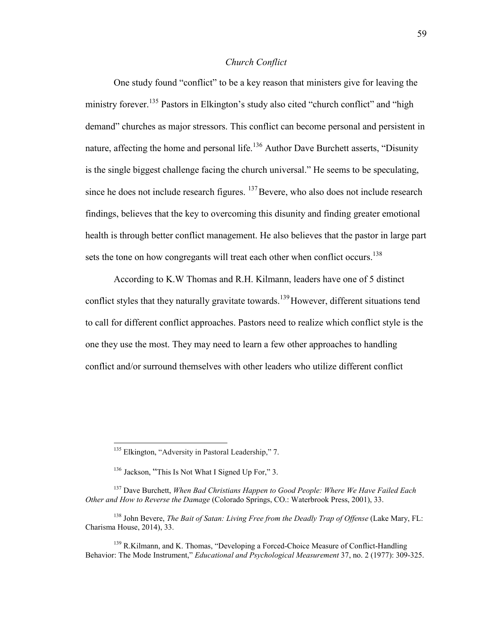#### *Church Conflict*

One study found "conflict" to be a key reason that ministers give for leaving the ministry forever.<sup>135</sup> Pastors in Elkington's study also cited "church conflict" and "high demand" churches as major stressors. This conflict can become personal and persistent in nature, affecting the home and personal life.<sup>136</sup> Author Dave Burchett asserts, "Disunity is the single biggest challenge facing the church universal." He seems to be speculating, since he does not include research figures.  $137$  Bevere, who also does not include research findings, believes that the key to overcoming this disunity and finding greater emotional health is through better conflict management. He also believes that the pastor in large part sets the tone on how congregants will treat each other when conflict occurs.<sup>138</sup>

According to K.W Thomas and R.H. Kilmann, leaders have one of 5 distinct conflict styles that they naturally gravitate towards.<sup>139</sup> However, different situations tend to call for different conflict approaches. Pastors need to realize which conflict style is the one they use the most. They may need to learn a few other approaches to handling conflict and/or surround themselves with other leaders who utilize different conflict

<sup>&</sup>lt;sup>135</sup> Elkington, "Adversity in Pastoral Leadership," 7.

<sup>136</sup> Jackson, "This Is Not What I Signed Up For," 3.

<sup>137</sup> Dave Burchett, *When Bad Christians Happen to Good People: Where We Have Failed Each Other and How to Reverse the Damage* (Colorado Springs, CO.: Waterbrook Press, 2001), 33.

<sup>138</sup> John Bevere, *The Bait of Satan: Living Free from the Deadly Trap of Offense* (Lake Mary, FL: Charisma House, 2014), 33.

<sup>&</sup>lt;sup>139</sup> R.Kilmann, and K. Thomas, "Developing a Forced-Choice Measure of Conflict-Handling Behavior: The Mode Instrument," *Educational and Psychological Measurement* 37, no. 2 (1977): 309-325.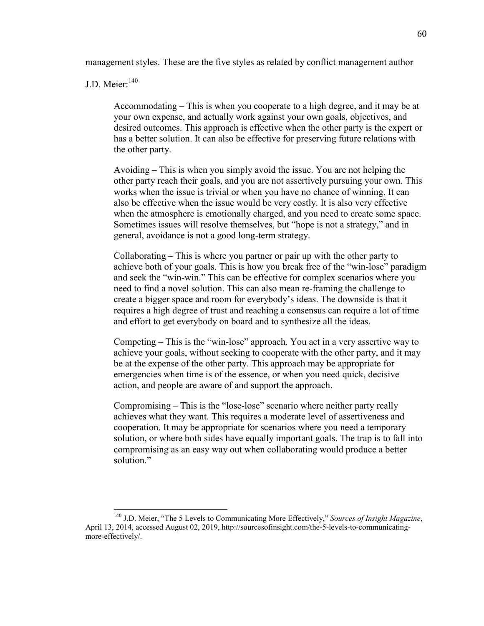management styles. These are the five styles as related by conflict management author

J.D. Meier:<sup>140</sup>

-

Accommodating – This is when you cooperate to a high degree, and it may be at your own expense, and actually work against your own goals, objectives, and desired outcomes. This approach is effective when the other party is the expert or has a better solution. It can also be effective for preserving future relations with the other party.

Avoiding – This is when you simply avoid the issue. You are not helping the other party reach their goals, and you are not assertively pursuing your own. This works when the issue is trivial or when you have no chance of winning. It can also be effective when the issue would be very costly. It is also very effective when the atmosphere is emotionally charged, and you need to create some space. Sometimes issues will resolve themselves, but "hope is not a strategy," and in general, avoidance is not a good long-term strategy.

Collaborating – This is where you partner or pair up with the other party to achieve both of your goals. This is how you break free of the "win-lose" paradigm and seek the "win-win." This can be effective for complex scenarios where you need to find a novel solution. This can also mean re-framing the challenge to create a bigger space and room for everybody's ideas. The downside is that it requires a high degree of trust and reaching a consensus can require a lot of time and effort to get everybody on board and to synthesize all the ideas.

Competing – This is the "win-lose" approach. You act in a very assertive way to achieve your goals, without seeking to cooperate with the other party, and it may be at the expense of the other party. This approach may be appropriate for emergencies when time is of the essence, or when you need quick, decisive action, and people are aware of and support the approach.

Compromising – This is the "lose-lose" scenario where neither party really achieves what they want. This requires a moderate level of assertiveness and cooperation. It may be appropriate for scenarios where you need a temporary solution, or where both sides have equally important goals. The trap is to fall into compromising as an easy way out when collaborating would produce a better solution."

<sup>140</sup> J.D. Meier, "The 5 Levels to Communicating More Effectively," *Sources of Insight Magazine*, April 13, 2014, accessed August 02, 2019, http://sourcesofinsight.com/the-5-levels-to-communicatingmore-effectively/.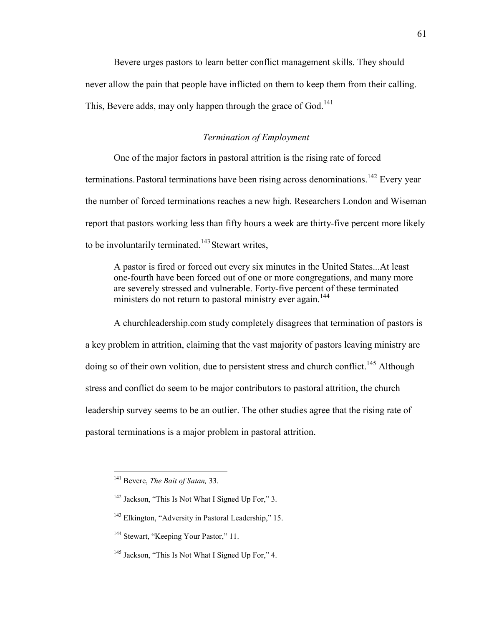Bevere urges pastors to learn better conflict management skills. They should never allow the pain that people have inflicted on them to keep them from their calling. This, Bevere adds, may only happen through the grace of God.<sup>141</sup>

# *Termination of Employment*

One of the major factors in pastoral attrition is the rising rate of forced terminations. Pastoral terminations have been rising across denominations.<sup>142</sup> Every year the number of forced terminations reaches a new high. Researchers London and Wiseman report that pastors working less than fifty hours a week are thirty-five percent more likely to be involuntarily terminated.<sup>143</sup> Stewart writes,

A pastor is fired or forced out every six minutes in the United States...At least one-fourth have been forced out of one or more congregations, and many more are severely stressed and vulnerable. Forty-five percent of these terminated ministers do not return to pastoral ministry ever again.<sup>144</sup>

A churchleadership.com study completely disagrees that termination of pastors is a key problem in attrition, claiming that the vast majority of pastors leaving ministry are doing so of their own volition, due to persistent stress and church conflict.<sup>145</sup> Although stress and conflict do seem to be major contributors to pastoral attrition, the church leadership survey seems to be an outlier. The other studies agree that the rising rate of pastoral terminations is a major problem in pastoral attrition.

<sup>141</sup> Bevere, *The Bait of Satan,* 33.

<sup>&</sup>lt;sup>142</sup> Jackson, "This Is Not What I Signed Up For," 3.

<sup>&</sup>lt;sup>143</sup> Elkington, "Adversity in Pastoral Leadership," 15.

<sup>&</sup>lt;sup>144</sup> Stewart, "Keeping Your Pastor," 11.

<sup>&</sup>lt;sup>145</sup> Jackson, "This Is Not What I Signed Up For," 4.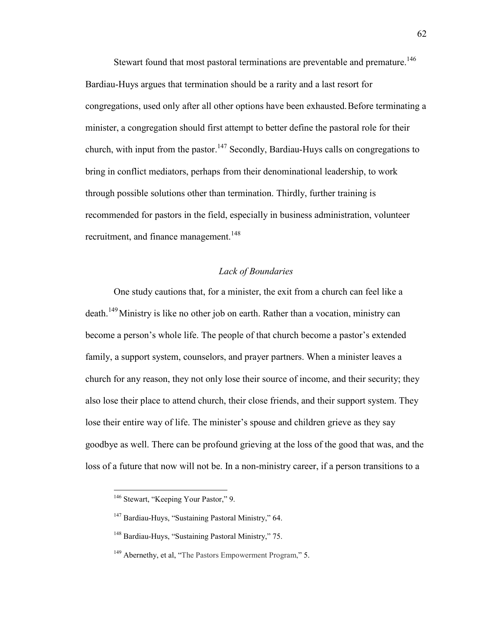Stewart found that most pastoral terminations are preventable and premature.<sup>146</sup> Bardiau-Huys argues that termination should be a rarity and a last resort for congregations, used only after all other options have been exhausted.Before terminating a minister, a congregation should first attempt to better define the pastoral role for their church, with input from the pastor.<sup>147</sup> Secondly, Bardiau-Huys calls on congregations to bring in conflict mediators, perhaps from their denominational leadership, to work through possible solutions other than termination. Thirdly, further training is recommended for pastors in the field, especially in business administration, volunteer recruitment, and finance management.<sup>148</sup>

# *Lack of Boundaries*

One study cautions that, for a minister, the exit from a church can feel like a death.<sup>149</sup> Ministry is like no other job on earth. Rather than a vocation, ministry can become a person's whole life. The people of that church become a pastor's extended family, a support system, counselors, and prayer partners. When a minister leaves a church for any reason, they not only lose their source of income, and their security; they also lose their place to attend church, their close friends, and their support system. They lose their entire way of life. The minister's spouse and children grieve as they say goodbye as well. There can be profound grieving at the loss of the good that was, and the loss of a future that now will not be. In a non-ministry career, if a person transitions to a

<sup>&</sup>lt;sup>146</sup> Stewart, "Keeping Your Pastor," 9.

<sup>&</sup>lt;sup>147</sup> Bardiau-Huys, "Sustaining Pastoral Ministry," 64.

<sup>&</sup>lt;sup>148</sup> Bardiau-Huys, "Sustaining Pastoral Ministry," 75.

<sup>&</sup>lt;sup>149</sup> Abernethy, et al, "The Pastors Empowerment Program," 5.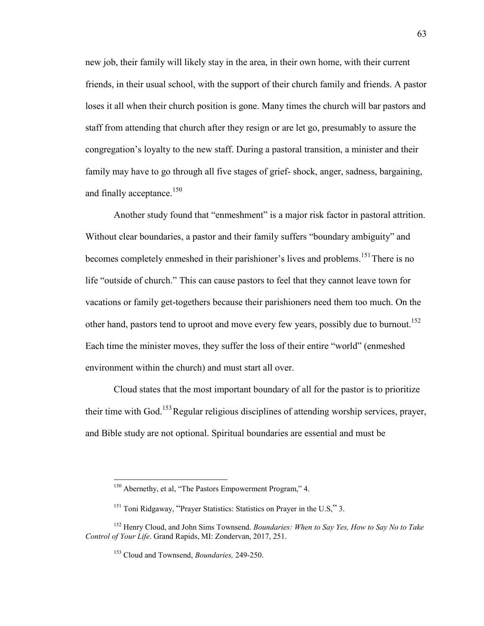new job, their family will likely stay in the area, in their own home, with their current friends, in their usual school, with the support of their church family and friends. A pastor loses it all when their church position is gone. Many times the church will bar pastors and staff from attending that church after they resign or are let go, presumably to assure the congregation's loyalty to the new staff. During a pastoral transition, a minister and their family may have to go through all five stages of grief- shock, anger, sadness, bargaining, and finally acceptance.<sup>150</sup>

Another study found that "enmeshment" is a major risk factor in pastoral attrition. Without clear boundaries, a pastor and their family suffers "boundary ambiguity" and becomes completely enmeshed in their parishioner's lives and problems.<sup>151</sup> There is no life "outside of church." This can cause pastors to feel that they cannot leave town for vacations or family get-togethers because their parishioners need them too much. On the other hand, pastors tend to uproot and move every few years, possibly due to burnout.<sup>152</sup> Each time the minister moves, they suffer the loss of their entire "world" (enmeshed environment within the church) and must start all over.

Cloud states that the most important boundary of all for the pastor is to prioritize their time with God.<sup>153</sup> Regular religious disciplines of attending worship services, prayer, and Bible study are not optional. Spiritual boundaries are essential and must be

<sup>&</sup>lt;sup>150</sup> Abernethy, et al, "The Pastors Empowerment Program," 4.

<sup>&</sup>lt;sup>151</sup> Toni Ridgaway, "Prayer Statistics: Statistics on Prayer in the U.S," 3.

<sup>152</sup> Henry Cloud, and John Sims Townsend. *Boundaries: When to Say Yes, How to Say No to Take Control of Your Life*. Grand Rapids, MI: Zondervan, 2017, 251.

<sup>153</sup> Cloud and Townsend, *Boundaries,* 249-250.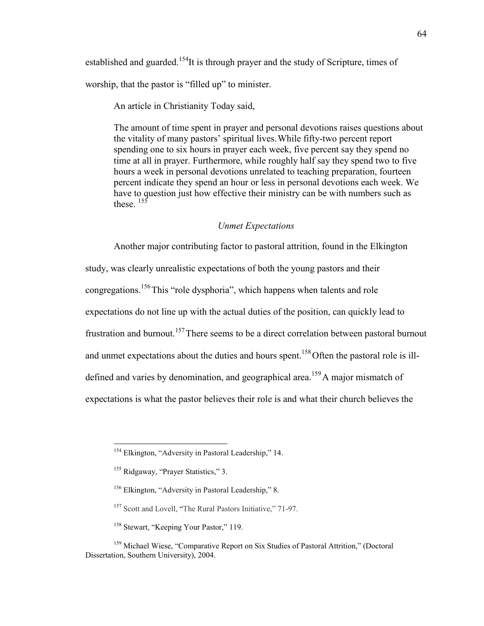established and guarded.<sup>154</sup>It is through prayer and the study of Scripture, times of worship, that the pastor is "filled up" to minister.

An article in Christianity Today said,

The amount of time spent in prayer and personal devotions raises questions about the vitality of many pastors' spiritual lives.While fifty-two percent report spending one to six hours in prayer each week, five percent say they spend no time at all in prayer. Furthermore, while roughly half say they spend two to five hours a week in personal devotions unrelated to teaching preparation, fourteen percent indicate they spend an hour or less in personal devotions each week. We have to question just how effective their ministry can be with numbers such as these.<sup>155</sup>

#### *Unmet Expectations*

Another major contributing factor to pastoral attrition, found in the Elkington study, was clearly unrealistic expectations of both the young pastors and their congregations.<sup>156</sup> This "role dysphoria", which happens when talents and role expectations do not line up with the actual duties of the position, can quickly lead to frustration and burnout.<sup>157</sup> There seems to be a direct correlation between pastoral burnout and unmet expectations about the duties and hours spent.<sup>158</sup> Often the pastoral role is illdefined and varies by denomination, and geographical area.<sup>159</sup> A major mismatch of expectations is what the pastor believes their role is and what their church believes the

<u>.</u>

- <sup>156</sup> Elkington, "Adversity in Pastoral Leadership," 8.
- <sup>157</sup> Scott and Lovell, "The Rural Pastors Initiative," 71-97.
- <sup>158</sup> Stewart, "Keeping Your Pastor," 119.

<sup>&</sup>lt;sup>154</sup> Elkington, "Adversity in Pastoral Leadership," 14.

<sup>&</sup>lt;sup>155</sup> Ridgaway, "Prayer Statistics," 3.

<sup>&</sup>lt;sup>159</sup> Michael Wiese, "Comparative Report on Six Studies of Pastoral Attrition," (Doctoral Dissertation, Southern University), 2004.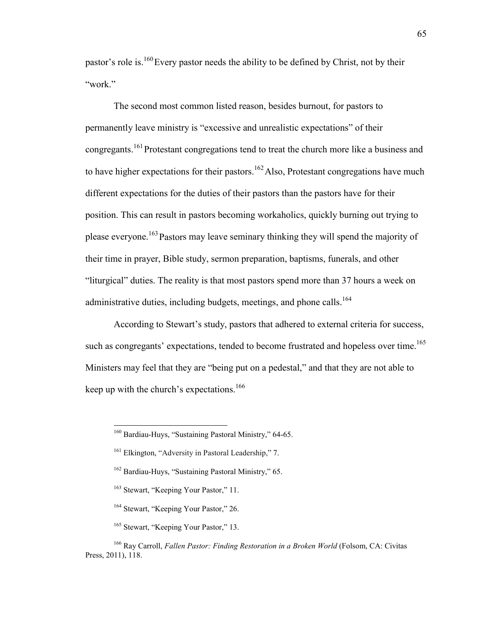pastor's role is.<sup>160</sup> Every pastor needs the ability to be defined by Christ, not by their "work"

The second most common listed reason, besides burnout, for pastors to permanently leave ministry is "excessive and unrealistic expectations" of their congregants.<sup>161</sup> Protestant congregations tend to treat the church more like a business and to have higher expectations for their pastors.  $^{162}$  Also, Protestant congregations have much different expectations for the duties of their pastors than the pastors have for their position. This can result in pastors becoming workaholics, quickly burning out trying to please everyone.<sup>163</sup> Pastors may leave seminary thinking they will spend the majority of their time in prayer, Bible study, sermon preparation, baptisms, funerals, and other "liturgical" duties. The reality is that most pastors spend more than 37 hours a week on administrative duties, including budgets, meetings, and phone calls.<sup>164</sup>

According to Stewart's study, pastors that adhered to external criteria for success, such as congregants' expectations, tended to become frustrated and hopeless over time.<sup>165</sup> Ministers may feel that they are "being put on a pedestal," and that they are not able to keep up with the church's expectations.<sup>166</sup>

<sup>&</sup>lt;sup>160</sup> Bardiau-Huys, "Sustaining Pastoral Ministry," 64-65.

<sup>&</sup>lt;sup>161</sup> Elkington, "Adversity in Pastoral Leadership," 7.

<sup>&</sup>lt;sup>162</sup> Bardiau-Huys, "Sustaining Pastoral Ministry," 65.

<sup>&</sup>lt;sup>163</sup> Stewart, "Keeping Your Pastor," 11.

<sup>&</sup>lt;sup>164</sup> Stewart, "Keeping Your Pastor," 26.

<sup>165</sup> Stewart, "Keeping Your Pastor," 13.

<sup>166</sup> Ray Carroll, *Fallen Pastor: Finding Restoration in a Broken World* (Folsom, CA: Civitas Press, 2011), 118.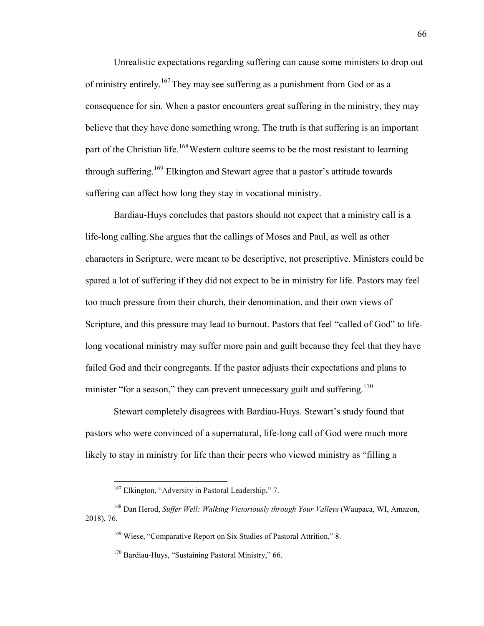Unrealistic expectations regarding suffering can cause some ministers to drop out of ministry entirely.<sup>167</sup> They may see suffering as a punishment from God or as a consequence for sin. When a pastor encounters great suffering in the ministry, they may believe that they have done something wrong. The truth is that suffering is an important part of the Christian life.<sup>168</sup> Western culture seems to be the most resistant to learning through suffering.<sup>169</sup> Elkington and Stewart agree that a pastor's attitude towards suffering can affect how long they stay in vocational ministry.

Bardiau-Huys concludes that pastors should not expect that a ministry call is a life-long calling.She argues that the callings of Moses and Paul, as well as other characters in Scripture, were meant to be descriptive, not prescriptive. Ministers could be spared a lot of suffering if they did not expect to be in ministry for life. Pastors may feel too much pressure from their church, their denomination, and their own views of Scripture, and this pressure may lead to burnout. Pastors that feel "called of God" to lifelong vocational ministry may suffer more pain and guilt because they feel that they have failed God and their congregants. If the pastor adjusts their expectations and plans to minister "for a season," they can prevent unnecessary guilt and suffering.<sup>170</sup>

Stewart completely disagrees with Bardiau-Huys. Stewart's study found that pastors who were convinced of a supernatural, life-long call of God were much more likely to stay in ministry for life than their peers who viewed ministry as "filling a

<sup>&</sup>lt;sup>167</sup> Elkington, "Adversity in Pastoral Leadership," 7.

<sup>168</sup> Dan Herod, *Suffer Well: Walking Victoriously through Your Valleys* (Waupaca, WI, Amazon, 2018), 76.

<sup>&</sup>lt;sup>169</sup> Wiese, "Comparative Report on Six Studies of Pastoral Attrition," 8.

<sup>&</sup>lt;sup>170</sup> Bardiau-Huys, "Sustaining Pastoral Ministry," 66.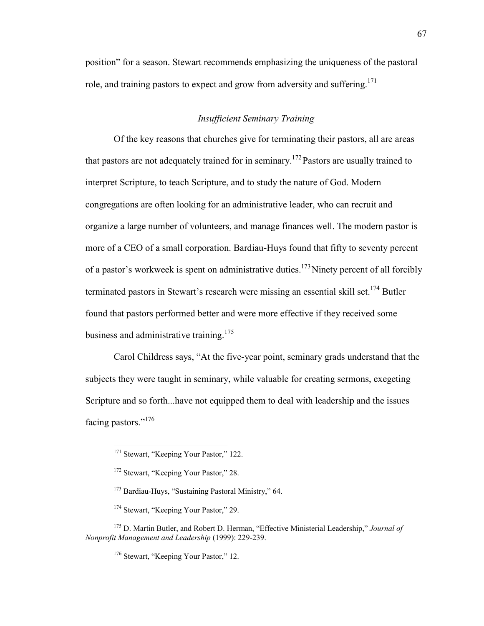position" for a season. Stewart recommends emphasizing the uniqueness of the pastoral role, and training pastors to expect and grow from adversity and suffering.<sup>171</sup>

# *Insufficient Seminary Training*

Of the key reasons that churches give for terminating their pastors, all are areas that pastors are not adequately trained for in seminary.<sup>172</sup> Pastors are usually trained to interpret Scripture, to teach Scripture, and to study the nature of God. Modern congregations are often looking for an administrative leader, who can recruit and organize a large number of volunteers, and manage finances well. The modern pastor is more of a CEO of a small corporation. Bardiau-Huys found that fifty to seventy percent of a pastor's workweek is spent on administrative duties.<sup>173</sup> Ninety percent of all forcibly terminated pastors in Stewart's research were missing an essential skill set.<sup>174</sup> Butler found that pastors performed better and were more effective if they received some business and administrative training.<sup>175</sup>

Carol Childress says, "At the five-year point, seminary grads understand that the subjects they were taught in seminary, while valuable for creating sermons, exegeting Scripture and so forth...have not equipped them to deal with leadership and the issues facing pastors."<sup>176</sup>

<sup>176</sup> Stewart, "Keeping Your Pastor," 12.

<sup>&</sup>lt;sup>171</sup> Stewart, "Keeping Your Pastor," 122.

<sup>&</sup>lt;sup>172</sup> Stewart, "Keeping Your Pastor," 28.

<sup>&</sup>lt;sup>173</sup> Bardiau-Huys, "Sustaining Pastoral Ministry," 64.

<sup>&</sup>lt;sup>174</sup> Stewart, "Keeping Your Pastor," 29.

<sup>175</sup> D. Martin Butler, and Robert D. Herman, "Effective Ministerial Leadership," *Journal of Nonprofit Management and Leadership* (1999): 229-239.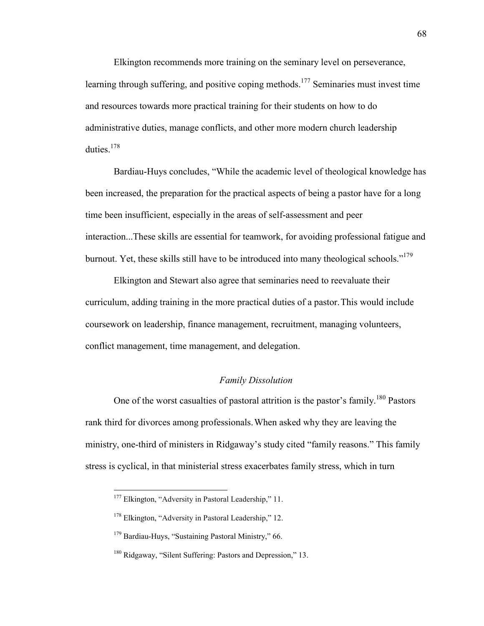Elkington recommends more training on the seminary level on perseverance, learning through suffering, and positive coping methods.<sup>177</sup> Seminaries must invest time and resources towards more practical training for their students on how to do administrative duties, manage conflicts, and other more modern church leadership duties.<sup>178</sup>

Bardiau-Huys concludes, "While the academic level of theological knowledge has been increased, the preparation for the practical aspects of being a pastor have for a long time been insufficient, especially in the areas of self-assessment and peer interaction...These skills are essential for teamwork, for avoiding professional fatigue and burnout. Yet, these skills still have to be introduced into many theological schools."<sup>179</sup>

 Elkington and Stewart also agree that seminaries need to reevaluate their curriculum, adding training in the more practical duties of a pastor.This would include coursework on leadership, finance management, recruitment, managing volunteers, conflict management, time management, and delegation.

#### *Family Dissolution*

One of the worst casualties of pastoral attrition is the pastor's family.<sup>180</sup> Pastors rank third for divorces among professionals.When asked why they are leaving the ministry, one-third of ministers in Ridgaway's study cited "family reasons." This family stress is cyclical, in that ministerial stress exacerbates family stress, which in turn

<sup>&</sup>lt;sup>177</sup> Elkington, "Adversity in Pastoral Leadership," 11.

<sup>&</sup>lt;sup>178</sup> Elkington, "Adversity in Pastoral Leadership," 12.

<sup>&</sup>lt;sup>179</sup> Bardiau-Huys, "Sustaining Pastoral Ministry," 66.

<sup>&</sup>lt;sup>180</sup> Ridgaway, "Silent Suffering: Pastors and Depression," 13.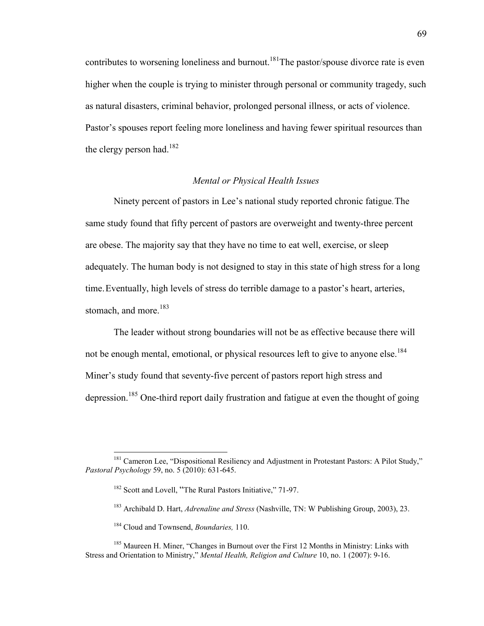contributes to worsening loneliness and burnout.<sup>181</sup>The pastor/spouse divorce rate is even higher when the couple is trying to minister through personal or community tragedy, such as natural disasters, criminal behavior, prolonged personal illness, or acts of violence. Pastor's spouses report feeling more loneliness and having fewer spiritual resources than the clergy person had.<sup>182</sup>

# *Mental or Physical Health Issues*

 Ninety percent of pastors in Lee's national study reported chronic fatigue.The same study found that fifty percent of pastors are overweight and twenty-three percent are obese. The majority say that they have no time to eat well, exercise, or sleep adequately. The human body is not designed to stay in this state of high stress for a long time.Eventually, high levels of stress do terrible damage to a pastor's heart, arteries, stomach, and more. $183$ 

 The leader without strong boundaries will not be as effective because there will not be enough mental, emotional, or physical resources left to give to anyone else.<sup>184</sup> Miner's study found that seventy-five percent of pastors report high stress and depression.<sup>185</sup> One-third report daily frustration and fatigue at even the thought of going

<sup>&</sup>lt;sup>181</sup> Cameron Lee, "Dispositional Resiliency and Adjustment in Protestant Pastors: A Pilot Study," *Pastoral Psychology* 59, no. 5 (2010): 631-645.

<sup>&</sup>lt;sup>182</sup> Scott and Lovell, "The Rural Pastors Initiative," 71-97.

<sup>183</sup> Archibald D. Hart, *Adrenaline and Stress* (Nashville, TN: W Publishing Group, 2003), 23.

<sup>184</sup> Cloud and Townsend, *Boundaries,* 110.

<sup>&</sup>lt;sup>185</sup> Maureen H. Miner, "Changes in Burnout over the First 12 Months in Ministry: Links with Stress and Orientation to Ministry," *Mental Health, Religion and Culture* 10, no. 1 (2007): 9-16.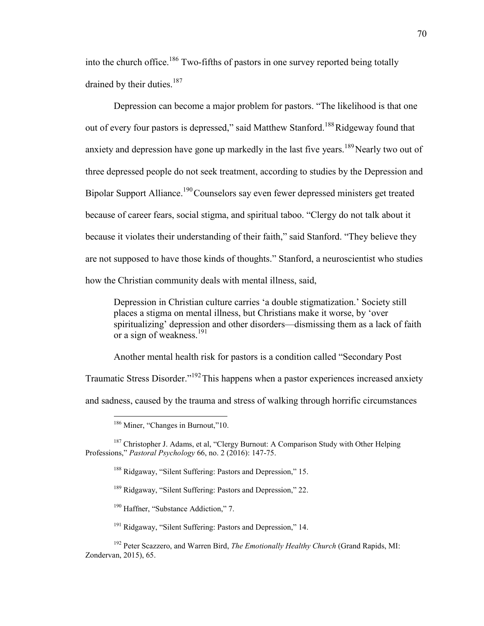into the church office.<sup>186</sup> Two-fifths of pastors in one survey reported being totally drained by their duties.<sup>187</sup>

 Depression can become a major problem for pastors. "The likelihood is that one out of every four pastors is depressed," said Matthew Stanford.<sup>188</sup>Ridgeway found that anxiety and depression have gone up markedly in the last five years.<sup>189</sup> Nearly two out of three depressed people do not seek treatment, according to studies by the Depression and Bipolar Support Alliance.<sup>190</sup> Counselors say even fewer depressed ministers get treated because of career fears, social stigma, and spiritual taboo. "Clergy do not talk about it because it violates their understanding of their faith," said Stanford. "They believe they are not supposed to have those kinds of thoughts." Stanford, a neuroscientist who studies how the Christian community deals with mental illness, said,

 Depression in Christian culture carries 'a double stigmatization.' Society still places a stigma on mental illness, but Christians make it worse, by 'over spiritualizing' depression and other disorders—dismissing them as a lack of faith or a sign of weakness.<sup>191</sup>

 Another mental health risk for pastors is a condition called "Secondary Post Traumatic Stress Disorder."<sup>192</sup> This happens when a pastor experiences increased anxiety and sadness, caused by the trauma and stress of walking through horrific circumstances

<sup>186</sup> Miner, "Changes in Burnout,"10.

<u>.</u>

<sup>188</sup> Ridgaway, "Silent Suffering: Pastors and Depression," 15.

189 Ridgaway, "Silent Suffering: Pastors and Depression," 22.

<sup>190</sup> Haffner, "Substance Addiction," 7.

<sup>191</sup> Ridgaway, "Silent Suffering: Pastors and Depression," 14.

<sup>&</sup>lt;sup>187</sup> Christopher J. Adams, et al, "Clergy Burnout: A Comparison Study with Other Helping Professions," *Pastoral Psychology* 66, no. 2 (2016): 147-75.

<sup>192</sup> Peter Scazzero, and Warren Bird, *The Emotionally Healthy Church* (Grand Rapids, MI: Zondervan, 2015), 65.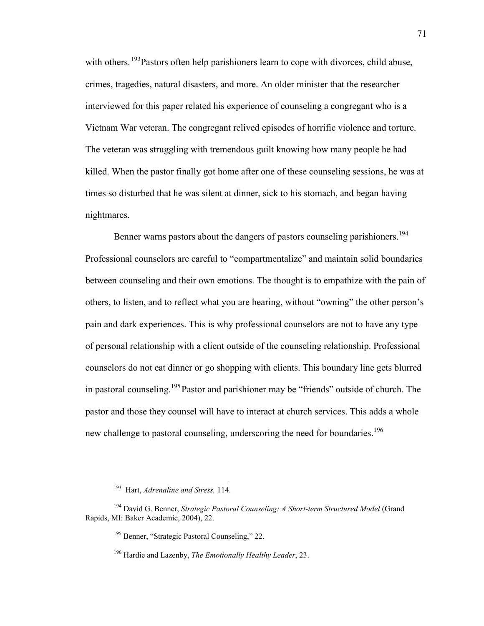with others. <sup>193</sup> Pastors often help parishioners learn to cope with divorces, child abuse, crimes, tragedies, natural disasters, and more. An older minister that the researcher interviewed for this paper related his experience of counseling a congregant who is a Vietnam War veteran. The congregant relived episodes of horrific violence and torture. The veteran was struggling with tremendous guilt knowing how many people he had killed. When the pastor finally got home after one of these counseling sessions, he was at times so disturbed that he was silent at dinner, sick to his stomach, and began having nightmares.

Benner warns pastors about the dangers of pastors counseling parishioners.<sup>194</sup> Professional counselors are careful to "compartmentalize" and maintain solid boundaries between counseling and their own emotions. The thought is to empathize with the pain of others, to listen, and to reflect what you are hearing, without "owning" the other person's pain and dark experiences. This is why professional counselors are not to have any type of personal relationship with a client outside of the counseling relationship. Professional counselors do not eat dinner or go shopping with clients. This boundary line gets blurred in pastoral counseling.<sup>195</sup> Pastor and parishioner may be "friends" outside of church. The pastor and those they counsel will have to interact at church services. This adds a whole new challenge to pastoral counseling, underscoring the need for boundaries.<sup>196</sup>

 <sup>193</sup> Hart, *Adrenaline and Stress,* 114.

<sup>194</sup> David G. Benner, *Strategic Pastoral Counseling: A Short-term Structured Model* (Grand Rapids, MI: Baker Academic, 2004), 22.

<sup>195</sup> Benner, "Strategic Pastoral Counseling," 22.

<sup>196</sup> Hardie and Lazenby, *The Emotionally Healthy Leader*, 23.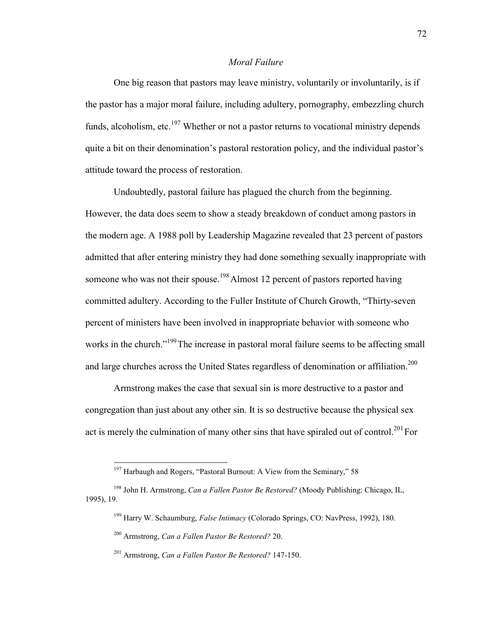## *Moral Failure*

 One big reason that pastors may leave ministry, voluntarily or involuntarily, is if the pastor has a major moral failure, including adultery, pornography, embezzling church funds, alcoholism, etc.<sup>197</sup> Whether or not a pastor returns to vocational ministry depends quite a bit on their denomination's pastoral restoration policy, and the individual pastor's attitude toward the process of restoration.

 Undoubtedly, pastoral failure has plagued the church from the beginning. However, the data does seem to show a steady breakdown of conduct among pastors in the modern age. A 1988 poll by Leadership Magazine revealed that 23 percent of pastors admitted that after entering ministry they had done something sexually inappropriate with someone who was not their spouse.<sup>198</sup> Almost 12 percent of pastors reported having committed adultery. According to the Fuller Institute of Church Growth, "Thirty-seven percent of ministers have been involved in inappropriate behavior with someone who works in the church."<sup>199</sup> The increase in pastoral moral failure seems to be affecting small and large churches across the United States regardless of denomination or affiliation.<sup>200</sup>

 Armstrong makes the case that sexual sin is more destructive to a pastor and congregation than just about any other sin. It is so destructive because the physical sex act is merely the culmination of many other sins that have spiraled out of control.<sup>201</sup> For

<sup>&</sup>lt;sup>197</sup> Harbaugh and Rogers, "Pastoral Burnout: A View from the Seminary," 58

<sup>198</sup> John H. Armstrong, *Can a Fallen Pastor Be Restored?* (Moody Publishing: Chicago, IL, 1995), 19.

<sup>199</sup> Harry W. Schaumburg, *False Intimacy* (Colorado Springs, CO: NavPress, 1992), 180.

<sup>200</sup> Armstrong, *Can a Fallen Pastor Be Restored?* 20.

<sup>201</sup> Armstrong, *Can a Fallen Pastor Be Restored?* 147-150.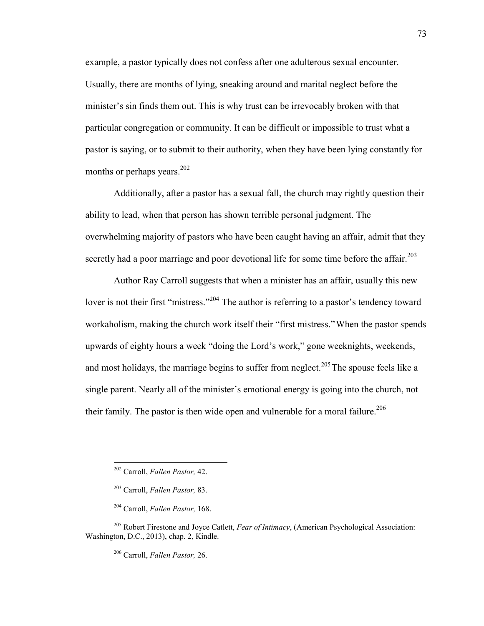example, a pastor typically does not confess after one adulterous sexual encounter. Usually, there are months of lying, sneaking around and marital neglect before the minister's sin finds them out. This is why trust can be irrevocably broken with that particular congregation or community. It can be difficult or impossible to trust what a pastor is saying, or to submit to their authority, when they have been lying constantly for months or perhaps years.<sup>202</sup>

 Additionally, after a pastor has a sexual fall, the church may rightly question their ability to lead, when that person has shown terrible personal judgment. The overwhelming majority of pastors who have been caught having an affair, admit that they secretly had a poor marriage and poor devotional life for some time before the affair.<sup>203</sup>

 Author Ray Carroll suggests that when a minister has an affair, usually this new lover is not their first "mistress."<sup>204</sup> The author is referring to a pastor's tendency toward workaholism, making the church work itself their "first mistress."When the pastor spends upwards of eighty hours a week "doing the Lord's work," gone weeknights, weekends, and most holidays, the marriage begins to suffer from neglect.<sup>205</sup> The spouse feels like a single parent. Nearly all of the minister's emotional energy is going into the church, not their family. The pastor is then wide open and vulnerable for a moral failure.<sup>206</sup>

206 Carroll, *Fallen Pastor,* 26.

 <sup>202</sup> Carroll, *Fallen Pastor,* 42.

<sup>203</sup> Carroll, *Fallen Pastor,* 83.

<sup>204</sup> Carroll, *Fallen Pastor,* 168.

<sup>205</sup> Robert Firestone and Joyce Catlett, *Fear of Intimacy*, (American Psychological Association: Washington, D.C., 2013), chap. 2, Kindle.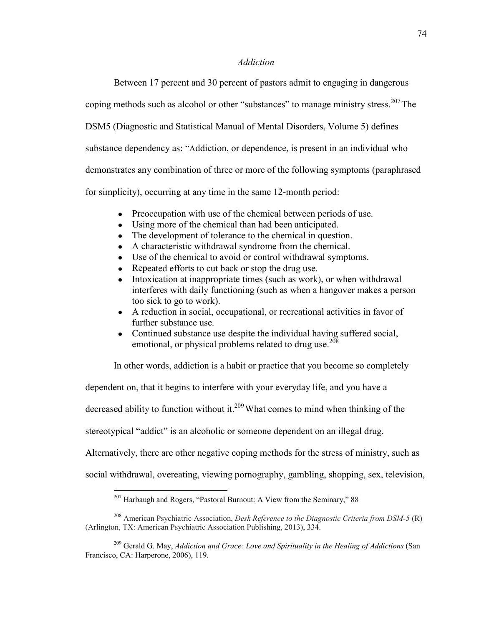#### *Addiction*

Between 17 percent and 30 percent of pastors admit to engaging in dangerous

coping methods such as alcohol or other "substances" to manage ministry stress. $207$ The

DSM5 (Diagnostic and Statistical Manual of Mental Disorders, Volume 5) defines

substance dependency as: "Addiction, or dependence, is present in an individual who

demonstrates any combination of three or more of the following symptoms (paraphrased

for simplicity), occurring at any time in the same 12-month period:

- Preoccupation with use of the chemical between periods of use.
- Using more of the chemical than had been anticipated.
- The development of tolerance to the chemical in question.
- A characteristic withdrawal syndrome from the chemical.
- Use of the chemical to avoid or control withdrawal symptoms.
- Repeated efforts to cut back or stop the drug use.
- Intoxication at inappropriate times (such as work), or when withdrawal interferes with daily functioning (such as when a hangover makes a person too sick to go to work).
- A reduction in social, occupational, or recreational activities in favor of further substance use.
- Continued substance use despite the individual having suffered social, emotional, or physical problems related to drug use. $208$

In other words, addiction is a habit or practice that you become so completely

dependent on, that it begins to interfere with your everyday life, and you have a

decreased ability to function without it.<sup>209</sup> What comes to mind when thinking of the

stereotypical "addict" is an alcoholic or someone dependent on an illegal drug.

Alternatively, there are other negative coping methods for the stress of ministry, such as

social withdrawal, overeating, viewing pornography, gambling, shopping, sex, television,

<sup>&</sup>lt;sup>207</sup> Harbaugh and Rogers, "Pastoral Burnout: A View from the Seminary," 88

<sup>208</sup> American Psychiatric Association, *Desk Reference to the Diagnostic Criteria from DSM-5* (R) (Arlington, TX: American Psychiatric Association Publishing, 2013), 334.

<sup>209</sup> Gerald G. May, *Addiction and Grace: Love and Spirituality in the Healing of Addictions* (San Francisco, CA: Harperone, 2006), 119.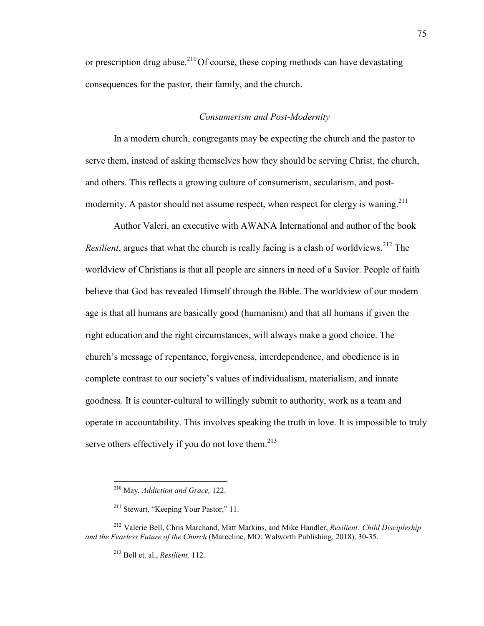or prescription drug abuse.<sup>210</sup>Of course, these coping methods can have devastating consequences for the pastor, their family, and the church.

### *Consumerism and Post-Modernity*

In a modern church, congregants may be expecting the church and the pastor to serve them, instead of asking themselves how they should be serving Christ, the church, and others. This reflects a growing culture of consumerism, secularism, and postmodernity. A pastor should not assume respect, when respect for clergy is waning.<sup>211</sup>

Author Valeri, an executive with AWANA International and author of the book Resilient, argues that what the church is really facing is a clash of worldviews.<sup>212</sup> The worldview of Christians is that all people are sinners in need of a Savior. People of faith believe that God has revealed Himself through the Bible. The worldview of our modern age is that all humans are basically good (humanism) and that all humans if given the right education and the right circumstances, will always make a good choice. The church's message of repentance, forgiveness, interdependence, and obedience is in complete contrast to our society's values of individualism, materialism, and innate goodness. It is counter-cultural to willingly submit to authority, work as a team and operate in accountability. This involves speaking the truth in love. It is impossible to truly serve others effectively if you do not love them. $213$ 

 <sup>210</sup> May, *Addiction and Grace,* 122.

<sup>&</sup>lt;sup>211</sup> Stewart, "Keeping Your Pastor," 11.

<sup>212</sup> Valerie Bell, Chris Marchand, Matt Markins, and Mike Handler, *Resilient: Child Discipleship and the Fearless Future of the Church* (Marceline, MO: Walworth Publishing, 2018), 30-35.

<sup>213</sup> Bell et. al., *Resilient,* 112.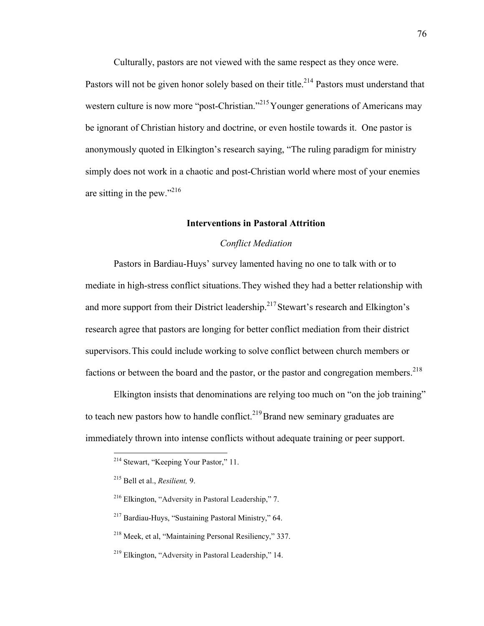Culturally, pastors are not viewed with the same respect as they once were.

Pastors will not be given honor solely based on their title.<sup>214</sup> Pastors must understand that western culture is now more "post-Christian."<sup>215</sup> Younger generations of Americans may be ignorant of Christian history and doctrine, or even hostile towards it. One pastor is anonymously quoted in Elkington's research saying, "The ruling paradigm for ministry simply does not work in a chaotic and post-Christian world where most of your enemies are sitting in the pew." $^{216}$ 

### **Interventions in Pastoral Attrition**

### *Conflict Mediation*

Pastors in Bardiau-Huys' survey lamented having no one to talk with or to mediate in high-stress conflict situations.They wished they had a better relationship with and more support from their District leadership.<sup>217</sup> Stewart's research and Elkington's research agree that pastors are longing for better conflict mediation from their district supervisors.This could include working to solve conflict between church members or factions or between the board and the pastor, or the pastor and congregation members. $2^{18}$ 

Elkington insists that denominations are relying too much on "on the job training" to teach new pastors how to handle conflict.<sup>219</sup> Brand new seminary graduates are immediately thrown into intense conflicts without adequate training or peer support.

<sup>&</sup>lt;sup>214</sup> Stewart, "Keeping Your Pastor," 11.

<sup>215</sup> Bell et al., *Resilient,* 9.

<sup>216</sup> Elkington, "Adversity in Pastoral Leadership," 7.

<sup>217</sup> Bardiau-Huys, "Sustaining Pastoral Ministry," 64.

<sup>218</sup> Meek, et al, "Maintaining Personal Resiliency," 337.

<sup>219</sup> Elkington, "Adversity in Pastoral Leadership," 14.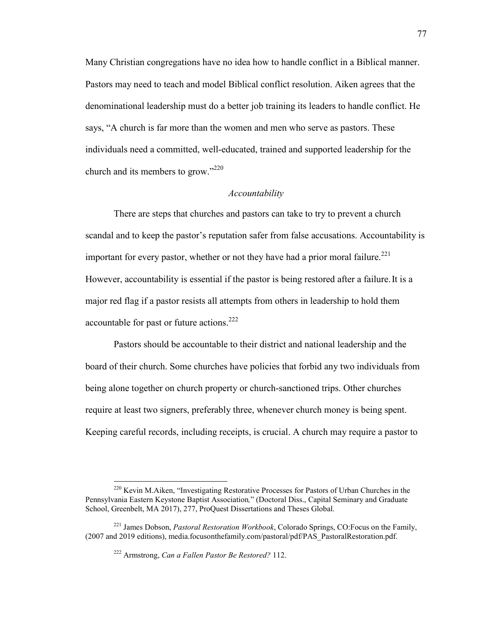Many Christian congregations have no idea how to handle conflict in a Biblical manner. Pastors may need to teach and model Biblical conflict resolution. Aiken agrees that the denominational leadership must do a better job training its leaders to handle conflict. He says, "A church is far more than the women and men who serve as pastors. These individuals need a committed, well-educated, trained and supported leadership for the church and its members to grow." $^{220}$ 

### *Accountability*

There are steps that churches and pastors can take to try to prevent a church scandal and to keep the pastor's reputation safer from false accusations. Accountability is important for every pastor, whether or not they have had a prior moral failure.<sup>221</sup> However, accountability is essential if the pastor is being restored after a failure.It is a major red flag if a pastor resists all attempts from others in leadership to hold them accountable for past or future actions.<sup>222</sup>

Pastors should be accountable to their district and national leadership and the board of their church. Some churches have policies that forbid any two individuals from being alone together on church property or church-sanctioned trips. Other churches require at least two signers, preferably three, whenever church money is being spent. Keeping careful records, including receipts, is crucial. A church may require a pastor to

<sup>&</sup>lt;sup>220</sup> Kevin M.Aiken, "Investigating Restorative Processes for Pastors of Urban Churches in the Pennsylvania Eastern Keystone Baptist Association*,*" (Doctoral Diss., Capital Seminary and Graduate School, Greenbelt, MA 2017), 277, ProQuest Dissertations and Theses Global.

<sup>221</sup> James Dobson, *Pastoral Restoration Workbook*, Colorado Springs, CO:Focus on the Family, (2007 and 2019 editions), media.focusonthefamily.com/pastoral/pdf/PAS\_PastoralRestoration.pdf.

<sup>222</sup> Armstrong, *Can a Fallen Pastor Be Restored?* 112.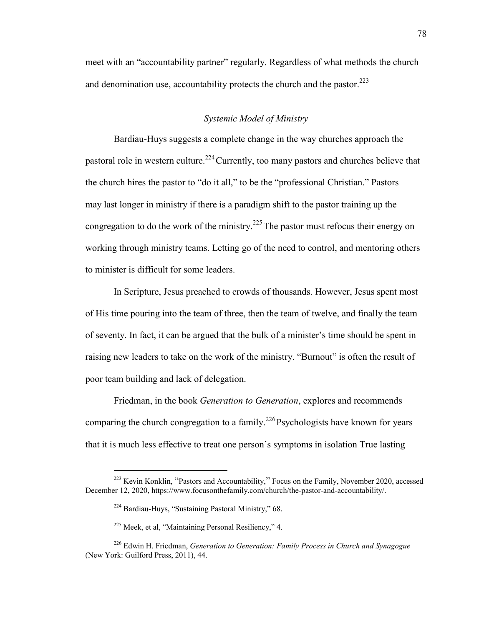meet with an "accountability partner" regularly. Regardless of what methods the church and denomination use, accountability protects the church and the pastor. $223$ 

## *Systemic Model of Ministry*

 Bardiau-Huys suggests a complete change in the way churches approach the pastoral role in western culture.<sup>224</sup> Currently, too many pastors and churches believe that the church hires the pastor to "do it all," to be the "professional Christian." Pastors may last longer in ministry if there is a paradigm shift to the pastor training up the congregation to do the work of the ministry.<sup>225</sup> The pastor must refocus their energy on working through ministry teams. Letting go of the need to control, and mentoring others to minister is difficult for some leaders.

In Scripture, Jesus preached to crowds of thousands. However, Jesus spent most of His time pouring into the team of three, then the team of twelve, and finally the team of seventy. In fact, it can be argued that the bulk of a minister's time should be spent in raising new leaders to take on the work of the ministry. "Burnout" is often the result of poor team building and lack of delegation.

Friedman, in the book *Generation to Generation*, explores and recommends comparing the church congregation to a family.<sup>226</sup> Psychologists have known for years that it is much less effective to treat one person's symptoms in isolation True lasting

<sup>&</sup>lt;sup>223</sup> Kevin Konklin, "Pastors and Accountability," Focus on the Family, November 2020, accessed December 12, 2020, https://www.focusonthefamily.com/church/the-pastor-and-accountability/.

<sup>224</sup> Bardiau-Huys, "Sustaining Pastoral Ministry," 68.

<sup>225</sup> Meek, et al, "Maintaining Personal Resiliency," 4.

<sup>226</sup> Edwin H. Friedman, *Generation to Generation: Family Process in Church and Synagogue* (New York: Guilford Press, 2011), 44.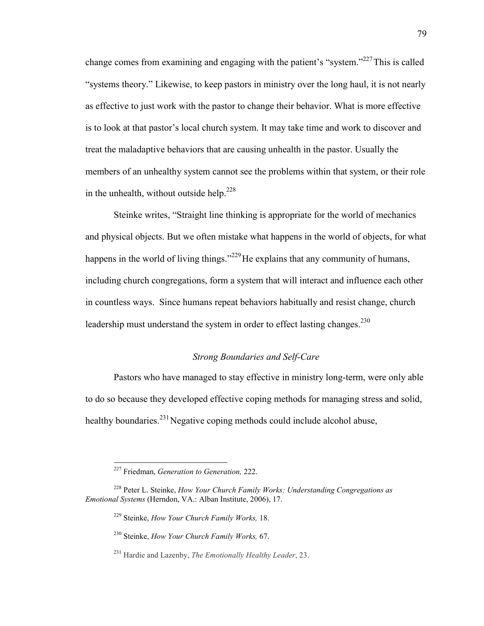change comes from examining and engaging with the patient's "system."<sup>227</sup>This is called "systems theory." Likewise, to keep pastors in ministry over the long haul, it is not nearly as effective to just work with the pastor to change their behavior. What is more effective is to look at that pastor's local church system. It may take time and work to discover and treat the maladaptive behaviors that are causing unhealth in the pastor. Usually the members of an unhealthy system cannot see the problems within that system, or their role in the unhealth, without outside help. $228$ 

 Steinke writes, "Straight line thinking is appropriate for the world of mechanics and physical objects. But we often mistake what happens in the world of objects, for what happens in the world of living things."<sup>229</sup>He explains that any community of humans, including church congregations, form a system that will interact and influence each other in countless ways. Since humans repeat behaviors habitually and resist change, church leadership must understand the system in order to effect lasting changes.<sup>230</sup>

# *Strong Boundaries and Self-Care*

 Pastors who have managed to stay effective in ministry long-term, were only able to do so because they developed effective coping methods for managing stress and solid, healthy boundaries.<sup>231</sup> Negative coping methods could include alcohol abuse,

<sup>227</sup> Friedman, *Generation to Generation,* 222.

<sup>228</sup> Peter L. Steinke, *How Your Church Family Works: Understanding Congregations as Emotional Systems* (Herndon, VA.: Alban Institute, 2006), 17.

<sup>229</sup> Steinke, *How Your Church Family Works,* 18.

<sup>230</sup> Steinke, *How Your Church Family Works,* 67.

<sup>231</sup> Hardie and Lazenby, *The Emotionally Healthy Leader*, 23.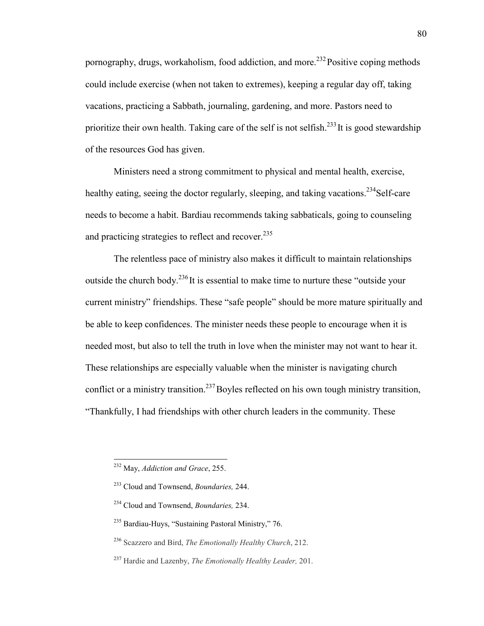pornography, drugs, workaholism, food addiction, and more.<sup>232</sup> Positive coping methods could include exercise (when not taken to extremes), keeping a regular day off, taking vacations, practicing a Sabbath, journaling, gardening, and more. Pastors need to prioritize their own health. Taking care of the self is not selfish.<sup>233</sup>It is good stewardship of the resources God has given.

Ministers need a strong commitment to physical and mental health, exercise, healthy eating, seeing the doctor regularly, sleeping, and taking vacations.<sup>234</sup>Self-care needs to become a habit. Bardiau recommends taking sabbaticals, going to counseling and practicing strategies to reflect and recover.<sup>235</sup>

 The relentless pace of ministry also makes it difficult to maintain relationships outside the church body.<sup>236</sup> It is essential to make time to nurture these "outside your current ministry" friendships. These "safe people" should be more mature spiritually and be able to keep confidences. The minister needs these people to encourage when it is needed most, but also to tell the truth in love when the minister may not want to hear it. These relationships are especially valuable when the minister is navigating church conflict or a ministry transition.<sup>237</sup> Boyles reflected on his own tough ministry transition, "Thankfully, I had friendships with other church leaders in the community. These

<sup>232</sup> May, *Addiction and Grace*, 255.

<sup>233</sup> Cloud and Townsend, *Boundaries,* 244.

<sup>234</sup> Cloud and Townsend, *Boundaries,* 234.

<sup>235</sup> Bardiau-Huys, "Sustaining Pastoral Ministry," 76.

<sup>236</sup> Scazzero and Bird, *The Emotionally Healthy Church*, 212.

<sup>237</sup> Hardie and Lazenby, *The Emotionally Healthy Leader,* 201.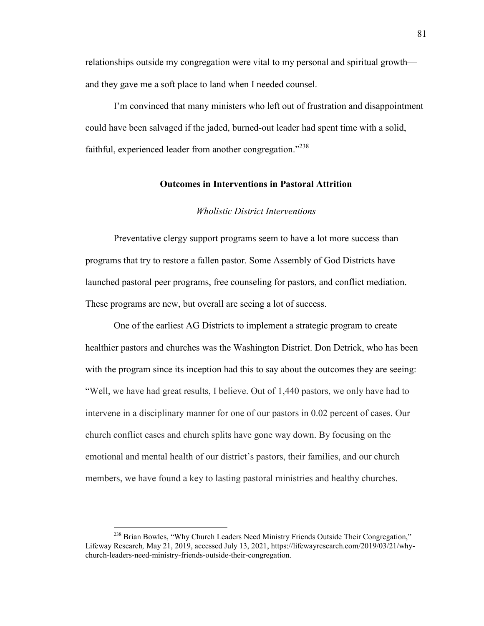relationships outside my congregation were vital to my personal and spiritual growth and they gave me a soft place to land when I needed counsel.

 I'm convinced that many ministers who left out of frustration and disappointment could have been salvaged if the jaded, burned-out leader had spent time with a solid, faithful, experienced leader from another congregation."<sup>238</sup>

### **Outcomes in Interventions in Pastoral Attrition**

#### *Wholistic District Interventions*

 Preventative clergy support programs seem to have a lot more success than programs that try to restore a fallen pastor. Some Assembly of God Districts have launched pastoral peer programs, free counseling for pastors, and conflict mediation. These programs are new, but overall are seeing a lot of success.

 One of the earliest AG Districts to implement a strategic program to create healthier pastors and churches was the Washington District. Don Detrick, who has been with the program since its inception had this to say about the outcomes they are seeing: "Well, we have had great results, I believe. Out of 1,440 pastors, we only have had to intervene in a disciplinary manner for one of our pastors in 0.02 percent of cases. Our church conflict cases and church splits have gone way down. By focusing on the emotional and mental health of our district's pastors, their families, and our church members, we have found a key to lasting pastoral ministries and healthy churches.

<sup>&</sup>lt;sup>238</sup> Brian Bowles, "Why Church Leaders Need Ministry Friends Outside Their Congregation," Lifeway Research*,* May 21, 2019, accessed July 13, 2021, https://lifewayresearch.com/2019/03/21/whychurch-leaders-need-ministry-friends-outside-their-congregation.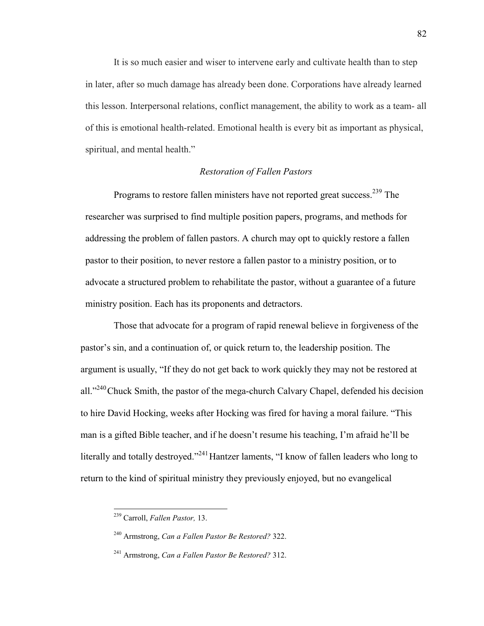It is so much easier and wiser to intervene early and cultivate health than to step in later, after so much damage has already been done. Corporations have already learned this lesson. Interpersonal relations, conflict management, the ability to work as a team- all of this is emotional health-related. Emotional health is every bit as important as physical, spiritual, and mental health."

## *Restoration of Fallen Pastors*

Programs to restore fallen ministers have not reported great success.<sup>239</sup> The researcher was surprised to find multiple position papers, programs, and methods for addressing the problem of fallen pastors. A church may opt to quickly restore a fallen pastor to their position, to never restore a fallen pastor to a ministry position, or to advocate a structured problem to rehabilitate the pastor, without a guarantee of a future ministry position. Each has its proponents and detractors.

 Those that advocate for a program of rapid renewal believe in forgiveness of the pastor's sin, and a continuation of, or quick return to, the leadership position. The argument is usually, "If they do not get back to work quickly they may not be restored at all."<sup>240</sup> Chuck Smith, the pastor of the mega-church Calvary Chapel, defended his decision to hire David Hocking, weeks after Hocking was fired for having a moral failure. "This man is a gifted Bible teacher, and if he doesn't resume his teaching, I'm afraid he'll be literally and totally destroyed."<sup>241</sup> Hantzer laments, "I know of fallen leaders who long to return to the kind of spiritual ministry they previously enjoyed, but no evangelical

<sup>239</sup> Carroll, *Fallen Pastor,* 13.

<sup>240</sup> Armstrong, *Can a Fallen Pastor Be Restored?* 322.

<sup>241</sup> Armstrong, *Can a Fallen Pastor Be Restored?* 312.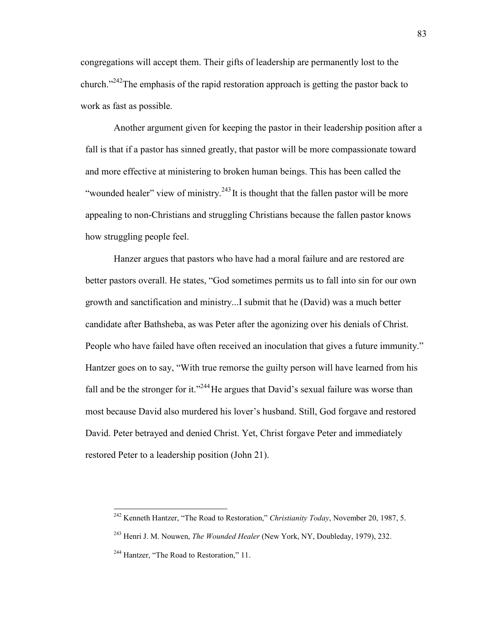congregations will accept them. Their gifts of leadership are permanently lost to the church."<sup>242</sup>The emphasis of the rapid restoration approach is getting the pastor back to work as fast as possible.

 Another argument given for keeping the pastor in their leadership position after a fall is that if a pastor has sinned greatly, that pastor will be more compassionate toward and more effective at ministering to broken human beings. This has been called the "wounded healer" view of ministry. $243$  It is thought that the fallen pastor will be more appealing to non-Christians and struggling Christians because the fallen pastor knows how struggling people feel.

 Hanzer argues that pastors who have had a moral failure and are restored are better pastors overall. He states, "God sometimes permits us to fall into sin for our own growth and sanctification and ministry...I submit that he (David) was a much better candidate after Bathsheba, as was Peter after the agonizing over his denials of Christ. People who have failed have often received an inoculation that gives a future immunity." Hantzer goes on to say, "With true remorse the guilty person will have learned from his fall and be the stronger for it."<sup>244</sup> He argues that David's sexual failure was worse than most because David also murdered his lover's husband. Still, God forgave and restored David. Peter betrayed and denied Christ. Yet, Christ forgave Peter and immediately restored Peter to a leadership position (John 21).

<sup>242</sup> Kenneth Hantzer, "The Road to Restoration," *Christianity Today*, November 20, 1987, 5.

<sup>243</sup> Henri J. M. Nouwen, *The Wounded Healer* (New York, NY, Doubleday, 1979), 232.

<sup>&</sup>lt;sup>244</sup> Hantzer, "The Road to Restoration," 11.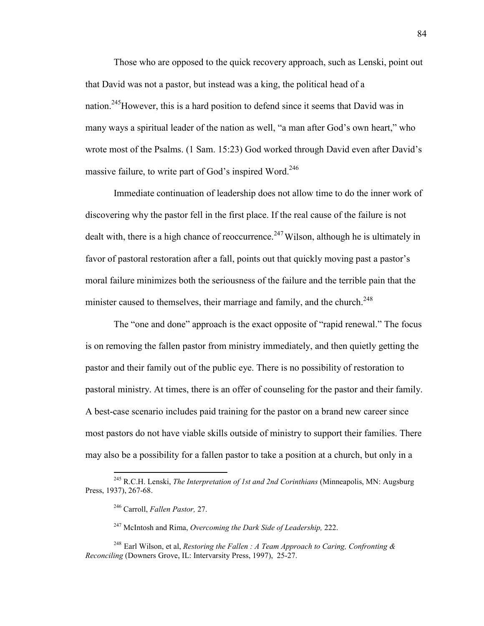Those who are opposed to the quick recovery approach, such as Lenski, point out that David was not a pastor, but instead was a king, the political head of a nation.<sup>245</sup> However, this is a hard position to defend since it seems that David was in many ways a spiritual leader of the nation as well, "a man after God's own heart," who wrote most of the Psalms. (1 Sam. 15:23) God worked through David even after David's massive failure, to write part of God's inspired Word.<sup>246</sup>

 Immediate continuation of leadership does not allow time to do the inner work of discovering why the pastor fell in the first place. If the real cause of the failure is not dealt with, there is a high chance of reoccurrence.<sup>247</sup> Wilson, although he is ultimately in favor of pastoral restoration after a fall, points out that quickly moving past a pastor's moral failure minimizes both the seriousness of the failure and the terrible pain that the minister caused to themselves, their marriage and family, and the church.<sup>248</sup>

 The "one and done" approach is the exact opposite of "rapid renewal." The focus is on removing the fallen pastor from ministry immediately, and then quietly getting the pastor and their family out of the public eye. There is no possibility of restoration to pastoral ministry. At times, there is an offer of counseling for the pastor and their family. A best-case scenario includes paid training for the pastor on a brand new career since most pastors do not have viable skills outside of ministry to support their families. There may also be a possibility for a fallen pastor to take a position at a church, but only in a

<u>.</u>

247 McIntosh and Rima, *Overcoming the Dark Side of Leadership,* 222.

<sup>245</sup> R.C.H. Lenski, *The Interpretation of 1st and 2nd Corinthians* (Minneapolis, MN: Augsburg Press, 1937), 267-68.

<sup>246</sup> Carroll, *Fallen Pastor,* 27.

<sup>248</sup> Earl Wilson, et al, *Restoring the Fallen : A Team Approach to Caring, Confronting & Reconciling* (Downers Grove, IL: Intervarsity Press, 1997), 25-27.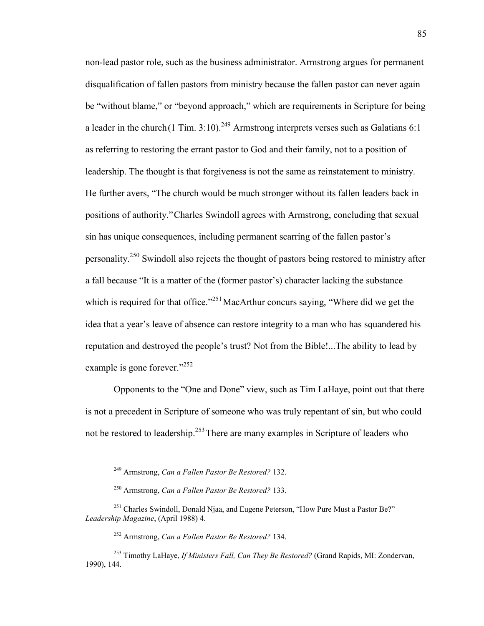non-lead pastor role, such as the business administrator. Armstrong argues for permanent disqualification of fallen pastors from ministry because the fallen pastor can never again be "without blame," or "beyond approach," which are requirements in Scripture for being a leader in the church(1 Tim.  $3:10$ ).<sup>249</sup> Armstrong interprets verses such as Galatians 6:1 as referring to restoring the errant pastor to God and their family, not to a position of leadership. The thought is that forgiveness is not the same as reinstatement to ministry. He further avers, "The church would be much stronger without its fallen leaders back in positions of authority."Charles Swindoll agrees with Armstrong, concluding that sexual sin has unique consequences, including permanent scarring of the fallen pastor's personality.<sup>250</sup> Swindoll also rejects the thought of pastors being restored to ministry after a fall because "It is a matter of the (former pastor's) character lacking the substance which is required for that office."<sup>251</sup> MacArthur concurs saying, "Where did we get the idea that a year's leave of absence can restore integrity to a man who has squandered his reputation and destroyed the people's trust? Not from the Bible!...The ability to lead by example is gone forever."<sup>252</sup>

 Opponents to the "One and Done" view, such as Tim LaHaye, point out that there is not a precedent in Scripture of someone who was truly repentant of sin, but who could not be restored to leadership.<sup>253</sup> There are many examples in Scripture of leaders who

<sup>249</sup> Armstrong, *Can a Fallen Pastor Be Restored?* 132.

<sup>250</sup> Armstrong, *Can a Fallen Pastor Be Restored?* 133.

<sup>&</sup>lt;sup>251</sup> Charles Swindoll, Donald Njaa, and Eugene Peterson, "How Pure Must a Pastor Be?" *Leadership Magazine*, (April 1988) 4.

<sup>252</sup> Armstrong, *Can a Fallen Pastor Be Restored?* 134.

<sup>253</sup> Timothy LaHaye, *If Ministers Fall, Can They Be Restored?* (Grand Rapids, MI: Zondervan, 1990), 144.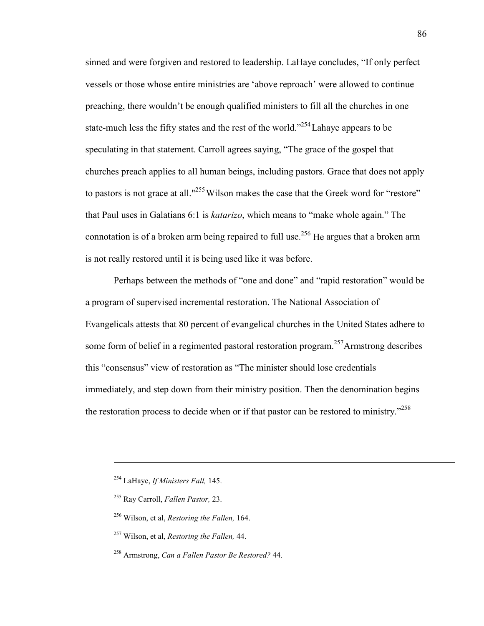sinned and were forgiven and restored to leadership. LaHaye concludes, "If only perfect vessels or those whose entire ministries are 'above reproach' were allowed to continue preaching, there wouldn't be enough qualified ministers to fill all the churches in one state-much less the fifty states and the rest of the world."<sup>254</sup> Lahaye appears to be speculating in that statement. Carroll agrees saying, "The grace of the gospel that churches preach applies to all human beings, including pastors. Grace that does not apply to pastors is not grace at all."<sup>255</sup> Wilson makes the case that the Greek word for "restore" that Paul uses in Galatians 6:1 is *katarizo*, which means to "make whole again." The connotation is of a broken arm being repaired to full use.<sup>256</sup> He argues that a broken arm is not really restored until it is being used like it was before.

 Perhaps between the methods of "one and done" and "rapid restoration" would be a program of supervised incremental restoration. The National Association of Evangelicals attests that 80 percent of evangelical churches in the United States adhere to some form of belief in a regimented pastoral restoration program.<sup>257</sup>Armstrong describes this "consensus" view of restoration as "The minister should lose credentials immediately, and step down from their ministry position. Then the denomination begins the restoration process to decide when or if that pastor can be restored to ministry."<sup>258</sup>

- 256 Wilson, et al, *Restoring the Fallen,* 164.
- 257 Wilson, et al, *Restoring the Fallen,* 44.
- 258 Armstrong, *Can a Fallen Pastor Be Restored?* 44.

<sup>254</sup> LaHaye, *If Ministers Fall,* 145.

<sup>255</sup> Ray Carroll, *Fallen Pastor,* 23.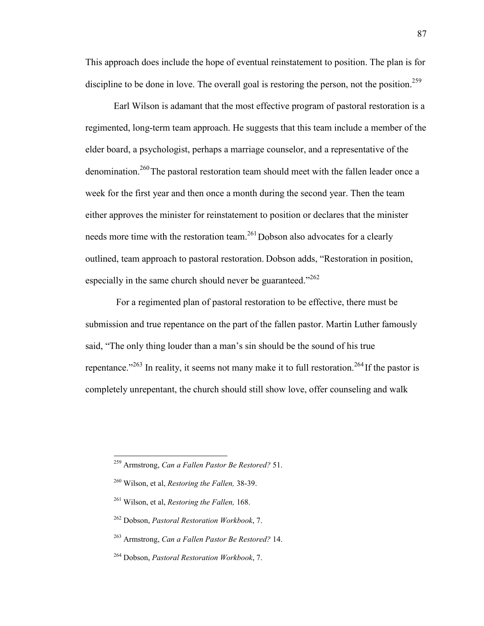This approach does include the hope of eventual reinstatement to position. The plan is for discipline to be done in love. The overall goal is restoring the person, not the position.<sup>259</sup>

 Earl Wilson is adamant that the most effective program of pastoral restoration is a regimented, long-term team approach. He suggests that this team include a member of the elder board, a psychologist, perhaps a marriage counselor, and a representative of the denomination.<sup>260</sup> The pastoral restoration team should meet with the fallen leader once a week for the first year and then once a month during the second year. Then the team either approves the minister for reinstatement to position or declares that the minister needs more time with the restoration team.<sup>261</sup> Dobson also advocates for a clearly outlined, team approach to pastoral restoration. Dobson adds, "Restoration in position, especially in the same church should never be guaranteed."<sup>262</sup>

 For a regimented plan of pastoral restoration to be effective, there must be submission and true repentance on the part of the fallen pastor. Martin Luther famously said, "The only thing louder than a man's sin should be the sound of his true repentance."<sup>263</sup> In reality, it seems not many make it to full restoration.<sup>264</sup> If the pastor is completely unrepentant, the church should still show love, offer counseling and walk

<sup>259</sup> Armstrong, *Can a Fallen Pastor Be Restored?* 51.

<sup>260</sup> Wilson, et al, *Restoring the Fallen,* 38-39.

<sup>261</sup> Wilson, et al, *Restoring the Fallen,* 168.

<sup>262</sup> Dobson, *Pastoral Restoration Workbook*, 7.

<sup>263</sup> Armstrong, *Can a Fallen Pastor Be Restored?* 14.

<sup>264</sup> Dobson, *Pastoral Restoration Workbook*, 7.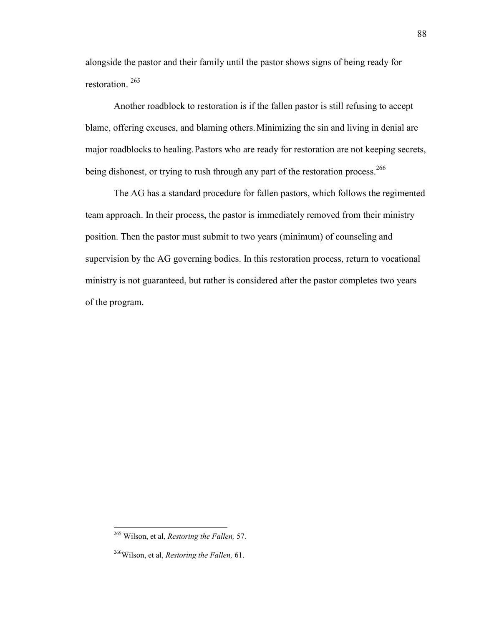alongside the pastor and their family until the pastor shows signs of being ready for restoration. <sup>265</sup>

 Another roadblock to restoration is if the fallen pastor is still refusing to accept blame, offering excuses, and blaming others.Minimizing the sin and living in denial are major roadblocks to healing.Pastors who are ready for restoration are not keeping secrets, being dishonest, or trying to rush through any part of the restoration process.<sup>266</sup>

 The AG has a standard procedure for fallen pastors, which follows the regimented team approach. In their process, the pastor is immediately removed from their ministry position. Then the pastor must submit to two years (minimum) of counseling and supervision by the AG governing bodies. In this restoration process, return to vocational ministry is not guaranteed, but rather is considered after the pastor completes two years of the program.

<sup>265</sup> Wilson, et al, *Restoring the Fallen,* 57.

<sup>266</sup>Wilson, et al, *Restoring the Fallen,* 61.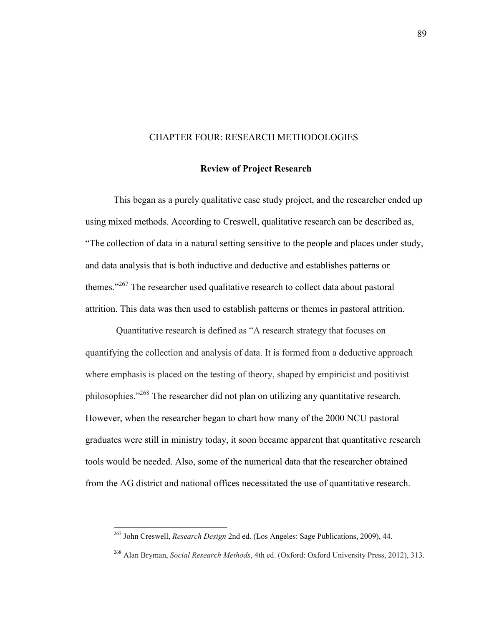## CHAPTER FOUR: RESEARCH METHODOLOGIES

### **Review of Project Research**

This began as a purely qualitative case study project, and the researcher ended up using mixed methods. According to Creswell, qualitative research can be described as, "The collection of data in a natural setting sensitive to the people and places under study, and data analysis that is both inductive and deductive and establishes patterns or themes."<sup>267</sup> The researcher used qualitative research to collect data about pastoral attrition. This data was then used to establish patterns or themes in pastoral attrition.

Quantitative research is defined as "A research strategy that focuses on quantifying the collection and analysis of data. It is formed from a deductive approach where emphasis is placed on the testing of theory, shaped by empiricist and positivist philosophies."268 The researcher did not plan on utilizing any quantitative research. However, when the researcher began to chart how many of the 2000 NCU pastoral graduates were still in ministry today, it soon became apparent that quantitative research tools would be needed. Also, some of the numerical data that the researcher obtained from the AG district and national offices necessitated the use of quantitative research.

<sup>267</sup> John Creswell, *Research Design* 2nd ed. (Los Angeles: Sage Publications, 2009), 44.

<sup>268</sup> Alan Bryman, *Social Research Methods*, 4th ed. (Oxford: Oxford University Press, 2012), 313.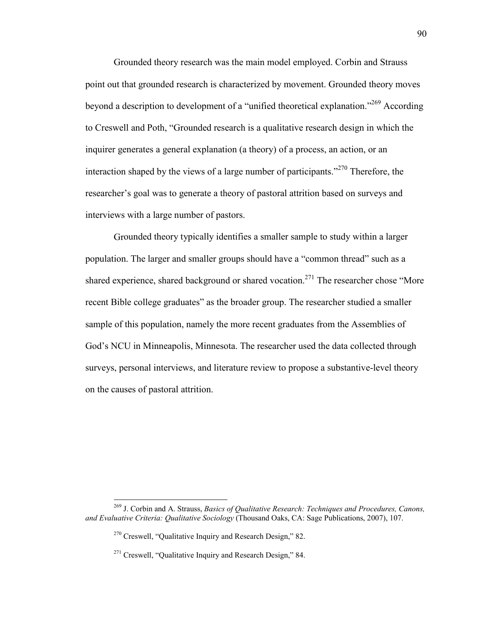Grounded theory research was the main model employed. Corbin and Strauss point out that grounded research is characterized by movement. Grounded theory moves beyond a description to development of a "unified theoretical explanation."<sup>269</sup> According to Creswell and Poth, "Grounded research is a qualitative research design in which the inquirer generates a general explanation (a theory) of a process, an action, or an interaction shaped by the views of a large number of participants."<sup>270</sup> Therefore, the researcher's goal was to generate a theory of pastoral attrition based on surveys and interviews with a large number of pastors.

Grounded theory typically identifies a smaller sample to study within a larger population. The larger and smaller groups should have a "common thread" such as a shared experience, shared background or shared vocation.<sup>271</sup> The researcher chose "More recent Bible college graduates" as the broader group. The researcher studied a smaller sample of this population, namely the more recent graduates from the Assemblies of God's NCU in Minneapolis, Minnesota. The researcher used the data collected through surveys, personal interviews, and literature review to propose a substantive-level theory on the causes of pastoral attrition.

 <sup>269</sup> J. Corbin and A. Strauss, *Basics of Qualitative Research: Techniques and Procedures, Canons, and Evaluative Criteria: Qualitative Sociology* (Thousand Oaks, CA: Sage Publications, 2007), 107.

<sup>&</sup>lt;sup>270</sup> Creswell, "Qualitative Inquiry and Research Design,"  $82$ .

<sup>271</sup> Creswell, "Qualitative Inquiry and Research Design," 84.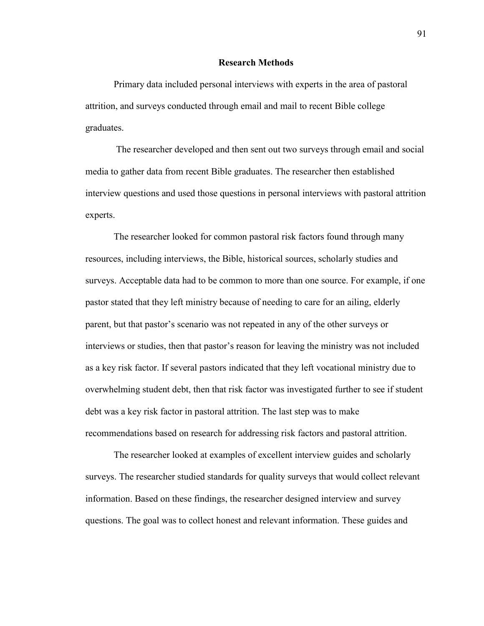### **Research Methods**

Primary data included personal interviews with experts in the area of pastoral attrition, and surveys conducted through email and mail to recent Bible college graduates.

 The researcher developed and then sent out two surveys through email and social media to gather data from recent Bible graduates. The researcher then established interview questions and used those questions in personal interviews with pastoral attrition experts.

The researcher looked for common pastoral risk factors found through many resources, including interviews, the Bible, historical sources, scholarly studies and surveys. Acceptable data had to be common to more than one source. For example, if one pastor stated that they left ministry because of needing to care for an ailing, elderly parent, but that pastor's scenario was not repeated in any of the other surveys or interviews or studies, then that pastor's reason for leaving the ministry was not included as a key risk factor. If several pastors indicated that they left vocational ministry due to overwhelming student debt, then that risk factor was investigated further to see if student debt was a key risk factor in pastoral attrition. The last step was to make recommendations based on research for addressing risk factors and pastoral attrition.

The researcher looked at examples of excellent interview guides and scholarly surveys. The researcher studied standards for quality surveys that would collect relevant information. Based on these findings, the researcher designed interview and survey questions. The goal was to collect honest and relevant information. These guides and

91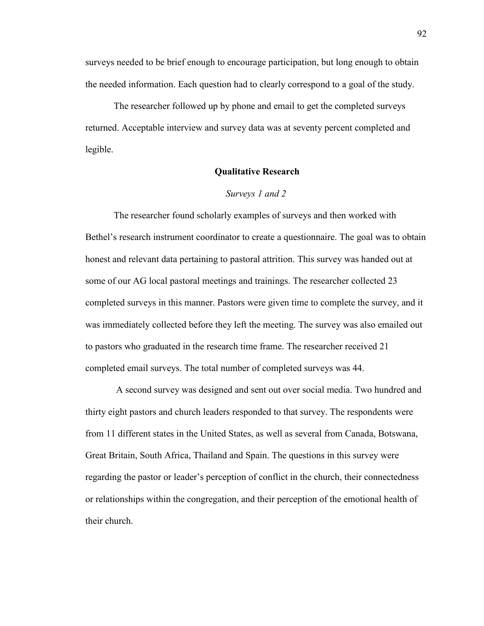surveys needed to be brief enough to encourage participation, but long enough to obtain the needed information. Each question had to clearly correspond to a goal of the study.

The researcher followed up by phone and email to get the completed surveys returned. Acceptable interview and survey data was at seventy percent completed and legible.

## **Qualitative Research**

#### *Surveys 1 and 2*

The researcher found scholarly examples of surveys and then worked with Bethel's research instrument coordinator to create a questionnaire. The goal was to obtain honest and relevant data pertaining to pastoral attrition. This survey was handed out at some of our AG local pastoral meetings and trainings. The researcher collected 23 completed surveys in this manner. Pastors were given time to complete the survey, and it was immediately collected before they left the meeting. The survey was also emailed out to pastors who graduated in the research time frame. The researcher received 21 completed email surveys. The total number of completed surveys was 44.

 A second survey was designed and sent out over social media. Two hundred and thirty eight pastors and church leaders responded to that survey. The respondents were from 11 different states in the United States, as well as several from Canada, Botswana, Great Britain, South Africa, Thailand and Spain. The questions in this survey were regarding the pastor or leader's perception of conflict in the church, their connectedness or relationships within the congregation, and their perception of the emotional health of their church.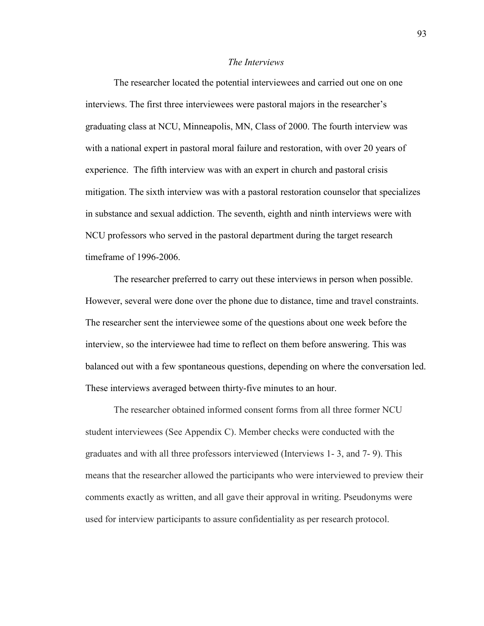### *The Interviews*

The researcher located the potential interviewees and carried out one on one interviews. The first three interviewees were pastoral majors in the researcher's graduating class at NCU, Minneapolis, MN, Class of 2000. The fourth interview was with a national expert in pastoral moral failure and restoration, with over 20 years of experience. The fifth interview was with an expert in church and pastoral crisis mitigation. The sixth interview was with a pastoral restoration counselor that specializes in substance and sexual addiction. The seventh, eighth and ninth interviews were with NCU professors who served in the pastoral department during the target research timeframe of 1996-2006.

The researcher preferred to carry out these interviews in person when possible. However, several were done over the phone due to distance, time and travel constraints. The researcher sent the interviewee some of the questions about one week before the interview, so the interviewee had time to reflect on them before answering. This was balanced out with a few spontaneous questions, depending on where the conversation led. These interviews averaged between thirty-five minutes to an hour.

The researcher obtained informed consent forms from all three former NCU student interviewees (See Appendix C). Member checks were conducted with the graduates and with all three professors interviewed (Interviews 1- 3, and 7- 9). This means that the researcher allowed the participants who were interviewed to preview their comments exactly as written, and all gave their approval in writing. Pseudonyms were used for interview participants to assure confidentiality as per research protocol.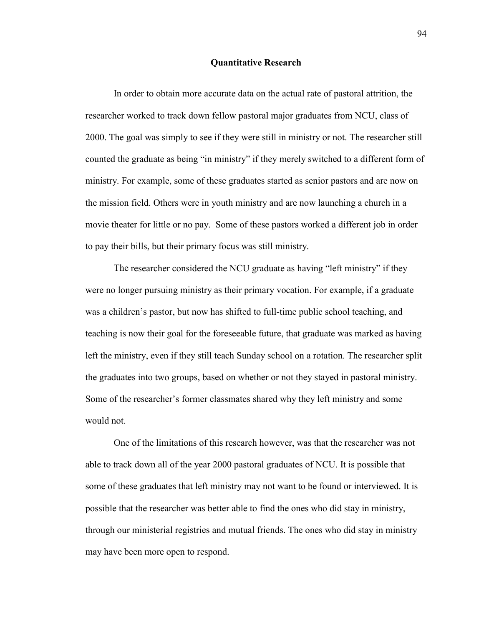#### **Quantitative Research**

In order to obtain more accurate data on the actual rate of pastoral attrition, the researcher worked to track down fellow pastoral major graduates from NCU, class of 2000. The goal was simply to see if they were still in ministry or not. The researcher still counted the graduate as being "in ministry" if they merely switched to a different form of ministry. For example, some of these graduates started as senior pastors and are now on the mission field. Others were in youth ministry and are now launching a church in a movie theater for little or no pay. Some of these pastors worked a different job in order to pay their bills, but their primary focus was still ministry.

The researcher considered the NCU graduate as having "left ministry" if they were no longer pursuing ministry as their primary vocation. For example, if a graduate was a children's pastor, but now has shifted to full-time public school teaching, and teaching is now their goal for the foreseeable future, that graduate was marked as having left the ministry, even if they still teach Sunday school on a rotation. The researcher split the graduates into two groups, based on whether or not they stayed in pastoral ministry. Some of the researcher's former classmates shared why they left ministry and some would not.

One of the limitations of this research however, was that the researcher was not able to track down all of the year 2000 pastoral graduates of NCU. It is possible that some of these graduates that left ministry may not want to be found or interviewed. It is possible that the researcher was better able to find the ones who did stay in ministry, through our ministerial registries and mutual friends. The ones who did stay in ministry may have been more open to respond.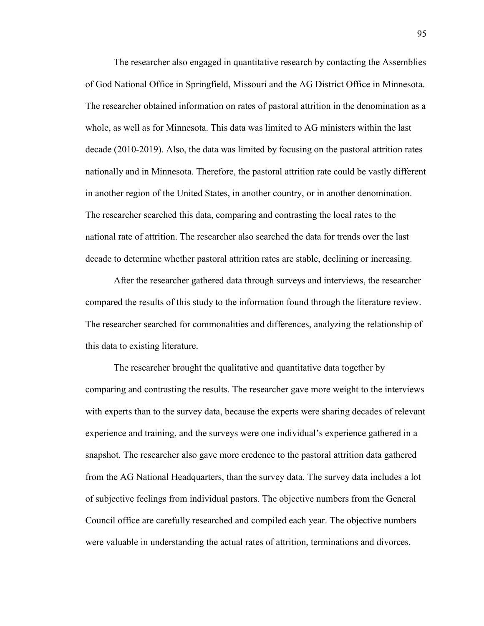The researcher also engaged in quantitative research by contacting the Assemblies of God National Office in Springfield, Missouri and the AG District Office in Minnesota. The researcher obtained information on rates of pastoral attrition in the denomination as a whole, as well as for Minnesota. This data was limited to AG ministers within the last decade (2010-2019). Also, the data was limited by focusing on the pastoral attrition rates nationally and in Minnesota. Therefore, the pastoral attrition rate could be vastly different in another region of the United States, in another country, or in another denomination. The researcher searched this data, comparing and contrasting the local rates to the national rate of attrition. The researcher also searched the data for trends over the last decade to determine whether pastoral attrition rates are stable, declining or increasing.

After the researcher gathered data through surveys and interviews, the researcher compared the results of this study to the information found through the literature review. The researcher searched for commonalities and differences, analyzing the relationship of this data to existing literature.

The researcher brought the qualitative and quantitative data together by comparing and contrasting the results. The researcher gave more weight to the interviews with experts than to the survey data, because the experts were sharing decades of relevant experience and training, and the surveys were one individual's experience gathered in a snapshot. The researcher also gave more credence to the pastoral attrition data gathered from the AG National Headquarters, than the survey data. The survey data includes a lot of subjective feelings from individual pastors. The objective numbers from the General Council office are carefully researched and compiled each year. The objective numbers were valuable in understanding the actual rates of attrition, terminations and divorces.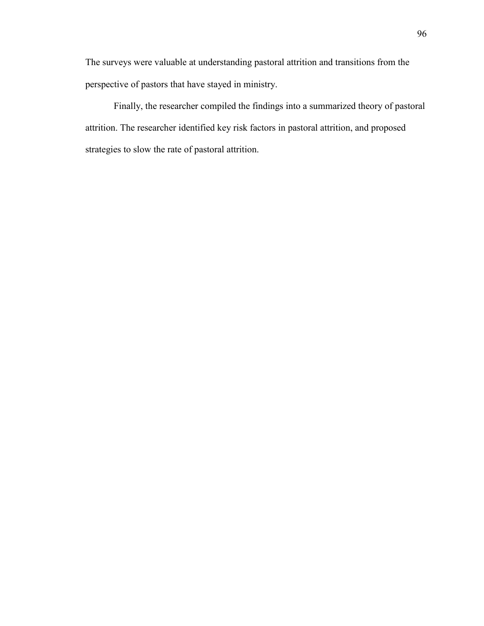The surveys were valuable at understanding pastoral attrition and transitions from the perspective of pastors that have stayed in ministry.

Finally, the researcher compiled the findings into a summarized theory of pastoral attrition. The researcher identified key risk factors in pastoral attrition, and proposed strategies to slow the rate of pastoral attrition.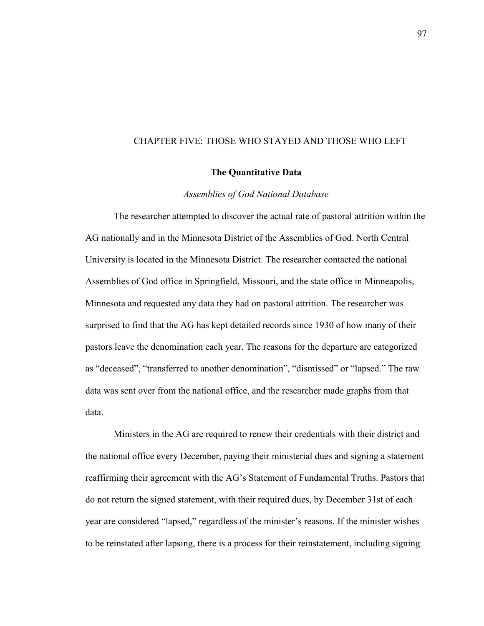## CHAPTER FIVE: THOSE WHO STAYED AND THOSE WHO LEFT

#### **The Quantitative Data**

#### *Assemblies of God National Database*

The researcher attempted to discover the actual rate of pastoral attrition within the AG nationally and in the Minnesota District of the Assemblies of God. North Central University is located in the Minnesota District. The researcher contacted the national Assemblies of God office in Springfield, Missouri, and the state office in Minneapolis, Minnesota and requested any data they had on pastoral attrition. The researcher was surprised to find that the AG has kept detailed records since 1930 of how many of their pastors leave the denomination each year. The reasons for the departure are categorized as "deceased", "transferred to another denomination", "dismissed" or "lapsed." The raw data was sent over from the national office, and the researcher made graphs from that data.

Ministers in the AG are required to renew their credentials with their district and the national office every December, paying their ministerial dues and signing a statement reaffirming their agreement with the AG's Statement of Fundamental Truths. Pastors that do not return the signed statement, with their required dues, by December 31st of each year are considered "lapsed," regardless of the minister's reasons. If the minister wishes to be reinstated after lapsing, there is a process for their reinstatement, including signing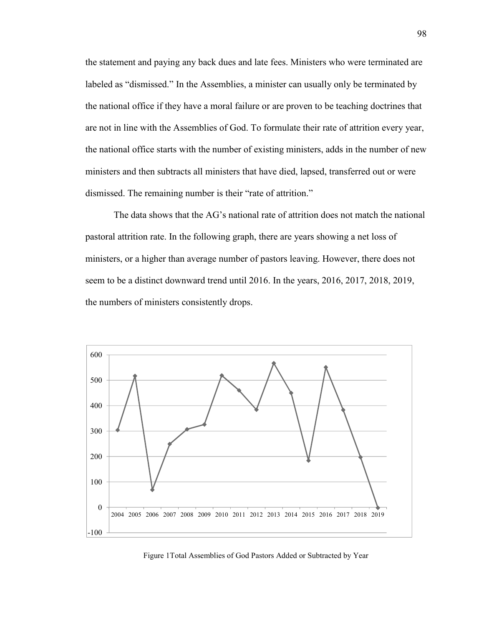the statement and paying any back dues and late fees. Ministers who were terminated are labeled as "dismissed." In the Assemblies, a minister can usually only be terminated by the national office if they have a moral failure or are proven to be teaching doctrines that are not in line with the Assemblies of God. To formulate their rate of attrition every year, the national office starts with the number of existing ministers, adds in the number of new ministers and then subtracts all ministers that have died, lapsed, transferred out or were dismissed. The remaining number is their "rate of attrition."

The data shows that the AG's national rate of attrition does not match the national pastoral attrition rate. In the following graph, there are years showing a net loss of ministers, or a higher than average number of pastors leaving. However, there does not seem to be a distinct downward trend until 2016. In the years, 2016, 2017, 2018, 2019, the numbers of ministers consistently drops.



Figure 1Total Assemblies of God Pastors Added or Subtracted by Year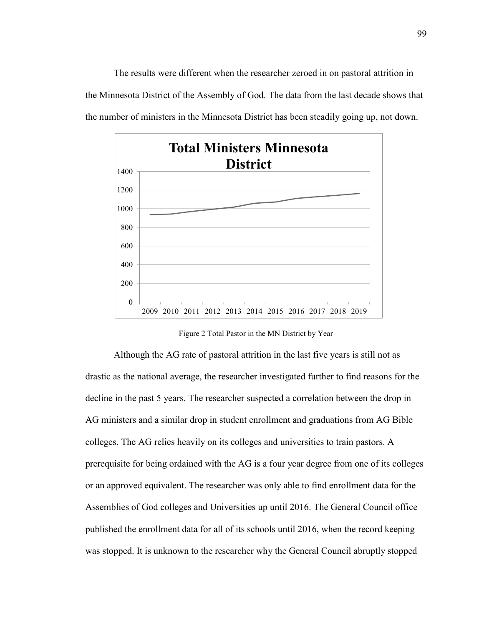The results were different when the researcher zeroed in on pastoral attrition in the Minnesota District of the Assembly of God. The data from the last decade shows that the number of ministers in the Minnesota District has been steadily going up, not down.



Figure 2 Total Pastor in the MN District by Year

 Although the AG rate of pastoral attrition in the last five years is still not as drastic as the national average, the researcher investigated further to find reasons for the decline in the past 5 years. The researcher suspected a correlation between the drop in AG ministers and a similar drop in student enrollment and graduations from AG Bible colleges. The AG relies heavily on its colleges and universities to train pastors. A prerequisite for being ordained with the AG is a four year degree from one of its colleges or an approved equivalent. The researcher was only able to find enrollment data for the Assemblies of God colleges and Universities up until 2016. The General Council office published the enrollment data for all of its schools until 2016, when the record keeping was stopped. It is unknown to the researcher why the General Council abruptly stopped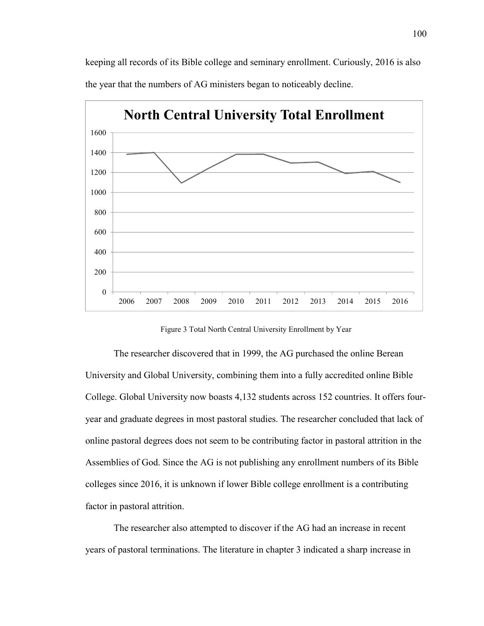keeping all records of its Bible college and seminary enrollment. Curiously, 2016 is also the year that the numbers of AG ministers began to noticeably decline.



Figure 3 Total North Central University Enrollment by Year

The researcher discovered that in 1999, the AG purchased the online Berean University and Global University, combining them into a fully accredited online Bible College. Global University now boasts 4,132 students across 152 countries. It offers fouryear and graduate degrees in most pastoral studies. The researcher concluded that lack of online pastoral degrees does not seem to be contributing factor in pastoral attrition in the Assemblies of God. Since the AG is not publishing any enrollment numbers of its Bible colleges since 2016, it is unknown if lower Bible college enrollment is a contributing factor in pastoral attrition.

The researcher also attempted to discover if the AG had an increase in recent years of pastoral terminations. The literature in chapter 3 indicated a sharp increase in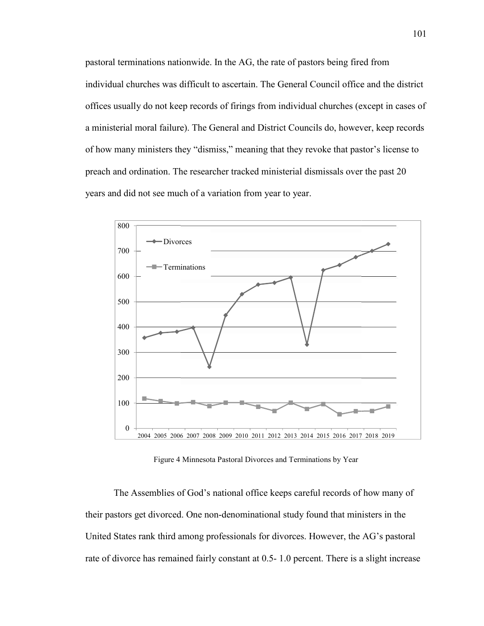pastoral terminations nationwide. In the AG, the rate of pastors being fired from individual churches was difficult to ascertain. The General Council office and the district offices usually do not keep records of firings from individual churches (except in cases of a ministerial moral failure). The General and District Councils do, however, keep records of how many ministers they "dismiss," meaning that they revoke that pastor preach and ordination. The researcher tracked ministerial dismissals over the past 20 years and did not see much of a variation from year to year. year. wide. In the AG, the rate of pastors being fired from<br>ficult to ascertain. The General Council office and the district<br>records of firings from individual churches (except in cases of<br>The General and District Councils do, h



Figure 4 Minnesota Pastoral Divorces and Terminations by Year

The Assemblies of God's national office keeps careful records of how many of The Assemblies of God's national office keeps careful records of how many of<br>their pastors get divorced. One non-denominational study found that ministers in the United States rank third among professionals for divorces. However, the AG's pastoral rate of divorce has remained fairly constant at 0.5-1.0 percent. There is a slight increase <sup>3</sup> <sup>2014</sup> <sup>2015</sup> <sup>2016</sup> <sup>2017</sup> <sup>2018</sup> <sup>2019</sup><br>erminations by Year<br>careful records of how many of<br>dy found that ministers in the<br>ces. However, the AG's pastoral<br>percent. There is a slight increase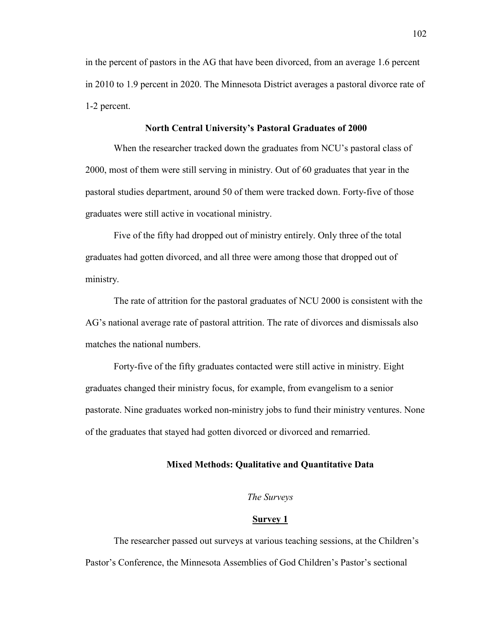in the percent of pastors in the AG that have been divorced, from an average 1.6 percent in 2010 to 1.9 percent in 2020. The Minnesota District averages a pastoral divorce rate of 1-2 percent.

#### **North Central University's Pastoral Graduates of 2000**

When the researcher tracked down the graduates from NCU's pastoral class of 2000, most of them were still serving in ministry. Out of 60 graduates that year in the pastoral studies department, around 50 of them were tracked down. Forty-five of those graduates were still active in vocational ministry.

Five of the fifty had dropped out of ministry entirely. Only three of the total graduates had gotten divorced, and all three were among those that dropped out of ministry.

The rate of attrition for the pastoral graduates of NCU 2000 is consistent with the AG's national average rate of pastoral attrition. The rate of divorces and dismissals also matches the national numbers.

Forty-five of the fifty graduates contacted were still active in ministry. Eight graduates changed their ministry focus, for example, from evangelism to a senior pastorate. Nine graduates worked non-ministry jobs to fund their ministry ventures. None of the graduates that stayed had gotten divorced or divorced and remarried.

### **Mixed Methods: Qualitative and Quantitative Data**

*The Surveys*

#### **Survey 1**

The researcher passed out surveys at various teaching sessions, at the Children's Pastor's Conference, the Minnesota Assemblies of God Children's Pastor's sectional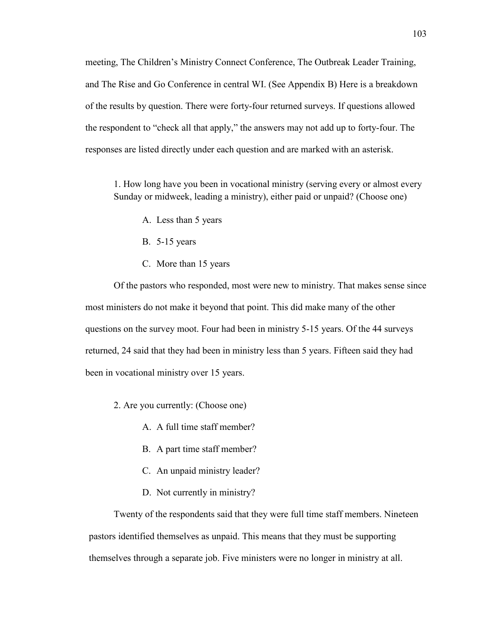meeting, The Children's Ministry Connect Conference, The Outbreak Leader Training, and The Rise and Go Conference in central WI. (See Appendix B) Here is a breakdown of the results by question. There were forty-four returned surveys. If questions allowed the respondent to "check all that apply," the answers may not add up to forty-four. The responses are listed directly under each question and are marked with an asterisk.

1. How long have you been in vocational ministry (serving every or almost every Sunday or midweek, leading a ministry), either paid or unpaid? (Choose one)

- A. Less than 5 years
- B. 5-15 years
- C. More than 15 years

Of the pastors who responded, most were new to ministry. That makes sense since most ministers do not make it beyond that point. This did make many of the other questions on the survey moot. Four had been in ministry 5-15 years. Of the 44 surveys returned, 24 said that they had been in ministry less than 5 years. Fifteen said they had been in vocational ministry over 15 years.

- 2. Are you currently: (Choose one)
	- A. A full time staff member?
	- B. A part time staff member?
	- C. An unpaid ministry leader?
	- D. Not currently in ministry?

 Twenty of the respondents said that they were full time staff members. Nineteen pastors identified themselves as unpaid. This means that they must be supporting themselves through a separate job. Five ministers were no longer in ministry at all.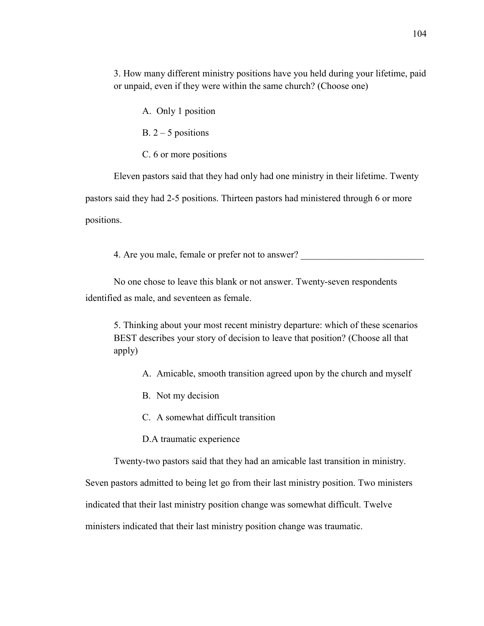3. How many different ministry positions have you held during your lifetime, paid or unpaid, even if they were within the same church? (Choose one)

A. Only 1 position

B.  $2 - 5$  positions

C. 6 or more positions

Eleven pastors said that they had only had one ministry in their lifetime. Twenty

pastors said they had 2-5 positions. Thirteen pastors had ministered through 6 or more positions.

4. Are you male, female or prefer not to answer?

No one chose to leave this blank or not answer. Twenty-seven respondents identified as male, and seventeen as female.

5. Thinking about your most recent ministry departure: which of these scenarios BEST describes your story of decision to leave that position? (Choose all that apply)

A. Amicable, smooth transition agreed upon by the church and myself

B. Not my decision

C. A somewhat difficult transition

D.A traumatic experience

Twenty-two pastors said that they had an amicable last transition in ministry.

Seven pastors admitted to being let go from their last ministry position. Two ministers indicated that their last ministry position change was somewhat difficult. Twelve

ministers indicated that their last ministry position change was traumatic.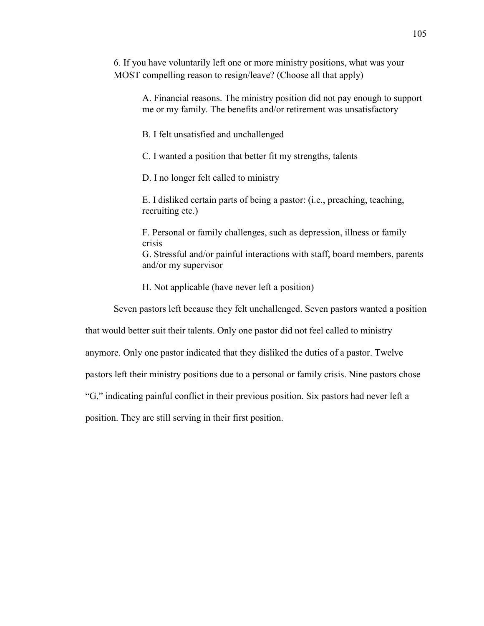6. If you have voluntarily left one or more ministry positions, what was your MOST compelling reason to resign/leave? (Choose all that apply)

A. Financial reasons. The ministry position did not pay enough to support me or my family. The benefits and/or retirement was unsatisfactory

B. I felt unsatisfied and unchallenged

C. I wanted a position that better fit my strengths, talents

D. I no longer felt called to ministry

E. I disliked certain parts of being a pastor: (i.e., preaching, teaching, recruiting etc.)

F. Personal or family challenges, such as depression, illness or family crisis G. Stressful and/or painful interactions with staff, board members, parents and/or my supervisor

H. Not applicable (have never left a position)

Seven pastors left because they felt unchallenged. Seven pastors wanted a position

that would better suit their talents. Only one pastor did not feel called to ministry

anymore. Only one pastor indicated that they disliked the duties of a pastor. Twelve

pastors left their ministry positions due to a personal or family crisis. Nine pastors chose

"G," indicating painful conflict in their previous position. Six pastors had never left a

position. They are still serving in their first position.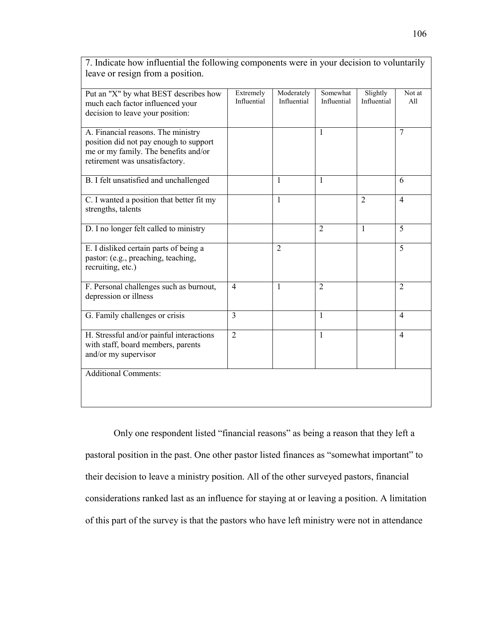| leave or resign from a position.                                                                                                                       |                          |                           |                         |                         |                |
|--------------------------------------------------------------------------------------------------------------------------------------------------------|--------------------------|---------------------------|-------------------------|-------------------------|----------------|
| Put an "X" by what BEST describes how<br>much each factor influenced your<br>decision to leave your position:                                          | Extremely<br>Influential | Moderately<br>Influential | Somewhat<br>Influential | Slightly<br>Influential | Not at<br>A11  |
| A. Financial reasons. The ministry<br>position did not pay enough to support<br>me or my family. The benefits and/or<br>retirement was unsatisfactory. |                          |                           | 1                       |                         | 7              |
| B. I felt unsatisfied and unchallenged                                                                                                                 |                          | 1                         | $\mathbf{1}$            |                         | 6              |
| C. I wanted a position that better fit my<br>strengths, talents                                                                                        |                          | 1                         |                         | $\overline{2}$          | $\overline{4}$ |
| D. I no longer felt called to ministry                                                                                                                 |                          |                           | $\overline{2}$          | $\mathbf{1}$            | 5              |
| E. I disliked certain parts of being a<br>pastor: (e.g., preaching, teaching,<br>recruiting, etc.)                                                     |                          | $\overline{2}$            |                         |                         | 5              |
| F. Personal challenges such as burnout,<br>depression or illness                                                                                       | $\overline{4}$           | 1                         | $\overline{2}$          |                         | $\overline{2}$ |
| G. Family challenges or crisis                                                                                                                         | 3                        |                           | $\mathbf{1}$            |                         | $\overline{4}$ |
| H. Stressful and/or painful interactions<br>with staff, board members, parents<br>and/or my supervisor                                                 | $\overline{2}$           |                           | $\mathbf{1}$            |                         | $\overline{4}$ |
| <b>Additional Comments:</b>                                                                                                                            |                          |                           |                         |                         |                |

7. Indicate how influential the following components were in your decision to voluntarily leave or resign from a position.

Only one respondent listed "financial reasons" as being a reason that they left a pastoral position in the past. One other pastor listed finances as "somewhat important" to their decision to leave a ministry position. All of the other surveyed pastors, financial considerations ranked last as an influence for staying at or leaving a position. A limitation of this part of the survey is that the pastors who have left ministry were not in attendance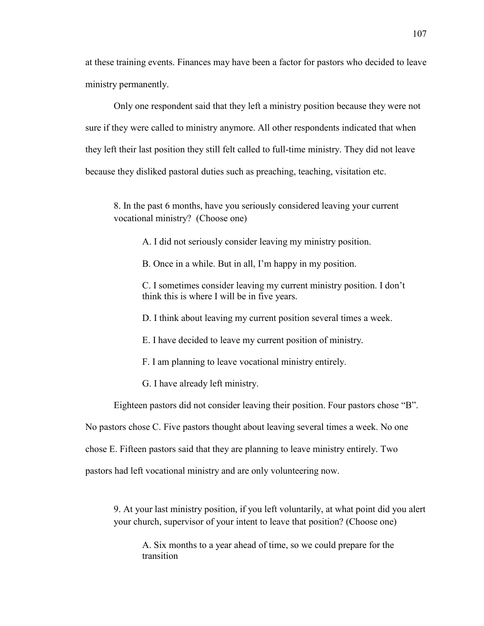at these training events. Finances may have been a factor for pastors who decided to leave ministry permanently.

Only one respondent said that they left a ministry position because they were not sure if they were called to ministry anymore. All other respondents indicated that when they left their last position they still felt called to full-time ministry. They did not leave because they disliked pastoral duties such as preaching, teaching, visitation etc.

8. In the past 6 months, have you seriously considered leaving your current vocational ministry? (Choose one)

A. I did not seriously consider leaving my ministry position.

B. Once in a while. But in all, I'm happy in my position.

C. I sometimes consider leaving my current ministry position. I don't think this is where I will be in five years.

D. I think about leaving my current position several times a week.

E. I have decided to leave my current position of ministry.

F. I am planning to leave vocational ministry entirely.

G. I have already left ministry.

Eighteen pastors did not consider leaving their position. Four pastors chose "B".

No pastors chose C. Five pastors thought about leaving several times a week. No one

chose E. Fifteen pastors said that they are planning to leave ministry entirely. Two

pastors had left vocational ministry and are only volunteering now.

9. At your last ministry position, if you left voluntarily, at what point did you alert your church, supervisor of your intent to leave that position? (Choose one)

A. Six months to a year ahead of time, so we could prepare for the transition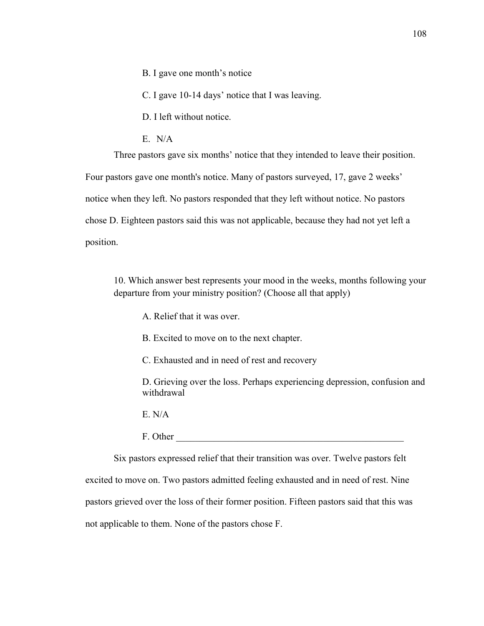B. I gave one month's notice

C. I gave 10-14 days' notice that I was leaving.

D. I left without notice.

E. N/A

Three pastors gave six months' notice that they intended to leave their position.

Four pastors gave one month's notice. Many of pastors surveyed, 17, gave 2 weeks'

notice when they left. No pastors responded that they left without notice. No pastors

chose D. Eighteen pastors said this was not applicable, because they had not yet left a

position.

10. Which answer best represents your mood in the weeks, months following your departure from your ministry position? (Choose all that apply)

A. Relief that it was over.

B. Excited to move on to the next chapter.

C. Exhausted and in need of rest and recovery

D. Grieving over the loss. Perhaps experiencing depression, confusion and withdrawal

E. N/A

F. Other  $\overline{F}$ 

Six pastors expressed relief that their transition was over. Twelve pastors felt excited to move on. Two pastors admitted feeling exhausted and in need of rest. Nine pastors grieved over the loss of their former position. Fifteen pastors said that this was not applicable to them. None of the pastors chose F.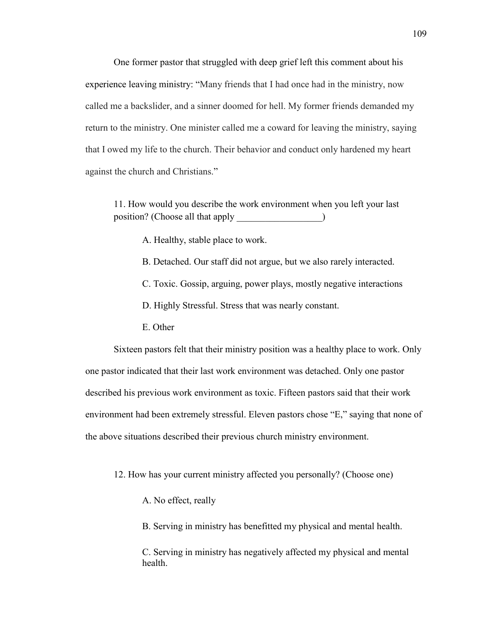One former pastor that struggled with deep grief left this comment about his experience leaving ministry: "Many friends that I had once had in the ministry, now called me a backslider, and a sinner doomed for hell. My former friends demanded my return to the ministry. One minister called me a coward for leaving the ministry, saying that I owed my life to the church. Their behavior and conduct only hardened my heart against the church and Christians."

11. How would you describe the work environment when you left your last position? (Choose all that apply

A. Healthy, stable place to work.

B. Detached. Our staff did not argue, but we also rarely interacted.

C. Toxic. Gossip, arguing, power plays, mostly negative interactions

D. Highly Stressful. Stress that was nearly constant.

E. Other

 Sixteen pastors felt that their ministry position was a healthy place to work. Only one pastor indicated that their last work environment was detached. Only one pastor described his previous work environment as toxic. Fifteen pastors said that their work environment had been extremely stressful. Eleven pastors chose "E," saying that none of the above situations described their previous church ministry environment.

12. How has your current ministry affected you personally? (Choose one)

A. No effect, really

B. Serving in ministry has benefitted my physical and mental health.

C. Serving in ministry has negatively affected my physical and mental health.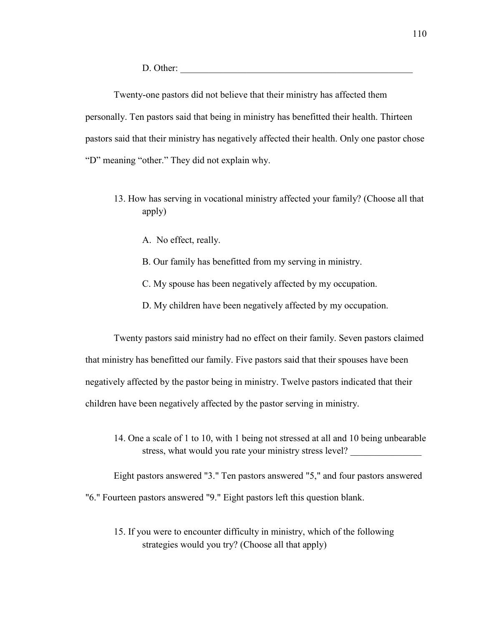D. Other:

Twenty-one pastors did not believe that their ministry has affected them personally. Ten pastors said that being in ministry has benefitted their health. Thirteen pastors said that their ministry has negatively affected their health. Only one pastor chose "D" meaning "other." They did not explain why.

- 13. How has serving in vocational ministry affected your family? (Choose all that apply)
	- A. No effect, really.
	- B. Our family has benefitted from my serving in ministry.
	- C. My spouse has been negatively affected by my occupation.
	- D. My children have been negatively affected by my occupation.

Twenty pastors said ministry had no effect on their family. Seven pastors claimed that ministry has benefitted our family. Five pastors said that their spouses have been negatively affected by the pastor being in ministry. Twelve pastors indicated that their children have been negatively affected by the pastor serving in ministry.

14. One a scale of 1 to 10, with 1 being not stressed at all and 10 being unbearable stress, what would you rate your ministry stress level?

 Eight pastors answered "3." Ten pastors answered "5," and four pastors answered "6." Fourteen pastors answered "9." Eight pastors left this question blank.

15. If you were to encounter difficulty in ministry, which of the following strategies would you try? (Choose all that apply)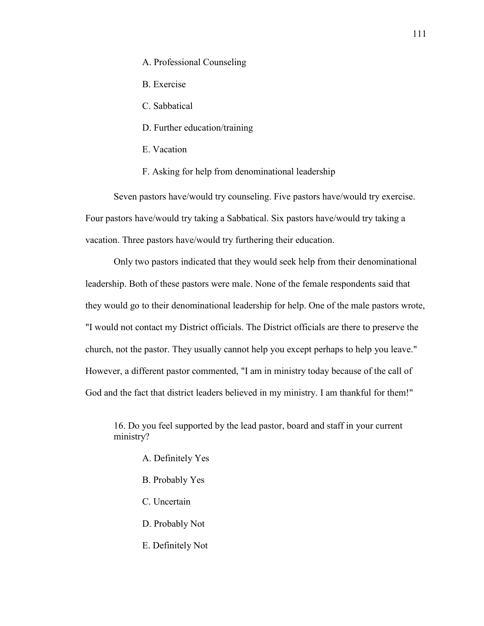- A. Professional Counseling
- B. Exercise
- C. Sabbatical
- D. Further education/training
- E. Vacation
- F. Asking for help from denominational leadership

Seven pastors have/would try counseling. Five pastors have/would try exercise. Four pastors have/would try taking a Sabbatical. Six pastors have/would try taking a vacation. Three pastors have/would try furthering their education.

Only two pastors indicated that they would seek help from their denominational leadership. Both of these pastors were male. None of the female respondents said that they would go to their denominational leadership for help. One of the male pastors wrote, "I would not contact my District officials. The District officials are there to preserve the church, not the pastor. They usually cannot help you except perhaps to help you leave." However, a different pastor commented, "I am in ministry today because of the call of God and the fact that district leaders believed in my ministry. I am thankful for them!"

16. Do you feel supported by the lead pastor, board and staff in your current ministry?

- A. Definitely Yes
- B. Probably Yes
- C. Uncertain
- D. Probably Not
- E. Definitely Not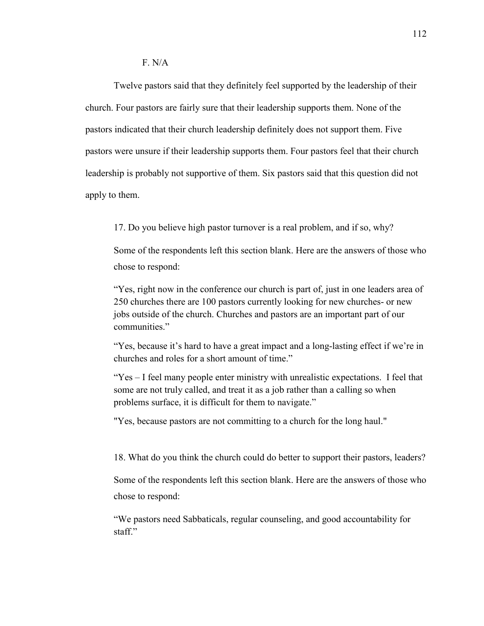Twelve pastors said that they definitely feel supported by the leadership of their church. Four pastors are fairly sure that their leadership supports them. None of the pastors indicated that their church leadership definitely does not support them. Five pastors were unsure if their leadership supports them. Four pastors feel that their church leadership is probably not supportive of them. Six pastors said that this question did not apply to them.

17. Do you believe high pastor turnover is a real problem, and if so, why?

Some of the respondents left this section blank. Here are the answers of those who chose to respond:

 "Yes, right now in the conference our church is part of, just in one leaders area of 250 churches there are 100 pastors currently looking for new churches- or new jobs outside of the church. Churches and pastors are an important part of our communities."

 "Yes, because it's hard to have a great impact and a long-lasting effect if we're in churches and roles for a short amount of time."

 "Yes – I feel many people enter ministry with unrealistic expectations. I feel that some are not truly called, and treat it as a job rather than a calling so when problems surface, it is difficult for them to navigate."

"Yes, because pastors are not committing to a church for the long haul."

18. What do you think the church could do better to support their pastors, leaders?

Some of the respondents left this section blank. Here are the answers of those who chose to respond:

 "We pastors need Sabbaticals, regular counseling, and good accountability for staff."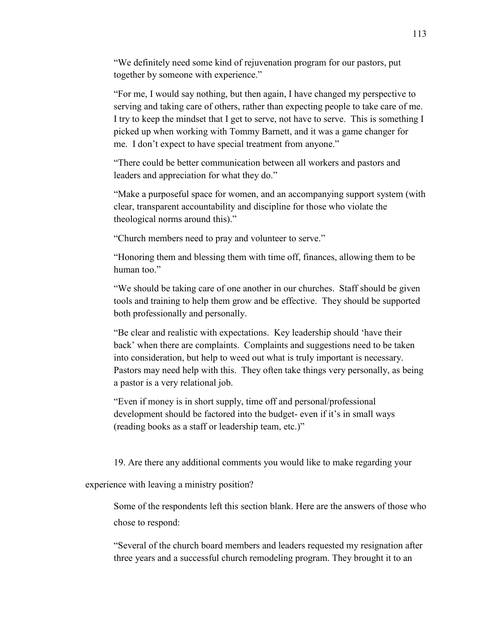"We definitely need some kind of rejuvenation program for our pastors, put together by someone with experience."

 "For me, I would say nothing, but then again, I have changed my perspective to serving and taking care of others, rather than expecting people to take care of me. I try to keep the mindset that I get to serve, not have to serve. This is something I picked up when working with Tommy Barnett, and it was a game changer for me. I don't expect to have special treatment from anyone."

 "There could be better communication between all workers and pastors and leaders and appreciation for what they do."

 "Make a purposeful space for women, and an accompanying support system (with clear, transparent accountability and discipline for those who violate the theological norms around this)."

"Church members need to pray and volunteer to serve."

 "Honoring them and blessing them with time off, finances, allowing them to be human too."

 "We should be taking care of one another in our churches. Staff should be given tools and training to help them grow and be effective. They should be supported both professionally and personally.

 "Be clear and realistic with expectations. Key leadership should 'have their back' when there are complaints. Complaints and suggestions need to be taken into consideration, but help to weed out what is truly important is necessary. Pastors may need help with this. They often take things very personally, as being a pastor is a very relational job.

"Even if money is in short supply, time off and personal/professional development should be factored into the budget- even if it's in small ways (reading books as a staff or leadership team, etc.)"

19. Are there any additional comments you would like to make regarding your

experience with leaving a ministry position?

Some of the respondents left this section blank. Here are the answers of those who chose to respond:

"Several of the church board members and leaders requested my resignation after three years and a successful church remodeling program. They brought it to an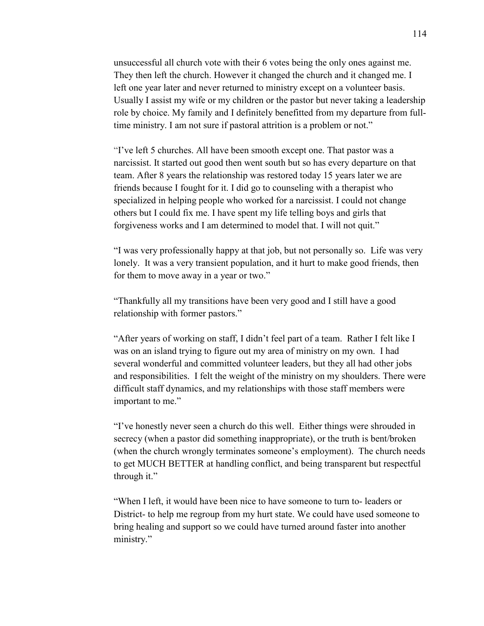unsuccessful all church vote with their 6 votes being the only ones against me. They then left the church. However it changed the church and it changed me. I left one year later and never returned to ministry except on a volunteer basis. Usually I assist my wife or my children or the pastor but never taking a leadership role by choice. My family and I definitely benefitted from my departure from fulltime ministry. I am not sure if pastoral attrition is a problem or not."

"I've left 5 churches. All have been smooth except one. That pastor was a narcissist. It started out good then went south but so has every departure on that team. After 8 years the relationship was restored today 15 years later we are friends because I fought for it. I did go to counseling with a therapist who specialized in helping people who worked for a narcissist. I could not change others but I could fix me. I have spent my life telling boys and girls that forgiveness works and I am determined to model that. I will not quit."

"I was very professionally happy at that job, but not personally so. Life was very lonely. It was a very transient population, and it hurt to make good friends, then for them to move away in a year or two."

"Thankfully all my transitions have been very good and I still have a good relationship with former pastors."

"After years of working on staff, I didn't feel part of a team. Rather I felt like I was on an island trying to figure out my area of ministry on my own. I had several wonderful and committed volunteer leaders, but they all had other jobs and responsibilities. I felt the weight of the ministry on my shoulders. There were difficult staff dynamics, and my relationships with those staff members were important to me."

"I've honestly never seen a church do this well. Either things were shrouded in secrecy (when a pastor did something inappropriate), or the truth is bent/broken (when the church wrongly terminates someone's employment). The church needs to get MUCH BETTER at handling conflict, and being transparent but respectful through it."

"When I left, it would have been nice to have someone to turn to- leaders or District- to help me regroup from my hurt state. We could have used someone to bring healing and support so we could have turned around faster into another ministry."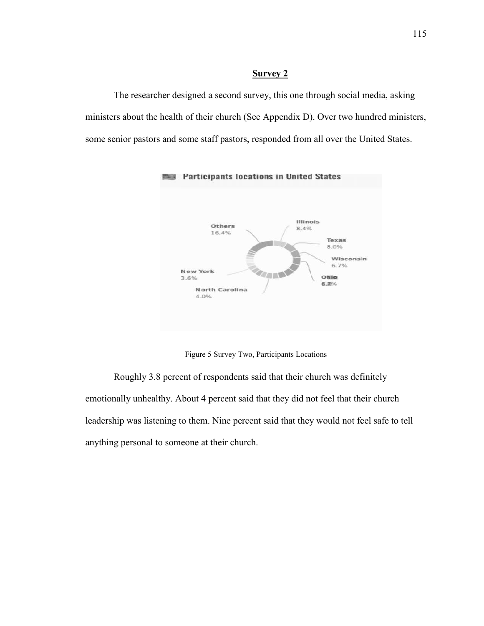## **Survey 2**

The researcher designed a second survey, this one through social media, asking ministers about the health of their church (See Appendix D). Over two hundred ministers, ministers about the health of their church (See Appendix D). Over two hundred ministe<br>some senior pastors and some staff pastors, responded from all over the United States.



Figure 5 Survey Two, Participants Locations

Roughly 3.8 percent of respondents said that their church was definitely Roughly 3.8 percent of respondents said that their church was definitely<br>emotionally unhealthy. About 4 percent said that they did not feel that their church leadership was listening to them. Nine percent said that they would not feel safe to tell anything personal to someone at their church.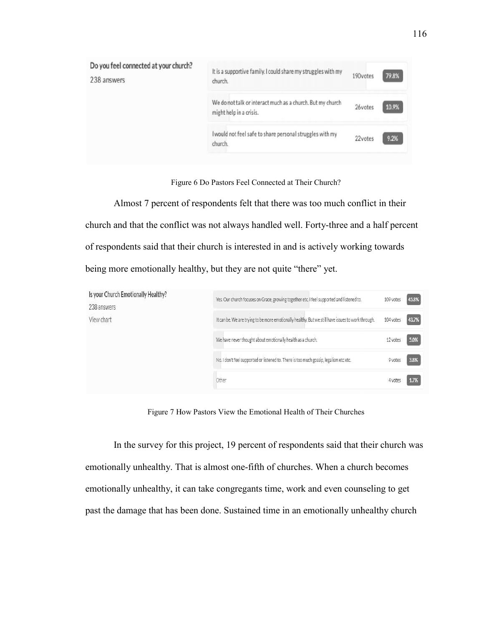| Do you feel connected at your church?<br>238 answers | It is a supportive family. I could share my struggles with my<br>church.              | 190 votes | 79.8% |
|------------------------------------------------------|---------------------------------------------------------------------------------------|-----------|-------|
|                                                      | We do not talk or interact much as a church. But my church<br>might help in a crisis. | 26 votes  | 10.9% |
|                                                      | I would not feel safe to share personal struggles with my<br>church.                  | 22 votes  | 9.2%  |

Figure 6 Do Pastors Feel Connected at Their Church?

| Almost 7 percent of respondents felt that there was too much conflict in their       |                                                                                                    |                    |  |  |
|--------------------------------------------------------------------------------------|----------------------------------------------------------------------------------------------------|--------------------|--|--|
|                                                                                      | church and that the conflict was not always handled well. Forty-three and a half percent           |                    |  |  |
|                                                                                      | of respondents said that their church is interested in and is actively working towards             |                    |  |  |
|                                                                                      | being more emotionally healthy, but they are not quite "there" yet.                                |                    |  |  |
| Is your Church Emotionally Healthy?<br>238 answers<br>View chart                     | Yes. Our church focuses on Grace, growing together etc. I feel supported and listened to.          | 45.8%<br>109 votes |  |  |
|                                                                                      | It can be. We are trying to be more emotionally healthy. But we still have issues to work through. | 43.7%<br>104 votes |  |  |
|                                                                                      | We have never thought about emotionally health as a church.                                        | 5.0%<br>12 votes   |  |  |
|                                                                                      | No. I don't feel supported or listened to. There is too much gossip, legalism etc etc.             | 3.8%<br>9 votes    |  |  |
|                                                                                      | Other                                                                                              | 1.7%<br>4 votes    |  |  |
|                                                                                      | Figure 7 How Pastors View the Emotional Health of Their Churches                                   |                    |  |  |
|                                                                                      | In the survey for this project, 19 percent of respondents said that their church was               |                    |  |  |
|                                                                                      | emotionally unhealthy. That is almost one-fifth of churches. When a church becomes                 |                    |  |  |
| emotionally unhealthy, it can take congregants time, work and even counseling to get |                                                                                                    |                    |  |  |

Figure 7 How Pastors View the Emotional Health of Their Churches

In the survey for this project, 19 percent of respondents said that their church was emotionally unhealthy. That is almost one-fifth of churches. When a church becomes emotionally unhealthy, it can take congregants time, work and even counseling to get past the damage that has been done. Sustained time in an emotionally unhealthy church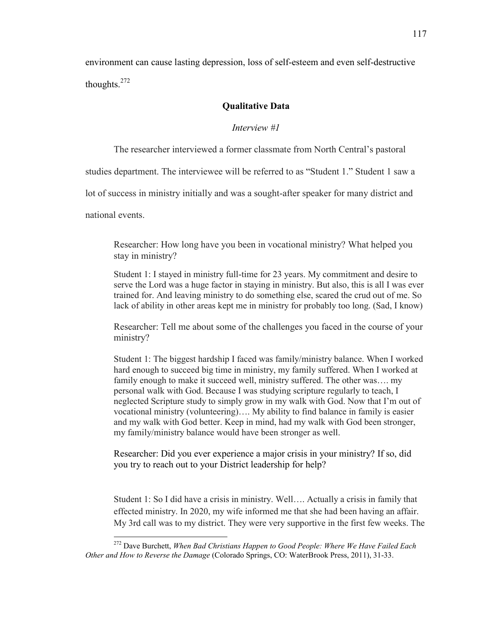environment can cause lasting depression, loss of self-esteem and even self-destructive thoughts.<sup>272</sup>

# **Qualitative Data**

*Interview #1*

The researcher interviewed a former classmate from North Central's pastoral

studies department. The interviewee will be referred to as "Student 1." Student 1 saw a

lot of success in ministry initially and was a sought-after speaker for many district and

national events.

 Researcher: How long have you been in vocational ministry? What helped you stay in ministry?

Student 1: I stayed in ministry full-time for 23 years. My commitment and desire to serve the Lord was a huge factor in staying in ministry. But also, this is all I was ever trained for. And leaving ministry to do something else, scared the crud out of me. So lack of ability in other areas kept me in ministry for probably too long. (Sad, I know)

Researcher: Tell me about some of the challenges you faced in the course of your ministry?

Student 1: The biggest hardship I faced was family/ministry balance. When I worked hard enough to succeed big time in ministry, my family suffered. When I worked at family enough to make it succeed well, ministry suffered. The other was…. my personal walk with God. Because I was studying scripture regularly to teach, I neglected Scripture study to simply grow in my walk with God. Now that I'm out of vocational ministry (volunteering)…. My ability to find balance in family is easier and my walk with God better. Keep in mind, had my walk with God been stronger, my family/ministry balance would have been stronger as well.

Researcher: Did you ever experience a major crisis in your ministry? If so, did you try to reach out to your District leadership for help?

Student 1: So I did have a crisis in ministry. Well…. Actually a crisis in family that effected ministry. In 2020, my wife informed me that she had been having an affair. My 3rd call was to my district. They were very supportive in the first few weeks. The

 <sup>272</sup> Dave Burchett, *When Bad Christians Happen to Good People: Where We Have Failed Each Other and How to Reverse the Damage* (Colorado Springs, CO: WaterBrook Press, 2011), 31-33.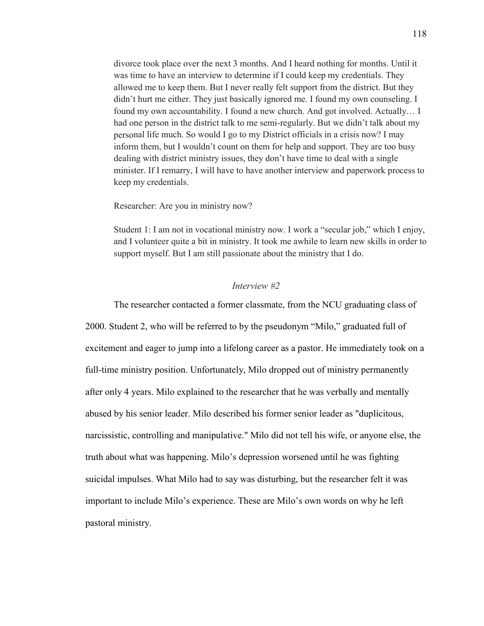divorce took place over the next 3 months. And I heard nothing for months. Until it was time to have an interview to determine if I could keep my credentials. They allowed me to keep them. But I never really felt support from the district. But they didn't hurt me either. They just basically ignored me. I found my own counseling. I found my own accountability. I found a new church. And got involved. Actually… I had one person in the district talk to me semi-regularly. But we didn't talk about my personal life much. So would I go to my District officials in a crisis now? I may inform them, but I wouldn't count on them for help and support. They are too busy dealing with district ministry issues, they don't have time to deal with a single minister. If I remarry, I will have to have another interview and paperwork process to keep my credentials.

Researcher: Are you in ministry now?

Student 1: I am not in vocational ministry now. I work a "secular job," which I enjoy, and I volunteer quite a bit in ministry. It took me awhile to learn new skills in order to support myself. But I am still passionate about the ministry that I do.

## *Interview #2*

 The researcher contacted a former classmate, from the NCU graduating class of 2000. Student 2, who will be referred to by the pseudonym "Milo," graduated full of excitement and eager to jump into a lifelong career as a pastor. He immediately took on a full-time ministry position. Unfortunately, Milo dropped out of ministry permanently after only 4 years. Milo explained to the researcher that he was verbally and mentally abused by his senior leader. Milo described his former senior leader as "duplicitous, narcissistic, controlling and manipulative." Milo did not tell his wife, or anyone else, the truth about what was happening. Milo's depression worsened until he was fighting suicidal impulses. What Milo had to say was disturbing, but the researcher felt it was important to include Milo's experience. These are Milo's own words on why he left pastoral ministry.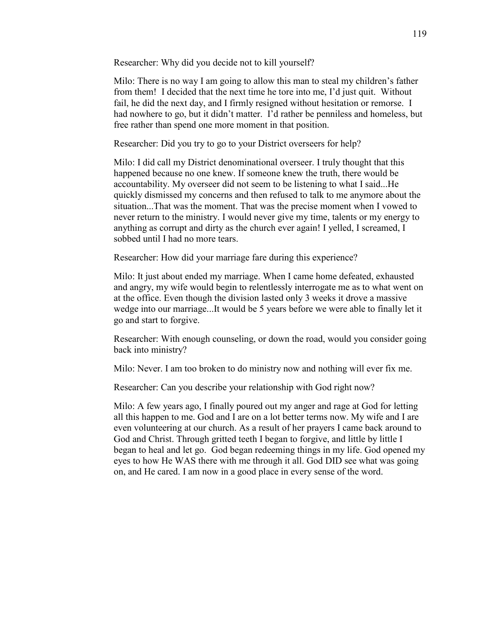Researcher: Why did you decide not to kill yourself?

 Milo: There is no way I am going to allow this man to steal my children's father from them! I decided that the next time he tore into me, I'd just quit. Without fail, he did the next day, and I firmly resigned without hesitation or remorse. I had nowhere to go, but it didn't matter. I'd rather be penniless and homeless, but free rather than spend one more moment in that position.

Researcher: Did you try to go to your District overseers for help?

 Milo: I did call my District denominational overseer. I truly thought that this happened because no one knew. If someone knew the truth, there would be accountability. My overseer did not seem to be listening to what I said...He quickly dismissed my concerns and then refused to talk to me anymore about the situation...That was the moment. That was the precise moment when I vowed to never return to the ministry. I would never give my time, talents or my energy to anything as corrupt and dirty as the church ever again! I yelled, I screamed, I sobbed until I had no more tears.

Researcher: How did your marriage fare during this experience?

 Milo: It just about ended my marriage. When I came home defeated, exhausted and angry, my wife would begin to relentlessly interrogate me as to what went on at the office. Even though the division lasted only 3 weeks it drove a massive wedge into our marriage...It would be 5 years before we were able to finally let it go and start to forgive.

 Researcher: With enough counseling, or down the road, would you consider going back into ministry?

Milo: Never. I am too broken to do ministry now and nothing will ever fix me.

Researcher: Can you describe your relationship with God right now?

 Milo: A few years ago, I finally poured out my anger and rage at God for letting all this happen to me. God and I are on a lot better terms now. My wife and I are even volunteering at our church. As a result of her prayers I came back around to God and Christ. Through gritted teeth I began to forgive, and little by little I began to heal and let go. God began redeeming things in my life. God opened my eyes to how He WAS there with me through it all. God DID see what was going on, and He cared. I am now in a good place in every sense of the word.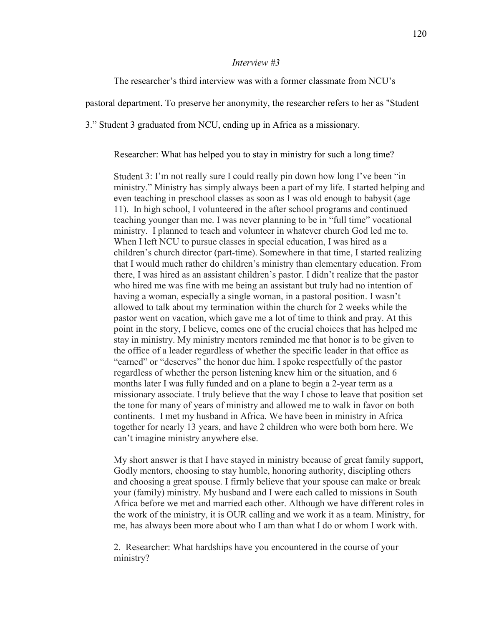#### *Interview #3*

The researcher's third interview was with a former classmate from NCU's

pastoral department. To preserve her anonymity, the researcher refers to her as "Student

3." Student 3 graduated from NCU, ending up in Africa as a missionary.

Researcher: What has helped you to stay in ministry for such a long time?

Student 3: I'm not really sure I could really pin down how long I've been "in ministry." Ministry has simply always been a part of my life. I started helping and even teaching in preschool classes as soon as I was old enough to babysit (age 11). In high school, I volunteered in the after school programs and continued teaching younger than me. I was never planning to be in "full time" vocational ministry. I planned to teach and volunteer in whatever church God led me to. When I left NCU to pursue classes in special education, I was hired as a children's church director (part-time). Somewhere in that time, I started realizing that I would much rather do children's ministry than elementary education. From there, I was hired as an assistant children's pastor. I didn't realize that the pastor who hired me was fine with me being an assistant but truly had no intention of having a woman, especially a single woman, in a pastoral position. I wasn't allowed to talk about my termination within the church for 2 weeks while the pastor went on vacation, which gave me a lot of time to think and pray. At this point in the story, I believe, comes one of the crucial choices that has helped me stay in ministry. My ministry mentors reminded me that honor is to be given to the office of a leader regardless of whether the specific leader in that office as "earned" or "deserves" the honor due him. I spoke respectfully of the pastor regardless of whether the person listening knew him or the situation, and 6 months later I was fully funded and on a plane to begin a 2-year term as a missionary associate. I truly believe that the way I chose to leave that position set the tone for many of years of ministry and allowed me to walk in favor on both continents. I met my husband in Africa. We have been in ministry in Africa together for nearly 13 years, and have 2 children who were both born here. We can't imagine ministry anywhere else.

My short answer is that I have stayed in ministry because of great family support, Godly mentors, choosing to stay humble, honoring authority, discipling others and choosing a great spouse. I firmly believe that your spouse can make or break your (family) ministry. My husband and I were each called to missions in South Africa before we met and married each other. Although we have different roles in the work of the ministry, it is OUR calling and we work it as a team. Ministry, for me, has always been more about who I am than what I do or whom I work with.

2. Researcher: What hardships have you encountered in the course of your ministry?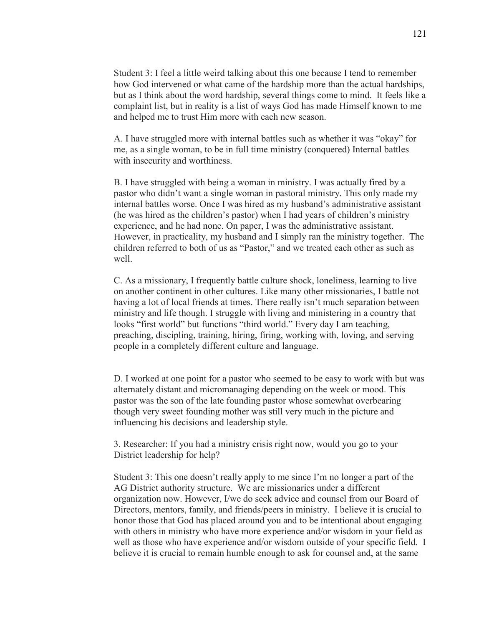Student 3: I feel a little weird talking about this one because I tend to remember how God intervened or what came of the hardship more than the actual hardships, but as I think about the word hardship, several things come to mind. It feels like a complaint list, but in reality is a list of ways God has made Himself known to me and helped me to trust Him more with each new season.

A. I have struggled more with internal battles such as whether it was "okay" for me, as a single woman, to be in full time ministry (conquered) Internal battles with insecurity and worthiness.

B. I have struggled with being a woman in ministry. I was actually fired by a pastor who didn't want a single woman in pastoral ministry. This only made my internal battles worse. Once I was hired as my husband's administrative assistant (he was hired as the children's pastor) when I had years of children's ministry experience, and he had none. On paper, I was the administrative assistant. However, in practicality, my husband and I simply ran the ministry together. The children referred to both of us as "Pastor," and we treated each other as such as well.

C. As a missionary, I frequently battle culture shock, loneliness, learning to live on another continent in other cultures. Like many other missionaries, I battle not having a lot of local friends at times. There really isn't much separation between ministry and life though. I struggle with living and ministering in a country that looks "first world" but functions "third world." Every day I am teaching, preaching, discipling, training, hiring, firing, working with, loving, and serving people in a completely different culture and language.

D. I worked at one point for a pastor who seemed to be easy to work with but was alternately distant and micromanaging depending on the week or mood. This pastor was the son of the late founding pastor whose somewhat overbearing though very sweet founding mother was still very much in the picture and influencing his decisions and leadership style.

3. Researcher: If you had a ministry crisis right now, would you go to your District leadership for help?

Student 3: This one doesn't really apply to me since I'm no longer a part of the AG District authority structure. We are missionaries under a different organization now. However, I/we do seek advice and counsel from our Board of Directors, mentors, family, and friends/peers in ministry. I believe it is crucial to honor those that God has placed around you and to be intentional about engaging with others in ministry who have more experience and/or wisdom in your field as well as those who have experience and/or wisdom outside of your specific field. I believe it is crucial to remain humble enough to ask for counsel and, at the same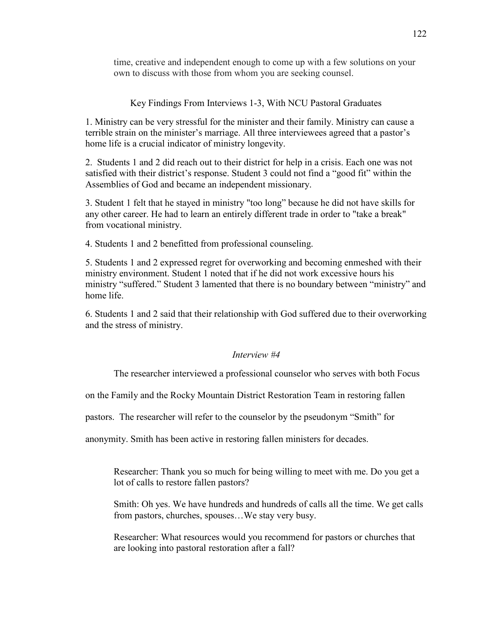time, creative and independent enough to come up with a few solutions on your own to discuss with those from whom you are seeking counsel.

Key Findings From Interviews 1-3, With NCU Pastoral Graduates

 1. Ministry can be very stressful for the minister and their family. Ministry can cause a terrible strain on the minister's marriage. All three interviewees agreed that a pastor's home life is a crucial indicator of ministry longevity.

 2. Students 1 and 2 did reach out to their district for help in a crisis. Each one was not satisfied with their district's response. Student 3 could not find a "good fit" within the Assemblies of God and became an independent missionary.

 3. Student 1 felt that he stayed in ministry "too long" because he did not have skills for any other career. He had to learn an entirely different trade in order to "take a break" from vocational ministry.

4. Students 1 and 2 benefitted from professional counseling.

 5. Students 1 and 2 expressed regret for overworking and becoming enmeshed with their ministry environment. Student 1 noted that if he did not work excessive hours his ministry "suffered." Student 3 lamented that there is no boundary between "ministry" and home life.

 6. Students 1 and 2 said that their relationship with God suffered due to their overworking and the stress of ministry.

# *Interview #4*

The researcher interviewed a professional counselor who serves with both Focus

on the Family and the Rocky Mountain District Restoration Team in restoring fallen

pastors. The researcher will refer to the counselor by the pseudonym "Smith" for

anonymity. Smith has been active in restoring fallen ministers for decades.

Researcher: Thank you so much for being willing to meet with me. Do you get a lot of calls to restore fallen pastors?

Smith: Oh yes. We have hundreds and hundreds of calls all the time. We get calls from pastors, churches, spouses…We stay very busy.

Researcher: What resources would you recommend for pastors or churches that are looking into pastoral restoration after a fall?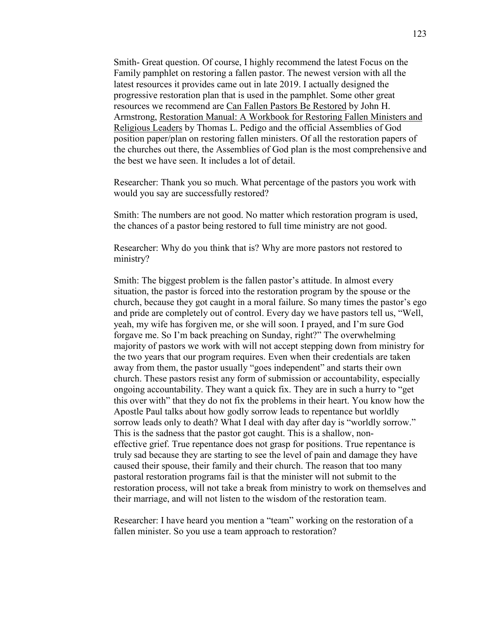Smith- Great question. Of course, I highly recommend the latest Focus on the Family pamphlet on restoring a fallen pastor. The newest version with all the latest resources it provides came out in late 2019. I actually designed the progressive restoration plan that is used in the pamphlet. Some other great resources we recommend are Can Fallen Pastors Be Restored by John H. Armstrong, Restoration Manual: A Workbook for Restoring Fallen Ministers and Religious Leaders by Thomas L. Pedigo and the official Assemblies of God position paper/plan on restoring fallen ministers. Of all the restoration papers of the churches out there, the Assemblies of God plan is the most comprehensive and the best we have seen. It includes a lot of detail.

Researcher: Thank you so much. What percentage of the pastors you work with would you say are successfully restored?

Smith: The numbers are not good. No matter which restoration program is used, the chances of a pastor being restored to full time ministry are not good.

Researcher: Why do you think that is? Why are more pastors not restored to ministry?

Smith: The biggest problem is the fallen pastor's attitude. In almost every situation, the pastor is forced into the restoration program by the spouse or the church, because they got caught in a moral failure. So many times the pastor's ego and pride are completely out of control. Every day we have pastors tell us, "Well, yeah, my wife has forgiven me, or she will soon. I prayed, and I'm sure God forgave me. So I'm back preaching on Sunday, right?" The overwhelming majority of pastors we work with will not accept stepping down from ministry for the two years that our program requires. Even when their credentials are taken away from them, the pastor usually "goes independent" and starts their own church. These pastors resist any form of submission or accountability, especially ongoing accountability. They want a quick fix. They are in such a hurry to "get this over with" that they do not fix the problems in their heart. You know how the Apostle Paul talks about how godly sorrow leads to repentance but worldly sorrow leads only to death? What I deal with day after day is "worldly sorrow." This is the sadness that the pastor got caught. This is a shallow, noneffective grief. True repentance does not grasp for positions. True repentance is truly sad because they are starting to see the level of pain and damage they have caused their spouse, their family and their church. The reason that too many pastoral restoration programs fail is that the minister will not submit to the restoration process, will not take a break from ministry to work on themselves and their marriage, and will not listen to the wisdom of the restoration team.

Researcher: I have heard you mention a "team" working on the restoration of a fallen minister. So you use a team approach to restoration?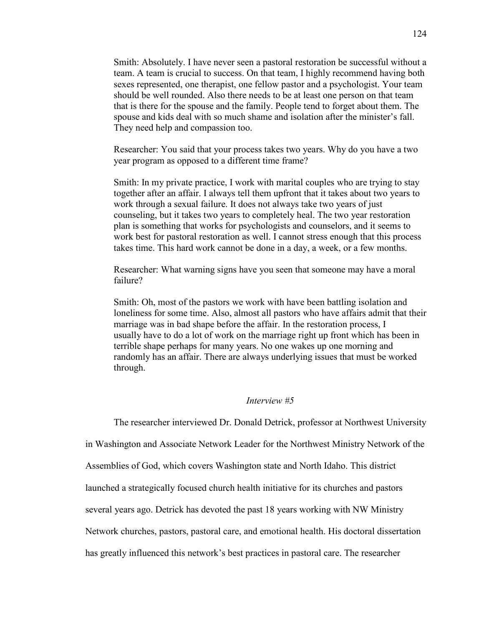Smith: Absolutely. I have never seen a pastoral restoration be successful without a team. A team is crucial to success. On that team, I highly recommend having both sexes represented, one therapist, one fellow pastor and a psychologist. Your team should be well rounded. Also there needs to be at least one person on that team that is there for the spouse and the family. People tend to forget about them. The spouse and kids deal with so much shame and isolation after the minister's fall. They need help and compassion too.

Researcher: You said that your process takes two years. Why do you have a two year program as opposed to a different time frame?

Smith: In my private practice, I work with marital couples who are trying to stay together after an affair. I always tell them upfront that it takes about two years to work through a sexual failure. It does not always take two years of just counseling, but it takes two years to completely heal. The two year restoration plan is something that works for psychologists and counselors, and it seems to work best for pastoral restoration as well. I cannot stress enough that this process takes time. This hard work cannot be done in a day, a week, or a few months.

Researcher: What warning signs have you seen that someone may have a moral failure?

Smith: Oh, most of the pastors we work with have been battling isolation and loneliness for some time. Also, almost all pastors who have affairs admit that their marriage was in bad shape before the affair. In the restoration process, I usually have to do a lot of work on the marriage right up front which has been in terrible shape perhaps for many years. No one wakes up one morning and randomly has an affair. There are always underlying issues that must be worked through.

## *Interview #5*

The researcher interviewed Dr. Donald Detrick, professor at Northwest University in Washington and Associate Network Leader for the Northwest Ministry Network of the Assemblies of God, which covers Washington state and North Idaho. This district launched a strategically focused church health initiative for its churches and pastors several years ago. Detrick has devoted the past 18 years working with NW Ministry Network churches, pastors, pastoral care, and emotional health. His doctoral dissertation has greatly influenced this network's best practices in pastoral care. The researcher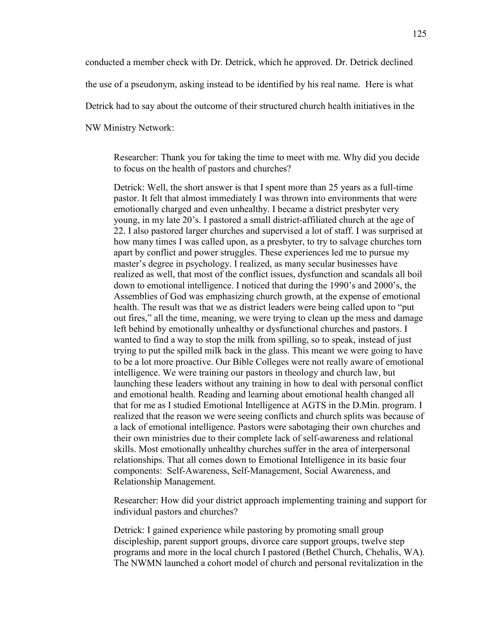conducted a member check with Dr. Detrick, which he approved. Dr. Detrick declined

the use of a pseudonym, asking instead to be identified by his real name. Here is what

Detrick had to say about the outcome of their structured church health initiatives in the

NW Ministry Network:

Researcher: Thank you for taking the time to meet with me. Why did you decide to focus on the health of pastors and churches?

Detrick: Well, the short answer is that I spent more than 25 years as a full-time pastor. It felt that almost immediately I was thrown into environments that were emotionally charged and even unhealthy. I became a district presbyter very young, in my late 20's. I pastored a small district-affiliated church at the age of 22. I also pastored larger churches and supervised a lot of staff. I was surprised at how many times I was called upon, as a presbyter, to try to salvage churches torn apart by conflict and power struggles. These experiences led me to pursue my master's degree in psychology. I realized, as many secular businesses have realized as well, that most of the conflict issues, dysfunction and scandals all boil down to emotional intelligence. I noticed that during the 1990's and 2000's, the Assemblies of God was emphasizing church growth, at the expense of emotional health. The result was that we as district leaders were being called upon to "put out fires," all the time, meaning, we were trying to clean up the mess and damage left behind by emotionally unhealthy or dysfunctional churches and pastors. I wanted to find a way to stop the milk from spilling, so to speak, instead of just trying to put the spilled milk back in the glass. This meant we were going to have to be a lot more proactive. Our Bible Colleges were not really aware of emotional intelligence. We were training our pastors in theology and church law, but launching these leaders without any training in how to deal with personal conflict and emotional health. Reading and learning about emotional health changed all that for me as I studied Emotional Intelligence at AGTS in the D.Min. program. I realized that the reason we were seeing conflicts and church splits was because of a lack of emotional intelligence. Pastors were sabotaging their own churches and their own ministries due to their complete lack of self-awareness and relational skills. Most emotionally unhealthy churches suffer in the area of interpersonal relationships. That all comes down to Emotional Intelligence in its basic four components: Self-Awareness, Self-Management, Social Awareness, and Relationship Management.

Researcher: How did your district approach implementing training and support for individual pastors and churches?

Detrick: I gained experience while pastoring by promoting small group discipleship, parent support groups, divorce care support groups, twelve step programs and more in the local church I pastored (Bethel Church, Chehalis, WA). The NWMN launched a cohort model of church and personal revitalization in the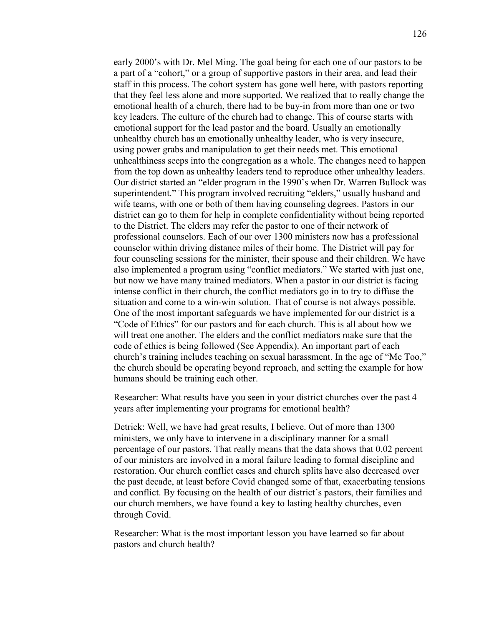early 2000's with Dr. Mel Ming. The goal being for each one of our pastors to be a part of a "cohort," or a group of supportive pastors in their area, and lead their staff in this process. The cohort system has gone well here, with pastors reporting that they feel less alone and more supported. We realized that to really change the emotional health of a church, there had to be buy-in from more than one or two key leaders. The culture of the church had to change. This of course starts with emotional support for the lead pastor and the board. Usually an emotionally unhealthy church has an emotionally unhealthy leader, who is very insecure, using power grabs and manipulation to get their needs met. This emotional unhealthiness seeps into the congregation as a whole. The changes need to happen from the top down as unhealthy leaders tend to reproduce other unhealthy leaders. Our district started an "elder program in the 1990's when Dr. Warren Bullock was superintendent." This program involved recruiting "elders," usually husband and wife teams, with one or both of them having counseling degrees. Pastors in our district can go to them for help in complete confidentiality without being reported to the District. The elders may refer the pastor to one of their network of professional counselors. Each of our over 1300 ministers now has a professional counselor within driving distance miles of their home. The District will pay for four counseling sessions for the minister, their spouse and their children. We have also implemented a program using "conflict mediators." We started with just one, but now we have many trained mediators. When a pastor in our district is facing intense conflict in their church, the conflict mediators go in to try to diffuse the situation and come to a win-win solution. That of course is not always possible. One of the most important safeguards we have implemented for our district is a "Code of Ethics" for our pastors and for each church. This is all about how we will treat one another. The elders and the conflict mediators make sure that the code of ethics is being followed (See Appendix). An important part of each church's training includes teaching on sexual harassment. In the age of "Me Too," the church should be operating beyond reproach, and setting the example for how humans should be training each other.

Researcher: What results have you seen in your district churches over the past 4 years after implementing your programs for emotional health?

Detrick: Well, we have had great results, I believe. Out of more than 1300 ministers, we only have to intervene in a disciplinary manner for a small percentage of our pastors. That really means that the data shows that 0.02 percent of our ministers are involved in a moral failure leading to formal discipline and restoration. Our church conflict cases and church splits have also decreased over the past decade, at least before Covid changed some of that, exacerbating tensions and conflict. By focusing on the health of our district's pastors, their families and our church members, we have found a key to lasting healthy churches, even through Covid.

Researcher: What is the most important lesson you have learned so far about pastors and church health?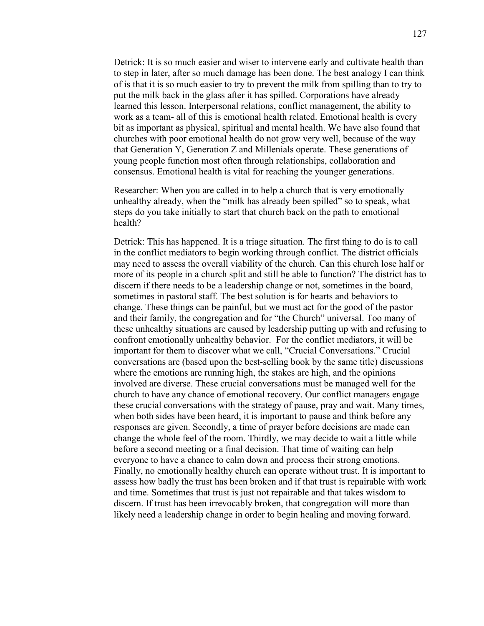Detrick: It is so much easier and wiser to intervene early and cultivate health than to step in later, after so much damage has been done. The best analogy I can think of is that it is so much easier to try to prevent the milk from spilling than to try to put the milk back in the glass after it has spilled. Corporations have already learned this lesson. Interpersonal relations, conflict management, the ability to work as a team- all of this is emotional health related. Emotional health is every bit as important as physical, spiritual and mental health. We have also found that churches with poor emotional health do not grow very well, because of the way that Generation Y, Generation Z and Millenials operate. These generations of young people function most often through relationships, collaboration and consensus. Emotional health is vital for reaching the younger generations.

Researcher: When you are called in to help a church that is very emotionally unhealthy already, when the "milk has already been spilled" so to speak, what steps do you take initially to start that church back on the path to emotional health?

Detrick: This has happened. It is a triage situation. The first thing to do is to call in the conflict mediators to begin working through conflict. The district officials may need to assess the overall viability of the church. Can this church lose half or more of its people in a church split and still be able to function? The district has to discern if there needs to be a leadership change or not, sometimes in the board, sometimes in pastoral staff. The best solution is for hearts and behaviors to change. These things can be painful, but we must act for the good of the pastor and their family, the congregation and for "the Church" universal. Too many of these unhealthy situations are caused by leadership putting up with and refusing to confront emotionally unhealthy behavior. For the conflict mediators, it will be important for them to discover what we call, "Crucial Conversations." Crucial conversations are (based upon the best-selling book by the same title) discussions where the emotions are running high, the stakes are high, and the opinions involved are diverse. These crucial conversations must be managed well for the church to have any chance of emotional recovery. Our conflict managers engage these crucial conversations with the strategy of pause, pray and wait. Many times, when both sides have been heard, it is important to pause and think before any responses are given. Secondly, a time of prayer before decisions are made can change the whole feel of the room. Thirdly, we may decide to wait a little while before a second meeting or a final decision. That time of waiting can help everyone to have a chance to calm down and process their strong emotions. Finally, no emotionally healthy church can operate without trust. It is important to assess how badly the trust has been broken and if that trust is repairable with work and time. Sometimes that trust is just not repairable and that takes wisdom to discern. If trust has been irrevocably broken, that congregation will more than likely need a leadership change in order to begin healing and moving forward.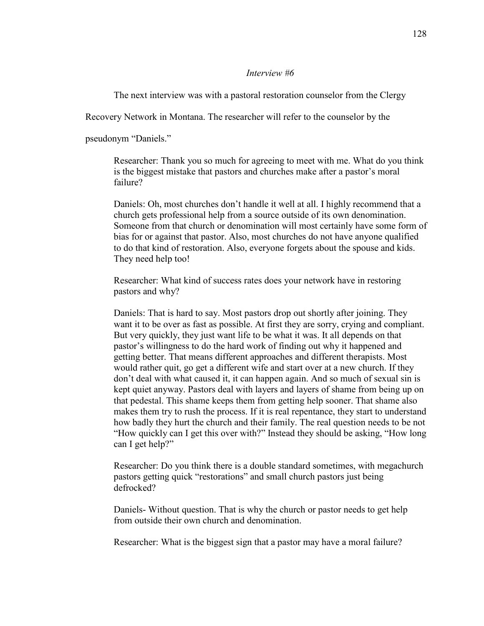#### *Interview #6*

The next interview was with a pastoral restoration counselor from the Clergy

Recovery Network in Montana. The researcher will refer to the counselor by the

pseudonym "Daniels."

Researcher: Thank you so much for agreeing to meet with me. What do you think is the biggest mistake that pastors and churches make after a pastor's moral failure?

Daniels: Oh, most churches don't handle it well at all. I highly recommend that a church gets professional help from a source outside of its own denomination. Someone from that church or denomination will most certainly have some form of bias for or against that pastor. Also, most churches do not have anyone qualified to do that kind of restoration. Also, everyone forgets about the spouse and kids. They need help too!

Researcher: What kind of success rates does your network have in restoring pastors and why?

Daniels: That is hard to say. Most pastors drop out shortly after joining. They want it to be over as fast as possible. At first they are sorry, crying and compliant. But very quickly, they just want life to be what it was. It all depends on that pastor's willingness to do the hard work of finding out why it happened and getting better. That means different approaches and different therapists. Most would rather quit, go get a different wife and start over at a new church. If they don't deal with what caused it, it can happen again. And so much of sexual sin is kept quiet anyway. Pastors deal with layers and layers of shame from being up on that pedestal. This shame keeps them from getting help sooner. That shame also makes them try to rush the process. If it is real repentance, they start to understand how badly they hurt the church and their family. The real question needs to be not "How quickly can I get this over with?" Instead they should be asking, "How long can I get help?"

Researcher: Do you think there is a double standard sometimes, with megachurch pastors getting quick "restorations" and small church pastors just being defrocked?

Daniels- Without question. That is why the church or pastor needs to get help from outside their own church and denomination.

Researcher: What is the biggest sign that a pastor may have a moral failure?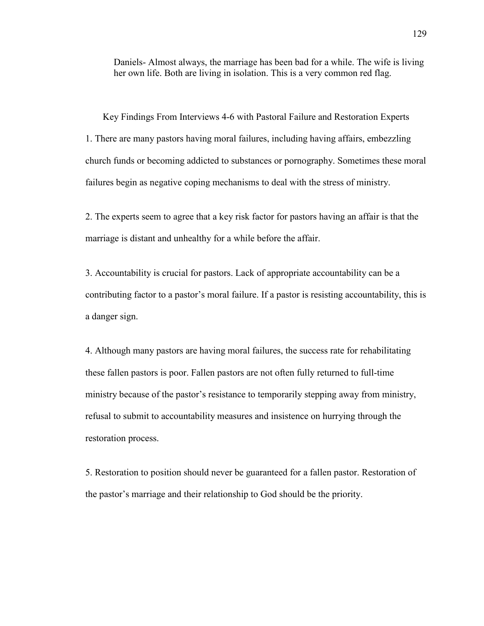Daniels- Almost always, the marriage has been bad for a while. The wife is living her own life. Both are living in isolation. This is a very common red flag.

Key Findings From Interviews 4-6 with Pastoral Failure and Restoration Experts 1. There are many pastors having moral failures, including having affairs, embezzling church funds or becoming addicted to substances or pornography. Sometimes these moral failures begin as negative coping mechanisms to deal with the stress of ministry.

2. The experts seem to agree that a key risk factor for pastors having an affair is that the marriage is distant and unhealthy for a while before the affair.

3. Accountability is crucial for pastors. Lack of appropriate accountability can be a contributing factor to a pastor's moral failure. If a pastor is resisting accountability, this is a danger sign.

4. Although many pastors are having moral failures, the success rate for rehabilitating these fallen pastors is poor. Fallen pastors are not often fully returned to full-time ministry because of the pastor's resistance to temporarily stepping away from ministry, refusal to submit to accountability measures and insistence on hurrying through the restoration process.

5. Restoration to position should never be guaranteed for a fallen pastor. Restoration of the pastor's marriage and their relationship to God should be the priority.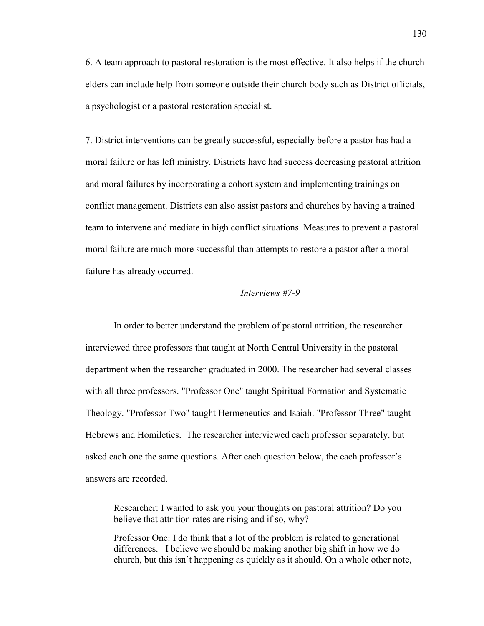6. A team approach to pastoral restoration is the most effective. It also helps if the church elders can include help from someone outside their church body such as District officials, a psychologist or a pastoral restoration specialist.

7. District interventions can be greatly successful, especially before a pastor has had a moral failure or has left ministry. Districts have had success decreasing pastoral attrition and moral failures by incorporating a cohort system and implementing trainings on conflict management. Districts can also assist pastors and churches by having a trained team to intervene and mediate in high conflict situations. Measures to prevent a pastoral moral failure are much more successful than attempts to restore a pastor after a moral failure has already occurred.

# *Interviews #7-9*

In order to better understand the problem of pastoral attrition, the researcher interviewed three professors that taught at North Central University in the pastoral department when the researcher graduated in 2000. The researcher had several classes with all three professors. "Professor One" taught Spiritual Formation and Systematic Theology. "Professor Two" taught Hermeneutics and Isaiah. "Professor Three" taught Hebrews and Homiletics. The researcher interviewed each professor separately, but asked each one the same questions. After each question below, the each professor's answers are recorded.

Researcher: I wanted to ask you your thoughts on pastoral attrition? Do you believe that attrition rates are rising and if so, why?

Professor One: I do think that a lot of the problem is related to generational differences. I believe we should be making another big shift in how we do church, but this isn't happening as quickly as it should. On a whole other note,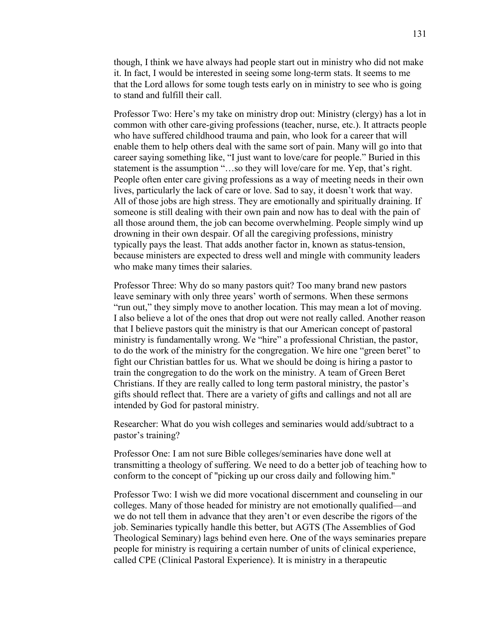though, I think we have always had people start out in ministry who did not make it. In fact, I would be interested in seeing some long-term stats. It seems to me that the Lord allows for some tough tests early on in ministry to see who is going to stand and fulfill their call.

Professor Two: Here's my take on ministry drop out: Ministry (clergy) has a lot in common with other care-giving professions (teacher, nurse, etc.). It attracts people who have suffered childhood trauma and pain, who look for a career that will enable them to help others deal with the same sort of pain. Many will go into that career saying something like, "I just want to love/care for people." Buried in this statement is the assumption "…so they will love/care for me. Yep, that's right. People often enter care giving professions as a way of meeting needs in their own lives, particularly the lack of care or love. Sad to say, it doesn't work that way. All of those jobs are high stress. They are emotionally and spiritually draining. If someone is still dealing with their own pain and now has to deal with the pain of all those around them, the job can become overwhelming. People simply wind up drowning in their own despair. Of all the caregiving professions, ministry typically pays the least. That adds another factor in, known as status-tension, because ministers are expected to dress well and mingle with community leaders who make many times their salaries.

Professor Three: Why do so many pastors quit? Too many brand new pastors leave seminary with only three years' worth of sermons. When these sermons "run out," they simply move to another location. This may mean a lot of moving. I also believe a lot of the ones that drop out were not really called. Another reason that I believe pastors quit the ministry is that our American concept of pastoral ministry is fundamentally wrong. We "hire" a professional Christian, the pastor, to do the work of the ministry for the congregation. We hire one "green beret" to fight our Christian battles for us. What we should be doing is hiring a pastor to train the congregation to do the work on the ministry. A team of Green Beret Christians. If they are really called to long term pastoral ministry, the pastor's gifts should reflect that. There are a variety of gifts and callings and not all are intended by God for pastoral ministry.

Researcher: What do you wish colleges and seminaries would add/subtract to a pastor's training?

Professor One: I am not sure Bible colleges/seminaries have done well at transmitting a theology of suffering. We need to do a better job of teaching how to conform to the concept of "picking up our cross daily and following him."

Professor Two: I wish we did more vocational discernment and counseling in our colleges. Many of those headed for ministry are not emotionally qualified—and we do not tell them in advance that they aren't or even describe the rigors of the job. Seminaries typically handle this better, but AGTS (The Assemblies of God Theological Seminary) lags behind even here. One of the ways seminaries prepare people for ministry is requiring a certain number of units of clinical experience, called CPE (Clinical Pastoral Experience). It is ministry in a therapeutic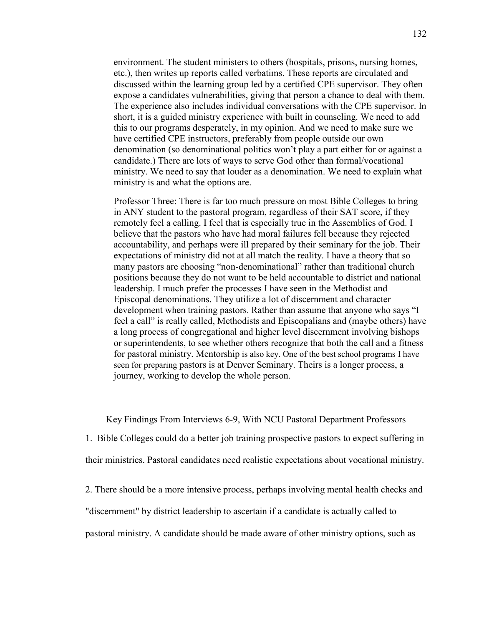environment. The student ministers to others (hospitals, prisons, nursing homes, etc.), then writes up reports called verbatims. These reports are circulated and discussed within the learning group led by a certified CPE supervisor. They often expose a candidates vulnerabilities, giving that person a chance to deal with them. The experience also includes individual conversations with the CPE supervisor. In short, it is a guided ministry experience with built in counseling. We need to add this to our programs desperately, in my opinion. And we need to make sure we have certified CPE instructors, preferably from people outside our own denomination (so denominational politics won't play a part either for or against a candidate.) There are lots of ways to serve God other than formal/vocational ministry. We need to say that louder as a denomination. We need to explain what ministry is and what the options are.

Professor Three: There is far too much pressure on most Bible Colleges to bring in ANY student to the pastoral program, regardless of their SAT score, if they remotely feel a calling. I feel that is especially true in the Assemblies of God. I believe that the pastors who have had moral failures fell because they rejected accountability, and perhaps were ill prepared by their seminary for the job. Their expectations of ministry did not at all match the reality. I have a theory that so many pastors are choosing "non-denominational" rather than traditional church positions because they do not want to be held accountable to district and national leadership. I much prefer the processes I have seen in the Methodist and Episcopal denominations. They utilize a lot of discernment and character development when training pastors. Rather than assume that anyone who says "I feel a call" is really called, Methodists and Episcopalians and (maybe others) have a long process of congregational and higher level discernment involving bishops or superintendents, to see whether others recognize that both the call and a fitness for pastoral ministry. Mentorship is also key. One of the best school programs I have seen for preparing pastors is at Denver Seminary. Theirs is a longer process, a journey, working to develop the whole person.

Key Findings From Interviews 6-9, With NCU Pastoral Department Professors

1. Bible Colleges could do a better job training prospective pastors to expect suffering in

their ministries. Pastoral candidates need realistic expectations about vocational ministry.

2. There should be a more intensive process, perhaps involving mental health checks and

"discernment" by district leadership to ascertain if a candidate is actually called to

pastoral ministry. A candidate should be made aware of other ministry options, such as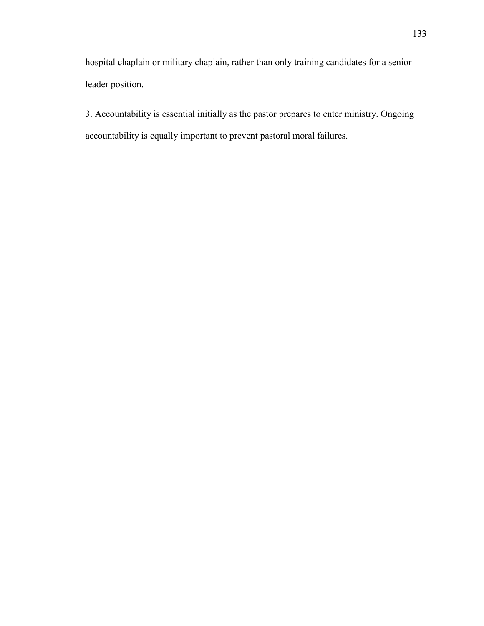hospital chaplain or military chaplain, rather than only training candidates for a senior leader position.

3. Accountability is essential initially as the pastor prepares to enter ministry. Ongoing accountability is equally important to prevent pastoral moral failures.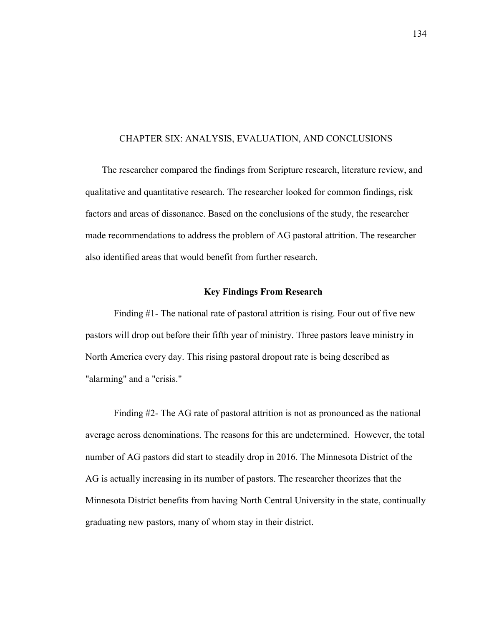## CHAPTER SIX: ANALYSIS, EVALUATION, AND CONCLUSIONS

 The researcher compared the findings from Scripture research, literature review, and qualitative and quantitative research. The researcher looked for common findings, risk factors and areas of dissonance. Based on the conclusions of the study, the researcher made recommendations to address the problem of AG pastoral attrition. The researcher also identified areas that would benefit from further research.

#### **Key Findings From Research**

Finding #1- The national rate of pastoral attrition is rising. Four out of five new pastors will drop out before their fifth year of ministry. Three pastors leave ministry in North America every day. This rising pastoral dropout rate is being described as "alarming" and a "crisis."

Finding #2- The AG rate of pastoral attrition is not as pronounced as the national average across denominations. The reasons for this are undetermined. However, the total number of AG pastors did start to steadily drop in 2016. The Minnesota District of the AG is actually increasing in its number of pastors. The researcher theorizes that the Minnesota District benefits from having North Central University in the state, continually graduating new pastors, many of whom stay in their district.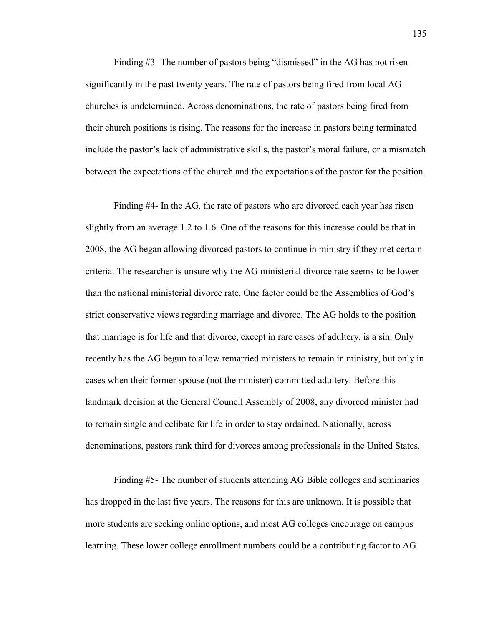Finding #3- The number of pastors being "dismissed" in the AG has not risen significantly in the past twenty years. The rate of pastors being fired from local AG churches is undetermined. Across denominations, the rate of pastors being fired from their church positions is rising. The reasons for the increase in pastors being terminated include the pastor's lack of administrative skills, the pastor's moral failure, or a mismatch between the expectations of the church and the expectations of the pastor for the position.

Finding #4- In the AG, the rate of pastors who are divorced each year has risen slightly from an average 1.2 to 1.6. One of the reasons for this increase could be that in 2008, the AG began allowing divorced pastors to continue in ministry if they met certain criteria. The researcher is unsure why the AG ministerial divorce rate seems to be lower than the national ministerial divorce rate. One factor could be the Assemblies of God's strict conservative views regarding marriage and divorce. The AG holds to the position that marriage is for life and that divorce, except in rare cases of adultery, is a sin. Only recently has the AG begun to allow remarried ministers to remain in ministry, but only in cases when their former spouse (not the minister) committed adultery. Before this landmark decision at the General Council Assembly of 2008, any divorced minister had to remain single and celibate for life in order to stay ordained. Nationally, across denominations, pastors rank third for divorces among professionals in the United States.

Finding #5- The number of students attending AG Bible colleges and seminaries has dropped in the last five years. The reasons for this are unknown. It is possible that more students are seeking online options, and most AG colleges encourage on campus learning. These lower college enrollment numbers could be a contributing factor to AG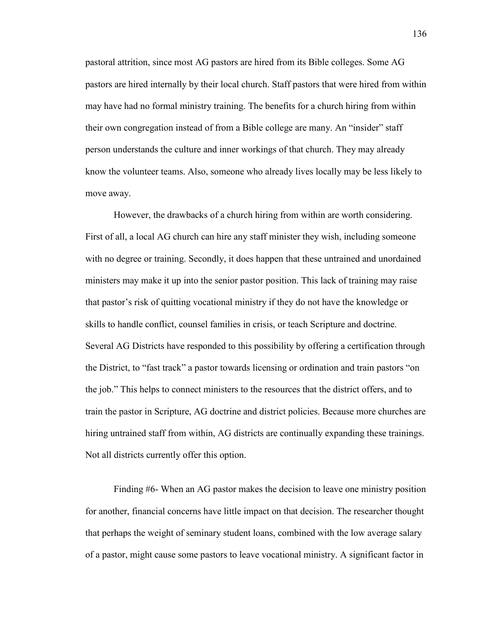pastoral attrition, since most AG pastors are hired from its Bible colleges. Some AG pastors are hired internally by their local church. Staff pastors that were hired from within may have had no formal ministry training. The benefits for a church hiring from within their own congregation instead of from a Bible college are many. An "insider" staff person understands the culture and inner workings of that church. They may already know the volunteer teams. Also, someone who already lives locally may be less likely to move away.

However, the drawbacks of a church hiring from within are worth considering. First of all, a local AG church can hire any staff minister they wish, including someone with no degree or training. Secondly, it does happen that these untrained and unordained ministers may make it up into the senior pastor position. This lack of training may raise that pastor's risk of quitting vocational ministry if they do not have the knowledge or skills to handle conflict, counsel families in crisis, or teach Scripture and doctrine. Several AG Districts have responded to this possibility by offering a certification through the District, to "fast track" a pastor towards licensing or ordination and train pastors "on the job." This helps to connect ministers to the resources that the district offers, and to train the pastor in Scripture, AG doctrine and district policies. Because more churches are hiring untrained staff from within, AG districts are continually expanding these trainings. Not all districts currently offer this option.

Finding #6- When an AG pastor makes the decision to leave one ministry position for another, financial concerns have little impact on that decision. The researcher thought that perhaps the weight of seminary student loans, combined with the low average salary of a pastor, might cause some pastors to leave vocational ministry. A significant factor in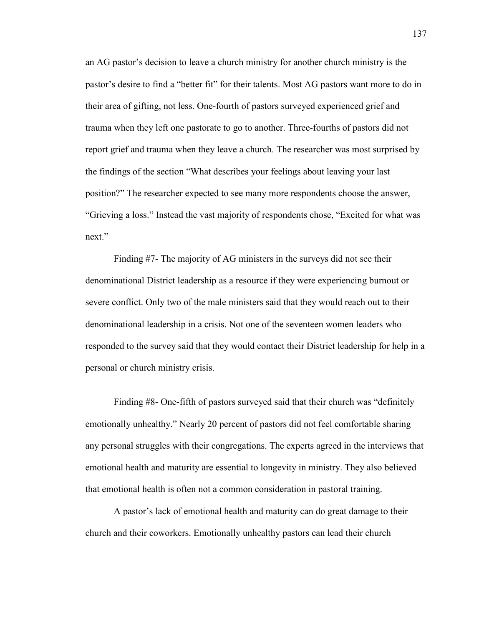an AG pastor's decision to leave a church ministry for another church ministry is the pastor's desire to find a "better fit" for their talents. Most AG pastors want more to do in their area of gifting, not less. One-fourth of pastors surveyed experienced grief and trauma when they left one pastorate to go to another. Three-fourths of pastors did not report grief and trauma when they leave a church. The researcher was most surprised by the findings of the section "What describes your feelings about leaving your last position?" The researcher expected to see many more respondents choose the answer, "Grieving a loss." Instead the vast majority of respondents chose, "Excited for what was next"

Finding #7- The majority of AG ministers in the surveys did not see their denominational District leadership as a resource if they were experiencing burnout or severe conflict. Only two of the male ministers said that they would reach out to their denominational leadership in a crisis. Not one of the seventeen women leaders who responded to the survey said that they would contact their District leadership for help in a personal or church ministry crisis.

Finding #8- One-fifth of pastors surveyed said that their church was "definitely emotionally unhealthy." Nearly 20 percent of pastors did not feel comfortable sharing any personal struggles with their congregations. The experts agreed in the interviews that emotional health and maturity are essential to longevity in ministry. They also believed that emotional health is often not a common consideration in pastoral training.

A pastor's lack of emotional health and maturity can do great damage to their church and their coworkers. Emotionally unhealthy pastors can lead their church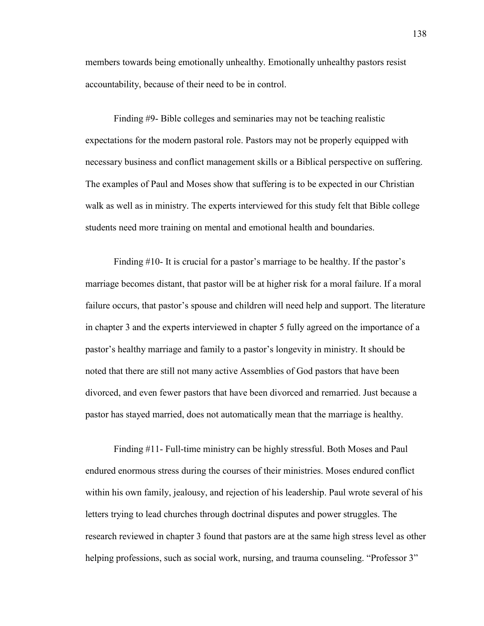members towards being emotionally unhealthy. Emotionally unhealthy pastors resist accountability, because of their need to be in control.

Finding #9- Bible colleges and seminaries may not be teaching realistic expectations for the modern pastoral role. Pastors may not be properly equipped with necessary business and conflict management skills or a Biblical perspective on suffering. The examples of Paul and Moses show that suffering is to be expected in our Christian walk as well as in ministry. The experts interviewed for this study felt that Bible college students need more training on mental and emotional health and boundaries.

Finding #10- It is crucial for a pastor's marriage to be healthy. If the pastor's marriage becomes distant, that pastor will be at higher risk for a moral failure. If a moral failure occurs, that pastor's spouse and children will need help and support. The literature in chapter 3 and the experts interviewed in chapter 5 fully agreed on the importance of a pastor's healthy marriage and family to a pastor's longevity in ministry. It should be noted that there are still not many active Assemblies of God pastors that have been divorced, and even fewer pastors that have been divorced and remarried. Just because a pastor has stayed married, does not automatically mean that the marriage is healthy.

Finding #11- Full-time ministry can be highly stressful. Both Moses and Paul endured enormous stress during the courses of their ministries. Moses endured conflict within his own family, jealousy, and rejection of his leadership. Paul wrote several of his letters trying to lead churches through doctrinal disputes and power struggles. The research reviewed in chapter 3 found that pastors are at the same high stress level as other helping professions, such as social work, nursing, and trauma counseling. "Professor 3"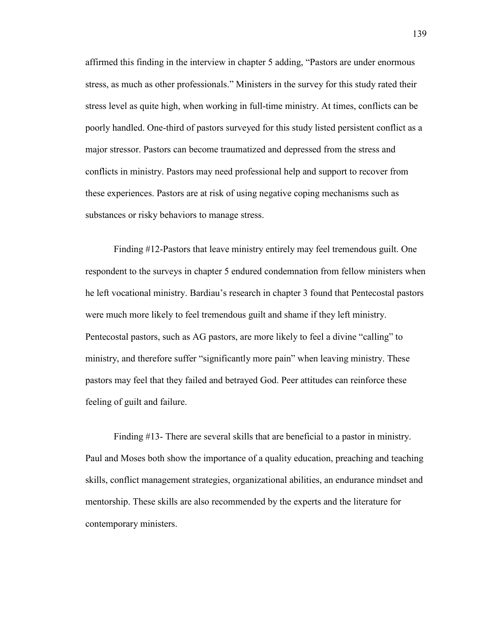affirmed this finding in the interview in chapter 5 adding, "Pastors are under enormous stress, as much as other professionals." Ministers in the survey for this study rated their stress level as quite high, when working in full-time ministry. At times, conflicts can be poorly handled. One-third of pastors surveyed for this study listed persistent conflict as a major stressor. Pastors can become traumatized and depressed from the stress and conflicts in ministry. Pastors may need professional help and support to recover from these experiences. Pastors are at risk of using negative coping mechanisms such as substances or risky behaviors to manage stress.

Finding #12-Pastors that leave ministry entirely may feel tremendous guilt. One respondent to the surveys in chapter 5 endured condemnation from fellow ministers when he left vocational ministry. Bardiau's research in chapter 3 found that Pentecostal pastors were much more likely to feel tremendous guilt and shame if they left ministry. Pentecostal pastors, such as AG pastors, are more likely to feel a divine "calling" to ministry, and therefore suffer "significantly more pain" when leaving ministry. These pastors may feel that they failed and betrayed God. Peer attitudes can reinforce these feeling of guilt and failure.

Finding #13- There are several skills that are beneficial to a pastor in ministry. Paul and Moses both show the importance of a quality education, preaching and teaching skills, conflict management strategies, organizational abilities, an endurance mindset and mentorship. These skills are also recommended by the experts and the literature for contemporary ministers.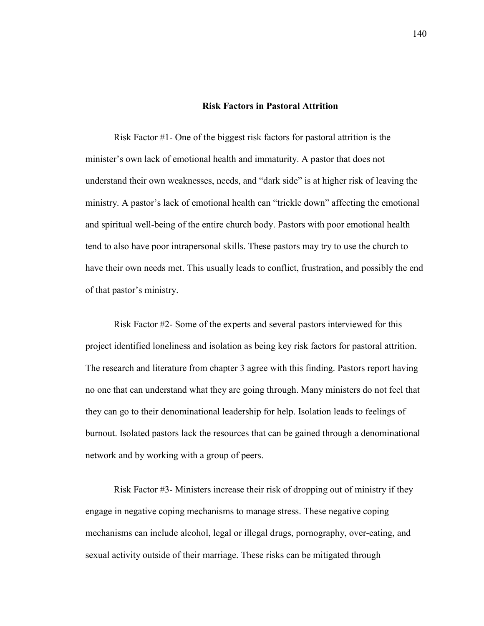# **Risk Factors in Pastoral Attrition**

Risk Factor #1- One of the biggest risk factors for pastoral attrition is the minister's own lack of emotional health and immaturity. A pastor that does not understand their own weaknesses, needs, and "dark side" is at higher risk of leaving the ministry. A pastor's lack of emotional health can "trickle down" affecting the emotional and spiritual well-being of the entire church body. Pastors with poor emotional health tend to also have poor intrapersonal skills. These pastors may try to use the church to have their own needs met. This usually leads to conflict, frustration, and possibly the end of that pastor's ministry.

Risk Factor #2- Some of the experts and several pastors interviewed for this project identified loneliness and isolation as being key risk factors for pastoral attrition. The research and literature from chapter 3 agree with this finding. Pastors report having no one that can understand what they are going through. Many ministers do not feel that they can go to their denominational leadership for help. Isolation leads to feelings of burnout. Isolated pastors lack the resources that can be gained through a denominational network and by working with a group of peers.

Risk Factor #3- Ministers increase their risk of dropping out of ministry if they engage in negative coping mechanisms to manage stress. These negative coping mechanisms can include alcohol, legal or illegal drugs, pornography, over-eating, and sexual activity outside of their marriage. These risks can be mitigated through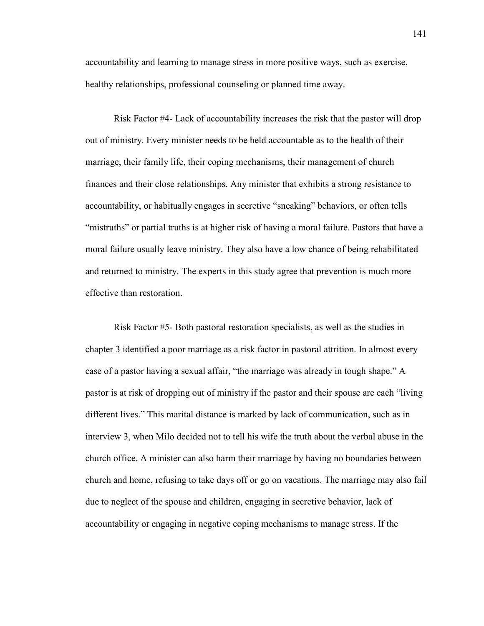accountability and learning to manage stress in more positive ways, such as exercise, healthy relationships, professional counseling or planned time away.

Risk Factor #4- Lack of accountability increases the risk that the pastor will drop out of ministry. Every minister needs to be held accountable as to the health of their marriage, their family life, their coping mechanisms, their management of church finances and their close relationships. Any minister that exhibits a strong resistance to accountability, or habitually engages in secretive "sneaking" behaviors, or often tells "mistruths" or partial truths is at higher risk of having a moral failure. Pastors that have a moral failure usually leave ministry. They also have a low chance of being rehabilitated and returned to ministry. The experts in this study agree that prevention is much more effective than restoration.

Risk Factor #5- Both pastoral restoration specialists, as well as the studies in chapter 3 identified a poor marriage as a risk factor in pastoral attrition. In almost every case of a pastor having a sexual affair, "the marriage was already in tough shape." A pastor is at risk of dropping out of ministry if the pastor and their spouse are each "living different lives." This marital distance is marked by lack of communication, such as in interview 3, when Milo decided not to tell his wife the truth about the verbal abuse in the church office. A minister can also harm their marriage by having no boundaries between church and home, refusing to take days off or go on vacations. The marriage may also fail due to neglect of the spouse and children, engaging in secretive behavior, lack of accountability or engaging in negative coping mechanisms to manage stress. If the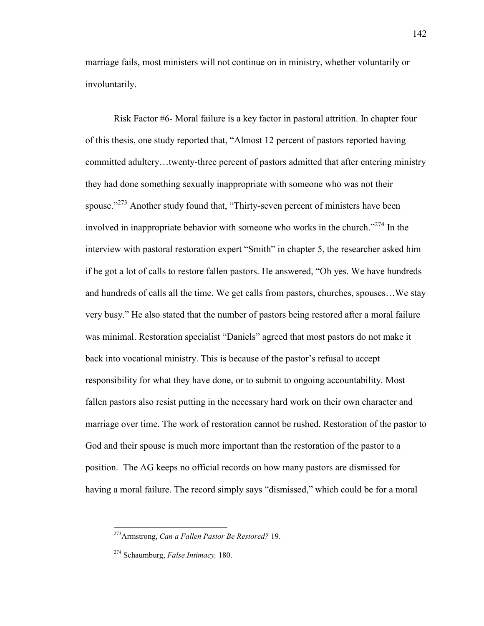marriage fails, most ministers will not continue on in ministry, whether voluntarily or involuntarily.

Risk Factor #6- Moral failure is a key factor in pastoral attrition. In chapter four of this thesis, one study reported that, "Almost 12 percent of pastors reported having committed adultery…twenty-three percent of pastors admitted that after entering ministry they had done something sexually inappropriate with someone who was not their spouse."<sup>273</sup> Another study found that, "Thirty-seven percent of ministers have been involved in inappropriate behavior with someone who works in the church." $274$  In the interview with pastoral restoration expert "Smith" in chapter 5, the researcher asked him if he got a lot of calls to restore fallen pastors. He answered, "Oh yes. We have hundreds and hundreds of calls all the time. We get calls from pastors, churches, spouses…We stay very busy." He also stated that the number of pastors being restored after a moral failure was minimal. Restoration specialist "Daniels" agreed that most pastors do not make it back into vocational ministry. This is because of the pastor's refusal to accept responsibility for what they have done, or to submit to ongoing accountability. Most fallen pastors also resist putting in the necessary hard work on their own character and marriage over time. The work of restoration cannot be rushed. Restoration of the pastor to God and their spouse is much more important than the restoration of the pastor to a position. The AG keeps no official records on how many pastors are dismissed for having a moral failure. The record simply says "dismissed," which could be for a moral

-

<sup>273</sup>Armstrong, *Can a Fallen Pastor Be Restored?* 19.

<sup>274</sup> Schaumburg, *False Intimacy,* 180.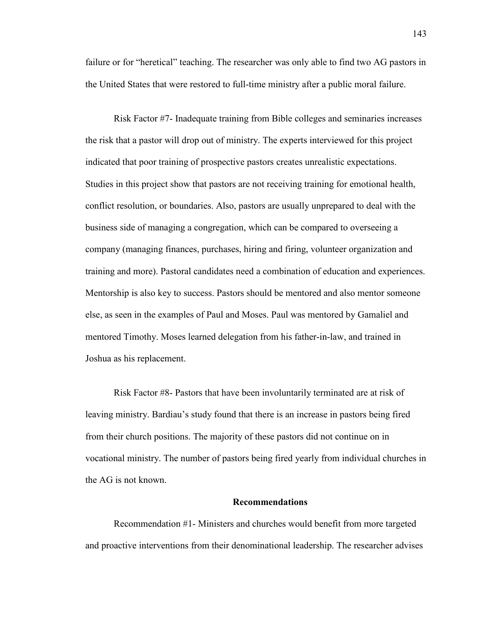failure or for "heretical" teaching. The researcher was only able to find two AG pastors in the United States that were restored to full-time ministry after a public moral failure.

Risk Factor #7- Inadequate training from Bible colleges and seminaries increases the risk that a pastor will drop out of ministry. The experts interviewed for this project indicated that poor training of prospective pastors creates unrealistic expectations. Studies in this project show that pastors are not receiving training for emotional health, conflict resolution, or boundaries. Also, pastors are usually unprepared to deal with the business side of managing a congregation, which can be compared to overseeing a company (managing finances, purchases, hiring and firing, volunteer organization and training and more). Pastoral candidates need a combination of education and experiences. Mentorship is also key to success. Pastors should be mentored and also mentor someone else, as seen in the examples of Paul and Moses. Paul was mentored by Gamaliel and mentored Timothy. Moses learned delegation from his father-in-law, and trained in Joshua as his replacement.

Risk Factor #8- Pastors that have been involuntarily terminated are at risk of leaving ministry. Bardiau's study found that there is an increase in pastors being fired from their church positions. The majority of these pastors did not continue on in vocational ministry. The number of pastors being fired yearly from individual churches in the AG is not known.

## **Recommendations**

Recommendation #1- Ministers and churches would benefit from more targeted and proactive interventions from their denominational leadership. The researcher advises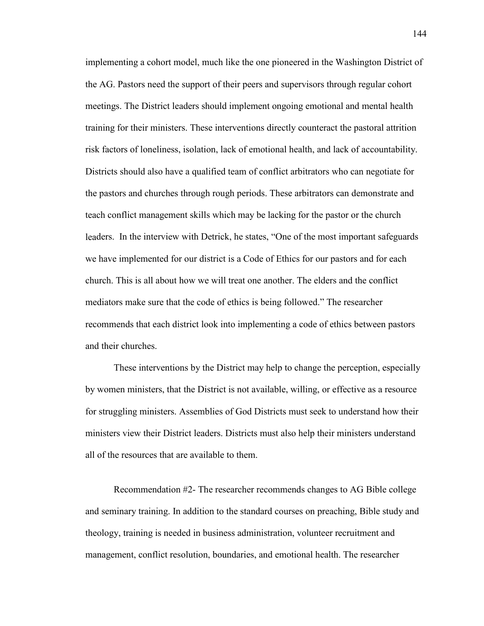implementing a cohort model, much like the one pioneered in the Washington District of the AG. Pastors need the support of their peers and supervisors through regular cohort meetings. The District leaders should implement ongoing emotional and mental health training for their ministers. These interventions directly counteract the pastoral attrition risk factors of loneliness, isolation, lack of emotional health, and lack of accountability. Districts should also have a qualified team of conflict arbitrators who can negotiate for the pastors and churches through rough periods. These arbitrators can demonstrate and teach conflict management skills which may be lacking for the pastor or the church leaders. In the interview with Detrick, he states, "One of the most important safeguards we have implemented for our district is a Code of Ethics for our pastors and for each church. This is all about how we will treat one another. The elders and the conflict mediators make sure that the code of ethics is being followed." The researcher recommends that each district look into implementing a code of ethics between pastors and their churches.

These interventions by the District may help to change the perception, especially by women ministers, that the District is not available, willing, or effective as a resource for struggling ministers. Assemblies of God Districts must seek to understand how their ministers view their District leaders. Districts must also help their ministers understand all of the resources that are available to them.

Recommendation #2- The researcher recommends changes to AG Bible college and seminary training. In addition to the standard courses on preaching, Bible study and theology, training is needed in business administration, volunteer recruitment and management, conflict resolution, boundaries, and emotional health. The researcher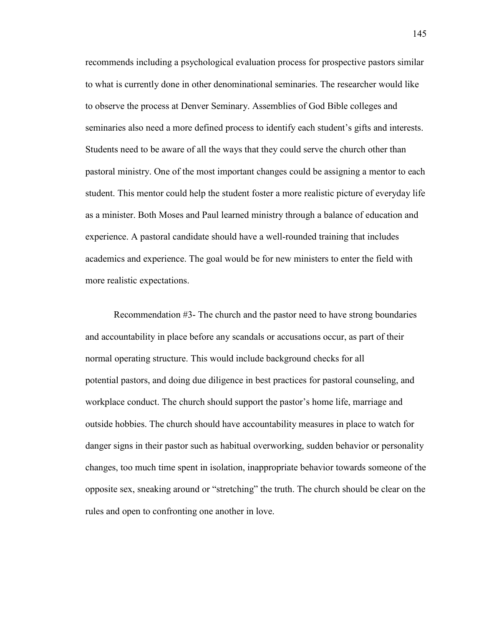recommends including a psychological evaluation process for prospective pastors similar to what is currently done in other denominational seminaries. The researcher would like to observe the process at Denver Seminary. Assemblies of God Bible colleges and seminaries also need a more defined process to identify each student's gifts and interests. Students need to be aware of all the ways that they could serve the church other than pastoral ministry. One of the most important changes could be assigning a mentor to each student. This mentor could help the student foster a more realistic picture of everyday life as a minister. Both Moses and Paul learned ministry through a balance of education and experience. A pastoral candidate should have a well-rounded training that includes academics and experience. The goal would be for new ministers to enter the field with more realistic expectations.

Recommendation #3- The church and the pastor need to have strong boundaries and accountability in place before any scandals or accusations occur, as part of their normal operating structure. This would include background checks for all potential pastors, and doing due diligence in best practices for pastoral counseling, and workplace conduct. The church should support the pastor's home life, marriage and outside hobbies. The church should have accountability measures in place to watch for danger signs in their pastor such as habitual overworking, sudden behavior or personality changes, too much time spent in isolation, inappropriate behavior towards someone of the opposite sex, sneaking around or "stretching" the truth. The church should be clear on the rules and open to confronting one another in love.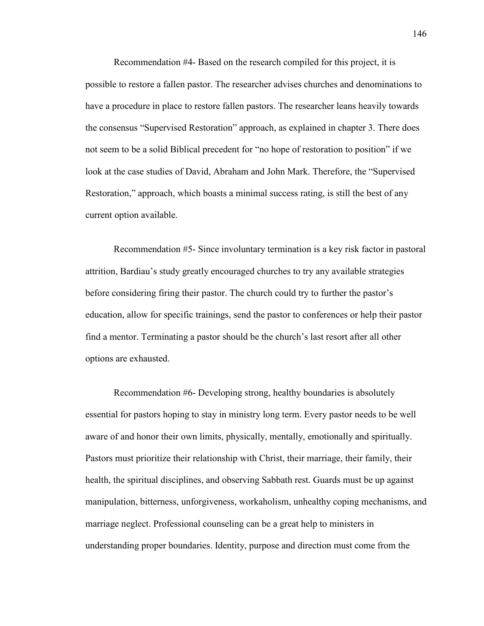Recommendation #4- Based on the research compiled for this project, it is possible to restore a fallen pastor. The researcher advises churches and denominations to have a procedure in place to restore fallen pastors. The researcher leans heavily towards the consensus "Supervised Restoration" approach, as explained in chapter 3. There does not seem to be a solid Biblical precedent for "no hope of restoration to position" if we look at the case studies of David, Abraham and John Mark. Therefore, the "Supervised Restoration," approach, which boasts a minimal success rating, is still the best of any current option available.

Recommendation #5- Since involuntary termination is a key risk factor in pastoral attrition, Bardiau's study greatly encouraged churches to try any available strategies before considering firing their pastor. The church could try to further the pastor's education, allow for specific trainings, send the pastor to conferences or help their pastor find a mentor. Terminating a pastor should be the church's last resort after all other options are exhausted.

Recommendation #6- Developing strong, healthy boundaries is absolutely essential for pastors hoping to stay in ministry long term. Every pastor needs to be well aware of and honor their own limits, physically, mentally, emotionally and spiritually. Pastors must prioritize their relationship with Christ, their marriage, their family, their health, the spiritual disciplines, and observing Sabbath rest. Guards must be up against manipulation, bitterness, unforgiveness, workaholism, unhealthy coping mechanisms, and marriage neglect. Professional counseling can be a great help to ministers in understanding proper boundaries. Identity, purpose and direction must come from the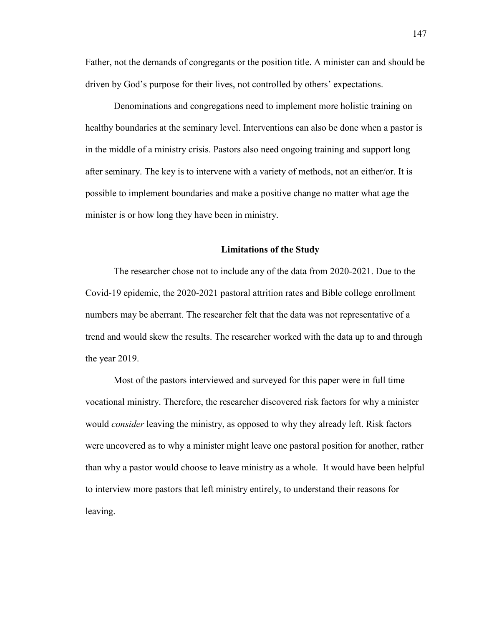Father, not the demands of congregants or the position title. A minister can and should be driven by God's purpose for their lives, not controlled by others' expectations.

Denominations and congregations need to implement more holistic training on healthy boundaries at the seminary level. Interventions can also be done when a pastor is in the middle of a ministry crisis. Pastors also need ongoing training and support long after seminary. The key is to intervene with a variety of methods, not an either/or. It is possible to implement boundaries and make a positive change no matter what age the minister is or how long they have been in ministry.

## **Limitations of the Study**

The researcher chose not to include any of the data from 2020-2021. Due to the Covid-19 epidemic, the 2020-2021 pastoral attrition rates and Bible college enrollment numbers may be aberrant. The researcher felt that the data was not representative of a trend and would skew the results. The researcher worked with the data up to and through the year 2019.

Most of the pastors interviewed and surveyed for this paper were in full time vocational ministry. Therefore, the researcher discovered risk factors for why a minister would *consider* leaving the ministry, as opposed to why they already left. Risk factors were uncovered as to why a minister might leave one pastoral position for another, rather than why a pastor would choose to leave ministry as a whole. It would have been helpful to interview more pastors that left ministry entirely, to understand their reasons for leaving.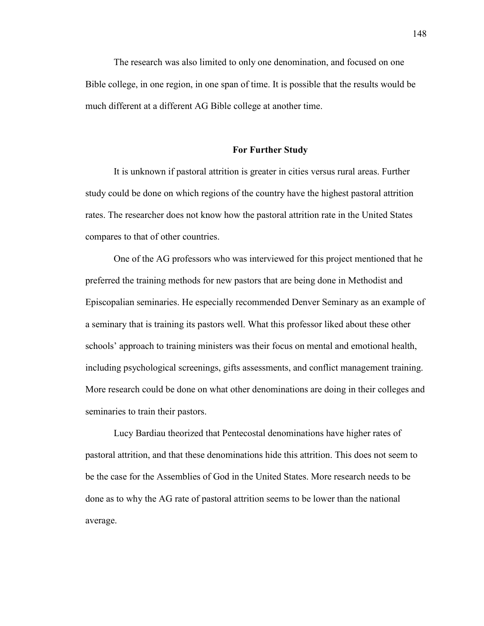The research was also limited to only one denomination, and focused on one Bible college, in one region, in one span of time. It is possible that the results would be much different at a different AG Bible college at another time.

## **For Further Study**

It is unknown if pastoral attrition is greater in cities versus rural areas. Further study could be done on which regions of the country have the highest pastoral attrition rates. The researcher does not know how the pastoral attrition rate in the United States compares to that of other countries.

One of the AG professors who was interviewed for this project mentioned that he preferred the training methods for new pastors that are being done in Methodist and Episcopalian seminaries. He especially recommended Denver Seminary as an example of a seminary that is training its pastors well. What this professor liked about these other schools' approach to training ministers was their focus on mental and emotional health, including psychological screenings, gifts assessments, and conflict management training. More research could be done on what other denominations are doing in their colleges and seminaries to train their pastors.

Lucy Bardiau theorized that Pentecostal denominations have higher rates of pastoral attrition, and that these denominations hide this attrition. This does not seem to be the case for the Assemblies of God in the United States. More research needs to be done as to why the AG rate of pastoral attrition seems to be lower than the national average.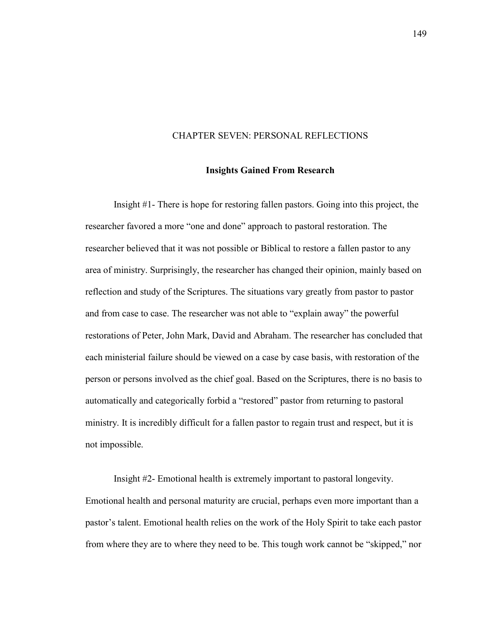## CHAPTER SEVEN: PERSONAL REFLECTIONS

### **Insights Gained From Research**

Insight #1- There is hope for restoring fallen pastors. Going into this project, the researcher favored a more "one and done" approach to pastoral restoration. The researcher believed that it was not possible or Biblical to restore a fallen pastor to any area of ministry. Surprisingly, the researcher has changed their opinion, mainly based on reflection and study of the Scriptures. The situations vary greatly from pastor to pastor and from case to case. The researcher was not able to "explain away" the powerful restorations of Peter, John Mark, David and Abraham. The researcher has concluded that each ministerial failure should be viewed on a case by case basis, with restoration of the person or persons involved as the chief goal. Based on the Scriptures, there is no basis to automatically and categorically forbid a "restored" pastor from returning to pastoral ministry. It is incredibly difficult for a fallen pastor to regain trust and respect, but it is not impossible.

Insight #2- Emotional health is extremely important to pastoral longevity. Emotional health and personal maturity are crucial, perhaps even more important than a pastor's talent. Emotional health relies on the work of the Holy Spirit to take each pastor from where they are to where they need to be. This tough work cannot be "skipped," nor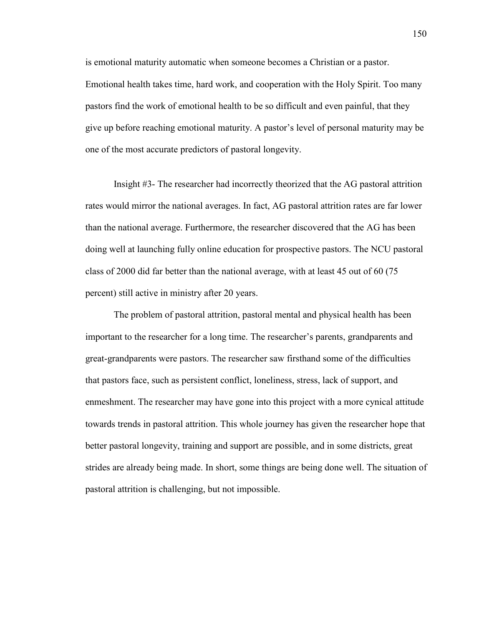is emotional maturity automatic when someone becomes a Christian or a pastor. Emotional health takes time, hard work, and cooperation with the Holy Spirit. Too many pastors find the work of emotional health to be so difficult and even painful, that they give up before reaching emotional maturity. A pastor's level of personal maturity may be one of the most accurate predictors of pastoral longevity.

Insight #3- The researcher had incorrectly theorized that the AG pastoral attrition rates would mirror the national averages. In fact, AG pastoral attrition rates are far lower than the national average. Furthermore, the researcher discovered that the AG has been doing well at launching fully online education for prospective pastors. The NCU pastoral class of 2000 did far better than the national average, with at least 45 out of 60 (75 percent) still active in ministry after 20 years.

 The problem of pastoral attrition, pastoral mental and physical health has been important to the researcher for a long time. The researcher's parents, grandparents and great-grandparents were pastors. The researcher saw firsthand some of the difficulties that pastors face, such as persistent conflict, loneliness, stress, lack of support, and enmeshment. The researcher may have gone into this project with a more cynical attitude towards trends in pastoral attrition. This whole journey has given the researcher hope that better pastoral longevity, training and support are possible, and in some districts, great strides are already being made. In short, some things are being done well. The situation of pastoral attrition is challenging, but not impossible.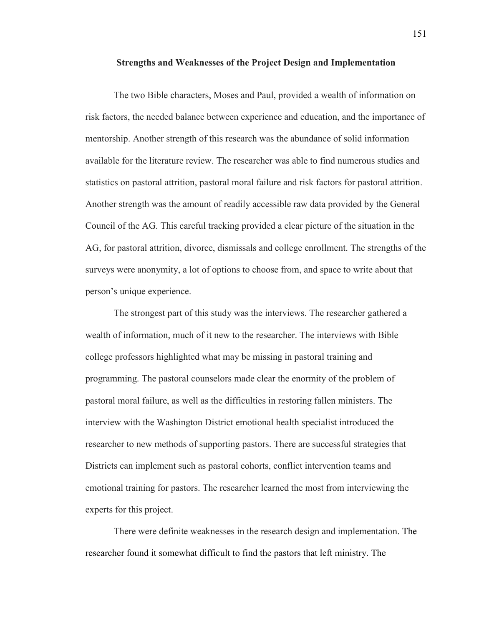### **Strengths and Weaknesses of the Project Design and Implementation**

 The two Bible characters, Moses and Paul, provided a wealth of information on risk factors, the needed balance between experience and education, and the importance of mentorship. Another strength of this research was the abundance of solid information available for the literature review. The researcher was able to find numerous studies and statistics on pastoral attrition, pastoral moral failure and risk factors for pastoral attrition. Another strength was the amount of readily accessible raw data provided by the General Council of the AG. This careful tracking provided a clear picture of the situation in the AG, for pastoral attrition, divorce, dismissals and college enrollment. The strengths of the surveys were anonymity, a lot of options to choose from, and space to write about that person's unique experience.

 The strongest part of this study was the interviews. The researcher gathered a wealth of information, much of it new to the researcher. The interviews with Bible college professors highlighted what may be missing in pastoral training and programming. The pastoral counselors made clear the enormity of the problem of pastoral moral failure, as well as the difficulties in restoring fallen ministers. The interview with the Washington District emotional health specialist introduced the researcher to new methods of supporting pastors. There are successful strategies that Districts can implement such as pastoral cohorts, conflict intervention teams and emotional training for pastors. The researcher learned the most from interviewing the experts for this project.

There were definite weaknesses in the research design and implementation. The researcher found it somewhat difficult to find the pastors that left ministry. The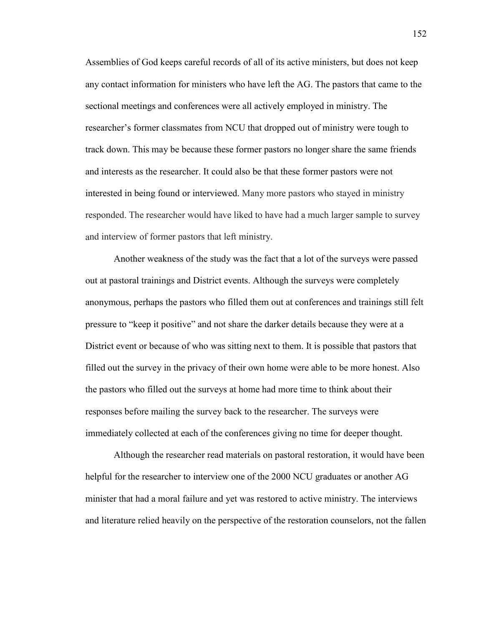Assemblies of God keeps careful records of all of its active ministers, but does not keep any contact information for ministers who have left the AG. The pastors that came to the sectional meetings and conferences were all actively employed in ministry. The researcher's former classmates from NCU that dropped out of ministry were tough to track down. This may be because these former pastors no longer share the same friends and interests as the researcher. It could also be that these former pastors were not interested in being found or interviewed. Many more pastors who stayed in ministry responded. The researcher would have liked to have had a much larger sample to survey and interview of former pastors that left ministry.

Another weakness of the study was the fact that a lot of the surveys were passed out at pastoral trainings and District events. Although the surveys were completely anonymous, perhaps the pastors who filled them out at conferences and trainings still felt pressure to "keep it positive" and not share the darker details because they were at a District event or because of who was sitting next to them. It is possible that pastors that filled out the survey in the privacy of their own home were able to be more honest. Also the pastors who filled out the surveys at home had more time to think about their responses before mailing the survey back to the researcher. The surveys were immediately collected at each of the conferences giving no time for deeper thought.

Although the researcher read materials on pastoral restoration, it would have been helpful for the researcher to interview one of the 2000 NCU graduates or another AG minister that had a moral failure and yet was restored to active ministry. The interviews and literature relied heavily on the perspective of the restoration counselors, not the fallen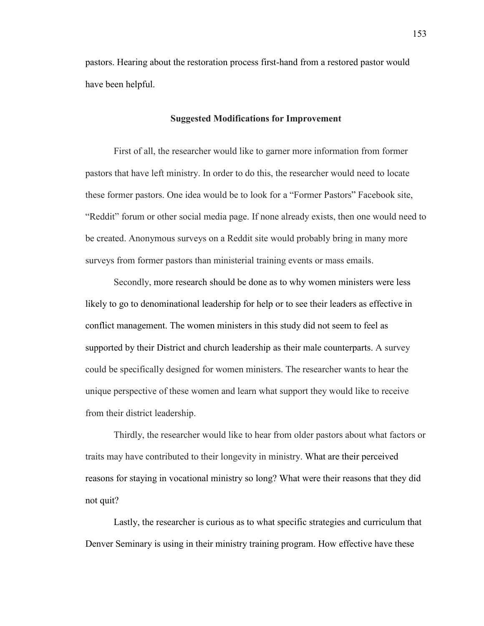pastors. Hearing about the restoration process first-hand from a restored pastor would have been helpful.

## **Suggested Modifications for Improvement**

First of all, the researcher would like to garner more information from former pastors that have left ministry. In order to do this, the researcher would need to locate these former pastors. One idea would be to look for a "Former Pastors" Facebook site, "Reddit" forum or other social media page. If none already exists, then one would need to be created. Anonymous surveys on a Reddit site would probably bring in many more surveys from former pastors than ministerial training events or mass emails.

Secondly, more research should be done as to why women ministers were less likely to go to denominational leadership for help or to see their leaders as effective in conflict management. The women ministers in this study did not seem to feel as supported by their District and church leadership as their male counterparts. A survey could be specifically designed for women ministers. The researcher wants to hear the unique perspective of these women and learn what support they would like to receive from their district leadership.

Thirdly, the researcher would like to hear from older pastors about what factors or traits may have contributed to their longevity in ministry. What are their perceived reasons for staying in vocational ministry so long? What were their reasons that they did not quit?

Lastly, the researcher is curious as to what specific strategies and curriculum that Denver Seminary is using in their ministry training program. How effective have these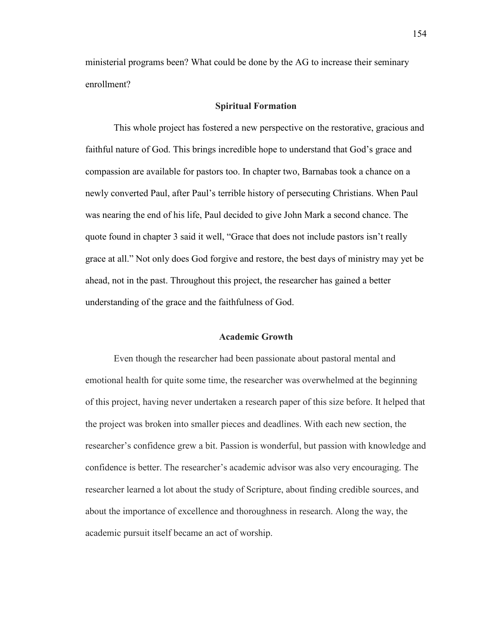ministerial programs been? What could be done by the AG to increase their seminary enrollment?

## **Spiritual Formation**

 This whole project has fostered a new perspective on the restorative, gracious and faithful nature of God. This brings incredible hope to understand that God's grace and compassion are available for pastors too. In chapter two, Barnabas took a chance on a newly converted Paul, after Paul's terrible history of persecuting Christians. When Paul was nearing the end of his life, Paul decided to give John Mark a second chance. The quote found in chapter 3 said it well, "Grace that does not include pastors isn't really grace at all." Not only does God forgive and restore, the best days of ministry may yet be ahead, not in the past. Throughout this project, the researcher has gained a better understanding of the grace and the faithfulness of God.

## **Academic Growth**

 Even though the researcher had been passionate about pastoral mental and emotional health for quite some time, the researcher was overwhelmed at the beginning of this project, having never undertaken a research paper of this size before. It helped that the project was broken into smaller pieces and deadlines. With each new section, the researcher's confidence grew a bit. Passion is wonderful, but passion with knowledge and confidence is better. The researcher's academic advisor was also very encouraging. The researcher learned a lot about the study of Scripture, about finding credible sources, and about the importance of excellence and thoroughness in research. Along the way, the academic pursuit itself became an act of worship.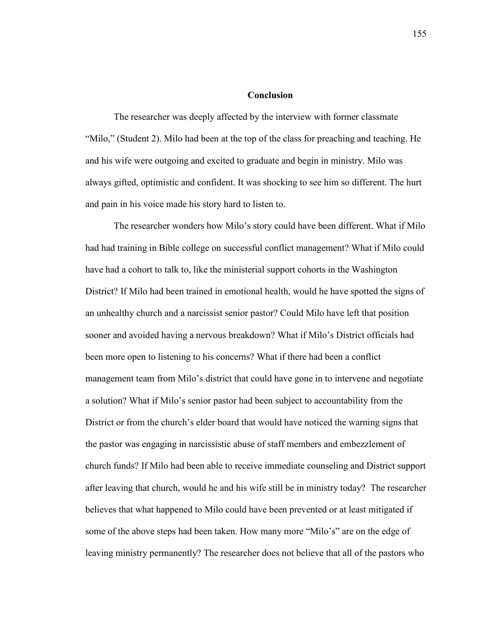#### **Conclusion**

 The researcher was deeply affected by the interview with former classmate "Milo," (Student 2). Milo had been at the top of the class for preaching and teaching. He and his wife were outgoing and excited to graduate and begin in ministry. Milo was always gifted, optimistic and confident. It was shocking to see him so different. The hurt and pain in his voice made his story hard to listen to.

 The researcher wonders how Milo's story could have been different. What if Milo had had training in Bible college on successful conflict management? What if Milo could have had a cohort to talk to, like the ministerial support cohorts in the Washington District? If Milo had been trained in emotional health, would he have spotted the signs of an unhealthy church and a narcissist senior pastor? Could Milo have left that position sooner and avoided having a nervous breakdown? What if Milo's District officials had been more open to listening to his concerns? What if there had been a conflict management team from Milo's district that could have gone in to intervene and negotiate a solution? What if Milo's senior pastor had been subject to accountability from the District or from the church's elder board that would have noticed the warning signs that the pastor was engaging in narcissistic abuse of staff members and embezzlement of church funds? If Milo had been able to receive immediate counseling and District support after leaving that church, would he and his wife still be in ministry today? The researcher believes that what happened to Milo could have been prevented or at least mitigated if some of the above steps had been taken. How many more "Milo's" are on the edge of leaving ministry permanently? The researcher does not believe that all of the pastors who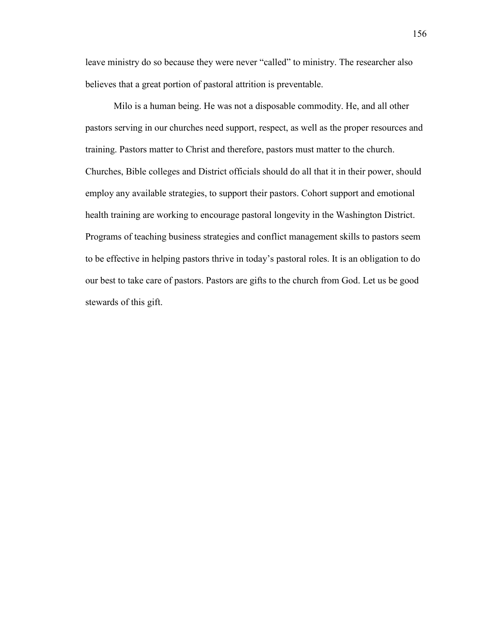leave ministry do so because they were never "called" to ministry. The researcher also believes that a great portion of pastoral attrition is preventable.

 Milo is a human being. He was not a disposable commodity. He, and all other pastors serving in our churches need support, respect, as well as the proper resources and training. Pastors matter to Christ and therefore, pastors must matter to the church. Churches, Bible colleges and District officials should do all that it in their power, should employ any available strategies, to support their pastors. Cohort support and emotional health training are working to encourage pastoral longevity in the Washington District. Programs of teaching business strategies and conflict management skills to pastors seem to be effective in helping pastors thrive in today's pastoral roles. It is an obligation to do our best to take care of pastors. Pastors are gifts to the church from God. Let us be good stewards of this gift.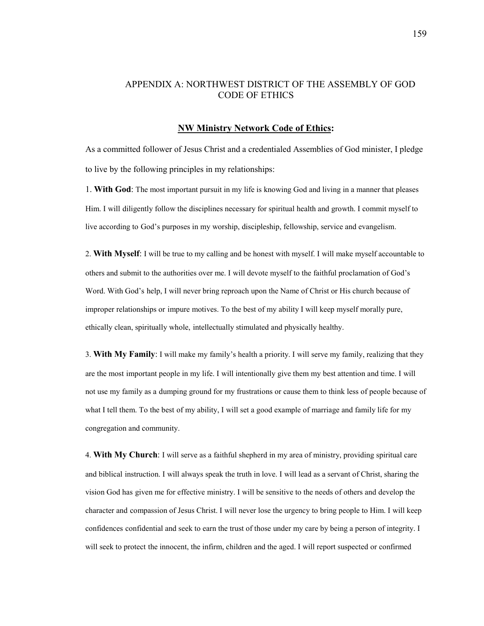## APPENDIX A: NORTHWEST DISTRICT OF THE ASSEMBLY OF GOD CODE OF ETHICS

#### **NW Ministry Network Code of Ethics:**

As a committed follower of Jesus Christ and a credentialed Assemblies of God minister, I pledge to live by the following principles in my relationships:

1. **With God**: The most important pursuit in my life is knowing God and living in a manner that pleases Him. I will diligently follow the disciplines necessary for spiritual health and growth. I commit myself to live according to God's purposes in my worship, discipleship, fellowship, service and evangelism.

2. **With Myself**: I will be true to my calling and be honest with myself. I will make myself accountable to others and submit to the authorities over me. I will devote myself to the faithful proclamation of God's Word. With God's help, I will never bring reproach upon the Name of Christ or His church because of improper relationships or impure motives. To the best of my ability I will keep myself morally pure, ethically clean, spiritually whole, intellectually stimulated and physically healthy.

3. **With My Family**: I will make my family's health a priority. I will serve my family, realizing that they are the most important people in my life. I will intentionally give them my best attention and time. I will not use my family as a dumping ground for my frustrations or cause them to think less of people because of what I tell them. To the best of my ability, I will set a good example of marriage and family life for my congregation and community.

4. **With My Church**: I will serve as a faithful shepherd in my area of ministry, providing spiritual care and biblical instruction. I will always speak the truth in love. I will lead as a servant of Christ, sharing the vision God has given me for effective ministry. I will be sensitive to the needs of others and develop the character and compassion of Jesus Christ. I will never lose the urgency to bring people to Him. I will keep confidences confidential and seek to earn the trust of those under my care by being a person of integrity. I will seek to protect the innocent, the infirm, children and the aged. I will report suspected or confirmed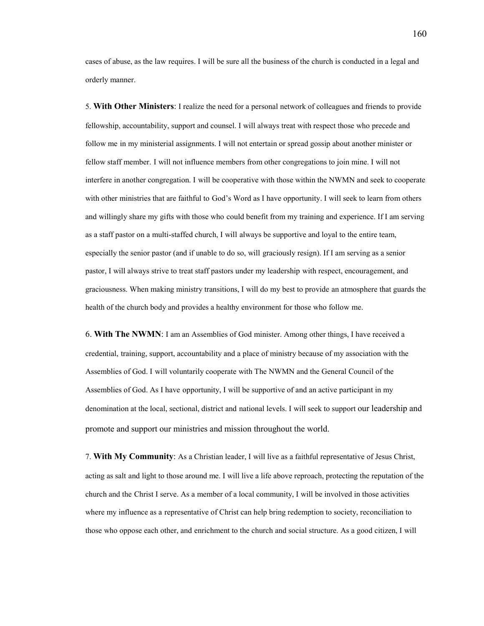cases of abuse, as the law requires. I will be sure all the business of the church is conducted in a legal and orderly manner.

5. **With Other Ministers**: I realize the need for a personal network of colleagues and friends to provide fellowship, accountability, support and counsel. I will always treat with respect those who precede and follow me in my ministerial assignments. I will not entertain or spread gossip about another minister or fellow staff member. I will not influence members from other congregations to join mine. I will not interfere in another congregation. I will be cooperative with those within the NWMN and seek to cooperate with other ministries that are faithful to God's Word as I have opportunity. I will seek to learn from others and willingly share my gifts with those who could benefit from my training and experience. If I am serving as a staff pastor on a multi-staffed church, I will always be supportive and loyal to the entire team, especially the senior pastor (and if unable to do so, will graciously resign). If I am serving as a senior pastor, I will always strive to treat staff pastors under my leadership with respect, encouragement, and graciousness. When making ministry transitions, I will do my best to provide an atmosphere that guards the health of the church body and provides a healthy environment for those who follow me.

6. **With The NWMN**: I am an Assemblies of God minister. Among other things, I have received a credential, training, support, accountability and a place of ministry because of my association with the Assemblies of God. I will voluntarily cooperate with The NWMN and the General Council of the Assemblies of God. As I have opportunity, I will be supportive of and an active participant in my denomination at the local, sectional, district and national levels. I will seek to support our leadership and promote and support our ministries and mission throughout the world.

7. **With My Community**: As a Christian leader, I will live as a faithful representative of Jesus Christ, acting as salt and light to those around me. I will live a life above reproach, protecting the reputation of the church and the Christ I serve. As a member of a local community, I will be involved in those activities where my influence as a representative of Christ can help bring redemption to society, reconciliation to those who oppose each other, and enrichment to the church and social structure. As a good citizen, I will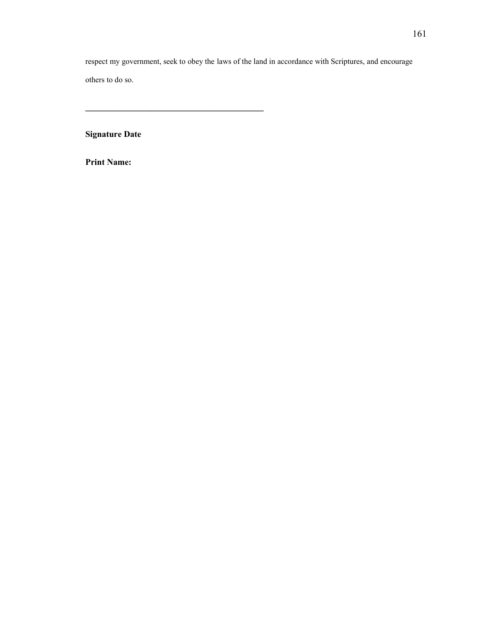respect my government, seek to obey the laws of the land in accordance with Scriptures, and encourage others to do so.

**Signature Date**

**\_\_\_\_\_\_\_\_\_\_\_\_\_\_\_\_\_\_\_\_\_\_\_\_\_\_\_\_\_\_\_\_\_\_\_\_\_\_\_\_\_**

**Print Name:**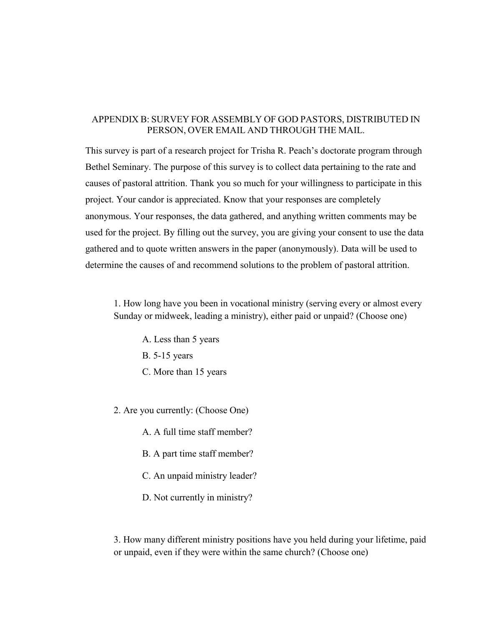# APPENDIX B: SURVEY FOR ASSEMBLY OF GOD PASTORS, DISTRIBUTED IN PERSON, OVER EMAIL AND THROUGH THE MAIL.

This survey is part of a research project for Trisha R. Peach's doctorate program through Bethel Seminary. The purpose of this survey is to collect data pertaining to the rate and causes of pastoral attrition. Thank you so much for your willingness to participate in this project. Your candor is appreciated. Know that your responses are completely anonymous. Your responses, the data gathered, and anything written comments may be used for the project. By filling out the survey, you are giving your consent to use the data gathered and to quote written answers in the paper (anonymously). Data will be used to determine the causes of and recommend solutions to the problem of pastoral attrition.

1. How long have you been in vocational ministry (serving every or almost every Sunday or midweek, leading a ministry), either paid or unpaid? (Choose one)

- A. Less than 5 years B. 5-15 years C. More than 15 years
- 2. Are you currently: (Choose One)
	- A. A full time staff member?
	- B. A part time staff member?
	- C. An unpaid ministry leader?
	- D. Not currently in ministry?

3. How many different ministry positions have you held during your lifetime, paid or unpaid, even if they were within the same church? (Choose one)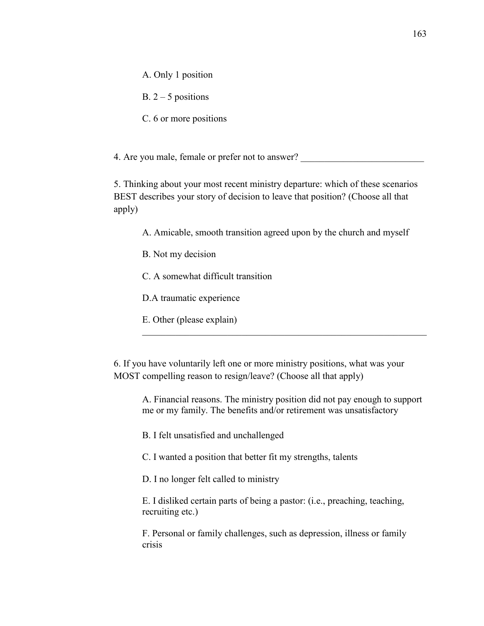A. Only 1 position

B.  $2 - 5$  positions

C. 6 or more positions

4. Are you male, female or prefer not to answer?

5. Thinking about your most recent ministry departure: which of these scenarios BEST describes your story of decision to leave that position? (Choose all that apply)

A. Amicable, smooth transition agreed upon by the church and myself

B. Not my decision

C. A somewhat difficult transition

D.A traumatic experience

E. Other (please explain)

6. If you have voluntarily left one or more ministry positions, what was your MOST compelling reason to resign/leave? (Choose all that apply)

A. Financial reasons. The ministry position did not pay enough to support me or my family. The benefits and/or retirement was unsatisfactory

\_\_\_\_\_\_\_\_\_\_\_\_\_\_\_\_\_\_\_\_\_\_\_\_\_\_\_\_\_\_\_\_\_\_\_\_\_\_\_\_\_\_\_\_\_\_\_\_\_\_\_\_\_\_\_\_\_\_\_\_

B. I felt unsatisfied and unchallenged

C. I wanted a position that better fit my strengths, talents

D. I no longer felt called to ministry

E. I disliked certain parts of being a pastor: (i.e., preaching, teaching, recruiting etc.)

F. Personal or family challenges, such as depression, illness or family crisis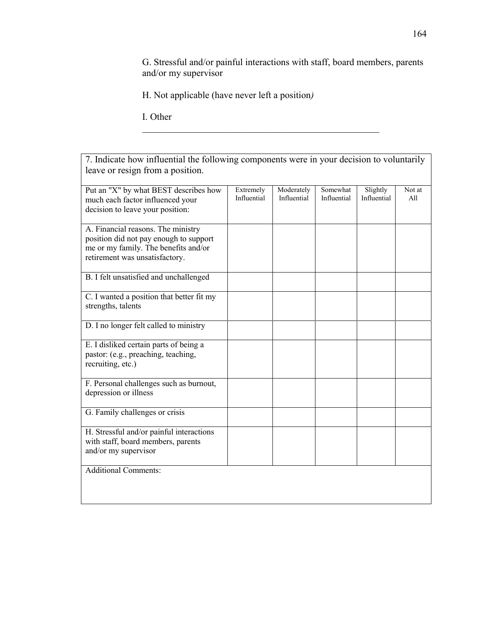G. Stressful and/or painful interactions with staff, board members, parents and/or my supervisor

*\_\_\_\_\_\_\_\_\_\_\_\_\_\_\_\_\_\_\_\_\_\_\_\_\_\_\_\_\_\_\_\_\_\_\_\_\_\_\_\_\_\_\_\_\_\_\_\_\_\_*

H. Not applicable (have never left a position*)* 

I. Other

| 7. Indicate how influential the following components were in your decision to voluntarily                                                              |                          |                           |                         |                         |               |
|--------------------------------------------------------------------------------------------------------------------------------------------------------|--------------------------|---------------------------|-------------------------|-------------------------|---------------|
| leave or resign from a position.                                                                                                                       |                          |                           |                         |                         |               |
| Put an "X" by what BEST describes how<br>much each factor influenced your<br>decision to leave your position:                                          | Extremely<br>Influential | Moderately<br>Influential | Somewhat<br>Influential | Slightly<br>Influential | Not at<br>All |
| A. Financial reasons. The ministry<br>position did not pay enough to support<br>me or my family. The benefits and/or<br>retirement was unsatisfactory. |                          |                           |                         |                         |               |
| B. I felt unsatisfied and unchallenged                                                                                                                 |                          |                           |                         |                         |               |
| C. I wanted a position that better fit my<br>strengths, talents                                                                                        |                          |                           |                         |                         |               |
| D. I no longer felt called to ministry                                                                                                                 |                          |                           |                         |                         |               |
| E. I disliked certain parts of being a<br>pastor: (e.g., preaching, teaching,<br>recruiting, etc.)                                                     |                          |                           |                         |                         |               |
| F. Personal challenges such as burnout,<br>depression or illness                                                                                       |                          |                           |                         |                         |               |
| G. Family challenges or crisis                                                                                                                         |                          |                           |                         |                         |               |
| H. Stressful and/or painful interactions<br>with staff, board members, parents<br>and/or my supervisor                                                 |                          |                           |                         |                         |               |
| Additional Comments:                                                                                                                                   |                          |                           |                         |                         |               |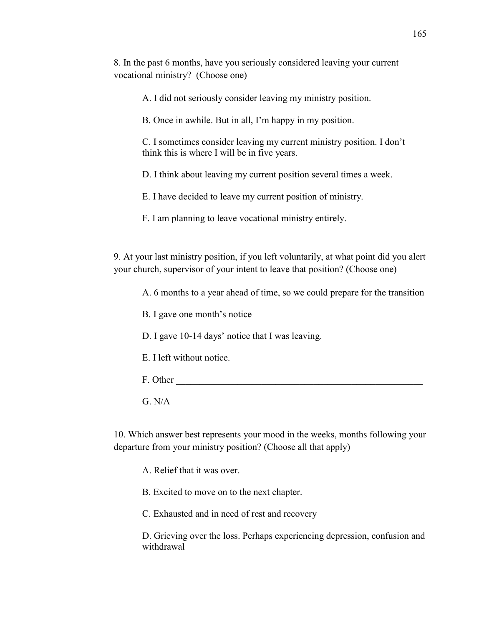8. In the past 6 months, have you seriously considered leaving your current vocational ministry? (Choose one)

A. I did not seriously consider leaving my ministry position.

B. Once in awhile. But in all, I'm happy in my position.

C. I sometimes consider leaving my current ministry position. I don't think this is where I will be in five years.

D. I think about leaving my current position several times a week.

E. I have decided to leave my current position of ministry.

F. I am planning to leave vocational ministry entirely.

9. At your last ministry position, if you left voluntarily, at what point did you alert your church, supervisor of your intent to leave that position? (Choose one)

A. 6 months to a year ahead of time, so we could prepare for the transition

B. I gave one month's notice

D. I gave 10-14 days' notice that I was leaving.

E. I left without notice.

F. Other

G. N/A

10. Which answer best represents your mood in the weeks, months following your departure from your ministry position? (Choose all that apply)

A. Relief that it was over.

B. Excited to move on to the next chapter.

C. Exhausted and in need of rest and recovery

D. Grieving over the loss. Perhaps experiencing depression, confusion and withdrawal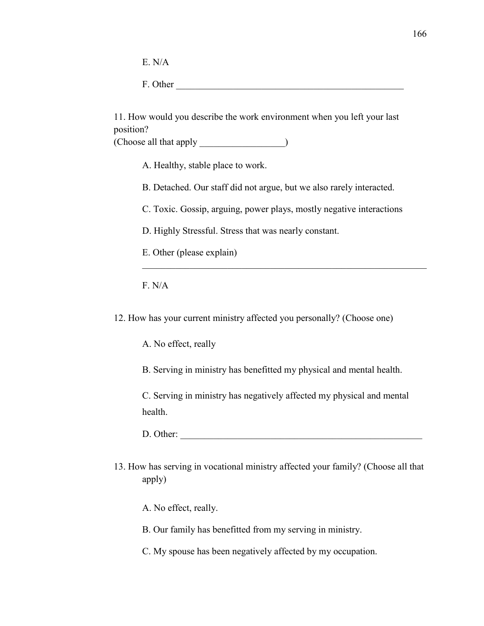E. N/A

F. Other

11. How would you describe the work environment when you left your last position?

(Choose all that apply  $\qquad \qquad$ )

A. Healthy, stable place to work.

B. Detached. Our staff did not argue, but we also rarely interacted.

C. Toxic. Gossip, arguing, power plays, mostly negative interactions

\_\_\_\_\_\_\_\_\_\_\_\_\_\_\_\_\_\_\_\_\_\_\_\_\_\_\_\_\_\_\_\_\_\_\_\_\_\_\_\_\_\_\_\_\_\_\_\_\_\_\_\_\_\_\_\_\_\_\_\_

D. Highly Stressful. Stress that was nearly constant.

E. Other (please explain)

F. N/A

12. How has your current ministry affected you personally? (Choose one)

A. No effect, really

B. Serving in ministry has benefitted my physical and mental health.

C. Serving in ministry has negatively affected my physical and mental health.

D. Other:

13. How has serving in vocational ministry affected your family? (Choose all that apply)

A. No effect, really.

B. Our family has benefitted from my serving in ministry.

C. My spouse has been negatively affected by my occupation.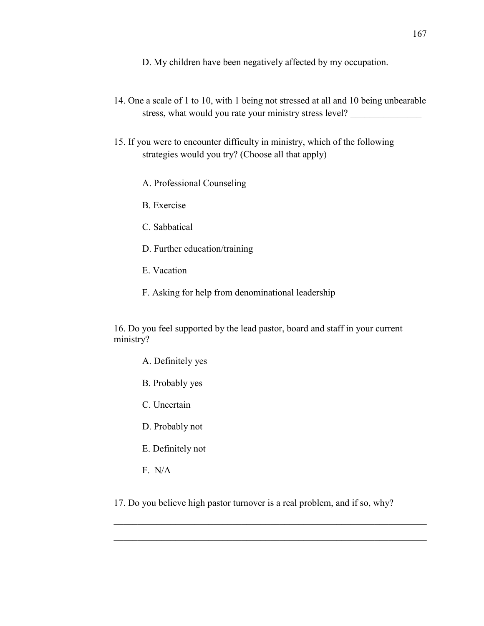D. My children have been negatively affected by my occupation.

- 14. One a scale of 1 to 10, with 1 being not stressed at all and 10 being unbearable stress, what would you rate your ministry stress level?
- 15. If you were to encounter difficulty in ministry, which of the following strategies would you try? (Choose all that apply)
	- A. Professional Counseling
	- B. Exercise
	- C. Sabbatical
	- D. Further education/training
	- E. Vacation
	- F. Asking for help from denominational leadership

16. Do you feel supported by the lead pastor, board and staff in your current ministry?

- A. Definitely yes
- B. Probably yes
- C. Uncertain
- D. Probably not
- E. Definitely not
- F. N/A

17. Do you believe high pastor turnover is a real problem, and if so, why?

\_\_\_\_\_\_\_\_\_\_\_\_\_\_\_\_\_\_\_\_\_\_\_\_\_\_\_\_\_\_\_\_\_\_\_\_\_\_\_\_\_\_\_\_\_\_\_\_\_\_\_\_\_\_\_\_\_\_\_\_\_\_\_\_\_\_

 $\mathcal{L} = \{ \mathcal{L}_1, \mathcal{L}_2, \ldots, \mathcal{L}_n \}$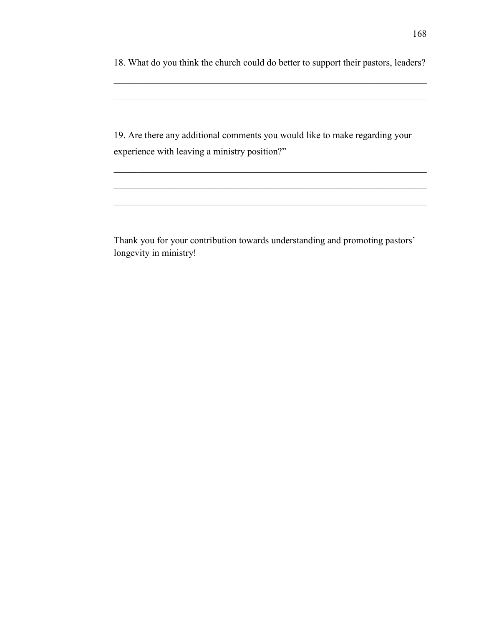18. What do you think the church could do better to support their pastors, leaders?

\_\_\_\_\_\_\_\_\_\_\_\_\_\_\_\_\_\_\_\_\_\_\_\_\_\_\_\_\_\_\_\_\_\_\_\_\_\_\_\_\_\_\_\_\_\_\_\_\_\_\_\_\_\_\_\_\_\_\_\_\_\_\_\_\_\_

 $\mathcal{L} = \{ \mathcal{L}_1, \mathcal{L}_2, \ldots, \mathcal{L}_n \}$ 

 19. Are there any additional comments you would like to make regarding your experience with leaving a ministry position?"

 $\frac{1}{2}$  ,  $\frac{1}{2}$  ,  $\frac{1}{2}$  ,  $\frac{1}{2}$  ,  $\frac{1}{2}$  ,  $\frac{1}{2}$  ,  $\frac{1}{2}$  ,  $\frac{1}{2}$  ,  $\frac{1}{2}$  ,  $\frac{1}{2}$  ,  $\frac{1}{2}$  ,  $\frac{1}{2}$  ,  $\frac{1}{2}$  ,  $\frac{1}{2}$  ,  $\frac{1}{2}$  ,  $\frac{1}{2}$  ,  $\frac{1}{2}$  ,  $\frac{1}{2}$  ,  $\frac{1$ 

 $\frac{1}{2}$  ,  $\frac{1}{2}$  ,  $\frac{1}{2}$  ,  $\frac{1}{2}$  ,  $\frac{1}{2}$  ,  $\frac{1}{2}$  ,  $\frac{1}{2}$  ,  $\frac{1}{2}$  ,  $\frac{1}{2}$  ,  $\frac{1}{2}$  ,  $\frac{1}{2}$  ,  $\frac{1}{2}$  ,  $\frac{1}{2}$  ,  $\frac{1}{2}$  ,  $\frac{1}{2}$  ,  $\frac{1}{2}$  ,  $\frac{1}{2}$  ,  $\frac{1}{2}$  ,  $\frac{1$ 

 Thank you for your contribution towards understanding and promoting pastors' longevity in ministry!

 $\mathcal{L} = \{ \mathcal{L}_1, \mathcal{L}_2, \ldots, \mathcal{L}_n \}$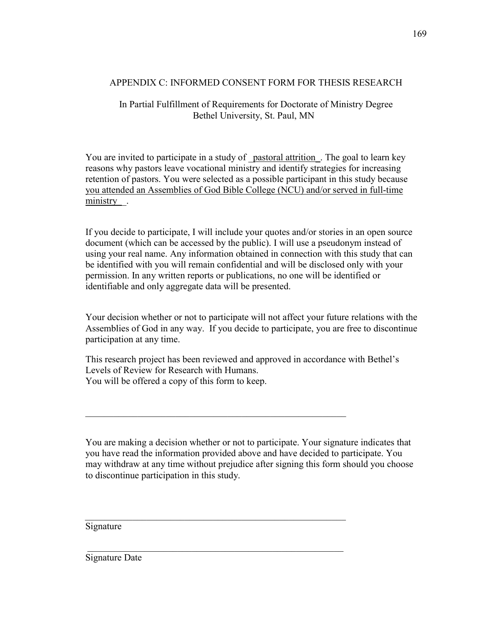# APPENDIX C: INFORMED CONSENT FORM FOR THESIS RESEARCH

# In Partial Fulfillment of Requirements for Doctorate of Ministry Degree Bethel University, St. Paul, MN

You are invited to participate in a study of pastoral attrition. The goal to learn key reasons why pastors leave vocational ministry and identify strategies for increasing retention of pastors. You were selected as a possible participant in this study because you attended an Assemblies of God Bible College (NCU) and/or served in full-time ministry\_\_.

If you decide to participate, I will include your quotes and/or stories in an open source document (which can be accessed by the public). I will use a pseudonym instead of using your real name. Any information obtained in connection with this study that can be identified with you will remain confidential and will be disclosed only with your permission. In any written reports or publications, no one will be identified or identifiable and only aggregate data will be presented.

Your decision whether or not to participate will not affect your future relations with the Assemblies of God in any way. If you decide to participate, you are free to discontinue participation at any time.

This research project has been reviewed and approved in accordance with Bethel's Levels of Review for Research with Humans. You will be offered a copy of this form to keep.

\_\_\_\_\_\_\_\_\_\_\_\_\_\_\_\_\_\_\_\_\_\_\_\_\_\_\_\_\_\_\_\_\_\_\_\_\_\_\_\_\_\_\_\_\_\_\_\_\_\_\_\_\_\_\_

\_\_\_\_\_\_\_\_\_\_\_\_\_\_\_\_\_\_\_\_\_\_\_\_\_\_\_\_\_\_\_\_\_\_\_\_\_\_\_\_\_\_\_\_\_\_\_\_\_\_\_\_\_\_\_

 $\frac{1}{2}$  ,  $\frac{1}{2}$  ,  $\frac{1}{2}$  ,  $\frac{1}{2}$  ,  $\frac{1}{2}$  ,  $\frac{1}{2}$  ,  $\frac{1}{2}$  ,  $\frac{1}{2}$  ,  $\frac{1}{2}$  ,  $\frac{1}{2}$  ,  $\frac{1}{2}$  ,  $\frac{1}{2}$  ,  $\frac{1}{2}$  ,  $\frac{1}{2}$  ,  $\frac{1}{2}$  ,  $\frac{1}{2}$  ,  $\frac{1}{2}$  ,  $\frac{1}{2}$  ,  $\frac{1$ 

You are making a decision whether or not to participate. Your signature indicates that you have read the information provided above and have decided to participate. You may withdraw at any time without prejudice after signing this form should you choose to discontinue participation in this study.

Signature

Signature Date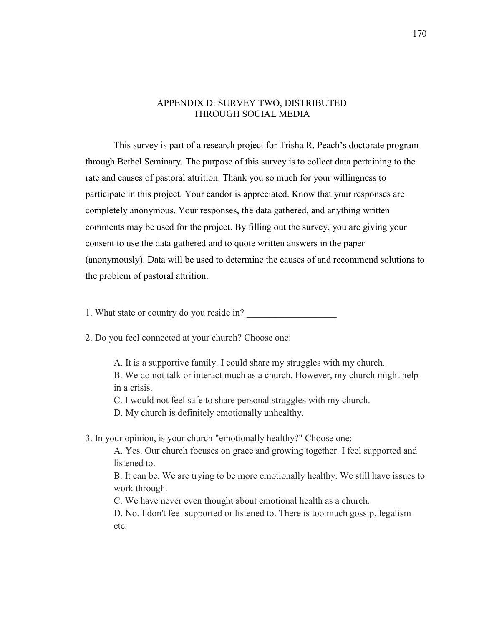## APPENDIX D: SURVEY TWO, DISTRIBUTED THROUGH SOCIAL MEDIA

This survey is part of a research project for Trisha R. Peach's doctorate program through Bethel Seminary. The purpose of this survey is to collect data pertaining to the rate and causes of pastoral attrition. Thank you so much for your willingness to participate in this project. Your candor is appreciated. Know that your responses are completely anonymous. Your responses, the data gathered, and anything written comments may be used for the project. By filling out the survey, you are giving your consent to use the data gathered and to quote written answers in the paper (anonymously). Data will be used to determine the causes of and recommend solutions to the problem of pastoral attrition.

1. What state or country do you reside in?

2. Do you feel connected at your church? Choose one:

A. It is a supportive family. I could share my struggles with my church. B. We do not talk or interact much as a church. However, my church might help in a crisis.

C. I would not feel safe to share personal struggles with my church.

D. My church is definitely emotionally unhealthy.

3. In your opinion, is your church "emotionally healthy?" Choose one:

A. Yes. Our church focuses on grace and growing together. I feel supported and listened to.

B. It can be. We are trying to be more emotionally healthy. We still have issues to work through.

C. We have never even thought about emotional health as a church.

D. No. I don't feel supported or listened to. There is too much gossip, legalism etc.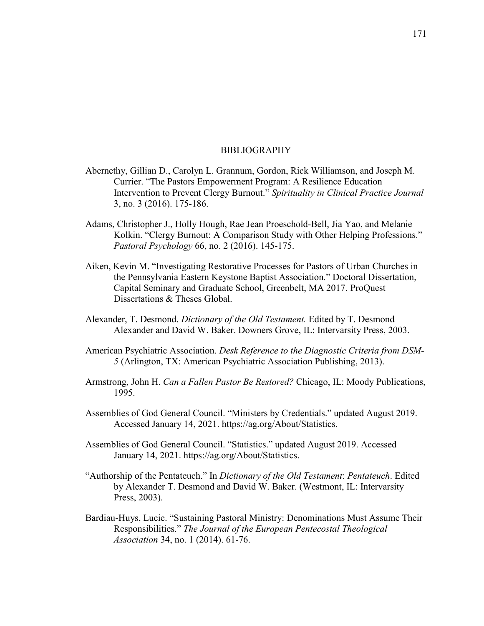## BIBLIOGRAPHY

- Abernethy, Gillian D., Carolyn L. Grannum, Gordon, Rick Williamson, and Joseph M. Currier. "The Pastors Empowerment Program: A Resilience Education Intervention to Prevent Clergy Burnout." *Spirituality in Clinical Practice Journal*  3, no. 3 (2016). 175-186.
- Adams, Christopher J., Holly Hough, Rae Jean Proeschold-Bell, Jia Yao, and Melanie Kolkin. "Clergy Burnout: A Comparison Study with Other Helping Professions." *Pastoral Psychology* 66, no. 2 (2016). 145-175.
- Aiken, Kevin M. "Investigating Restorative Processes for Pastors of Urban Churches in the Pennsylvania Eastern Keystone Baptist Association*.*" Doctoral Dissertation, Capital Seminary and Graduate School, Greenbelt, MA 2017. ProQuest Dissertations & Theses Global.
- Alexander, T. Desmond. *Dictionary of the Old Testament.* Edited by T. Desmond Alexander and David W. Baker. Downers Grove, IL: Intervarsity Press, 2003.
- American Psychiatric Association. *Desk Reference to the Diagnostic Criteria from DSM-5* (Arlington, TX: American Psychiatric Association Publishing, 2013).
- Armstrong, John H. *Can a Fallen Pastor Be Restored?* Chicago, IL: Moody Publications, 1995.
- Assemblies of God General Council. "Ministers by Credentials." updated August 2019. Accessed January 14, 2021. https://ag.org/About/Statistics.
- Assemblies of God General Council. "Statistics." updated August 2019. Accessed January 14, 2021. https://ag.org/About/Statistics.
- "Authorship of the Pentateuch." In *Dictionary of the Old Testament*: *Pentateuch*. Edited by Alexander T. Desmond and David W. Baker. (Westmont, IL: Intervarsity Press, 2003).
- Bardiau-Huys, Lucie. "Sustaining Pastoral Ministry: Denominations Must Assume Their Responsibilities." *The Journal of the European Pentecostal Theological Association* 34, no. 1 (2014). 61-76.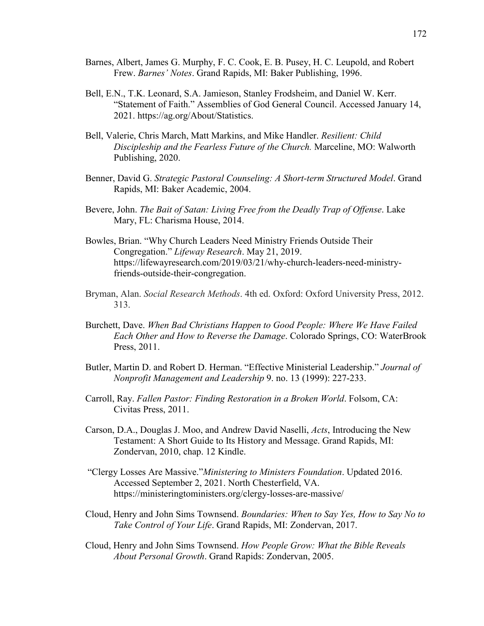- Barnes, Albert, James G. Murphy, F. C. Cook, E. B. Pusey, H. C. Leupold, and Robert Frew. *Barnes' Notes*. Grand Rapids, MI: Baker Publishing, 1996.
- Bell, E.N., T.K. Leonard, S.A. Jamieson, Stanley Frodsheim, and Daniel W. Kerr. "Statement of Faith." Assemblies of God General Council. Accessed January 14, 2021. https://ag.org/About/Statistics.
- Bell, Valerie, Chris March, Matt Markins, and Mike Handler. *Resilient: Child Discipleship and the Fearless Future of the Church.* Marceline, MO: Walworth Publishing, 2020.
- Benner, David G. *Strategic Pastoral Counseling: A Short-term Structured Model*. Grand Rapids, MI: Baker Academic, 2004.
- Bevere, John. *The Bait of Satan: Living Free from the Deadly Trap of Offense*. Lake Mary, FL: Charisma House, 2014.
- Bowles, Brian. "Why Church Leaders Need Ministry Friends Outside Their Congregation." *Lifeway Research*. May 21, 2019. https://lifewayresearch.com/2019/03/21/why-church-leaders-need-ministryfriends-outside-their-congregation.
- Bryman, Alan. *Social Research Methods*. 4th ed. Oxford: Oxford University Press, 2012. 313.
- Burchett, Dave. *When Bad Christians Happen to Good People: Where We Have Failed Each Other and How to Reverse the Damage*. Colorado Springs, CO: WaterBrook Press, 2011.
- Butler, Martin D. and Robert D. Herman. "Effective Ministerial Leadership." *Journal of Nonprofit Management and Leadership* 9. no. 13 (1999): 227-233.
- Carroll, Ray. *Fallen Pastor: Finding Restoration in a Broken World*. Folsom, CA: Civitas Press, 2011.
- Carson, D.A., Douglas J. Moo, and Andrew David Naselli, *Acts*, Introducing the New Testament: A Short Guide to Its History and Message. Grand Rapids, MI: Zondervan, 2010, chap. 12 Kindle.
- "Clergy Losses Are Massive."*Ministering to Ministers Foundation*. Updated 2016. Accessed September 2, 2021. North Chesterfield, VA. https://ministeringtoministers.org/clergy-losses-are-massive/
- Cloud, Henry and John Sims Townsend. *Boundaries: When to Say Yes, How to Say No to Take Control of Your Life*. Grand Rapids, MI: Zondervan, 2017.
- Cloud, Henry and John Sims Townsend. *How People Grow: What the Bible Reveals About Personal Growth*. Grand Rapids: Zondervan, 2005.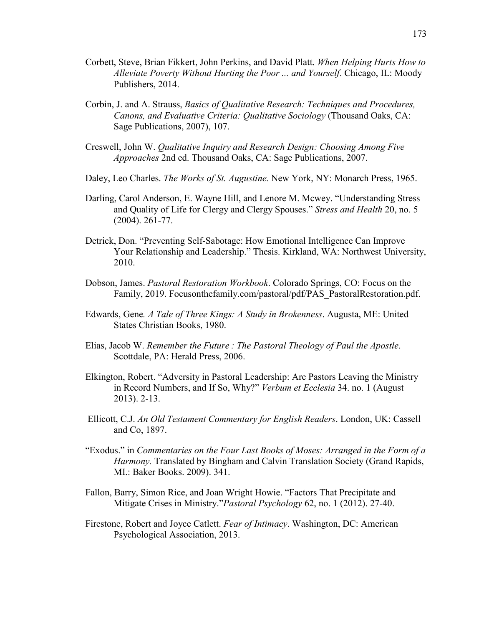- Corbett, Steve, Brian Fikkert, John Perkins, and David Platt. *When Helping Hurts How to Alleviate Poverty Without Hurting the Poor ... and Yourself*. Chicago, IL: Moody Publishers, 2014.
- Corbin, J. and A. Strauss, *Basics of Qualitative Research: Techniques and Procedures, Canons, and Evaluative Criteria: Qualitative Sociology* (Thousand Oaks, CA: Sage Publications, 2007), 107.
- Creswell, John W. *Qualitative Inquiry and Research Design: Choosing Among Five Approaches* 2nd ed. Thousand Oaks, CA: Sage Publications, 2007.
- Daley, Leo Charles. *The Works of St. Augustine.* New York, NY: Monarch Press, 1965.
- Darling, Carol Anderson, E. Wayne Hill, and Lenore M. Mcwey. "Understanding Stress and Quality of Life for Clergy and Clergy Spouses." *Stress and Health* 20, no. 5 (2004). 261-77.
- Detrick, Don. "Preventing Self-Sabotage: How Emotional Intelligence Can Improve Your Relationship and Leadership." Thesis. Kirkland, WA: Northwest University, 2010.
- Dobson, James. *Pastoral Restoration Workbook*. Colorado Springs, CO: Focus on the Family, 2019. Focusonthefamily.com/pastoral/pdf/PAS\_PastoralRestoration.pdf.
- Edwards, Gene*. A Tale of Three Kings: A Study in Brokenness*. Augusta, ME: United States Christian Books, 1980.
- Elias, Jacob W. *Remember the Future : The Pastoral Theology of Paul the Apostle*. Scottdale, PA: Herald Press, 2006.
- Elkington, Robert. "Adversity in Pastoral Leadership: Are Pastors Leaving the Ministry in Record Numbers, and If So, Why?" *Verbum et Ecclesia* 34. no. 1 (August 2013). 2-13.
- Ellicott, C.J. *An Old Testament Commentary for English Readers*. London, UK: Cassell and Co, 1897.
- "Exodus." in *Commentaries on the Four Last Books of Moses: Arranged in the Form of a Harmony.* Translated by Bingham and Calvin Translation Society (Grand Rapids, MI.: Baker Books. 2009). 341.
- Fallon, Barry, Simon Rice, and Joan Wright Howie. "Factors That Precipitate and Mitigate Crises in Ministry."*Pastoral Psychology* 62, no. 1 (2012). 27-40.
- Firestone, Robert and Joyce Catlett. *Fear of Intimacy*. Washington, DC: American Psychological Association, 2013.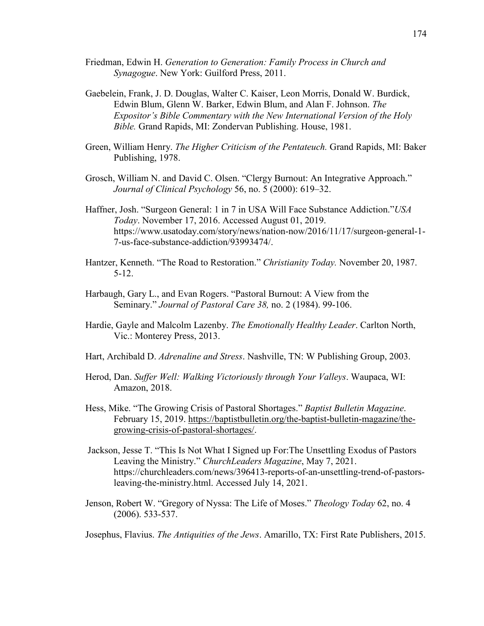- Friedman, Edwin H. *Generation to Generation: Family Process in Church and Synagogue*. New York: Guilford Press, 2011.
- Gaebelein, Frank, J. D. Douglas, Walter C. Kaiser, Leon Morris, Donald W. Burdick, Edwin Blum, Glenn W. Barker, Edwin Blum, and Alan F. Johnson. *The Expositor's Bible Commentary with the New International Version of the Holy Bible.* Grand Rapids, MI: Zondervan Publishing. House, 1981.
- Green, William Henry. *The Higher Criticism of the Pentateuch.* Grand Rapids, MI: Baker Publishing, 1978.
- Grosch, William N. and David C. Olsen. "Clergy Burnout: An Integrative Approach." *Journal of Clinical Psychology* 56, no. 5 (2000): 619–32.
- Haffner, Josh. "Surgeon General: 1 in 7 in USA Will Face Substance Addiction."*USA Today*. November 17, 2016. Accessed August 01, 2019. https://www.usatoday.com/story/news/nation-now/2016/11/17/surgeon-general-1- 7-us-face-substance-addiction/93993474/.
- Hantzer, Kenneth. "The Road to Restoration." *Christianity Today.* November 20, 1987. 5-12.
- Harbaugh, Gary L., and Evan Rogers. "Pastoral Burnout: A View from the Seminary." *Journal of Pastoral Care 38,* no. 2 (1984). 99-106.
- Hardie, Gayle and Malcolm Lazenby. *The Emotionally Healthy Leader*. Carlton North, Vic.: Monterey Press, 2013.
- Hart, Archibald D. *Adrenaline and Stress*. Nashville, TN: W Publishing Group, 2003.
- Herod, Dan. *Suffer Well: Walking Victoriously through Your Valleys*. Waupaca, WI: Amazon, 2018.
- Hess, Mike. "The Growing Crisis of Pastoral Shortages." *Baptist Bulletin Magazine*. February 15, 2019. https://baptistbulletin.org/the-baptist-bulletin-magazine/thegrowing-crisis-of-pastoral-shortages/.
- Jackson, Jesse T. "This Is Not What I Signed up For:The Unsettling Exodus of Pastors Leaving the Ministry." *ChurchLeaders Magazine*, May 7, 2021. https://churchleaders.com/news/396413-reports-of-an-unsettling-trend-of-pastorsleaving-the-ministry.html. Accessed July 14, 2021.
- Jenson, Robert W. "Gregory of Nyssa: The Life of Moses." *Theology Today* 62, no. 4 (2006). 533-537.

Josephus, Flavius. *The Antiquities of the Jews*. Amarillo, TX: First Rate Publishers, 2015.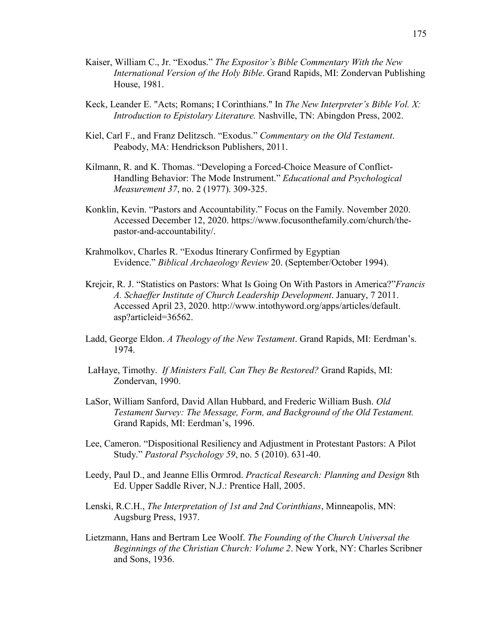- Kaiser, William C., Jr. "Exodus." *The Expositor's Bible Commentary With the New International Version of the Holy Bible*. Grand Rapids, MI: Zondervan Publishing House, 1981.
- Keck, Leander E. "Acts; Romans; I Corinthians." In *The New Interpreter's Bible Vol. X: Introduction to Epistolary Literature.* Nashville, TN: Abingdon Press, 2002.
- Kiel, Carl F., and Franz Delitzsch. "Exodus." *Commentary on the Old Testament*. Peabody, MA: Hendrickson Publishers, 2011.
- Kilmann, R. and K. Thomas. "Developing a Forced-Choice Measure of Conflict-Handling Behavior: The Mode Instrument." *Educational and Psychological Measurement 37*, no. 2 (1977). 309-325.
- Konklin, Kevin. "Pastors and Accountability." Focus on the Family. November 2020. Accessed December 12, 2020. https://www.focusonthefamily.com/church/thepastor-and-accountability/.
- Krahmolkov, Charles R. "Exodus Itinerary Confirmed by Egyptian Evidence." *Biblical Archaeology Review* 20. (September/October 1994).
- Krejcir, R. J. "Statistics on Pastors: What Is Going On With Pastors in America?"*Francis A. Schaeffer Institute of Church Leadership Development*. January, 7 2011. Accessed April 23, 2020. http://www.intothyword.org/apps/articles/default. asp?articleid=36562.
- Ladd, George Eldon. *A Theology of the New Testament*. Grand Rapids, MI: Eerdman's. 1974.
- LaHaye, Timothy. *If Ministers Fall, Can They Be Restored?* Grand Rapids, MI: Zondervan, 1990.
- LaSor, William Sanford, David Allan Hubbard, and Frederic William Bush. *Old Testament Survey: The Message, Form, and Background of the Old Testament.* Grand Rapids, MI: Eerdman's, 1996.
- Lee, Cameron. "Dispositional Resiliency and Adjustment in Protestant Pastors: A Pilot Study." *Pastoral Psychology 59*, no. 5 (2010). 631-40.
- Leedy, Paul D., and Jeanne Ellis Ormrod. *Practical Research: Planning and Design* 8th Ed. Upper Saddle River, N.J.: Prentice Hall, 2005.
- Lenski, R.C.H., *The Interpretation of 1st and 2nd Corinthians*, Minneapolis, MN: Augsburg Press, 1937.
- Lietzmann, Hans and Bertram Lee Woolf. *The Founding of the Church Universal the Beginnings of the Christian Church: Volume 2*. New York, NY: Charles Scribner and Sons, 1936.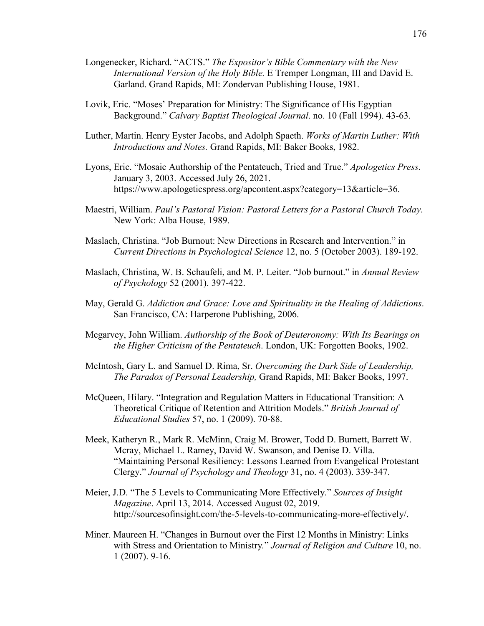- Longenecker, Richard. "ACTS." *The Expositor's Bible Commentary with the New International Version of the Holy Bible.* E Tremper Longman, III and David E. Garland. Grand Rapids, MI: Zondervan Publishing House, 1981.
- Lovik, Eric. "Moses' Preparation for Ministry: The Significance of His Egyptian Background." *Calvary Baptist Theological Journal*. no. 10 (Fall 1994). 43-63.
- Luther, Martin. Henry Eyster Jacobs, and Adolph Spaeth. *Works of Martin Luther: With Introductions and Notes.* Grand Rapids, MI: Baker Books, 1982.
- Lyons, Eric. "Mosaic Authorship of the Pentateuch, Tried and True." *Apologetics Press*. January 3, 2003. Accessed July 26, 2021. https://www.apologeticspress.org/apcontent.aspx?category=13&article=36.
- Maestri, William. *Paul's Pastoral Vision: Pastoral Letters for a Pastoral Church Today*. New York: Alba House, 1989.
- Maslach, Christina. "Job Burnout: New Directions in Research and Intervention." in *Current Directions in Psychological Science* 12, no. 5 (October 2003). 189-192.
- Maslach, Christina, W. B. Schaufeli, and M. P. Leiter. "Job burnout." in *Annual Review of Psychology* 52 (2001). 397-422.
- May, Gerald G. *Addiction and Grace: Love and Spirituality in the Healing of Addictions*. San Francisco, CA: Harperone Publishing, 2006.
- Mcgarvey, John William. *Authorship of the Book of Deuteronomy: With Its Bearings on the Higher Criticism of the Pentateuch*. London, UK: Forgotten Books, 1902.
- McIntosh, Gary L. and Samuel D. Rima, Sr. *Overcoming the Dark Side of Leadership, The Paradox of Personal Leadership,* Grand Rapids, MI: Baker Books, 1997.
- McQueen, Hilary. "Integration and Regulation Matters in Educational Transition: A Theoretical Critique of Retention and Attrition Models." *British Journal of Educational Studies* 57, no. 1 (2009). 70-88.
- Meek, Katheryn R., Mark R. McMinn, Craig M. Brower, Todd D. Burnett, Barrett W. Mcray, Michael L. Ramey, David W. Swanson, and Denise D. Villa. "Maintaining Personal Resiliency: Lessons Learned from Evangelical Protestant Clergy." *Journal of Psychology and Theology* 31, no. 4 (2003). 339-347.
- Meier, J.D. "The 5 Levels to Communicating More Effectively." *Sources of Insight Magazine*. April 13, 2014. Accessed August 02, 2019. http://sourcesofinsight.com/the-5-levels-to-communicating-more-effectively/.
- Miner. Maureen H. "Changes in Burnout over the First 12 Months in Ministry: Links with Stress and Orientation to Ministry*.*" *Journal of Religion and Culture* 10, no. 1 (2007). 9-16.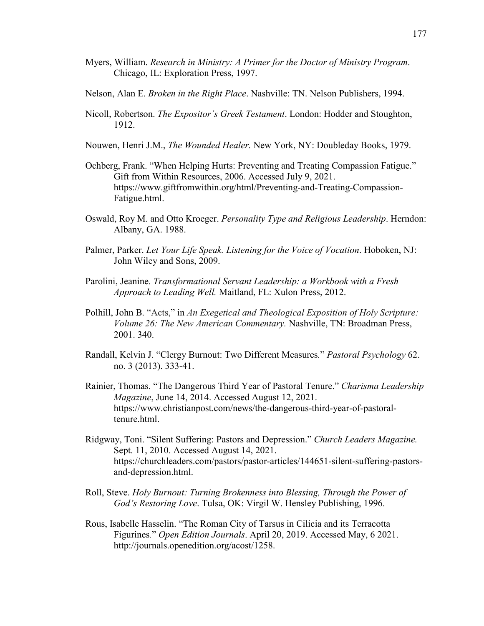- Myers, William. *Research in Ministry: A Primer for the Doctor of Ministry Program*. Chicago, IL: Exploration Press, 1997.
- Nelson, Alan E. *Broken in the Right Place*. Nashville: TN. Nelson Publishers, 1994.
- Nicoll, Robertson. *The Expositor's Greek Testament*. London: Hodder and Stoughton, 1912.
- Nouwen, Henri J.M., *The Wounded Healer.* New York, NY: Doubleday Books, 1979.
- Ochberg, Frank. "When Helping Hurts: Preventing and Treating Compassion Fatigue." Gift from Within Resources, 2006. Accessed July 9, 2021. https://www.giftfromwithin.org/html/Preventing-and-Treating-Compassion-Fatigue.html.
- Oswald, Roy M. and Otto Kroeger. *Personality Type and Religious Leadership*. Herndon: Albany, GA. 1988.
- Palmer, Parker. *Let Your Life Speak. Listening for the Voice of Vocation*. Hoboken, NJ: John Wiley and Sons, 2009.
- Parolini, Jeanine. *Transformational Servant Leadership: a Workbook with a Fresh Approach to Leading Well.* Maitland, FL: Xulon Press, 2012.
- Polhill, John B. "Acts," in *An Exegetical and Theological Exposition of Holy Scripture: Volume 26: The New American Commentary.* Nashville, TN: Broadman Press, 2001. 340.
- Randall, Kelvin J. "Clergy Burnout: Two Different Measures*.*" *Pastoral Psychology* 62. no. 3 (2013). 333-41.
- Rainier, Thomas. "The Dangerous Third Year of Pastoral Tenure." *Charisma Leadership Magazine*, June 14, 2014. Accessed August 12, 2021. https://www.christianpost.com/news/the-dangerous-third-year-of-pastoraltenure.html.
- Ridgway, Toni. "Silent Suffering: Pastors and Depression." *Church Leaders Magazine.* Sept. 11, 2010. Accessed August 14, 2021. https://churchleaders.com/pastors/pastor-articles/144651-silent-suffering-pastorsand-depression.html.
- Roll, Steve. *Holy Burnout: Turning Brokenness into Blessing, Through the Power of God's Restoring Love*. Tulsa, OK: Virgil W. Hensley Publishing, 1996.
- Rous, Isabelle Hasselin. "The Roman City of Tarsus in Cilicia and its Terracotta Figurines*.*" *Open Edition Journals*. April 20, 2019. Accessed May, 6 2021. http://journals.openedition.org/acost/1258.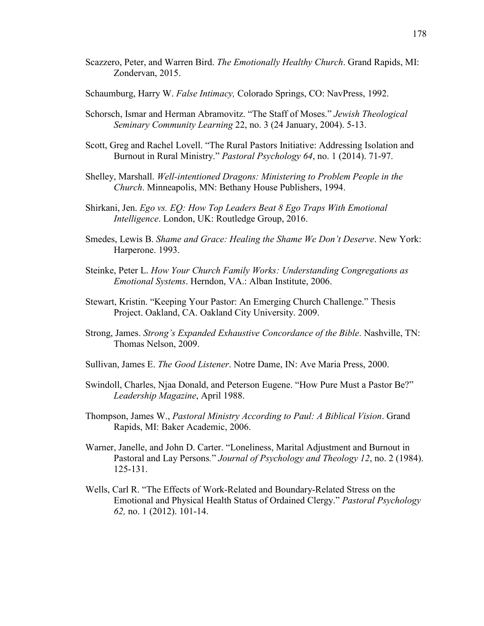- Scazzero, Peter, and Warren Bird. *The Emotionally Healthy Church*. Grand Rapids, MI: Zondervan, 2015.
- Schaumburg, Harry W. *False Intimacy,* Colorado Springs, CO: NavPress, 1992.
- Schorsch, Ismar and Herman Abramovitz. "The Staff of Moses." *Jewish Theological Seminary Community Learning* 22, no. 3 (24 January, 2004). 5-13.
- Scott, Greg and Rachel Lovell. "The Rural Pastors Initiative: Addressing Isolation and Burnout in Rural Ministry." *Pastoral Psychology 64*, no. 1 (2014). 71-97.
- Shelley, Marshall. *Well-intentioned Dragons: Ministering to Problem People in the Church*. Minneapolis, MN: Bethany House Publishers, 1994.
- Shirkani, Jen. *Ego vs. EQ: How Top Leaders Beat 8 Ego Traps With Emotional Intelligence*. London, UK: Routledge Group, 2016.
- Smedes, Lewis B. *Shame and Grace: Healing the Shame We Don't Deserve*. New York: Harperone. 1993.
- Steinke, Peter L. *How Your Church Family Works: Understanding Congregations as Emotional Systems*. Herndon, VA.: Alban Institute, 2006.
- Stewart, Kristin. "Keeping Your Pastor: An Emerging Church Challenge." Thesis Project. Oakland, CA. Oakland City University. 2009.
- Strong, James. *Strong's Expanded Exhaustive Concordance of the Bible*. Nashville, TN: Thomas Nelson, 2009.
- Sullivan, James E. *The Good Listener*. Notre Dame, IN: Ave Maria Press, 2000.
- Swindoll, Charles, Njaa Donald, and Peterson Eugene. "How Pure Must a Pastor Be?" *Leadership Magazine*, April 1988.
- Thompson, James W., *Pastoral Ministry According to Paul: A Biblical Vision*. Grand Rapids, MI: Baker Academic, 2006.
- Warner, Janelle, and John D. Carter. "Loneliness, Marital Adjustment and Burnout in Pastoral and Lay Persons*.*" *Journal of Psychology and Theology 12*, no. 2 (1984). 125-131.
- Wells, Carl R. "The Effects of Work-Related and Boundary-Related Stress on the Emotional and Physical Health Status of Ordained Clergy." *Pastoral Psychology 62,* no. 1 (2012). 101-14.